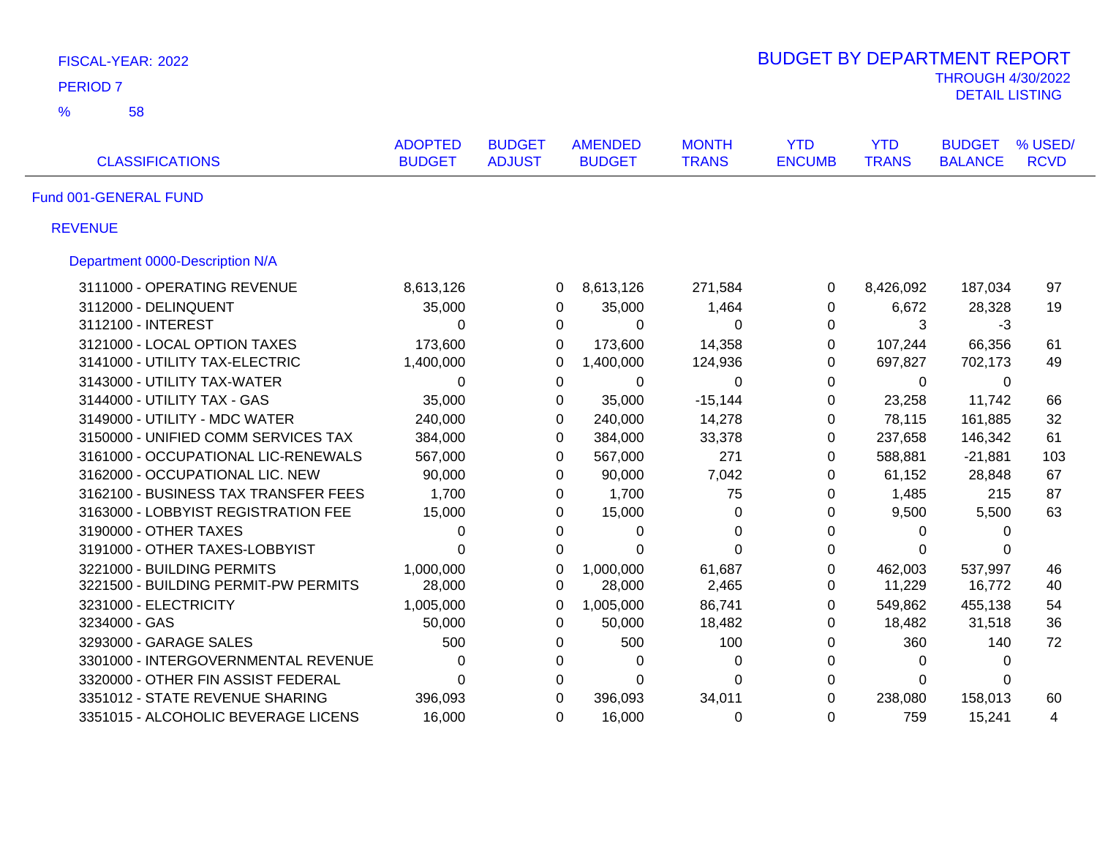| FISCAL-YEAR: 2022                    |                                 |                                |                                 |                              |                             |                            |                                                   |                        |  |  |
|--------------------------------------|---------------------------------|--------------------------------|---------------------------------|------------------------------|-----------------------------|----------------------------|---------------------------------------------------|------------------------|--|--|
| <b>PERIOD 7</b>                      |                                 |                                |                                 |                              |                             |                            | <b>THROUGH 4/30/2022</b><br><b>DETAIL LISTING</b> |                        |  |  |
| $\frac{9}{6}$<br>58                  |                                 |                                |                                 |                              |                             |                            |                                                   |                        |  |  |
| <b>CLASSIFICATIONS</b>               | <b>ADOPTED</b><br><b>BUDGET</b> | <b>BUDGET</b><br><b>ADJUST</b> | <b>AMENDED</b><br><b>BUDGET</b> | <b>MONTH</b><br><b>TRANS</b> | <b>YTD</b><br><b>ENCUMB</b> | <b>YTD</b><br><b>TRANS</b> | <b>BUDGET</b><br><b>BALANCE</b>                   | % USED/<br><b>RCVD</b> |  |  |
| Fund 001-GENERAL FUND                |                                 |                                |                                 |                              |                             |                            |                                                   |                        |  |  |
| <b>REVENUE</b>                       |                                 |                                |                                 |                              |                             |                            |                                                   |                        |  |  |
| Department 0000-Description N/A      |                                 |                                |                                 |                              |                             |                            |                                                   |                        |  |  |
| 3111000 - OPERATING REVENUE          | 8,613,126                       |                                | 8,613,126<br>0                  | 271,584                      | 0                           | 8,426,092                  | 187,034                                           | 97                     |  |  |
| 3112000 - DELINQUENT                 | 35,000                          |                                | 0<br>35,000                     | 1,464                        | 0                           | 6,672                      | 28,328                                            | 19                     |  |  |
| 3112100 - INTEREST                   | 0                               |                                | 0<br>0                          | $\Omega$                     | 0                           | 3                          | $-3$                                              |                        |  |  |
| 3121000 - LOCAL OPTION TAXES         | 173,600                         |                                | 0<br>173,600                    | 14,358                       | 0                           | 107,244                    | 66,356                                            | 61                     |  |  |
| 3141000 - UTILITY TAX-ELECTRIC       | 1,400,000                       |                                | 0<br>1,400,000                  | 124,936                      | 0                           | 697,827                    | 702,173                                           | 49                     |  |  |
| 3143000 - UTILITY TAX-WATER          | 0                               |                                | $\mathbf 0$<br>$\mathbf 0$      | $\mathbf 0$                  | $\pmb{0}$                   | $\mathbf 0$                | 0                                                 |                        |  |  |
| 3144000 - UTILITY TAX - GAS          | 35,000                          |                                | $\mathbf 0$<br>35,000           | $-15,144$                    | 0                           | 23,258                     | 11,742                                            | 66                     |  |  |
| 3149000 - UTILITY - MDC WATER        | 240,000                         |                                | 0<br>240,000                    | 14,278                       | 0                           | 78,115                     | 161,885                                           | 32                     |  |  |
| 3150000 - UNIFIED COMM SERVICES TAX  | 384,000                         |                                | 0<br>384,000                    | 33,378                       | 0                           | 237,658                    | 146,342                                           | 61                     |  |  |
| 3161000 - OCCUPATIONAL LIC-RENEWALS  | 567,000                         |                                | 567,000<br>0                    | 271                          | 0                           | 588,881                    | $-21,881$                                         | 103                    |  |  |
| 3162000 - OCCUPATIONAL LIC. NEW      | 90,000                          |                                | 0<br>90,000                     | 7,042                        | 0                           | 61,152                     | 28,848                                            | 67                     |  |  |
| 3162100 - BUSINESS TAX TRANSFER FEES | 1,700                           |                                | 1,700<br>0                      | 75                           | 0                           | 1,485                      | 215                                               | 87                     |  |  |
| 3163000 - LOBBYIST REGISTRATION FEE  | 15,000                          |                                | 15,000<br>0                     | 0                            | 0                           | 9,500                      | 5,500                                             | 63                     |  |  |
| 3190000 - OTHER TAXES                | 0                               |                                | 0<br>0                          | $\mathbf{0}$                 | 0                           | 0                          | 0                                                 |                        |  |  |
| 3191000 - OTHER TAXES-LOBBYIST       | $\overline{0}$                  |                                | $\mathbf 0$<br>$\Omega$         | $\Omega$                     | 0                           | $\Omega$                   | $\Omega$                                          |                        |  |  |
| 3221000 - BUILDING PERMITS           | 1,000,000                       |                                | 0<br>1,000,000                  | 61,687                       | 0                           | 462,003                    | 537,997                                           | 46                     |  |  |
| 3221500 - BUILDING PERMIT-PW PERMITS | 28,000                          |                                | 28,000<br>0                     | 2,465                        | 0                           | 11,229                     | 16,772                                            | 40                     |  |  |
| 3231000 - ELECTRICITY                | 1,005,000                       |                                | 0<br>1,005,000                  | 86,741                       | $\Omega$                    | 549,862                    | 455,138                                           | 54                     |  |  |
| 3234000 - GAS                        | 50,000                          |                                | $\Omega$<br>50,000              | 18,482                       | $\Omega$                    | 18,482                     | 31,518                                            | 36                     |  |  |
| 3293000 - GARAGE SALES               | 500                             |                                | 500<br>0                        | 100                          | $\Omega$                    | 360                        | 140                                               | 72                     |  |  |
| 3301000 - INTERGOVERNMENTAL REVENUE  | 0                               |                                | 0<br>$\Omega$                   | 0                            | 0                           | $\Omega$                   | $\Omega$                                          |                        |  |  |
| 3320000 - OTHER FIN ASSIST FEDERAL   | $\Omega$                        |                                | 0<br>$\Omega$                   | $\Omega$                     | 0                           | $\Omega$                   | $\Omega$                                          |                        |  |  |
| 3351012 - STATE REVENUE SHARING      | 396,093                         |                                | $\Omega$<br>396,093             | 34,011                       | $\Omega$                    | 238,080                    | 158,013                                           | 60                     |  |  |
| 3351015 - ALCOHOLIC BEVERAGE LICENS  | 16,000                          |                                | 16,000<br>0                     | 0                            | $\Omega$                    | 759                        | 15,241                                            | 4                      |  |  |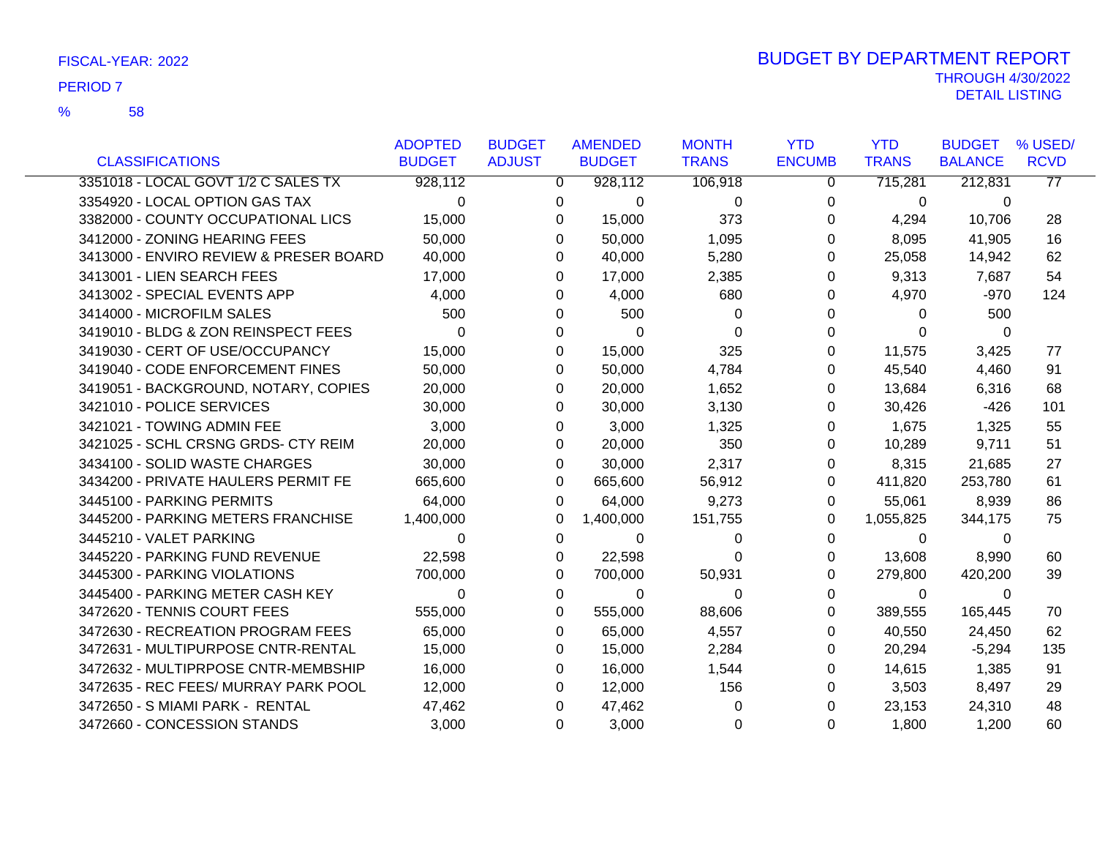|                                        | <b>ADOPTED</b> | <b>BUDGET</b> | <b>AMENDED</b> | <b>MONTH</b> | <b>YTD</b>    | <b>YTD</b>     | <b>BUDGET</b>  | % USED/     |
|----------------------------------------|----------------|---------------|----------------|--------------|---------------|----------------|----------------|-------------|
| <b>CLASSIFICATIONS</b>                 | <b>BUDGET</b>  | <b>ADJUST</b> | <b>BUDGET</b>  | <b>TRANS</b> | <b>ENCUMB</b> | <b>TRANS</b>   | <b>BALANCE</b> | <b>RCVD</b> |
| 3351018 - LOCAL GOVT 1/2 C SALES TX    | 928,112        | $\mathbf{0}$  | 928,112        | 106,918      | 0             | 715,281        | 212,831        | 77          |
| 3354920 - LOCAL OPTION GAS TAX         | $\Omega$       | 0             | 0              | $\Omega$     | 0             | $\mathbf 0$    | 0              |             |
| 3382000 - COUNTY OCCUPATIONAL LICS     | 15,000         | 0             | 15,000         | 373          | 0             | 4,294          | 10,706         | 28          |
| 3412000 - ZONING HEARING FEES          | 50,000         | 0             | 50,000         | 1,095        | 0             | 8,095          | 41,905         | 16          |
| 3413000 - ENVIRO REVIEW & PRESER BOARD | 40,000         | 0             | 40,000         | 5,280        | 0             | 25,058         | 14,942         | 62          |
| 3413001 - LIEN SEARCH FEES             | 17,000         | 0             | 17,000         | 2,385        | 0             | 9,313          | 7,687          | 54          |
| 3413002 - SPECIAL EVENTS APP           | 4,000          | 0             | 4,000          | 680          | 0             | 4,970          | $-970$         | 124         |
| 3414000 - MICROFILM SALES              | 500            | 0             | 500            | $\Omega$     | 0             | $\Omega$       | 500            |             |
| 3419010 - BLDG & ZON REINSPECT FEES    | $\Omega$       | 0             | 0              | $\Omega$     | 0             | $\Omega$       | $\mathbf{0}$   |             |
| 3419030 - CERT OF USE/OCCUPANCY        | 15,000         | 0             | 15,000         | 325          | 0             | 11,575         | 3,425          | 77          |
| 3419040 - CODE ENFORCEMENT FINES       | 50,000         | 0             | 50,000         | 4,784        | 0             | 45,540         | 4,460          | 91          |
| 3419051 - BACKGROUND, NOTARY, COPIES   | 20,000         | 0             | 20,000         | 1,652        | 0             | 13,684         | 6,316          | 68          |
| 3421010 - POLICE SERVICES              | 30,000         | 0             | 30,000         | 3,130        | 0             | 30,426         | $-426$         | 101         |
| 3421021 - TOWING ADMIN FEE             | 3,000          | 0             | 3,000          | 1,325        | 0             | 1,675          | 1,325          | 55          |
| 3421025 - SCHL CRSNG GRDS- CTY REIM    | 20,000         | 0             | 20,000         | 350          | 0             | 10,289         | 9,711          | 51          |
| 3434100 - SOLID WASTE CHARGES          | 30,000         | 0             | 30,000         | 2,317        | 0             | 8,315          | 21,685         | 27          |
| 3434200 - PRIVATE HAULERS PERMIT FE    | 665,600        | 0             | 665,600        | 56,912       | 0             | 411,820        | 253,780        | 61          |
| 3445100 - PARKING PERMITS              | 64,000         | 0             | 64,000         | 9,273        | 0             | 55,061         | 8,939          | 86          |
| 3445200 - PARKING METERS FRANCHISE     | 1,400,000      | 0             | 1,400,000      | 151,755      | 0             | 1,055,825      | 344,175        | 75          |
| 3445210 - VALET PARKING                | $\Omega$       | 0             | 0              | $\Omega$     | 0             | $\Omega$       | $\Omega$       |             |
| 3445220 - PARKING FUND REVENUE         | 22,598         | 0             | 22,598         | 0            | 0             | 13,608         | 8,990          | 60          |
| 3445300 - PARKING VIOLATIONS           | 700,000        | 0             | 700,000        | 50,931       | 0             | 279,800        | 420,200        | 39          |
| 3445400 - PARKING METER CASH KEY       | $\Omega$       | 0             | 0              | $\Omega$     | 0             | $\overline{0}$ | 0              |             |
| 3472620 - TENNIS COURT FEES            | 555,000        | 0             | 555,000        | 88,606       | 0             | 389,555        | 165,445        | 70          |
| 3472630 - RECREATION PROGRAM FEES      | 65,000         | 0             | 65,000         | 4,557        | 0             | 40,550         | 24,450         | 62          |
| 3472631 - MULTIPURPOSE CNTR-RENTAL     | 15,000         | 0             | 15,000         | 2,284        | 0             | 20,294         | $-5,294$       | 135         |
| 3472632 - MULTIPRPOSE CNTR-MEMBSHIP    | 16,000         | 0             | 16,000         | 1,544        | 0             | 14,615         | 1,385          | 91          |
| 3472635 - REC FEES/ MURRAY PARK POOL   | 12,000         | 0             | 12,000         | 156          | 0             | 3,503          | 8,497          | 29          |
| 3472650 - S MIAMI PARK - RENTAL        | 47,462         | 0             | 47,462         | $\Omega$     | 0             | 23,153         | 24,310         | 48          |
| 3472660 - CONCESSION STANDS            | 3,000          | 0             | 3,000          | 0            | 0             | 1,800          | 1,200          | 60          |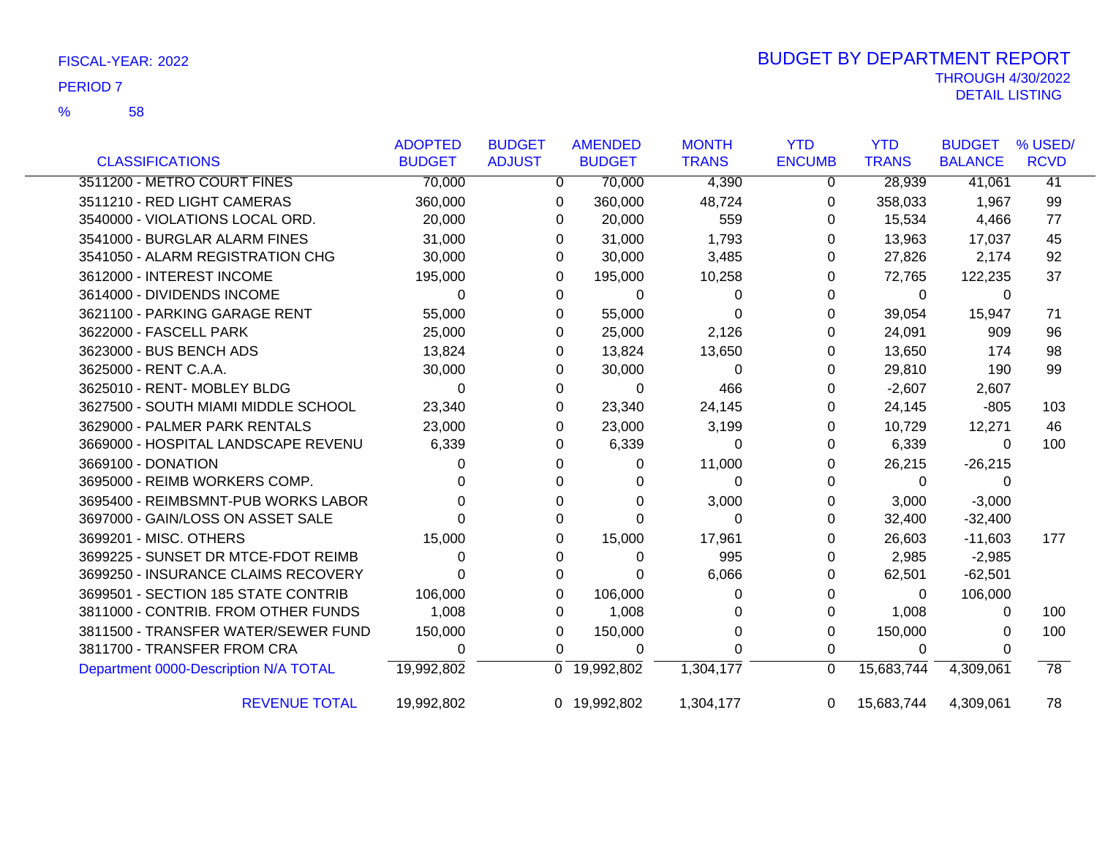|                                       | <b>ADOPTED</b> | <b>BUDGET</b> | <b>AMENDED</b> | <b>MONTH</b> | <b>YTD</b>    | <b>YTD</b>   | <b>BUDGET</b>  | % USED/         |
|---------------------------------------|----------------|---------------|----------------|--------------|---------------|--------------|----------------|-----------------|
| <b>CLASSIFICATIONS</b>                | <b>BUDGET</b>  | <b>ADJUST</b> | <b>BUDGET</b>  | <b>TRANS</b> | <b>ENCUMB</b> | <b>TRANS</b> | <b>BALANCE</b> | <b>RCVD</b>     |
| 3511200 - METRO COURT FINES           | 70,000         | 0             | 70,000         | 4,390        | 0             | 28,939       | 41,061         | $\overline{41}$ |
| 3511210 - RED LIGHT CAMERAS           | 360,000        | 0             | 360,000        | 48,724       | 0             | 358,033      | 1,967          | 99              |
| 3540000 - VIOLATIONS LOCAL ORD.       | 20,000         | 0             | 20,000         | 559          | 0             | 15,534       | 4,466          | 77              |
| 3541000 - BURGLAR ALARM FINES         | 31,000         | 0             | 31,000         | 1,793        | 0             | 13,963       | 17,037         | 45              |
| 3541050 - ALARM REGISTRATION CHG      | 30,000         | 0             | 30,000         | 3,485        | 0             | 27,826       | 2,174          | 92              |
| 3612000 - INTEREST INCOME             | 195,000        | 0             | 195,000        | 10,258       | 0             | 72,765       | 122,235        | 37              |
| 3614000 - DIVIDENDS INCOME            | $\Omega$       | 0             | $\Omega$       | 0            | 0             | 0            | 0              |                 |
| 3621100 - PARKING GARAGE RENT         | 55,000         | 0             | 55,000         | 0            | 0             | 39,054       | 15,947         | 71              |
| 3622000 - FASCELL PARK                | 25,000         | 0             | 25,000         | 2,126        | 0             | 24,091       | 909            | 96              |
| 3623000 - BUS BENCH ADS               | 13,824         | 0             | 13,824         | 13,650       | 0             | 13,650       | 174            | 98              |
| 3625000 - RENT C.A.A.                 | 30,000         | 0             | 30,000         | 0            | 0             | 29,810       | 190            | 99              |
| 3625010 - RENT- MOBLEY BLDG           | $\Omega$       | 0             | $\Omega$       | 466          | 0             | $-2,607$     | 2,607          |                 |
| 3627500 - SOUTH MIAMI MIDDLE SCHOOL   | 23,340         | 0             | 23,340         | 24,145       | 0             | 24,145       | $-805$         | 103             |
| 3629000 - PALMER PARK RENTALS         | 23,000         | 0             | 23,000         | 3,199        | 0             | 10,729       | 12,271         | 46              |
| 3669000 - HOSPITAL LANDSCAPE REVENU   | 6,339          | 0             | 6,339          | 0            | 0             | 6,339        | $\Omega$       | 100             |
| 3669100 - DONATION                    | 0              | 0             | 0              | 11,000       | 0             | 26,215       | $-26,215$      |                 |
| 3695000 - REIMB WORKERS COMP.         |                | 0             | $\Omega$       | 0            | 0             | 0            |                |                 |
| 3695400 - REIMBSMNT-PUB WORKS LABOR   |                | 0             | 0              | 3,000        | 0             | 3,000        | $-3,000$       |                 |
| 3697000 - GAIN/LOSS ON ASSET SALE     |                | 0             | $\Omega$       | 0            | 0             | 32,400       | $-32,400$      |                 |
| 3699201 - MISC. OTHERS                | 15,000         | 0             | 15,000         | 17,961       | 0             | 26,603       | $-11,603$      | 177             |
| 3699225 - SUNSET DR MTCE-FDOT REIMB   | 0              | 0             | 0              | 995          | 0             | 2,985        | $-2,985$       |                 |
| 3699250 - INSURANCE CLAIMS RECOVERY   | U              | 0             | 0              | 6,066        | 0             | 62,501       | $-62,501$      |                 |
| 3699501 - SECTION 185 STATE CONTRIB   | 106,000        | 0             | 106,000        | 0            | 0             | 0            | 106,000        |                 |
| 3811000 - CONTRIB. FROM OTHER FUNDS   | 1,008          | 0             | 1,008          | 0            | 0             | 1,008        | 0              | 100             |
| 3811500 - TRANSFER WATER/SEWER FUND   | 150,000        | 0             | 150,000        | 0            | 0             | 150,000      | 0              | 100             |
| 3811700 - TRANSFER FROM CRA           | 0              | 0             | 0              | 0            | 0             | 0            | 0              |                 |
| Department 0000-Description N/A TOTAL | 19,992,802     |               | 0 19,992,802   | 1,304,177    | 0             | 15,683,744   | 4,309,061      | $\overline{78}$ |
| <b>REVENUE TOTAL</b>                  | 19,992,802     |               | 0 19,992,802   | 1,304,177    | $\Omega$      | 15,683,744   | 4,309,061      | 78              |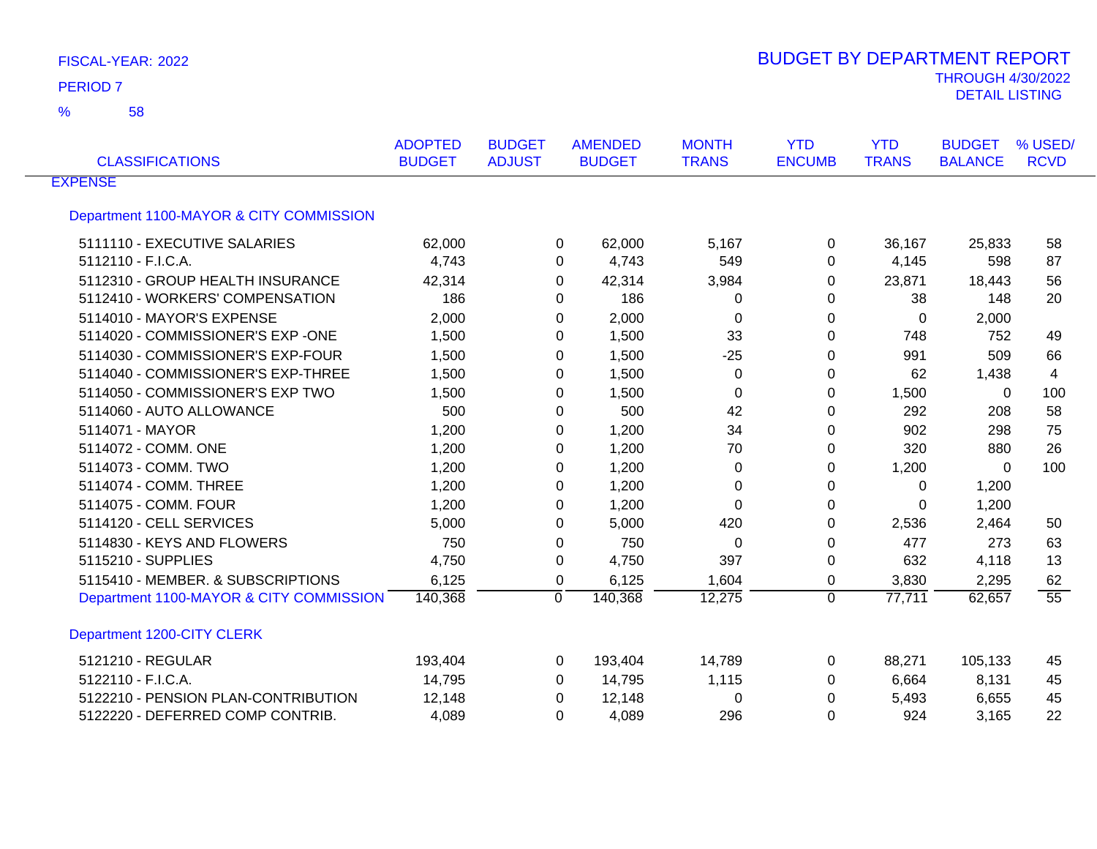58 %

| <b>CLASSIFICATIONS</b>                  | <b>ADOPTED</b><br><b>BUDGET</b> | <b>BUDGET</b><br><b>ADJUST</b> | <b>AMENDED</b><br><b>BUDGET</b> | <b>MONTH</b><br><b>TRANS</b> | <b>YTD</b><br><b>ENCUMB</b> | <b>YTD</b><br><b>TRANS</b> | <b>BUDGET</b><br><b>BALANCE</b> | % USED/<br><b>RCVD</b> |
|-----------------------------------------|---------------------------------|--------------------------------|---------------------------------|------------------------------|-----------------------------|----------------------------|---------------------------------|------------------------|
| <b>EXPENSE</b>                          |                                 |                                |                                 |                              |                             |                            |                                 |                        |
| Department 1100-MAYOR & CITY COMMISSION |                                 |                                |                                 |                              |                             |                            |                                 |                        |
| 5111110 - EXECUTIVE SALARIES            | 62,000                          | 0                              | 62,000                          | 5,167                        | 0                           | 36,167                     | 25,833                          | 58                     |
| 5112110 - F.I.C.A.                      | 4,743                           | 0                              | 4,743                           | 549                          | 0                           | 4,145                      | 598                             | 87                     |
| 5112310 - GROUP HEALTH INSURANCE        | 42,314                          | 0                              | 42,314                          | 3,984                        | 0                           | 23,871                     | 18,443                          | 56                     |
| 5112410 - WORKERS' COMPENSATION         | 186                             | 0                              | 186                             | 0                            | 0                           | 38                         | 148                             | 20                     |
| 5114010 - MAYOR'S EXPENSE               | 2,000                           | 0                              | 2,000                           | 0                            | 0                           | 0                          | 2,000                           |                        |
| 5114020 - COMMISSIONER'S EXP -ONE       | 1,500                           | 0                              | 1,500                           | 33                           | 0                           | 748                        | 752                             | 49                     |
| 5114030 - COMMISSIONER'S EXP-FOUR       | 1,500                           | 0                              | 1,500                           | $-25$                        | 0                           | 991                        | 509                             | 66                     |
| 5114040 - COMMISSIONER'S EXP-THREE      | 1,500                           | 0                              | 1,500                           | 0                            | 0                           | 62                         | 1,438                           | 4                      |
| 5114050 - COMMISSIONER'S EXP TWO        | 1,500                           | 0                              | 1,500                           | $\mathbf 0$                  | 0                           | 1,500                      | 0                               | 100                    |
| 5114060 - AUTO ALLOWANCE                | 500                             | 0                              | 500                             | 42                           | 0                           | 292                        | 208                             | 58                     |
| 5114071 - MAYOR                         | 1,200                           | 0                              | 1,200                           | 34                           | 0                           | 902                        | 298                             | 75                     |
| 5114072 - COMM. ONE                     | 1,200                           | 0                              | 1,200                           | 70                           | 0                           | 320                        | 880                             | 26                     |
| 5114073 - COMM. TWO                     | 1,200                           | 0                              | 1,200                           | 0                            | 0                           | 1,200                      | $\overline{0}$                  | 100                    |
| 5114074 - COMM. THREE                   | 1,200                           | 0                              | 1,200                           | 0                            | 0                           | 0                          | 1,200                           |                        |
| 5114075 - COMM. FOUR                    | 1,200                           | 0                              | 1,200                           | 0                            | 0                           | 0                          | 1,200                           |                        |
| 5114120 - CELL SERVICES                 | 5,000                           | 0                              | 5,000                           | 420                          | 0                           | 2,536                      | 2,464                           | 50                     |
| 5114830 - KEYS AND FLOWERS              | 750                             | 0                              | 750                             | $\pmb{0}$                    | 0                           | 477                        | 273                             | 63                     |
| 5115210 - SUPPLIES                      | 4,750                           | 0                              | 4,750                           | 397                          | 0                           | 632                        | 4,118                           | 13                     |
| 5115410 - MEMBER. & SUBSCRIPTIONS       | 6,125                           | 0                              | 6,125                           | 1,604                        | 0                           | 3,830                      | 2,295                           | 62                     |
| Department 1100-MAYOR & CITY COMMISSION | 140,368                         | $\Omega$                       | 140,368                         | 12,275                       | $\Omega$                    | 77,711                     | 62,657                          | 55                     |
| Department 1200-CITY CLERK              |                                 |                                |                                 |                              |                             |                            |                                 |                        |
| 5121210 - REGULAR                       | 193,404                         | 0                              | 193,404                         | 14,789                       | 0                           | 88,271                     | 105,133                         | 45                     |
| 5122110 - F.I.C.A.                      | 14,795                          | 0                              | 14,795                          | 1,115                        | 0                           | 6,664                      | 8,131                           | 45                     |
| 5122210 - PENSION PLAN-CONTRIBUTION     | 12,148                          | 0                              | 12,148                          | 0                            | 0                           | 5,493                      | 6,655                           | 45                     |
| 5122220 - DEFERRED COMP CONTRIB.        | 4,089                           | 0                              | 4,089                           | 296                          | 0                           | 924                        | 3,165                           | 22                     |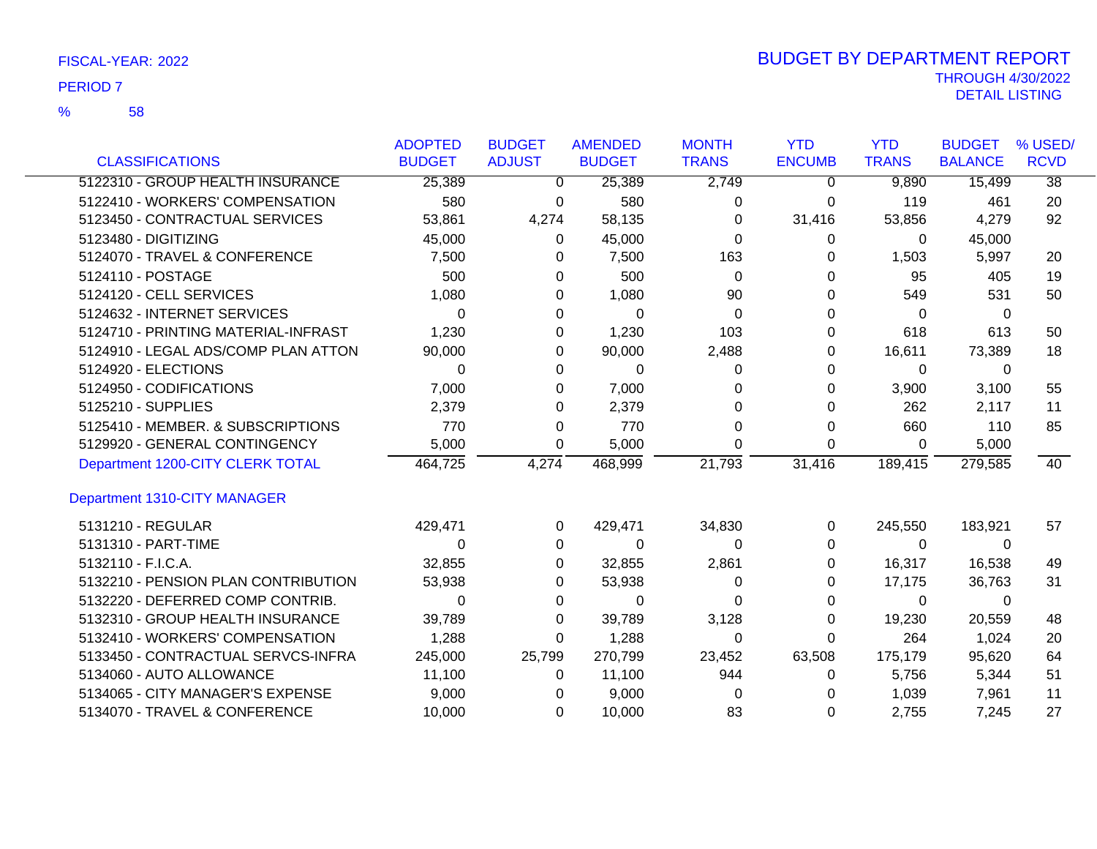|                                     | <b>ADOPTED</b> | <b>BUDGET</b> | <b>AMENDED</b> | <b>MONTH</b> | <b>YTD</b>    | <b>YTD</b>   | <b>BUDGET</b>  | % USED/         |
|-------------------------------------|----------------|---------------|----------------|--------------|---------------|--------------|----------------|-----------------|
| <b>CLASSIFICATIONS</b>              | <b>BUDGET</b>  | <b>ADJUST</b> | <b>BUDGET</b>  | <b>TRANS</b> | <b>ENCUMB</b> | <b>TRANS</b> | <b>BALANCE</b> | <b>RCVD</b>     |
| 5122310 - GROUP HEALTH INSURANCE    | 25,389         | 0             | 25,389         | 2,749        | 0             | 9,890        | 15,499         | $\overline{38}$ |
| 5122410 - WORKERS' COMPENSATION     | 580            | 0             | 580            | 0            | 0             | 119          | 461            | 20              |
| 5123450 - CONTRACTUAL SERVICES      | 53,861         | 4,274         | 58,135         | 0            | 31,416        | 53,856       | 4,279          | 92              |
| 5123480 - DIGITIZING                | 45,000         | 0             | 45,000         | 0            | 0             | 0            | 45,000         |                 |
| 5124070 - TRAVEL & CONFERENCE       | 7,500          | 0             | 7,500          | 163          | 0             | 1,503        | 5,997          | 20              |
| 5124110 - POSTAGE                   | 500            | 0             | 500            | 0            | O             | 95           | 405            | 19              |
| 5124120 - CELL SERVICES             | 1,080          | 0             | 1,080          | 90           | O             | 549          | 531            | 50              |
| 5124632 - INTERNET SERVICES         | $\Omega$       | $\Omega$      | $\Omega$       | $\Omega$     | U             | $\Omega$     | $\mathbf 0$    |                 |
| 5124710 - PRINTING MATERIAL-INFRAST | 1,230          | 0             | 1,230          | 103          | 0             | 618          | 613            | 50              |
| 5124910 - LEGAL ADS/COMP PLAN ATTON | 90,000         | 0             | 90,000         | 2,488        | 0             | 16,611       | 73,389         | 18              |
| 5124920 - ELECTIONS                 | 0              | 0             | $\Omega$       | 0            | 0             | $\Omega$     | 0              |                 |
| 5124950 - CODIFICATIONS             | 7,000          | 0             | 7,000          | 0            | O             | 3,900        | 3,100          | 55              |
| 5125210 - SUPPLIES                  | 2,379          | 0             | 2,379          | 0            | 0             | 262          | 2,117          | 11              |
| 5125410 - MEMBER. & SUBSCRIPTIONS   | 770            | 0             | 770            | 0            | 0             | 660          | 110            | 85              |
| 5129920 - GENERAL CONTINGENCY       | 5,000          | 0             | 5,000          | 0            | 0             | 0            | 5,000          |                 |
| Department 1200-CITY CLERK TOTAL    | 464,725        | 4,274         | 468,999        | 21,793       | 31,416        | 189,415      | 279,585        | 40              |
| Department 1310-CITY MANAGER        |                |               |                |              |               |              |                |                 |
| 5131210 - REGULAR                   | 429,471        | 0             | 429,471        | 34,830       | 0             | 245,550      | 183,921        | 57              |
| 5131310 - PART-TIME                 | 0              | 0             | $\Omega$       | 0            | 0             | $\Omega$     | $\Omega$       |                 |
| 5132110 - F.I.C.A.                  | 32,855         | 0             | 32,855         | 2,861        | 0             | 16,317       | 16,538         | 49              |
| 5132210 - PENSION PLAN CONTRIBUTION | 53,938         | 0             | 53,938         | 0            | 0             | 17,175       | 36,763         | 31              |
| 5132220 - DEFERRED COMP CONTRIB.    | 0              | 0             | $\Omega$       | O            | O             | 0            | 0              |                 |
| 5132310 - GROUP HEALTH INSURANCE    | 39,789         | 0             | 39,789         | 3,128        | 0             | 19,230       | 20,559         | 48              |
| 5132410 - WORKERS' COMPENSATION     | 1,288          | 0             | 1,288          | $\Omega$     | 0             | 264          | 1,024          | 20              |
| 5133450 - CONTRACTUAL SERVCS-INFRA  | 245,000        | 25,799        | 270,799        | 23,452       | 63,508        | 175,179      | 95,620         | 64              |
| 5134060 - AUTO ALLOWANCE            | 11,100         | 0             | 11,100         | 944          | 0             | 5,756        | 5,344          | 51              |
| 5134065 - CITY MANAGER'S EXPENSE    | 9,000          | 0             | 9,000          | 0            |               | 1,039        | 7,961          | 11              |
| 5134070 - TRAVEL & CONFERENCE       | 10,000         | $\Omega$      | 10,000         | 83           | $\Omega$      | 2,755        | 7,245          | 27              |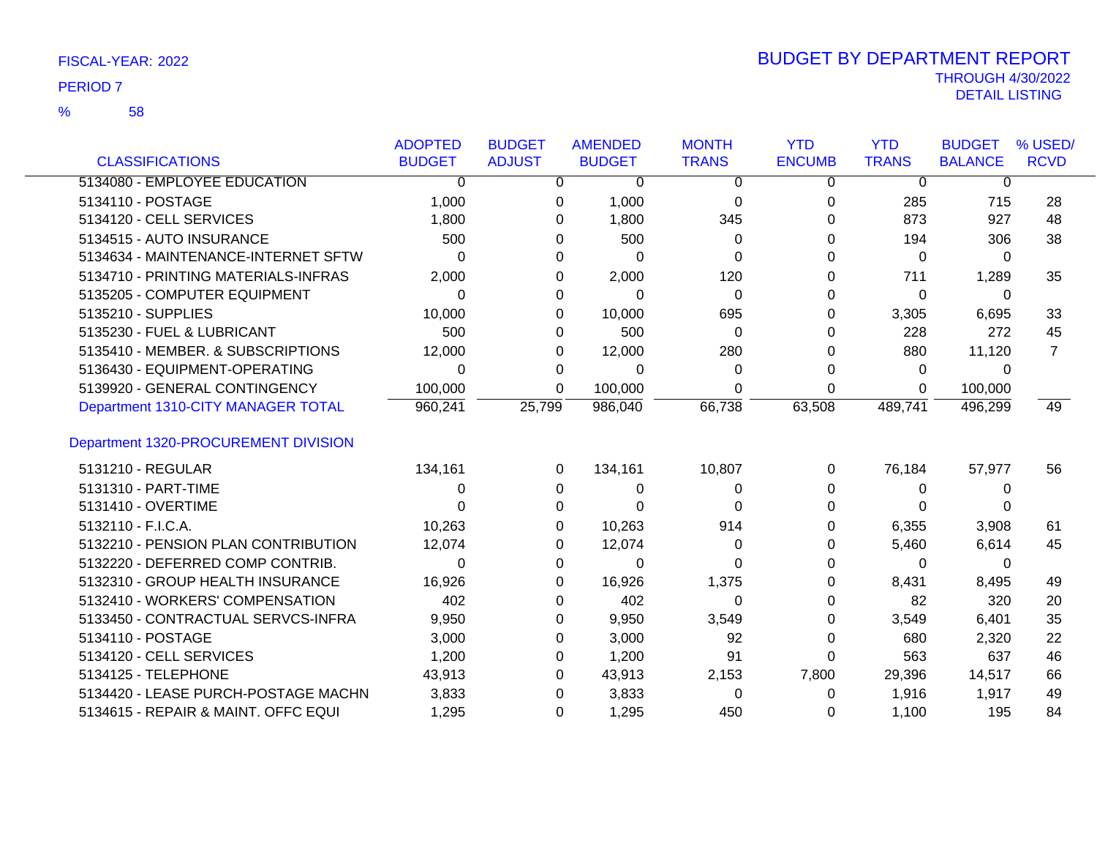|                                      | <b>ADOPTED</b> | <b>BUDGET</b> | <b>AMENDED</b> | <b>MONTH</b> | <b>YTD</b>    | <b>YTD</b>   | <b>BUDGET</b>  | % USED/        |
|--------------------------------------|----------------|---------------|----------------|--------------|---------------|--------------|----------------|----------------|
| <b>CLASSIFICATIONS</b>               | <b>BUDGET</b>  | <b>ADJUST</b> | <b>BUDGET</b>  | <b>TRANS</b> | <b>ENCUMB</b> | <b>TRANS</b> | <b>BALANCE</b> | <b>RCVD</b>    |
| 5134080 - EMPLOYEE EDUCATION         | 0              | 0             | 0              | 0            | 0             | $\mathbf 0$  | 0              |                |
| 5134110 - POSTAGE                    | 1,000          | 0             | 1,000          | $\Omega$     | 0             | 285          | 715            | 28             |
| 5134120 - CELL SERVICES              | 1,800          | 0             | 1,800          | 345          | O             | 873          | 927            | 48             |
| 5134515 - AUTO INSURANCE             | 500            | 0             | 500            | 0            | ი             | 194          | 306            | 38             |
| 5134634 - MAINTENANCE-INTERNET SFTW  | 0              | 0             | $\Omega$       | 0            | 0             | $\Omega$     | 0              |                |
| 5134710 - PRINTING MATERIALS-INFRAS  | 2,000          | 0             | 2,000          | 120          | 0             | 711          | 1,289          | 35             |
| 5135205 - COMPUTER EQUIPMENT         | 0              | 0             | $\Omega$       | $\Omega$     | 0             | 0            | $\Omega$       |                |
| 5135210 - SUPPLIES                   | 10,000         | 0             | 10,000         | 695          | 0             | 3,305        | 6,695          | 33             |
| 5135230 - FUEL & LUBRICANT           | 500            | 0             | 500            | $\Omega$     | 0             | 228          | 272            | 45             |
| 5135410 - MEMBER. & SUBSCRIPTIONS    | 12,000         | 0             | 12,000         | 280          | 0             | 880          | 11,120         | $\overline{7}$ |
| 5136430 - EQUIPMENT-OPERATING        | 0              | 0             | 0              | 0            | 0             | 0            | 0              |                |
| 5139920 - GENERAL CONTINGENCY        | 100,000        | 0             | 100,000        | 0            | 0             | 0            | 100,000        |                |
| Department 1310-CITY MANAGER TOTAL   | 960,241        | 25,799        | 986,040        | 66,738       | 63,508        | 489,741      | 496,299        | 49             |
| Department 1320-PROCUREMENT DIVISION |                |               |                |              |               |              |                |                |
| 5131210 - REGULAR                    | 134,161        | 0             | 134,161        | 10,807       | 0             | 76,184       | 57,977         | 56             |
| 5131310 - PART-TIME                  | 0              | 0             | 0              | 0            | 0             | $\Omega$     | 0              |                |
| 5131410 - OVERTIME                   | ი              | 0             | 0              | 0            | 0             | 0            | 0              |                |
| 5132110 - F.I.C.A.                   | 10,263         | 0             | 10,263         | 914          | ი             | 6,355        | 3,908          | 61             |
| 5132210 - PENSION PLAN CONTRIBUTION  | 12,074         | 0             | 12,074         | 0            | 0             | 5,460        | 6,614          | 45             |
| 5132220 - DEFERRED COMP CONTRIB.     | 0              | 0             | $\Omega$       | $\Omega$     | 0             | $\Omega$     | 0              |                |
| 5132310 - GROUP HEALTH INSURANCE     | 16,926         | 0             | 16,926         | 1,375        | 0             | 8,431        | 8,495          | 49             |
| 5132410 - WORKERS' COMPENSATION      | 402            | 0             | 402            | 0            | 0             | 82           | 320            | 20             |
| 5133450 - CONTRACTUAL SERVCS-INFRA   | 9,950          | 0             | 9,950          | 3,549        | 0             | 3,549        | 6,401          | 35             |
| 5134110 - POSTAGE                    | 3,000          | 0             | 3,000          | 92           | 0             | 680          | 2,320          | 22             |
| 5134120 - CELL SERVICES              | 1,200          | 0             | 1,200          | 91           | 0             | 563          | 637            | 46             |
| 5134125 - TELEPHONE                  | 43,913         | 0             | 43,913         | 2,153        | 7,800         | 29,396       | 14,517         | 66             |
| 5134420 - LEASE PURCH-POSTAGE MACHN  | 3,833          | 0             | 3,833          | 0            | 0             | 1,916        | 1,917          | 49             |
| 5134615 - REPAIR & MAINT. OFFC EQUI  | 1,295          | $\Omega$      | 1,295          | 450          | 0             | 1,100        | 195            | 84             |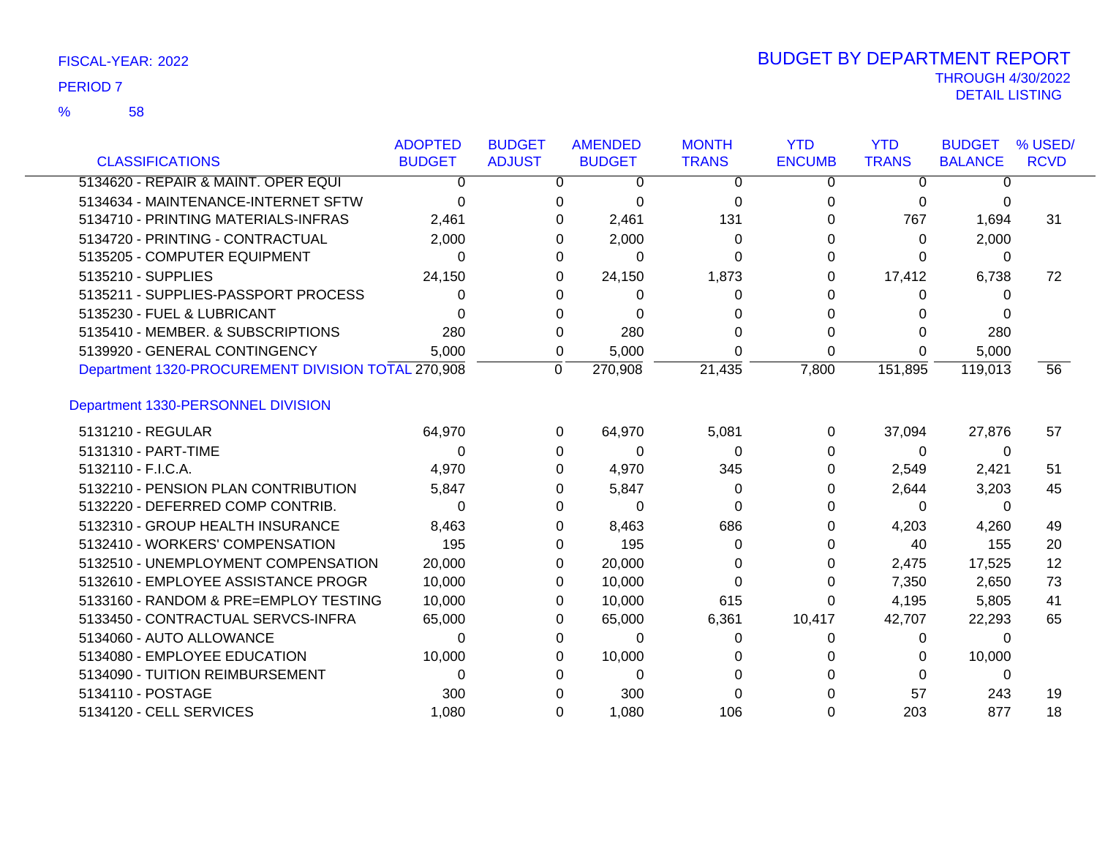### 58 %

|                                                    | <b>ADOPTED</b> | <b>BUDGET</b> | <b>AMENDED</b>    | <b>MONTH</b> | <b>YTD</b>    | <b>YTD</b>   | <b>BUDGET</b>  | % USED/     |
|----------------------------------------------------|----------------|---------------|-------------------|--------------|---------------|--------------|----------------|-------------|
| <b>CLASSIFICATIONS</b>                             | <b>BUDGET</b>  | <b>ADJUST</b> | <b>BUDGET</b>     | <b>TRANS</b> | <b>ENCUMB</b> | <b>TRANS</b> | <b>BALANCE</b> | <b>RCVD</b> |
| 5134620 - REPAIR & MAINT. OPER EQUI                | 0              |               | 0<br>0            | 0            | 0             | $\mathbf{0}$ | 0              |             |
| 5134634 - MAINTENANCE-INTERNET SFTW                | 0              |               | 0<br>0            | 0            | 0             | 0            | 0              |             |
| 5134710 - PRINTING MATERIALS-INFRAS                | 2,461          |               | 2,461<br>0        | 131          | 0             | 767          | 1,694          | 31          |
| 5134720 - PRINTING - CONTRACTUAL                   | 2,000          |               | 2,000<br>0        | 0            | <sup>0</sup>  | $\Omega$     | 2,000          |             |
| 5135205 - COMPUTER EQUIPMENT                       | 0              |               | 0<br>0            | 0            | 0             | 0            | 0              |             |
| 5135210 - SUPPLIES                                 | 24,150         |               | 24,150<br>0       | 1,873        | 0             | 17,412       | 6,738          | 72          |
| 5135211 - SUPPLIES-PASSPORT PROCESS                | $\Omega$       |               | 0                 | 0            | <sup>n</sup>  | 0            | $\Omega$       |             |
| 5135230 - FUEL & LUBRICANT                         | 0              |               | 0<br>0            |              | 0             | 0            | 0              |             |
| 5135410 - MEMBER. & SUBSCRIPTIONS                  | 280            |               | 280<br>0          | O            | 0             | 0            | 280            |             |
| 5139920 - GENERAL CONTINGENCY                      | 5,000          |               | 5,000<br>0        | 0            | $\Omega$      | $\Omega$     | 5,000          |             |
| Department 1320-PROCUREMENT DIVISION TOTAL 270,908 |                | 0             | 270,908           | 21,435       | 7,800         | 151,895      | 119,013        | 56          |
| Department 1330-PERSONNEL DIVISION                 |                |               |                   |              |               |              |                |             |
| 5131210 - REGULAR                                  | 64,970         |               | 64,970<br>0       | 5,081        | 0             | 37,094       | 27,876         | 57          |
| 5131310 - PART-TIME                                | 0              |               | 0<br>0            | $\Omega$     | 0             | $\Omega$     | 0              |             |
| 5132110 - F.I.C.A.                                 | 4,970          |               | 4,970<br>0        | 345          | 0             | 2,549        | 2,421          | 51          |
| 5132210 - PENSION PLAN CONTRIBUTION                | 5,847          |               | 5,847<br>0        | 0            | 0             | 2,644        | 3,203          | 45          |
| 5132220 - DEFERRED COMP CONTRIB.                   | 0              |               | 0<br><sup>0</sup> | ∩            | <sup>0</sup>  | $\Omega$     | 0              |             |
| 5132310 - GROUP HEALTH INSURANCE                   | 8,463          |               | 8,463<br>0        | 686          | 0             | 4,203        | 4,260          | 49          |
| 5132410 - WORKERS' COMPENSATION                    | 195            |               | 195<br>0          | 0            | 0             | 40           | 155            | 20          |
| 5132510 - UNEMPLOYMENT COMPENSATION                | 20,000         |               | 20,000<br>0       | 0            | 0             | 2,475        | 17,525         | 12          |
| 5132610 - EMPLOYEE ASSISTANCE PROGR                | 10,000         |               | 10,000<br>0       | $\Omega$     | 0             | 7,350        | 2,650          | 73          |
| 5133160 - RANDOM & PRE=EMPLOY TESTING              | 10,000         |               | 10,000<br>0       | 615          | 0             | 4,195        | 5,805          | 41          |
| 5133450 - CONTRACTUAL SERVCS-INFRA                 | 65,000         |               | 65,000<br>0       | 6,361        | 10,417        | 42,707       | 22,293         | 65          |
| 5134060 - AUTO ALLOWANCE                           | 0              |               | 0<br>0            | 0            | 0             | $\Omega$     | $\Omega$       |             |
| 5134080 - EMPLOYEE EDUCATION                       | 10,000         |               | 10,000<br>0       | O            |               | 0            | 10,000         |             |
| 5134090 - TUITION REIMBURSEMENT                    | 0              |               | 0<br>$\Omega$     |              |               | 0            | 0              |             |
| 5134110 - POSTAGE                                  | 300            |               | 300<br>0          |              |               | 57           | 243            | 19          |
| 5134120 - CELL SERVICES                            | 1,080          |               | 1,080<br>$\Omega$ | 106          | $\Omega$      | 203          | 877            | 18          |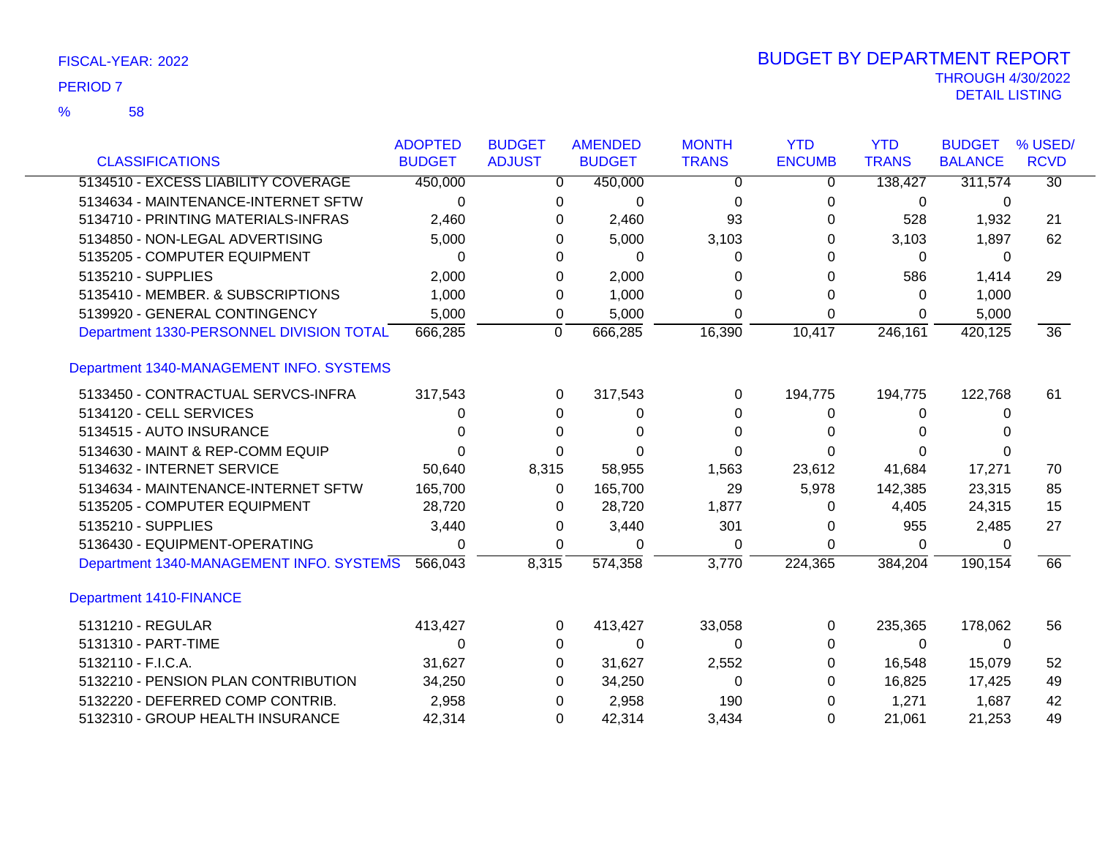| <b>CLASSIFICATIONS</b>                   | <b>ADOPTED</b><br><b>BUDGET</b> | <b>BUDGET</b><br><b>ADJUST</b> | <b>AMENDED</b><br><b>BUDGET</b> | <b>MONTH</b><br><b>TRANS</b> | <b>YTD</b><br><b>ENCUMB</b> | <b>YTD</b><br><b>TRANS</b> | <b>BUDGET</b><br><b>BALANCE</b> | % USED/<br><b>RCVD</b> |
|------------------------------------------|---------------------------------|--------------------------------|---------------------------------|------------------------------|-----------------------------|----------------------------|---------------------------------|------------------------|
|                                          |                                 |                                |                                 |                              |                             |                            |                                 |                        |
| 5134510 - EXCESS LIABILITY COVERAGE      | 450,000                         |                                | 450,000<br>0                    | 0                            | 0                           | 138,427                    | 311,574                         | $\overline{30}$        |
| 5134634 - MAINTENANCE-INTERNET SFTW      | 0                               |                                | $\Omega$<br>$\Omega$            | $\Omega$                     | $\Omega$                    | 0                          | 0                               |                        |
| 5134710 - PRINTING MATERIALS-INFRAS      | 2,460                           |                                | 2,460<br>0                      | 93                           | 0                           | 528                        | 1,932                           | 21                     |
| 5134850 - NON-LEGAL ADVERTISING          | 5,000                           |                                | 5,000<br>0                      | 3,103                        | 0                           | 3,103                      | 1,897                           | 62                     |
| 5135205 - COMPUTER EQUIPMENT             | 0                               |                                | 0<br>0                          | 0                            | 0                           | 0                          | 0                               |                        |
| 5135210 - SUPPLIES                       | 2,000                           |                                | 2,000<br>0                      | 0                            | 0                           | 586                        | 1,414                           | 29                     |
| 5135410 - MEMBER. & SUBSCRIPTIONS        | 1,000                           |                                | 1,000<br>0                      | 0                            | 0                           | 0                          | 1,000                           |                        |
| 5139920 - GENERAL CONTINGENCY            | 5,000                           |                                | 5,000<br>0                      | 0                            | $\Omega$                    | 0                          | 5,000                           |                        |
| Department 1330-PERSONNEL DIVISION TOTAL | 666,285                         | 0                              | 666,285                         | 16,390                       | 10,417                      | 246,161                    | 420,125                         | $\overline{36}$        |
| Department 1340-MANAGEMENT INFO. SYSTEMS |                                 |                                |                                 |                              |                             |                            |                                 |                        |
| 5133450 - CONTRACTUAL SERVCS-INFRA       | 317,543                         |                                | 317,543<br>0                    | $\Omega$                     | 194,775                     | 194,775                    | 122,768                         | 61                     |
| 5134120 - CELL SERVICES                  | 0                               |                                | 0<br>0                          | 0                            | 0                           | 0                          | 0                               |                        |
| 5134515 - AUTO INSURANCE                 | U                               |                                | 0<br>$\Omega$                   | 0                            | 0                           | 0                          |                                 |                        |
| 5134630 - MAINT & REP-COMM EQUIP         |                                 |                                | 0<br>0                          | 0                            |                             | 0                          |                                 |                        |
| 5134632 - INTERNET SERVICE               | 50,640                          | 8,315                          | 58,955                          | 1,563                        | 23,612                      | 41,684                     | 17,271                          | 70                     |
| 5134634 - MAINTENANCE-INTERNET SFTW      | 165,700                         |                                | 165,700<br>0                    | 29                           | 5,978                       | 142,385                    | 23,315                          | 85                     |
| 5135205 - COMPUTER EQUIPMENT             | 28,720                          |                                | 28,720<br>0                     | 1,877                        | 0                           | 4,405                      | 24,315                          | 15                     |
| 5135210 - SUPPLIES                       | 3,440                           |                                | 3,440<br>0                      | 301                          | 0                           | 955                        | 2,485                           | 27                     |
| 5136430 - EQUIPMENT-OPERATING            | 0                               |                                | $\Omega$<br>0                   | 0                            | $\Omega$                    | 0                          | 0                               |                        |
| Department 1340-MANAGEMENT INFO. SYSTEMS | 566,043                         | 8,315                          | 574,358                         | 3,770                        | 224,365                     | 384,204                    | 190,154                         | 66                     |
| Department 1410-FINANCE                  |                                 |                                |                                 |                              |                             |                            |                                 |                        |
| 5131210 - REGULAR                        | 413,427                         |                                | 413,427<br>0                    | 33,058                       | 0                           | 235,365                    | 178,062                         | 56                     |
| 5131310 - PART-TIME                      | 0                               |                                | 0<br>0                          | $\Omega$                     | 0                           | 0                          | 0                               |                        |
| 5132110 - F.I.C.A.                       | 31,627                          |                                | 31,627<br>0                     | 2,552                        | 0                           | 16,548                     | 15,079                          | 52                     |
| 5132210 - PENSION PLAN CONTRIBUTION      | 34,250                          |                                | 34,250<br>0                     | 0                            | 0                           | 16,825                     | 17,425                          | 49                     |
| 5132220 - DEFERRED COMP CONTRIB.         | 2,958                           |                                | 2,958<br>0                      | 190                          | 0                           | 1,271                      | 1,687                           | 42                     |
| 5132310 - GROUP HEALTH INSURANCE         | 42,314                          |                                | 42,314<br>0                     | 3,434                        | 0                           | 21,061                     | 21,253                          | 49                     |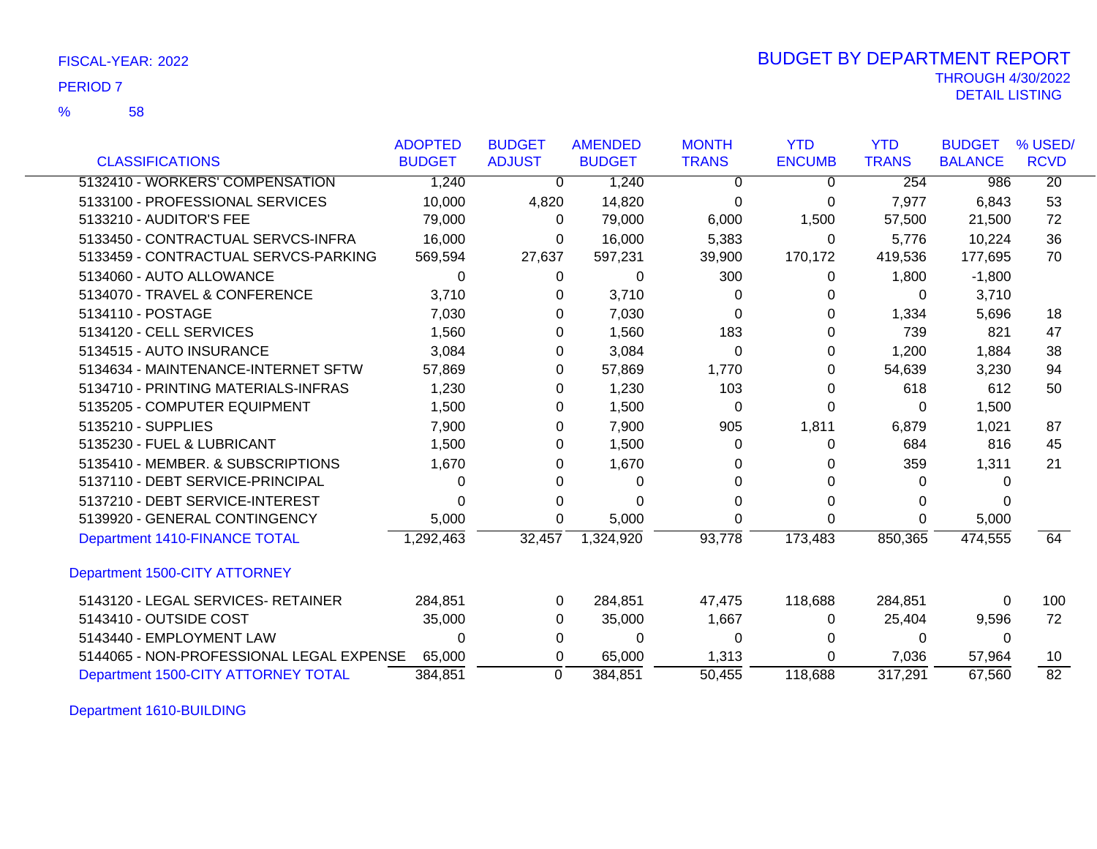58 %

|                                          | <b>ADOPTED</b> | <b>BUDGET</b> | <b>AMENDED</b> | <b>MONTH</b> | <b>YTD</b>    | <b>YTD</b>   | <b>BUDGET</b>  | % USED/         |
|------------------------------------------|----------------|---------------|----------------|--------------|---------------|--------------|----------------|-----------------|
| <b>CLASSIFICATIONS</b>                   | <b>BUDGET</b>  | <b>ADJUST</b> | <b>BUDGET</b>  | <b>TRANS</b> | <b>ENCUMB</b> | <b>TRANS</b> | <b>BALANCE</b> | <b>RCVD</b>     |
| 5132410 - WORKERS' COMPENSATION          | 1,240          | $\Omega$      | 1,240          | $\Omega$     | 0             | 254          | 986            | $\overline{20}$ |
| 5133100 - PROFESSIONAL SERVICES          | 10,000         | 4,820         | 14,820         | 0            | 0             | 7,977        | 6,843          | 53              |
| 5133210 - AUDITOR'S FEE                  | 79,000         | 0             | 79,000         | 6,000        | 1,500         | 57,500       | 21,500         | 72              |
| 5133450 - CONTRACTUAL SERVCS-INFRA       | 16,000         | 0             | 16,000         | 5,383        | 0             | 5,776        | 10,224         | 36              |
| 5133459 - CONTRACTUAL SERVCS-PARKING     | 569,594        | 27,637        | 597,231        | 39,900       | 170,172       | 419,536      | 177,695        | 70              |
| 5134060 - AUTO ALLOWANCE                 | 0              | 0             | 0              | 300          | 0             | 1,800        | $-1,800$       |                 |
| 5134070 - TRAVEL & CONFERENCE            | 3,710          | 0             | 3,710          | 0            |               | 0            | 3,710          |                 |
| 5134110 - POSTAGE                        | 7,030          | 0             | 7,030          | 0            |               | 1,334        | 5,696          | 18              |
| 5134120 - CELL SERVICES                  | 1,560          | 0             | 1,560          | 183          |               | 739          | 821            | 47              |
| 5134515 - AUTO INSURANCE                 | 3,084          | 0             | 3,084          | 0            | 0             | 1,200        | 1,884          | 38              |
| 5134634 - MAINTENANCE-INTERNET SFTW      | 57,869         | 0             | 57,869         | 1,770        | 0             | 54,639       | 3,230          | 94              |
| 5134710 - PRINTING MATERIALS-INFRAS      | 1,230          | 0             | 1,230          | 103          | 0             | 618          | 612            | 50              |
| 5135205 - COMPUTER EQUIPMENT             | 1,500          | 0             | 1,500          | $\Omega$     | $\Omega$      | 0            | 1,500          |                 |
| 5135210 - SUPPLIES                       | 7,900          | 0             | 7,900          | 905          | 1,811         | 6,879        | 1,021          | 87              |
| 5135230 - FUEL & LUBRICANT               | 1,500          | 0             | 1,500          | 0            | $\Omega$      | 684          | 816            | 45              |
| 5135410 - MEMBER, & SUBSCRIPTIONS        | 1,670          | 0             | 1,670          |              |               | 359          | 1,311          | 21              |
| 5137110 - DEBT SERVICE-PRINCIPAL         | 0              | 0             | $\Omega$       |              |               | 0            | 0              |                 |
| 5137210 - DEBT SERVICE-INTEREST          | ი              | 0             | ∩              |              |               | $\Omega$     |                |                 |
| 5139920 - GENERAL CONTINGENCY            | 5,000          | 0             | 5,000          | 0            | 0             | 0            | 5,000          |                 |
| Department 1410-FINANCE TOTAL            | 1,292,463      | 32,457        | 1,324,920      | 93,778       | 173,483       | 850,365      | 474,555        | 64              |
| Department 1500-CITY ATTORNEY            |                |               |                |              |               |              |                |                 |
| 5143120 - LEGAL SERVICES- RETAINER       | 284,851        | 0             | 284,851        | 47,475       | 118,688       | 284,851      | 0              | 100             |
| 5143410 - OUTSIDE COST                   | 35,000         | 0             | 35,000         | 1,667        | 0             | 25,404       | 9,596          | 72              |
| 5143440 - EMPLOYMENT LAW                 | 0              | 0             | $\Omega$       | 0            | 0             | 0            | $\Omega$       |                 |
| 5144065 - NON-PROFESSIONAL LEGAL EXPENSE | 65,000         | 0             | 65,000         | 1,313        | 0             | 7,036        | 57,964         | 10              |
| Department 1500-CITY ATTORNEY TOTAL      | 384,851        | $\Omega$      | 384,851        | 50.455       | 118,688       | 317,291      | 67,560         | $\overline{82}$ |

Department 1610-BUILDING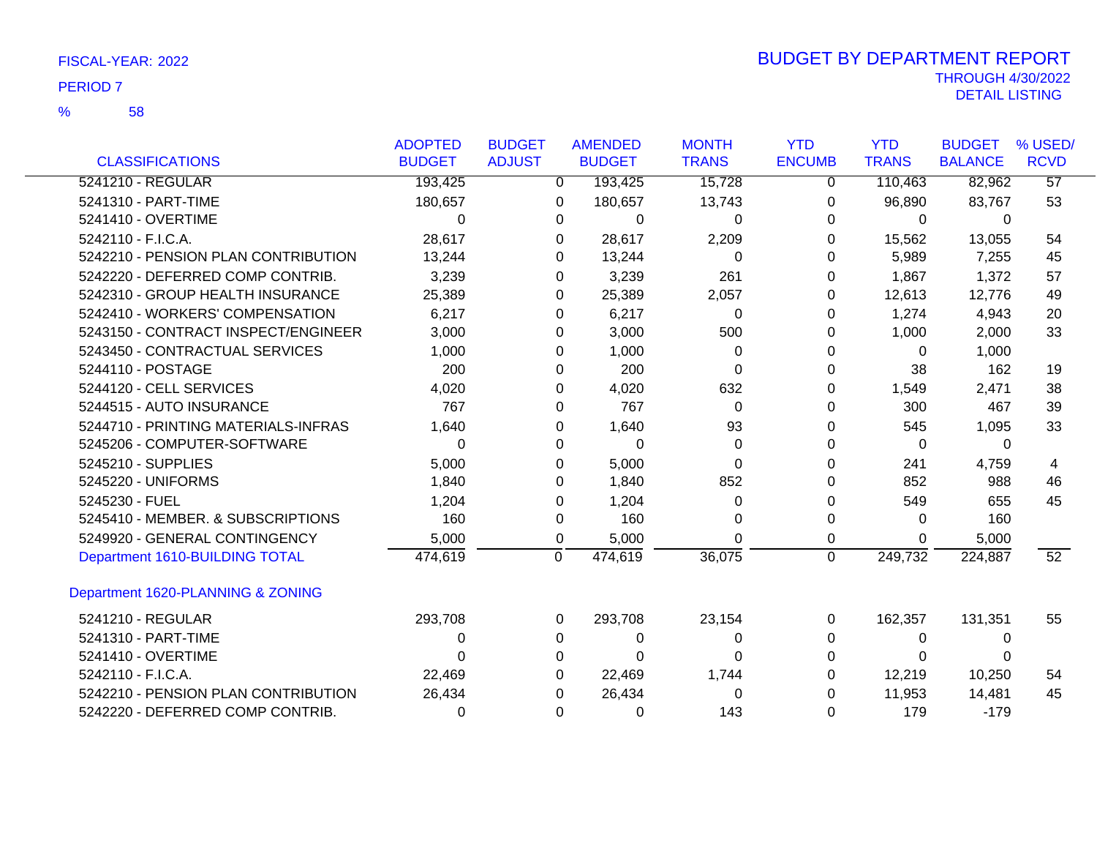58 %

|                                     | <b>ADOPTED</b> | <b>BUDGET</b>  | <b>AMENDED</b> | <b>MONTH</b> | <b>YTD</b>     | <b>YTD</b>   | <b>BUDGET</b>  | % USED/         |
|-------------------------------------|----------------|----------------|----------------|--------------|----------------|--------------|----------------|-----------------|
| <b>CLASSIFICATIONS</b>              | <b>BUDGET</b>  | <b>ADJUST</b>  | <b>BUDGET</b>  | <b>TRANS</b> | <b>ENCUMB</b>  | <b>TRANS</b> | <b>BALANCE</b> | <b>RCVD</b>     |
| 5241210 - REGULAR                   | 193,425        | $\mathbf{0}$   | 193,425        | 15,728       | 0              | 110,463      | 82,962         | 57              |
| 5241310 - PART-TIME                 | 180,657        | 0              | 180,657        | 13,743       | 0              | 96,890       | 83,767         | 53              |
| 5241410 - OVERTIME                  | $\Omega$       | 0              | 0              | 0            | 0              | 0            | 0              |                 |
| 5242110 - F.I.C.A.                  | 28,617         | 0              | 28,617         | 2,209        | 0              | 15,562       | 13,055         | 54              |
| 5242210 - PENSION PLAN CONTRIBUTION | 13,244         | 0              | 13,244         | 0            | 0              | 5,989        | 7,255          | 45              |
| 5242220 - DEFERRED COMP CONTRIB.    | 3,239          | 0              | 3,239          | 261          | 0              | 1,867        | 1,372          | 57              |
| 5242310 - GROUP HEALTH INSURANCE    | 25,389         | 0              | 25,389         | 2,057        | 0              | 12,613       | 12,776         | 49              |
| 5242410 - WORKERS' COMPENSATION     | 6,217          | 0              | 6,217          | 0            | 0              | 1,274        | 4,943          | 20              |
| 5243150 - CONTRACT INSPECT/ENGINEER | 3,000          | 0              | 3,000          | 500          | 0              | 1,000        | 2,000          | 33              |
| 5243450 - CONTRACTUAL SERVICES      | 1,000          | 0              | 1,000          | 0            | 0              | $\Omega$     | 1,000          |                 |
| 5244110 - POSTAGE                   | 200            | 0              | 200            | 0            | 0              | 38           | 162            | 19              |
| 5244120 - CELL SERVICES             | 4,020          | 0              | 4,020          | 632          | 0              | 1,549        | 2,471          | 38              |
| 5244515 - AUTO INSURANCE            | 767            | 0              | 767            | $\Omega$     | 0              | 300          | 467            | 39              |
| 5244710 - PRINTING MATERIALS-INFRAS | 1,640          | 0              | 1,640          | 93           | 0              | 545          | 1,095          | 33              |
| 5245206 - COMPUTER-SOFTWARE         | 0              | 0              | $\Omega$       | $\Omega$     | 0              | 0            | 0              |                 |
| 5245210 - SUPPLIES                  | 5,000          | 0              | 5,000          | 0            | 0              | 241          | 4,759          | 4               |
| 5245220 - UNIFORMS                  | 1,840          | 0              | 1,840          | 852          | 0              | 852          | 988            | 46              |
| 5245230 - FUEL                      | 1,204          | 0              | 1,204          | 0            | 0              | 549          | 655            | 45              |
| 5245410 - MEMBER. & SUBSCRIPTIONS   | 160            | 0              | 160            | 0            | 0              | 0            | 160            |                 |
| 5249920 - GENERAL CONTINGENCY       | 5,000          | 0              | 5,000          | 0            | 0              | $\Omega$     | 5,000          |                 |
| Department 1610-BUILDING TOTAL      | 474,619        | $\overline{0}$ | 474,619        | 36,075       | $\overline{0}$ | 249,732      | 224,887        | $\overline{52}$ |
| Department 1620-PLANNING & ZONING   |                |                |                |              |                |              |                |                 |
| 5241210 - REGULAR                   | 293,708        | 0              | 293,708        | 23,154       | 0              | 162,357      | 131,351        | 55              |
| 5241310 - PART-TIME                 | 0              | 0              | 0              | 0            | 0              | 0            | $\Omega$       |                 |
| 5241410 - OVERTIME                  | 0              | 0              | $\Omega$       | 0            | 0              | 0            | $\Omega$       |                 |
| 5242110 - F.I.C.A.                  | 22,469         | 0              | 22,469         | 1,744        | 0              | 12,219       | 10,250         | 54              |
| 5242210 - PENSION PLAN CONTRIBUTION | 26,434         | 0              | 26,434         | 0            | 0              | 11,953       | 14,481         | 45              |
| 5242220 - DEFERRED COMP CONTRIB.    | 0              | $\Omega$       | $\Omega$       | 143          | $\Omega$       | 179          | $-179$         |                 |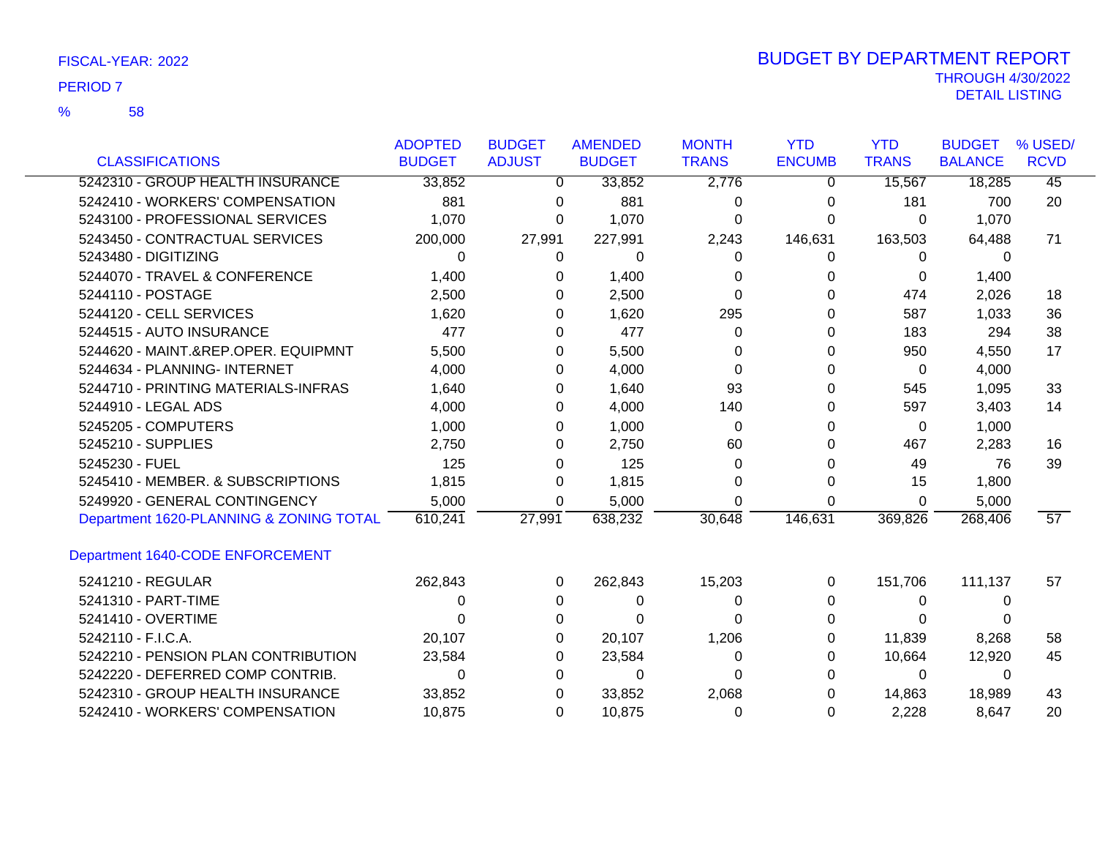58 %

|                                         | <b>ADOPTED</b> | <b>BUDGET</b> | <b>AMENDED</b> | <b>MONTH</b> | <b>YTD</b>    | <b>YTD</b>   | <b>BUDGET</b>  | % USED/         |
|-----------------------------------------|----------------|---------------|----------------|--------------|---------------|--------------|----------------|-----------------|
| <b>CLASSIFICATIONS</b>                  | <b>BUDGET</b>  | <b>ADJUST</b> | <b>BUDGET</b>  | <b>TRANS</b> | <b>ENCUMB</b> | <b>TRANS</b> | <b>BALANCE</b> | <b>RCVD</b>     |
| 5242310 - GROUP HEALTH INSURANCE        | 33,852         | 0             | 33,852         | 2,776        | 0             | 15,567       | 18,285         | $\overline{45}$ |
| 5242410 - WORKERS' COMPENSATION         | 881            | 0             | 881            | 0            | 0             | 181          | 700            | 20              |
| 5243100 - PROFESSIONAL SERVICES         | 1,070          | 0             | 1,070          | $\Omega$     | U             | $\Omega$     | 1,070          |                 |
| 5243450 - CONTRACTUAL SERVICES          | 200,000        | 27,991        | 227,991        | 2,243        | 146,631       | 163,503      | 64,488         | 71              |
| 5243480 - DIGITIZING                    | 0              | 0             | 0              | $\Omega$     | 0             | 0            | $\Omega$       |                 |
| 5244070 - TRAVEL & CONFERENCE           | 1,400          | 0             | 1,400          | 0            | O             | 0            | 1,400          |                 |
| 5244110 - POSTAGE                       | 2,500          | 0             | 2,500          | 0            | U             | 474          | 2,026          | 18              |
| 5244120 - CELL SERVICES                 | 1,620          | 0             | 1,620          | 295          |               | 587          | 1,033          | 36              |
| 5244515 - AUTO INSURANCE                | 477            | 0             | 477            | 0            | U             | 183          | 294            | 38              |
| 5244620 - MAINT.&REP.OPER. EQUIPMNT     | 5,500          | 0             | 5,500          | 0            | O             | 950          | 4,550          | 17              |
| 5244634 - PLANNING- INTERNET            | 4,000          | 0             | 4,000          | 0            |               | 0            | 4,000          |                 |
| 5244710 - PRINTING MATERIALS-INFRAS     | 1,640          | 0             | 1,640          | 93           | U             | 545          | 1,095          | 33              |
| 5244910 - LEGAL ADS                     | 4,000          | 0             | 4,000          | 140          | O             | 597          | 3,403          | 14              |
| 5245205 - COMPUTERS                     | 1,000          | 0             | 1,000          | $\Omega$     | O             | 0            | 1,000          |                 |
| 5245210 - SUPPLIES                      | 2,750          | 0             | 2,750          | 60           | U             | 467          | 2,283          | 16              |
| 5245230 - FUEL                          | 125            | 0             | 125            | 0            |               | 49           | 76             | 39              |
| 5245410 - MEMBER. & SUBSCRIPTIONS       | 1,815          | 0             | 1,815          | 0            | 0             | 15           | 1,800          |                 |
| 5249920 - GENERAL CONTINGENCY           | 5,000          | 0             | 5,000          | $\Omega$     | 0             | $\Omega$     | 5,000          |                 |
| Department 1620-PLANNING & ZONING TOTAL | 610,241        | 27,991        | 638,232        | 30,648       | 146,631       | 369,826      | 268,406        | 57              |
| Department 1640-CODE ENFORCEMENT        |                |               |                |              |               |              |                |                 |
| 5241210 - REGULAR                       | 262,843        | 0             | 262,843        | 15,203       | 0             | 151,706      | 111,137        | 57              |
| 5241310 - PART-TIME                     | 0              | 0             | 0              | 0            | O             | 0            | 0              |                 |
| 5241410 - OVERTIME                      | O              | 0             | 0              | 0            |               | 0            |                |                 |
| 5242110 - F.I.C.A.                      | 20,107         | 0             | 20,107         | 1,206        | O             | 11,839       | 8,268          | 58              |
| 5242210 - PENSION PLAN CONTRIBUTION     | 23,584         | 0             | 23,584         | 0            | O             | 10,664       | 12,920         | 45              |
| 5242220 - DEFERRED COMP CONTRIB.        | 0              | 0             | 0              | 0            | O             | 0            | 0              |                 |
| 5242310 - GROUP HEALTH INSURANCE        | 33,852         | 0             | 33,852         | 2,068        |               | 14,863       | 18,989         | 43              |
| 5242410 - WORKERS' COMPENSATION         | 10,875         | 0             | 10,875         | $\Omega$     | $\Omega$      | 2,228        | 8,647          | 20              |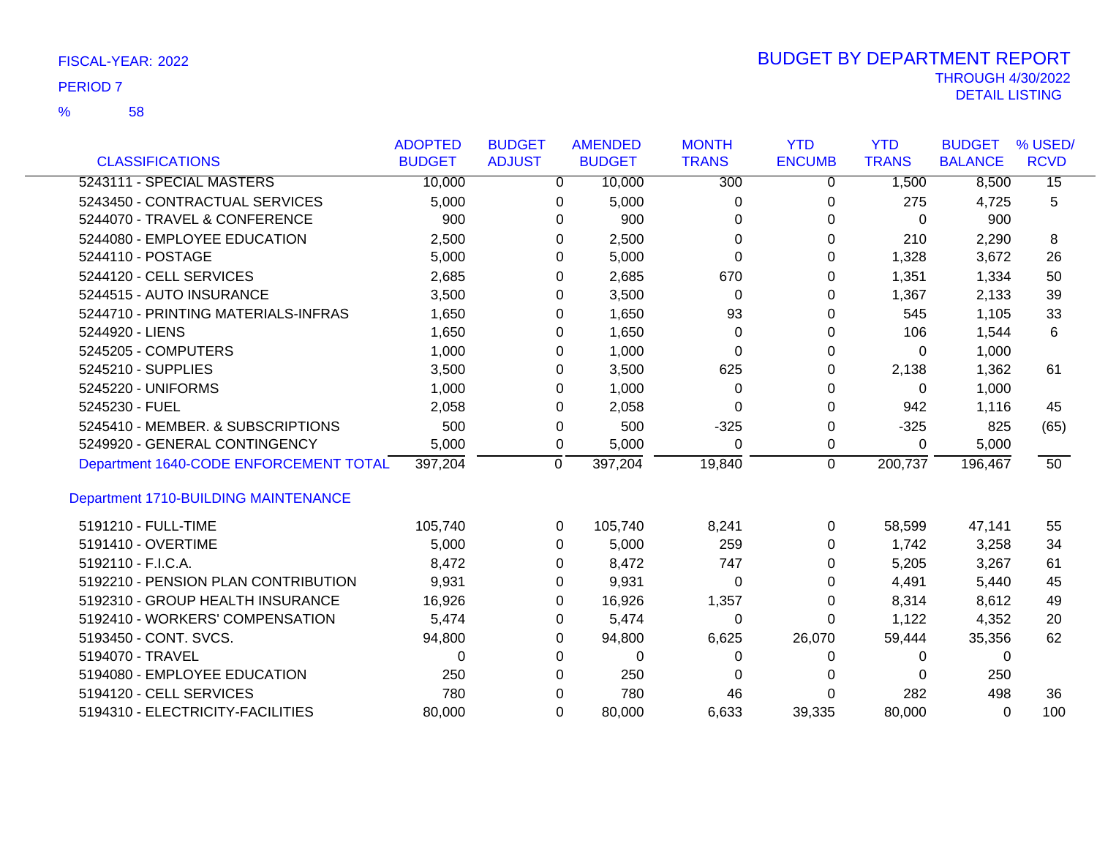|                                        | <b>ADOPTED</b> | <b>BUDGET</b> |              | <b>AMENDED</b> | <b>MONTH</b>     | <b>YTD</b>    | <b>YTD</b>   | <b>BUDGET</b>  | % USED/         |
|----------------------------------------|----------------|---------------|--------------|----------------|------------------|---------------|--------------|----------------|-----------------|
| <b>CLASSIFICATIONS</b>                 | <b>BUDGET</b>  | <b>ADJUST</b> |              | <b>BUDGET</b>  | <b>TRANS</b>     | <b>ENCUMB</b> | <b>TRANS</b> | <b>BALANCE</b> | <b>RCVD</b>     |
| 5243111 - SPECIAL MASTERS              | 10,000         |               | 0            | 10,000         | $\overline{300}$ | 0             | 1,500        | 8,500          | $\overline{15}$ |
| 5243450 - CONTRACTUAL SERVICES         | 5,000          |               | 0            | 5,000          | 0                | 0             | 275          | 4,725          | 5               |
| 5244070 - TRAVEL & CONFERENCE          | 900            |               | 0            | 900            | 0                | 0             | $\Omega$     | 900            |                 |
| 5244080 - EMPLOYEE EDUCATION           | 2,500          |               | 0            | 2,500          | $\Omega$         | 0             | 210          | 2,290          | 8               |
| 5244110 - POSTAGE                      | 5,000          |               | 0            | 5,000          | $\Omega$         | 0             | 1,328        | 3,672          | 26              |
| 5244120 - CELL SERVICES                | 2,685          |               | 0            | 2,685          | 670              | 0             | 1,351        | 1,334          | 50              |
| 5244515 - AUTO INSURANCE               | 3,500          |               | 0            | 3,500          | 0                | 0             | 1,367        | 2,133          | 39              |
| 5244710 - PRINTING MATERIALS-INFRAS    | 1,650          |               | 0            | 1,650          | 93               | 0             | 545          | 1,105          | 33              |
| 5244920 - LIENS                        | 1,650          |               | 0            | 1,650          | $\Omega$         | 0             | 106          | 1,544          | 6               |
| 5245205 - COMPUTERS                    | 1,000          |               | 0            | 1,000          | 0                | 0             | 0            | 1,000          |                 |
| 5245210 - SUPPLIES                     | 3,500          |               | 0            | 3,500          | 625              | 0             | 2,138        | 1,362          | 61              |
| 5245220 - UNIFORMS                     | 1,000          |               | 0            | 1,000          | $\Omega$         | 0             | $\Omega$     | 1,000          |                 |
| 5245230 - FUEL                         | 2,058          |               | 0            | 2,058          | $\Omega$         | 0             | 942          | 1,116          | 45              |
| 5245410 - MEMBER. & SUBSCRIPTIONS      | 500            |               | 0            | 500            | $-325$           | 0             | $-325$       | 825            | (65)            |
| 5249920 - GENERAL CONTINGENCY          | 5,000          |               | 0            | 5,000          | 0                | 0             | 0            | 5,000          |                 |
| Department 1640-CODE ENFORCEMENT TOTAL | 397,204        |               | $\mathbf{0}$ | 397,204        | 19,840           | $\Omega$      | 200,737      | 196,467        | 50              |
| Department 1710-BUILDING MAINTENANCE   |                |               |              |                |                  |               |              |                |                 |
| 5191210 - FULL-TIME                    | 105,740        |               | $\Omega$     | 105,740        | 8,241            | 0             | 58,599       | 47,141         | 55              |
| 5191410 - OVERTIME                     | 5,000          |               | $\Omega$     | 5,000          | 259              | 0             | 1,742        | 3,258          | 34              |
| 5192110 - F.I.C.A.                     | 8,472          |               | 0            | 8,472          | 747              | 0             | 5,205        | 3,267          | 61              |
| 5192210 - PENSION PLAN CONTRIBUTION    | 9,931          |               | 0            | 9,931          | 0                | 0             | 4,491        | 5,440          | 45              |
| 5192310 - GROUP HEALTH INSURANCE       | 16,926         |               | 0            | 16,926         | 1,357            | 0             | 8,314        | 8,612          | 49              |
| 5192410 - WORKERS' COMPENSATION        | 5,474          |               | 0            | 5,474          | 0                | 0             | 1,122        | 4,352          | 20              |
| 5193450 - CONT. SVCS.                  | 94,800         |               | 0            | 94,800         | 6,625            | 26,070        | 59,444       | 35,356         | 62              |
| 5194070 - TRAVEL                       | 0              |               | 0            | 0              | 0                | 0             | 0            | $\Omega$       |                 |
| 5194080 - EMPLOYEE EDUCATION           | 250            |               | $\Omega$     | 250            | 0                | 0             | 0            | 250            |                 |
| 5194120 - CELL SERVICES                | 780            |               | 0            | 780            | 46               | 0             | 282          | 498            | 36              |
| 5194310 - ELECTRICITY-FACILITIES       | 80,000         |               | $\Omega$     | 80,000         | 6,633            | 39,335        | 80,000       | $\Omega$       | 100             |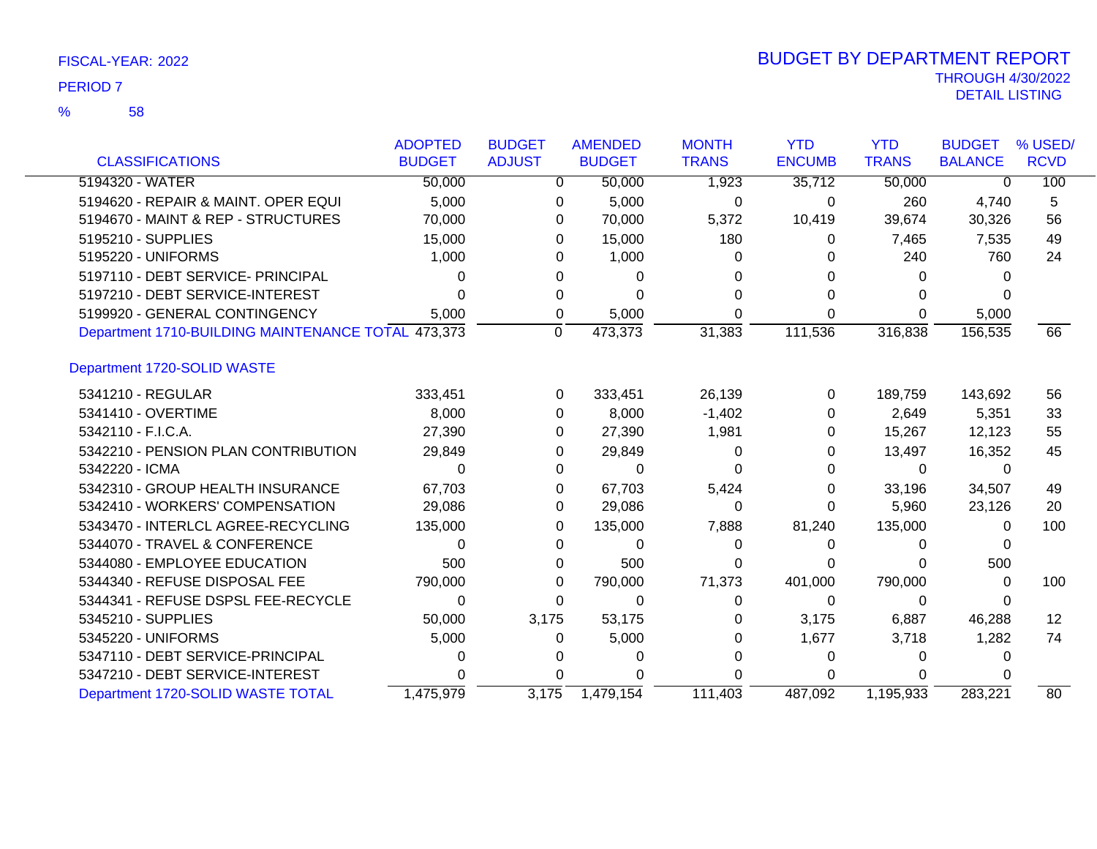|                                                    | <b>ADOPTED</b> | <b>BUDGET</b>  | <b>AMENDED</b> | <b>MONTH</b> | <b>YTD</b>    | <b>YTD</b>   | <b>BUDGET</b>  | % USED/           |
|----------------------------------------------------|----------------|----------------|----------------|--------------|---------------|--------------|----------------|-------------------|
| <b>CLASSIFICATIONS</b>                             | <b>BUDGET</b>  | <b>ADJUST</b>  | <b>BUDGET</b>  | <b>TRANS</b> | <b>ENCUMB</b> | <b>TRANS</b> | <b>BALANCE</b> | <b>RCVD</b>       |
| 5194320 - WATER                                    | 50,000         | 0              | 50,000         | 1,923        | 35,712        | 50,000       | $\Omega$       | 100               |
| 5194620 - REPAIR & MAINT. OPER EQUI                | 5,000          | 0              | 5,000          | 0            | 0             | 260          | 4,740          | 5                 |
| 5194670 - MAINT & REP - STRUCTURES                 | 70,000         | 0              | 70,000         | 5,372        | 10,419        | 39,674       | 30,326         | 56                |
| 5195210 - SUPPLIES                                 | 15,000         | 0              | 15,000         | 180          | 0             | 7,465        | 7,535          | 49                |
| 5195220 - UNIFORMS                                 | 1,000          | 0              | 1,000          | 0            | 0             | 240          | 760            | 24                |
| 5197110 - DEBT SERVICE- PRINCIPAL                  | ი              | 0              | 0              |              |               | 0            |                |                   |
| 5197210 - DEBT SERVICE-INTEREST                    |                | 0              | ∩              | O            |               | 0            |                |                   |
| 5199920 - GENERAL CONTINGENCY                      | 5,000          | 0              | 5,000          | 0            | 0             | 0            | 5,000          |                   |
| Department 1710-BUILDING MAINTENANCE TOTAL 473,373 |                | $\overline{0}$ | 473,373        | 31,383       | 111,536       | 316,838      | 156,535        | 66                |
| Department 1720-SOLID WASTE                        |                |                |                |              |               |              |                |                   |
| 5341210 - REGULAR                                  | 333,451        | 0              | 333,451        | 26,139       | $\Omega$      | 189,759      | 143,692        | 56                |
| 5341410 - OVERTIME                                 | 8,000          | $\Omega$       | 8,000          | $-1,402$     | 0             | 2,649        | 5,351          | 33                |
| 5342110 - F.I.C.A.                                 | 27,390         | 0              | 27,390         | 1,981        | 0             | 15,267       | 12,123         | 55                |
| 5342210 - PENSION PLAN CONTRIBUTION                | 29,849         | 0              | 29,849         | 0            | 0             | 13,497       | 16,352         | 45                |
| 5342220 - ICMA                                     | ი              | 0              | 0              | O            | 0             | 0            | 0              |                   |
| 5342310 - GROUP HEALTH INSURANCE                   | 67,703         | 0              | 67,703         | 5,424        | 0             | 33,196       | 34,507         | 49                |
| 5342410 - WORKERS' COMPENSATION                    | 29,086         | 0              | 29,086         | 0            | 0             | 5,960        | 23,126         | 20                |
| 5343470 - INTERLCL AGREE-RECYCLING                 | 135,000        | 0              | 135,000        | 7,888        | 81,240        | 135,000      | 0              | 100               |
| 5344070 - TRAVEL & CONFERENCE                      | 0              | 0              | $\Omega$       | 0            | 0             | 0            |                |                   |
| 5344080 - EMPLOYEE EDUCATION                       | 500            | 0              | 500            | 0            | 0             | 0            | 500            |                   |
| 5344340 - REFUSE DISPOSAL FEE                      | 790,000        | 0              | 790,000        | 71,373       | 401,000       | 790,000      | 0              | 100               |
| 5344341 - REFUSE DSPSL FEE-RECYCLE                 | 0              | 0              | 0              | 0            | $\Omega$      | 0            | 0              |                   |
| 5345210 - SUPPLIES                                 | 50,000         | 3,175          | 53,175         | 0            | 3,175         | 6,887        | 46,288         | $12 \overline{ }$ |
| 5345220 - UNIFORMS                                 | 5,000          | 0              | 5,000          | 0            | 1,677         | 3,718        | 1,282          | 74                |
| 5347110 - DEBT SERVICE-PRINCIPAL                   |                |                | 0              |              | 0             | 0            | $\Omega$       |                   |
| 5347210 - DEBT SERVICE-INTEREST                    |                | 0              |                |              | 0             | 0            |                |                   |
| Department 1720-SOLID WASTE TOTAL                  | 1,475,979      | 3,175          | 1,479,154      | 111,403      | 487,092       | 1,195,933    | 283,221        | 80                |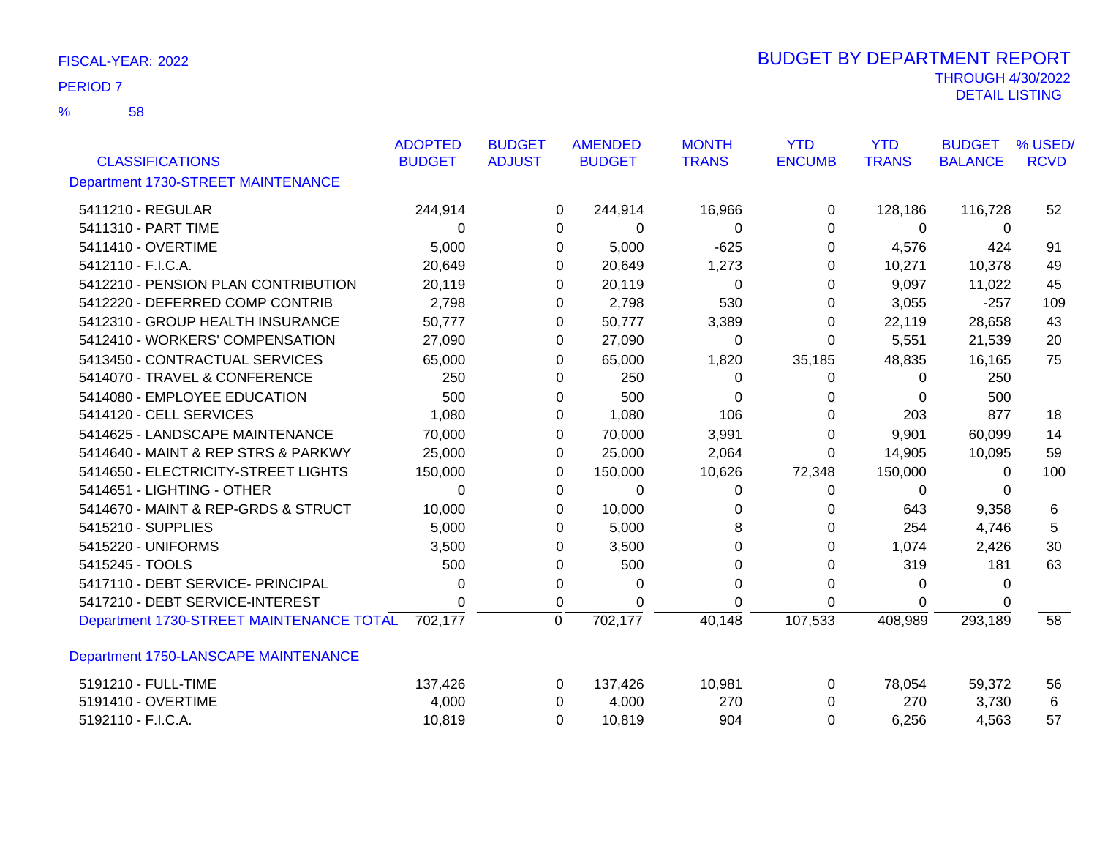| FISCAL-YEAR: 2022 | <b>BUDGET BY DEPARTMENT REPORT</b> |
|-------------------|------------------------------------|
| <b>PERIOD 7</b>   | <b>THROUGH 4/30/2022</b>           |
|                   | DETAIL LISTING                     |

|                                           | <b>ADOPTED</b> | <b>BUDGET</b>  | <b>AMENDED</b> | <b>MONTH</b> | <b>YTD</b>    | <b>YTD</b>   | <b>BUDGET</b>  | % USED/     |
|-------------------------------------------|----------------|----------------|----------------|--------------|---------------|--------------|----------------|-------------|
| <b>CLASSIFICATIONS</b>                    | <b>BUDGET</b>  | <b>ADJUST</b>  | <b>BUDGET</b>  | <b>TRANS</b> | <b>ENCUMB</b> | <b>TRANS</b> | <b>BALANCE</b> | <b>RCVD</b> |
| <b>Department 1730-STREET MAINTENANCE</b> |                |                |                |              |               |              |                |             |
| 5411210 - REGULAR                         | 244,914        | 0              | 244,914        | 16,966       | 0             | 128,186      | 116,728        | 52          |
| 5411310 - PART TIME                       | 0              |                | 0<br>0         | 0            | 0             | $\mathbf 0$  | 0              |             |
| 5411410 - OVERTIME                        | 5,000          | 0              | 5,000          | $-625$       | 0             | 4,576        | 424            | 91          |
| 5412110 - F.I.C.A.                        | 20,649         | $\Omega$       | 20,649         | 1,273        | $\Omega$      | 10,271       | 10,378         | 49          |
| 5412210 - PENSION PLAN CONTRIBUTION       | 20,119         | 0              | 20,119         | 0            | 0             | 9,097        | 11,022         | 45          |
| 5412220 - DEFERRED COMP CONTRIB           | 2,798          | 0              | 2,798          | 530          | 0             | 3,055        | $-257$         | 109         |
| 5412310 - GROUP HEALTH INSURANCE          | 50,777         | $\Omega$       | 50,777         | 3,389        | 0             | 22,119       | 28,658         | 43          |
| 5412410 - WORKERS' COMPENSATION           | 27,090         | 0              | 27,090         | 0            | 0             | 5,551        | 21,539         | 20          |
| 5413450 - CONTRACTUAL SERVICES            | 65,000         | 0              | 65,000         | 1,820        | 35,185        | 48,835       | 16,165         | 75          |
| 5414070 - TRAVEL & CONFERENCE             | 250            | $\Omega$       | 250            | 0            | 0             | 0            | 250            |             |
| 5414080 - EMPLOYEE EDUCATION              | 500            | 0              | 500            | 0            | 0             | $\Omega$     | 500            |             |
| 5414120 - CELL SERVICES                   | 1,080          | 0              | 1,080          | 106          | 0             | 203          | 877            | 18          |
| 5414625 - LANDSCAPE MAINTENANCE           | 70,000         | 0              | 70,000         | 3,991        | 0             | 9,901        | 60,099         | 14          |
| 5414640 - MAINT & REP STRS & PARKWY       | 25,000         | 0              | 25,000         | 2,064        | $\Omega$      | 14,905       | 10,095         | 59          |
| 5414650 - ELECTRICITY-STREET LIGHTS       | 150,000        | $\Omega$       | 150,000        | 10,626       | 72,348        | 150,000      | $\Omega$       | 100         |
| 5414651 - LIGHTING - OTHER                | $\mathbf{0}$   | 0              | 0              | 0            | 0             | 0            | 0              |             |
| 5414670 - MAINT & REP-GRDS & STRUCT       | 10,000         | 0              | 10,000         | 0            | 0             | 643          | 9,358          | 6           |
| 5415210 - SUPPLIES                        | 5,000          | 0              | 5,000          | 8            | 0             | 254          | 4,746          | 5           |
| 5415220 - UNIFORMS                        | 3,500          | 0              | 3,500          | 0            | 0             | 1,074        | 2,426          | 30          |
| 5415245 - TOOLS                           | 500            | 0              | 500            | 0            | 0             | 319          | 181            | 63          |
| 5417110 - DEBT SERVICE- PRINCIPAL         | 0              | 0              | 0              | 0            | 0             | 0            | $\Omega$       |             |
| 5417210 - DEBT SERVICE-INTEREST           | $\Omega$       | 0              | 0              | 0            | $\Omega$      | 0            |                |             |
| Department 1730-STREET MAINTENANCE TOTAL  | 702,177        | $\overline{0}$ | 702,177        | 40,148       | 107,533       | 408,989      | 293,189        | 58          |
| Department 1750-LANSCAPE MAINTENANCE      |                |                |                |              |               |              |                |             |
| 5191210 - FULL-TIME                       | 137,426        | $\Omega$       | 137,426        | 10,981       | $\Omega$      | 78,054       | 59,372         | 56          |
| 5191410 - OVERTIME                        | 4,000          | $\Omega$       | 4,000          | 270          | 0             | 270          | 3,730          | 6           |
| 5192110 - F.I.C.A.                        | 10,819         | 0              | 10,819         | 904          | 0             | 6,256        | 4,563          | 57          |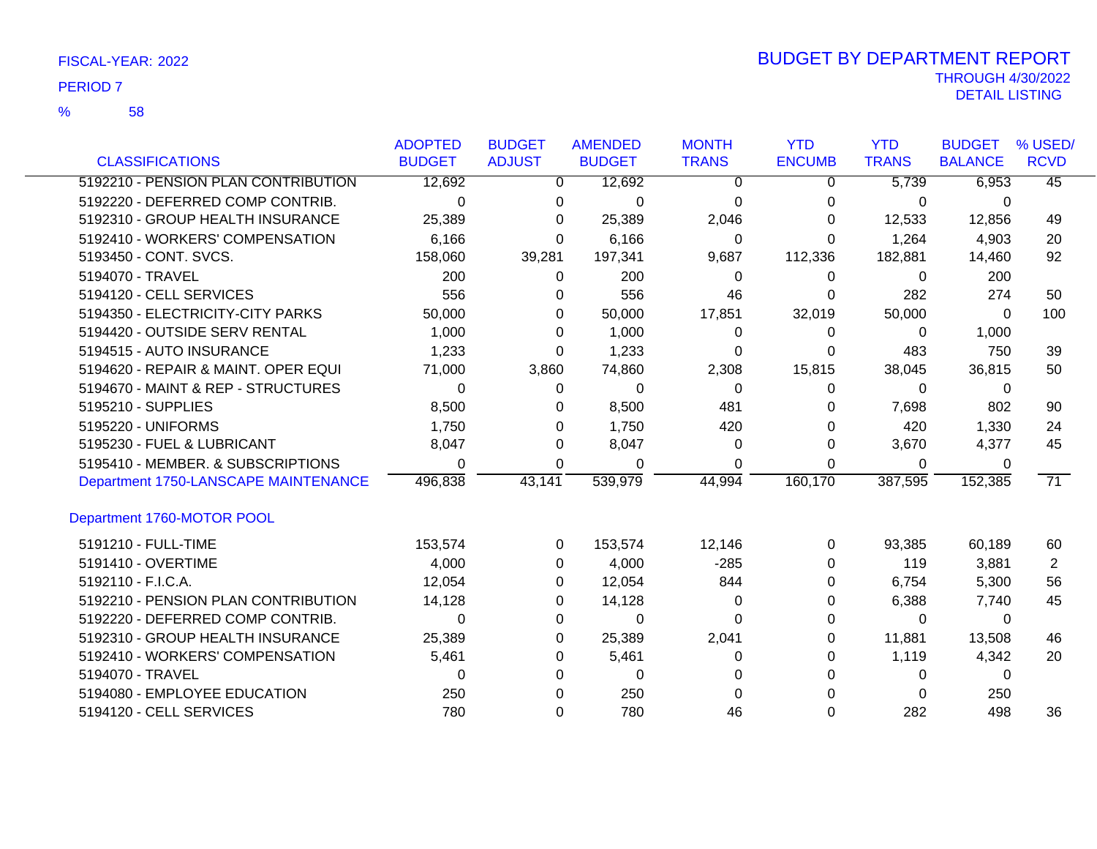58 %

|                                      | <b>ADOPTED</b> | <b>BUDGET</b> | <b>AMENDED</b> | <b>MONTH</b> | <b>YTD</b>    | <b>YTD</b>   | <b>BUDGET</b>  | % USED/         |
|--------------------------------------|----------------|---------------|----------------|--------------|---------------|--------------|----------------|-----------------|
| <b>CLASSIFICATIONS</b>               | <b>BUDGET</b>  | <b>ADJUST</b> | <b>BUDGET</b>  | <b>TRANS</b> | <b>ENCUMB</b> | <b>TRANS</b> | <b>BALANCE</b> | <b>RCVD</b>     |
| 5192210 - PENSION PLAN CONTRIBUTION  | 12,692         | 0             | 12,692         | 0            | 0             | 5,739        | 6,953          | $\overline{45}$ |
| 5192220 - DEFERRED COMP CONTRIB.     | $\Omega$       | 0             | $\Omega$       | $\Omega$     | 0             | 0            | 0              |                 |
| 5192310 - GROUP HEALTH INSURANCE     | 25,389         | 0             | 25,389         | 2,046        | 0             | 12,533       | 12,856         | 49              |
| 5192410 - WORKERS' COMPENSATION      | 6,166          | 0             | 6,166          | $\Omega$     | $\Omega$      | 1,264        | 4,903          | 20              |
| 5193450 - CONT. SVCS.                | 158,060        | 39,281        | 197,341        | 9,687        | 112,336       | 182,881      | 14,460         | 92              |
| 5194070 - TRAVEL                     | 200            | 0             | 200            | 0            | 0             | 0            | 200            |                 |
| 5194120 - CELL SERVICES              | 556            | 0             | 556            | 46           | 0             | 282          | 274            | 50              |
| 5194350 - ELECTRICITY-CITY PARKS     | 50,000         | 0             | 50,000         | 17,851       | 32,019        | 50,000       | 0              | 100             |
| 5194420 - OUTSIDE SERV RENTAL        | 1,000          | 0             | 1,000          | 0            | 0             | 0            | 1,000          |                 |
| 5194515 - AUTO INSURANCE             | 1,233          | 0             | 1,233          | 0            | 0             | 483          | 750            | 39              |
| 5194620 - REPAIR & MAINT. OPER EQUI  | 71,000         | 3,860         | 74,860         | 2,308        | 15,815        | 38,045       | 36,815         | 50              |
| 5194670 - MAINT & REP - STRUCTURES   | 0              | 0             | 0              | 0            | $\Omega$      | 0            | 0              |                 |
| 5195210 - SUPPLIES                   | 8,500          | 0             | 8,500          | 481          | 0             | 7,698        | 802            | 90              |
| 5195220 - UNIFORMS                   | 1,750          | 0             | 1,750          | 420          | 0             | 420          | 1,330          | 24              |
| 5195230 - FUEL & LUBRICANT           | 8,047          | 0             | 8,047          | $\Omega$     | 0             | 3,670        | 4,377          | 45              |
| 5195410 - MEMBER. & SUBSCRIPTIONS    | 0              | 0             | 0              | 0            | 0             | 0            | 0              |                 |
| Department 1750-LANSCAPE MAINTENANCE | 496,838        | 43,141        | 539,979        | 44,994       | 160,170       | 387,595      | 152,385        | $\overline{71}$ |
| Department 1760-MOTOR POOL           |                |               |                |              |               |              |                |                 |
| 5191210 - FULL-TIME                  | 153,574        | 0             | 153,574        | 12,146       | $\mathbf{0}$  | 93,385       | 60,189         | 60              |
| 5191410 - OVERTIME                   | 4,000          | $\Omega$      | 4,000          | $-285$       | 0             | 119          | 3,881          | 2               |
| 5192110 - F.I.C.A.                   | 12,054         | 0             | 12,054         | 844          | 0             | 6,754        | 5,300          | 56              |
| 5192210 - PENSION PLAN CONTRIBUTION  | 14,128         | 0             | 14,128         | 0            | 0             | 6,388        | 7,740          | 45              |
| 5192220 - DEFERRED COMP CONTRIB.     | $\Omega$       | 0             | 0              | 0            | 0             | 0            | $\Omega$       |                 |
| 5192310 - GROUP HEALTH INSURANCE     | 25,389         | 0             | 25,389         | 2,041        | 0             | 11,881       | 13,508         | 46              |
| 5192410 - WORKERS' COMPENSATION      | 5,461          | 0             | 5,461          | 0            | 0             | 1,119        | 4,342          | 20              |
| 5194070 - TRAVEL                     | 0              | 0             | 0              |              | 0             | 0            | 0              |                 |
| 5194080 - EMPLOYEE EDUCATION         | 250            | 0             | 250            |              |               | 0            | 250            |                 |
| 5194120 - CELL SERVICES              | 780            | 0             | 780            | 46           | 0             | 282          | 498            | 36              |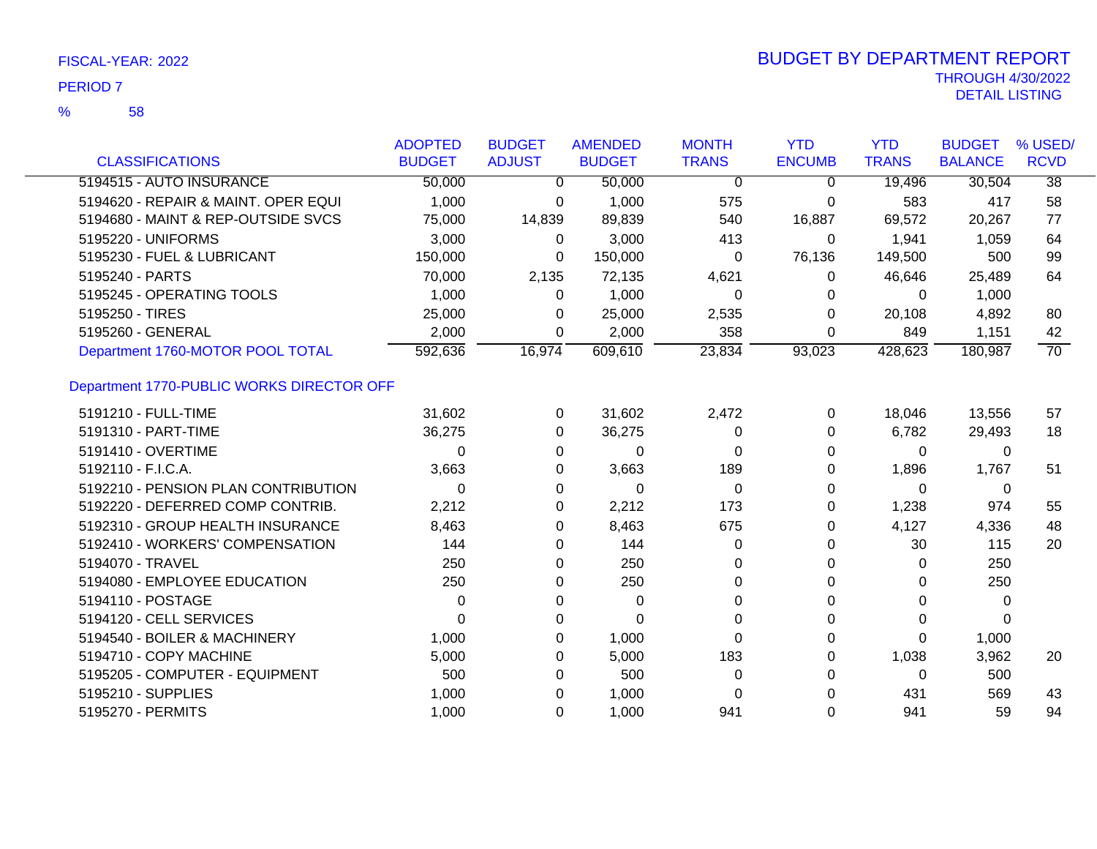| <b>CLASSIFICATIONS</b>                    | <b>ADOPTED</b><br><b>BUDGET</b> | <b>BUDGET</b><br><b>ADJUST</b> | <b>AMENDED</b><br><b>BUDGET</b> | <b>MONTH</b><br><b>TRANS</b> | <b>YTD</b><br><b>ENCUMB</b> | <b>YTD</b><br><b>TRANS</b> | <b>BUDGET</b><br><b>BALANCE</b> | % USED/<br><b>RCVD</b> |
|-------------------------------------------|---------------------------------|--------------------------------|---------------------------------|------------------------------|-----------------------------|----------------------------|---------------------------------|------------------------|
| 5194515 - AUTO INSURANCE                  | 50,000                          | $\overline{0}$                 | 50,000                          | $\overline{0}$               | $\Omega$                    | 19,496                     | 30,504                          | $\overline{38}$        |
| 5194620 - REPAIR & MAINT, OPER EQUI       | 1,000                           | 0                              | 1,000                           | 575                          | 0                           | 583                        | 417                             | 58                     |
| 5194680 - MAINT & REP-OUTSIDE SVCS        | 75,000                          | 14,839                         | 89,839                          | 540                          | 16,887                      | 69,572                     | 20,267                          | 77                     |
| 5195220 - UNIFORMS                        | 3,000                           | 0                              | 3,000                           | 413                          | 0                           | 1,941                      | 1,059                           | 64                     |
| 5195230 - FUEL & LUBRICANT                | 150,000                         | 0                              | 150,000                         | 0                            | 76,136                      | 149,500                    | 500                             | 99                     |
| 5195240 - PARTS                           | 70,000                          | 2,135                          | 72,135                          | 4,621                        | 0                           | 46,646                     | 25,489                          | 64                     |
| 5195245 - OPERATING TOOLS                 | 1,000                           | 0                              | 1,000                           | 0                            | 0                           | 0                          | 1,000                           |                        |
| 5195250 - TIRES                           | 25,000                          | 0                              | 25,000                          | 2,535                        | $\Omega$                    | 20,108                     | 4,892                           | 80                     |
| 5195260 - GENERAL                         | 2,000                           | $\Omega$                       | 2,000                           | 358                          | 0                           | 849                        | 1,151                           | 42                     |
| Department 1760-MOTOR POOL TOTAL          | 592,636                         | 16,974                         | 609,610                         | 23,834                       | 93,023                      | 428,623                    | 180,987                         | $\overline{70}$        |
| Department 1770-PUBLIC WORKS DIRECTOR OFF |                                 |                                |                                 |                              |                             |                            |                                 |                        |
| 5191210 - FULL-TIME                       | 31,602                          | 0                              | 31,602                          | 2,472                        | $\mathbf 0$                 | 18,046                     | 13,556                          | 57                     |
| 5191310 - PART-TIME                       | 36,275                          | 0                              | 36,275                          | 0                            | 0                           | 6,782                      | 29,493                          | 18                     |
| 5191410 - OVERTIME                        | 0                               | 0                              | $\Omega$                        | $\Omega$                     | 0                           | 0                          | 0                               |                        |
| 5192110 - F.I.C.A.                        | 3,663                           | 0                              | 3,663                           | 189                          | 0                           | 1,896                      | 1,767                           | 51                     |
| 5192210 - PENSION PLAN CONTRIBUTION       | 0                               | 0                              | 0                               | $\Omega$                     | 0                           | 0                          | 0                               |                        |
| 5192220 - DEFERRED COMP CONTRIB.          | 2,212                           | 0                              | 2,212                           | 173                          | 0                           | 1,238                      | 974                             | 55                     |
| 5192310 - GROUP HEALTH INSURANCE          | 8,463                           | 0                              | 8,463                           | 675                          | 0                           | 4,127                      | 4,336                           | 48                     |
| 5192410 - WORKERS' COMPENSATION           | 144                             | 0                              | 144                             | 0                            | 0                           | 30                         | 115                             | 20                     |
| 5194070 - TRAVEL                          | 250                             | 0                              | 250                             | 0                            | 0                           | 0                          | 250                             |                        |
| 5194080 - EMPLOYEE EDUCATION              | 250                             | 0                              | 250                             | $\Omega$                     | 0                           | 0                          | 250                             |                        |
| 5194110 - POSTAGE                         | 0                               | 0                              | 0                               | 0                            | 0                           | 0                          | 0                               |                        |
| 5194120 - CELL SERVICES                   | 0                               | 0                              | $\Omega$                        | $\Omega$                     | ი                           | 0                          | 0                               |                        |
| 5194540 - BOILER & MACHINERY              | 1,000                           | 0                              | 1,000                           | 0                            | 0                           | 0                          | 1,000                           |                        |
| 5194710 - COPY MACHINE                    | 5,000                           | 0                              | 5,000                           | 183                          | 0                           | 1,038                      | 3,962                           | 20                     |
| 5195205 - COMPUTER - EQUIPMENT            | 500                             | 0                              | 500                             | 0                            | 0                           | $\Omega$                   | 500                             |                        |
| 5195210 - SUPPLIES                        | 1,000                           | 0                              | 1,000                           | 0                            | 0                           | 431                        | 569                             | 43                     |
| 5195270 - PERMITS                         | 1,000                           | 0                              | 1,000                           | 941                          | 0                           | 941                        | 59                              | 94                     |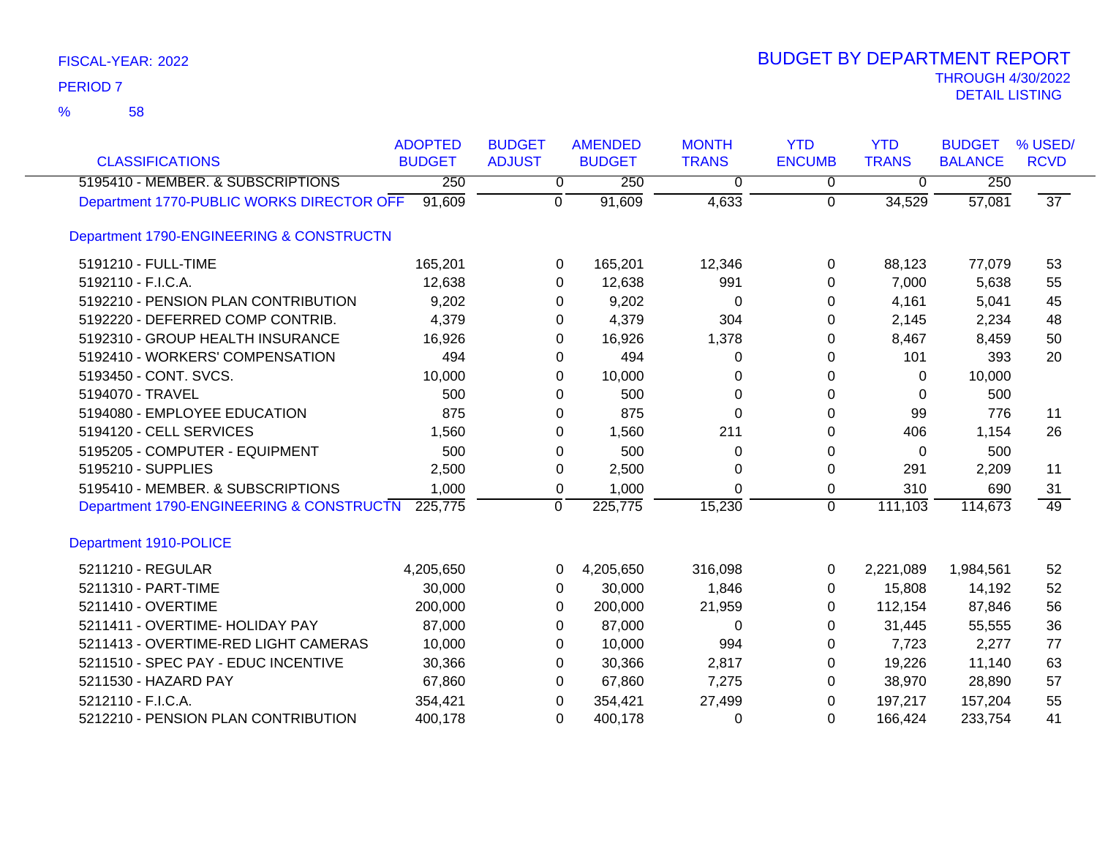| <b>CLASSIFICATIONS</b>                    | <b>ADOPTED</b><br><b>BUDGET</b> | <b>BUDGET</b><br><b>ADJUST</b> | <b>AMENDED</b><br><b>BUDGET</b> | <b>MONTH</b><br><b>TRANS</b> | <b>YTD</b><br><b>ENCUMB</b> | <b>YTD</b><br><b>TRANS</b> | <b>BUDGET</b><br><b>BALANCE</b> | % USED/<br><b>RCVD</b> |
|-------------------------------------------|---------------------------------|--------------------------------|---------------------------------|------------------------------|-----------------------------|----------------------------|---------------------------------|------------------------|
| 5195410 - MEMBER. & SUBSCRIPTIONS         | 250                             | 0                              | 250                             | 0                            | 0                           | 0                          | 250                             |                        |
| Department 1770-PUBLIC WORKS DIRECTOR OFF | 91,609                          | $\Omega$                       | 91,609                          | 4,633                        | $\Omega$                    | 34,529                     | 57,081                          | $\overline{37}$        |
| Department 1790-ENGINEERING & CONSTRUCTN  |                                 |                                |                                 |                              |                             |                            |                                 |                        |
| 5191210 - FULL-TIME                       | 165,201                         | 0                              | 165,201                         | 12,346                       | $\Omega$                    | 88,123                     | 77,079                          | 53                     |
| 5192110 - F.I.C.A.                        | 12,638                          | 0                              | 12,638                          | 991                          | 0                           | 7,000                      | 5,638                           | 55                     |
| 5192210 - PENSION PLAN CONTRIBUTION       | 9,202                           | 0                              | 9,202                           | 0                            | 0                           | 4,161                      | 5,041                           | 45                     |
| 5192220 - DEFERRED COMP CONTRIB.          | 4,379                           | 0                              | 4,379                           | 304                          | 0                           | 2,145                      | 2,234                           | 48                     |
| 5192310 - GROUP HEALTH INSURANCE          | 16,926                          | 0                              | 16,926                          | 1,378                        | 0                           | 8,467                      | 8,459                           | 50                     |
| 5192410 - WORKERS' COMPENSATION           | 494                             | 0                              | 494                             | 0                            | 0                           | 101                        | 393                             | 20                     |
| 5193450 - CONT. SVCS.                     | 10,000                          | 0                              | 10,000                          | 0                            | 0                           | 0                          | 10,000                          |                        |
| 5194070 - TRAVEL                          | 500                             | 0                              | 500                             | 0                            | 0                           | 0                          | 500                             |                        |
| 5194080 - EMPLOYEE EDUCATION              | 875                             | 0                              | 875                             | $\Omega$                     | 0                           | 99                         | 776                             | 11                     |
| 5194120 - CELL SERVICES                   | 1,560                           | 0                              | 1,560                           | 211                          | 0                           | 406                        | 1,154                           | 26                     |
| 5195205 - COMPUTER - EQUIPMENT            | 500                             | 0                              | 500                             | 0                            | 0                           | 0                          | 500                             |                        |
| 5195210 - SUPPLIES                        | 2,500                           | 0                              | 2,500                           | 0                            | $\Omega$                    | 291                        | 2,209                           | 11                     |
| 5195410 - MEMBER. & SUBSCRIPTIONS         | 1,000                           | 0                              | 1,000                           | $\Omega$                     | 0                           | 310                        | 690                             | 31                     |
| Department 1790-ENGINEERING & CONSTRUCTN  | 225,775                         | 0                              | 225,775                         | 15,230                       | $\Omega$                    | 111,103                    | 114,673                         | 49                     |
| Department 1910-POLICE                    |                                 |                                |                                 |                              |                             |                            |                                 |                        |
| 5211210 - REGULAR                         | 4,205,650                       | $\Omega$                       | 4,205,650                       | 316,098                      | 0                           | 2,221,089                  | 1,984,561                       | 52                     |
| 5211310 - PART-TIME                       | 30,000                          | 0                              | 30,000                          | 1,846                        | 0                           | 15,808                     | 14,192                          | 52                     |
| 5211410 - OVERTIME                        | 200,000                         | 0                              | 200,000                         | 21,959                       | 0                           | 112,154                    | 87,846                          | 56                     |
| 5211411 - OVERTIME- HOLIDAY PAY           | 87,000                          | 0                              | 87,000                          | 0                            | 0                           | 31,445                     | 55,555                          | 36                     |
| 5211413 - OVERTIME-RED LIGHT CAMERAS      | 10,000                          | 0                              | 10,000                          | 994                          | 0                           | 7,723                      | 2,277                           | 77                     |
| 5211510 - SPEC PAY - EDUC INCENTIVE       | 30,366                          | 0                              | 30,366                          | 2,817                        | 0                           | 19,226                     | 11,140                          | 63                     |
| 5211530 - HAZARD PAY                      | 67,860                          | $\Omega$                       | 67,860                          | 7,275                        | 0                           | 38,970                     | 28,890                          | 57                     |
| 5212110 - F.I.C.A.                        | 354,421                         | 0                              | 354,421                         | 27,499                       | 0                           | 197,217                    | 157,204                         | 55                     |
| 5212210 - PENSION PLAN CONTRIBUTION       | 400,178                         | 0                              | 400,178                         | 0                            | 0                           | 166,424                    | 233,754                         | 41                     |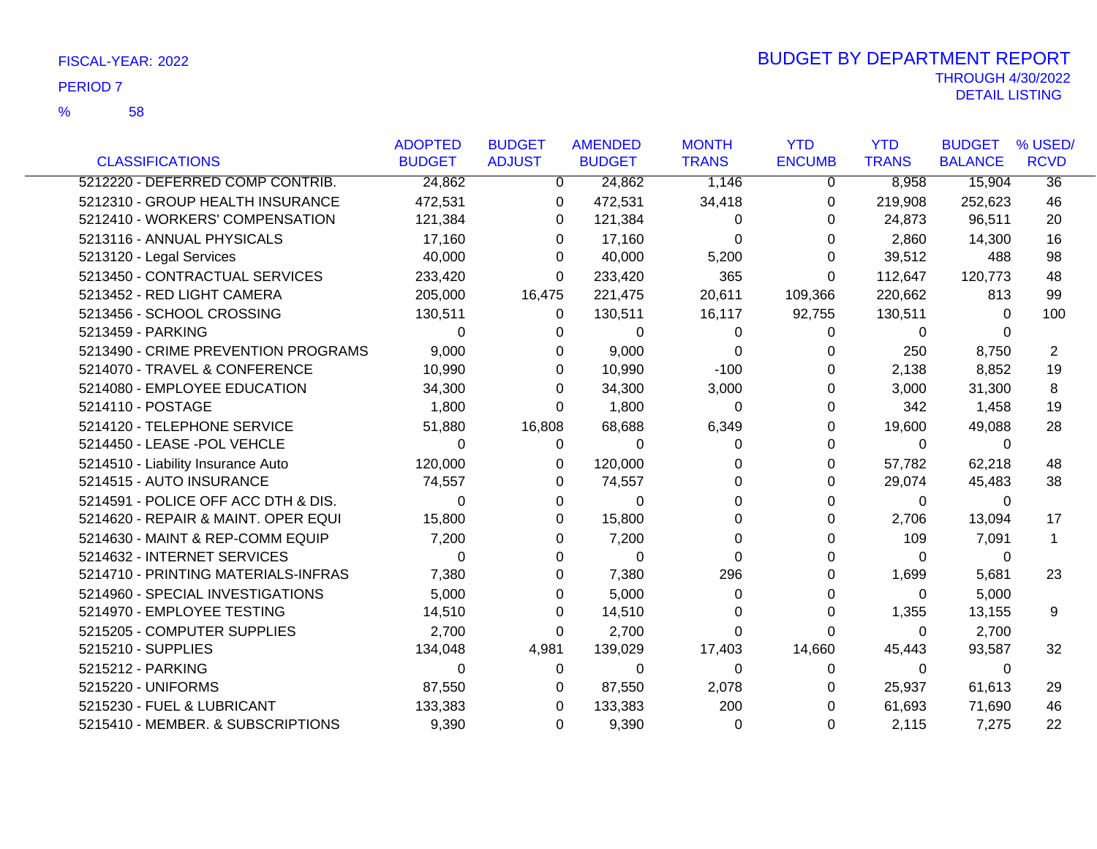|                                     | <b>ADOPTED</b> | <b>BUDGET</b>  | <b>AMENDED</b> | <b>MONTH</b> | <b>YTD</b>    | <b>YTD</b>   | <b>BUDGET</b>  | % USED/     |
|-------------------------------------|----------------|----------------|----------------|--------------|---------------|--------------|----------------|-------------|
| <b>CLASSIFICATIONS</b>              | <b>BUDGET</b>  | <b>ADJUST</b>  | <b>BUDGET</b>  | <b>TRANS</b> | <b>ENCUMB</b> | <b>TRANS</b> | <b>BALANCE</b> | <b>RCVD</b> |
| 5212220 - DEFERRED COMP CONTRIB.    | 24,862         | $\overline{0}$ | 24,862         | 1,146        | 0             | 8,958        | 15,904         | 36          |
| 5212310 - GROUP HEALTH INSURANCE    | 472,531        | 0              | 472,531        | 34,418       | 0             | 219,908      | 252,623        | 46          |
| 5212410 - WORKERS' COMPENSATION     | 121,384        | 0              | 121,384        | 0            | 0             | 24,873       | 96,511         | 20          |
| 5213116 - ANNUAL PHYSICALS          | 17,160         | 0              | 17,160         | 0            | 0             | 2,860        | 14,300         | 16          |
| 5213120 - Legal Services            | 40,000         | 0              | 40,000         | 5,200        | 0             | 39,512       | 488            | 98          |
| 5213450 - CONTRACTUAL SERVICES      | 233,420        | 0              | 233,420        | 365          | 0             | 112,647      | 120,773        | 48          |
| 5213452 - RED LIGHT CAMERA          | 205,000        | 16,475         | 221,475        | 20,611       | 109,366       | 220,662      | 813            | 99          |
| 5213456 - SCHOOL CROSSING           | 130,511        | 0              | 130,511        | 16,117       | 92,755        | 130,511      | 0              | 100         |
| 5213459 - PARKING                   | $\Omega$       | 0              | 0              | 0            | 0             | $\mathbf 0$  | 0              |             |
| 5213490 - CRIME PREVENTION PROGRAMS | 9,000          | 0              | 9,000          | 0            | 0             | 250          | 8,750          | 2           |
| 5214070 - TRAVEL & CONFERENCE       | 10,990         | 0              | 10,990         | $-100$       | 0             | 2,138        | 8,852          | 19          |
| 5214080 - EMPLOYEE EDUCATION        | 34,300         | 0              | 34,300         | 3,000        | 0             | 3,000        | 31,300         | 8           |
| 5214110 - POSTAGE                   | 1,800          | 0              | 1,800          | 0            | 0             | 342          | 1,458          | 19          |
| 5214120 - TELEPHONE SERVICE         | 51,880         | 16,808         | 68,688         | 6,349        | 0             | 19,600       | 49,088         | 28          |
| 5214450 - LEASE -POL VEHCLE         | 0              | 0              | $\Omega$       | 0            | 0             | $\mathbf{0}$ | 0              |             |
| 5214510 - Liability Insurance Auto  | 120,000        | 0              | 120,000        | 0            | 0             | 57,782       | 62,218         | 48          |
| 5214515 - AUTO INSURANCE            | 74,557         | 0              | 74,557         | O            | 0             | 29,074       | 45,483         | 38          |
| 5214591 - POLICE OFF ACC DTH & DIS. | $\Omega$       | 0              | $\Omega$       | 0            | 0             | 0            | 0              |             |
| 5214620 - REPAIR & MAINT. OPER EQUI | 15,800         | 0              | 15,800         | 0            | 0             | 2,706        | 13,094         | 17          |
| 5214630 - MAINT & REP-COMM EQUIP    | 7,200          | 0              | 7,200          | O            | 0             | 109          | 7,091          | 1           |
| 5214632 - INTERNET SERVICES         | $\Omega$       | 0              | 0              | 0            |               | 0            | 0              |             |
| 5214710 - PRINTING MATERIALS-INFRAS | 7,380          | 0              | 7,380          | 296          | 0             | 1,699        | 5,681          | 23          |
| 5214960 - SPECIAL INVESTIGATIONS    | 5,000          | 0              | 5,000          | 0            | 0             | $\Omega$     | 5,000          |             |
| 5214970 - EMPLOYEE TESTING          | 14,510         | 0              | 14,510         | 0            | 0             | 1,355        | 13,155         | 9           |
| 5215205 - COMPUTER SUPPLIES         | 2,700          | 0              | 2,700          | 0            | 0             | 0            | 2,700          |             |
| 5215210 - SUPPLIES                  | 134,048        | 4,981          | 139,029        | 17,403       | 14,660        | 45,443       | 93,587         | 32          |
| 5215212 - PARKING                   | 0              | 0              | $\Omega$       | $\Omega$     | 0             | $\mathbf{0}$ | 0              |             |
| 5215220 - UNIFORMS                  | 87,550         | 0              | 87,550         | 2,078        | 0             | 25,937       | 61,613         | 29          |
| 5215230 - FUEL & LUBRICANT          | 133,383        | 0              | 133,383        | 200          | 0             | 61,693       | 71,690         | 46          |
| 5215410 - MEMBER. & SUBSCRIPTIONS   | 9,390          | 0              | 9,390          | $\Omega$     | 0             | 2,115        | 7,275          | 22          |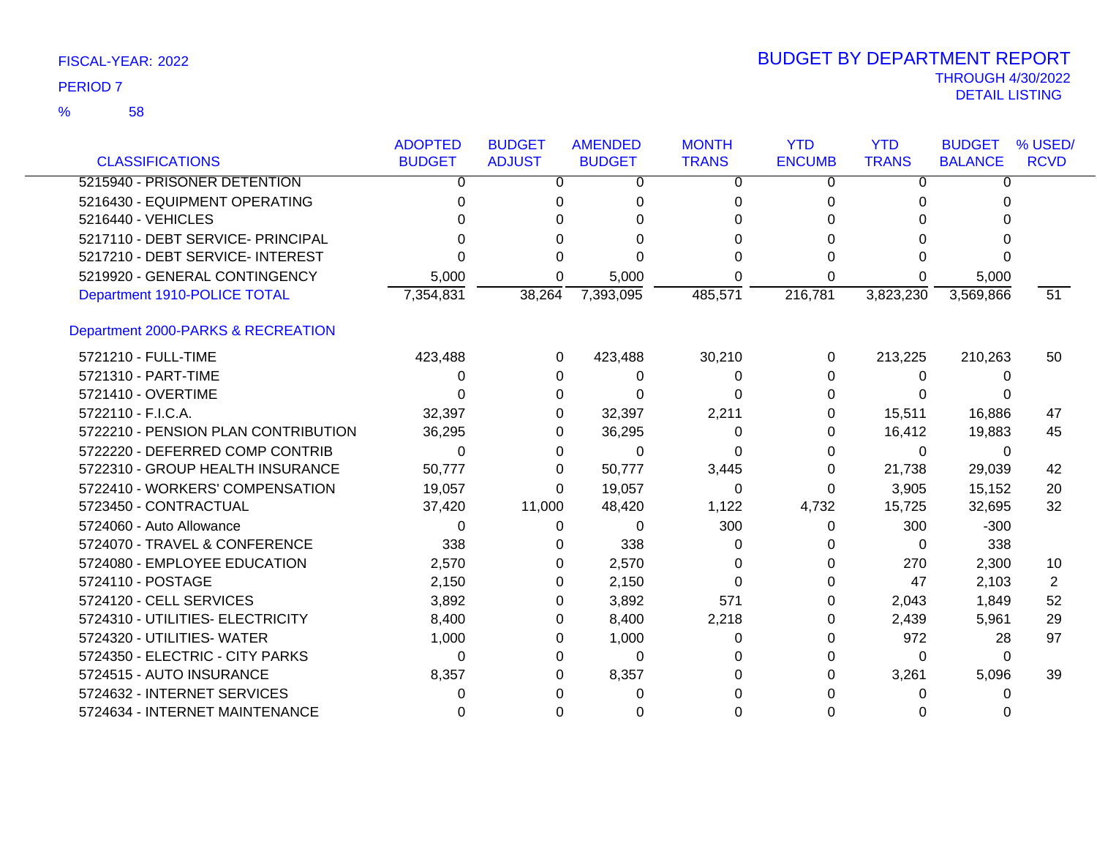|                                     | <b>ADOPTED</b> | <b>BUDGET</b> | <b>AMENDED</b> | <b>MONTH</b> | <b>YTD</b>    | <b>YTD</b>   | <b>BUDGET</b>  | % USED/     |
|-------------------------------------|----------------|---------------|----------------|--------------|---------------|--------------|----------------|-------------|
| <b>CLASSIFICATIONS</b>              | <b>BUDGET</b>  | <b>ADJUST</b> | <b>BUDGET</b>  | <b>TRANS</b> | <b>ENCUMB</b> | <b>TRANS</b> | <b>BALANCE</b> | <b>RCVD</b> |
| 5215940 - PRISONER DETENTION        | 0              | 0             | 0              | $\Omega$     | 0             | 0            | 0              |             |
| 5216430 - EQUIPMENT OPERATING       | 0              | 0             | 0              | 0            | 0             | 0            | 0              |             |
| 5216440 - VEHICLES                  |                | 0             |                | 0            |               |              |                |             |
| 5217110 - DEBT SERVICE- PRINCIPAL   |                | 0             | O              | 0            |               |              |                |             |
| 5217210 - DEBT SERVICE- INTEREST    |                | 0             | $\Omega$       | U            |               |              |                |             |
| 5219920 - GENERAL CONTINGENCY       | 5,000          | 0             | 5,000          | 0            | 0             |              | 5,000          |             |
| Department 1910-POLICE TOTAL        | 7,354,831      | 38,264        | 7,393,095      | 485,571      | 216,781       | 3,823,230    | 3,569,866      | 51          |
| Department 2000-PARKS & RECREATION  |                |               |                |              |               |              |                |             |
| 5721210 - FULL-TIME                 | 423,488        | 0             | 423,488        | 30,210       | 0             | 213,225      | 210,263        | 50          |
| 5721310 - PART-TIME                 | 0              | 0             | $\Omega$       | 0            | 0             | 0            | 0              |             |
| 5721410 - OVERTIME                  | U              | 0             | $\Omega$       | 0            | 0             | 0            |                |             |
| 5722110 - F.I.C.A.                  | 32,397         | 0             | 32,397         | 2,211        | 0             | 15,511       | 16,886         | 47          |
| 5722210 - PENSION PLAN CONTRIBUTION | 36,295         | 0             | 36,295         | 0            | 0             | 16,412       | 19,883         | 45          |
| 5722220 - DEFERRED COMP CONTRIB     | 0              | 0             | $\Omega$       | 0            | 0             | 0            | 0              |             |
| 5722310 - GROUP HEALTH INSURANCE    | 50,777         | 0             | 50,777         | 3,445        | 0             | 21,738       | 29,039         | 42          |
| 5722410 - WORKERS' COMPENSATION     | 19,057         | $\Omega$      | 19,057         | $\Omega$     | 0             | 3,905        | 15,152         | 20          |
| 5723450 - CONTRACTUAL               | 37,420         | 11,000        | 48,420         | 1,122        | 4,732         | 15,725       | 32,695         | 32          |
| 5724060 - Auto Allowance            | 0              | 0             | 0              | 300          | 0             | 300          | $-300$         |             |
| 5724070 - TRAVEL & CONFERENCE       | 338            | 0             | 338            | 0            | 0             | 0            | 338            |             |
| 5724080 - EMPLOYEE EDUCATION        | 2,570          | $\Omega$      | 2,570          | 0            | 0             | 270          | 2,300          | 10          |
| 5724110 - POSTAGE                   | 2,150          | 0             | 2,150          | 0            | 0             | 47           | 2,103          | 2           |
| 5724120 - CELL SERVICES             | 3,892          | 0             | 3,892          | 571          | 0             | 2,043        | 1,849          | 52          |
| 5724310 - UTILITIES- ELECTRICITY    | 8,400          | 0             | 8,400          | 2,218        | 0             | 2,439        | 5,961          | 29          |
| 5724320 - UTILITIES- WATER          | 1,000          | 0             | 1,000          | 0            | 0             | 972          | 28             | 97          |
| 5724350 - ELECTRIC - CITY PARKS     | $\Omega$       | 0             | $\Omega$       | 0            | 0             | 0            | 0              |             |
| 5724515 - AUTO INSURANCE            | 8,357          | 0             | 8,357          | 0            | 0             | 3,261        | 5,096          | 39          |
| 5724632 - INTERNET SERVICES         | U              | <sup>0</sup>  | O              |              |               | O            | 0              |             |
| 5724634 - INTERNET MAINTENANCE      | 0              | 0             | 0              | 0            |               |              |                |             |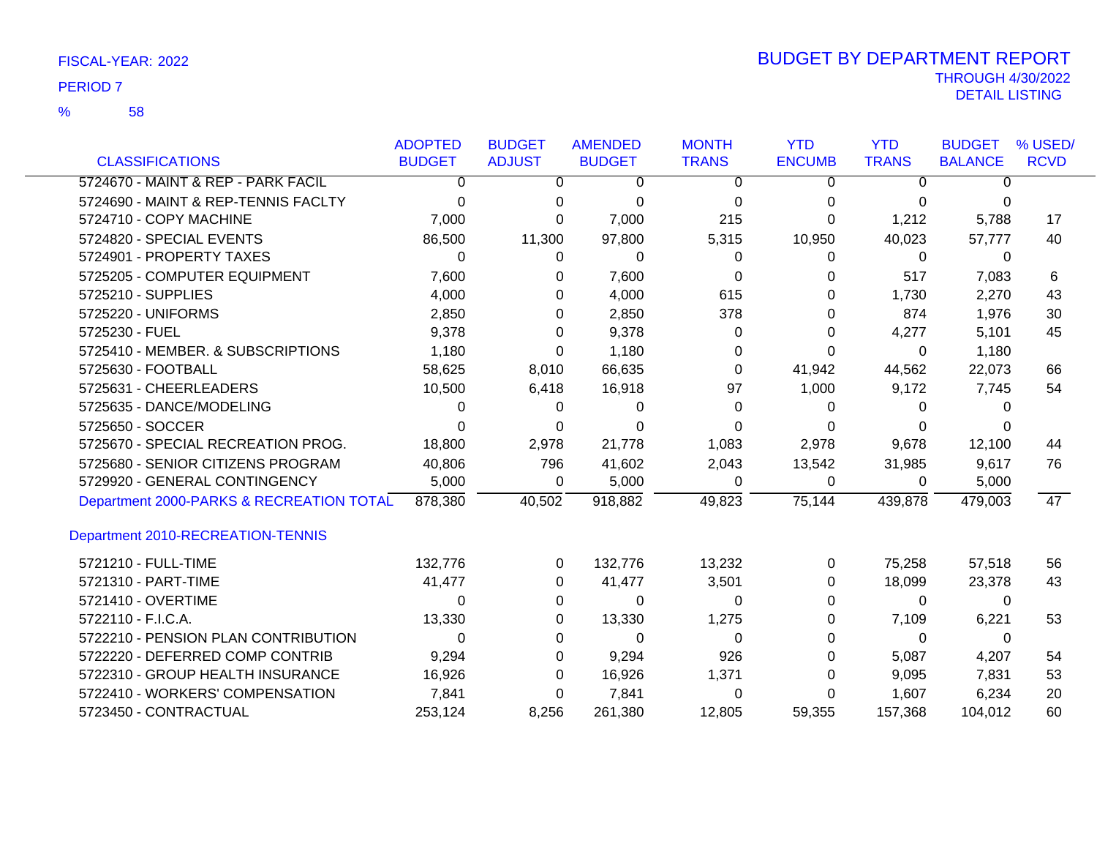58 %

|                                          | <b>ADOPTED</b> | <b>BUDGET</b> | <b>AMENDED</b> | <b>MONTH</b> | <b>YTD</b>    | <b>YTD</b>   | <b>BUDGET</b>  | % USED/         |
|------------------------------------------|----------------|---------------|----------------|--------------|---------------|--------------|----------------|-----------------|
| <b>CLASSIFICATIONS</b>                   | <b>BUDGET</b>  | <b>ADJUST</b> | <b>BUDGET</b>  | <b>TRANS</b> | <b>ENCUMB</b> | <b>TRANS</b> | <b>BALANCE</b> | <b>RCVD</b>     |
| 5724670 - MAINT & REP - PARK FACIL       | 0              | 0             | 0              | 0            | 0             | 0            | 0              |                 |
| 5724690 - MAINT & REP-TENNIS FACLTY      | 0              | 0             | 0              | 0            | 0             | $\Omega$     | 0              |                 |
| 5724710 - COPY MACHINE                   | 7,000          | 0             | 7,000          | 215          | 0             | 1,212        | 5,788          | 17              |
| 5724820 - SPECIAL EVENTS                 | 86,500         | 11,300        | 97,800         | 5,315        | 10,950        | 40,023       | 57,777         | 40              |
| 5724901 - PROPERTY TAXES                 | $\Omega$       | 0             | $\Omega$       | 0            | 0             | $\Omega$     | 0              |                 |
| 5725205 - COMPUTER EQUIPMENT             | 7,600          | 0             | 7,600          | 0            | 0             | 517          | 7,083          | 6               |
| 5725210 - SUPPLIES                       | 4,000          | 0             | 4,000          | 615          | 0             | 1,730        | 2,270          | 43              |
| 5725220 - UNIFORMS                       | 2,850          | 0             | 2,850          | 378          | 0             | 874          | 1,976          | 30              |
| 5725230 - FUEL                           | 9,378          | 0             | 9,378          | 0            | 0             | 4,277        | 5,101          | 45              |
| 5725410 - MEMBER. & SUBSCRIPTIONS        | 1,180          | 0             | 1,180          | 0            | 0             | 0            | 1,180          |                 |
| 5725630 - FOOTBALL                       | 58,625         | 8,010         | 66,635         | 0            | 41,942        | 44,562       | 22,073         | 66              |
| 5725631 - CHEERLEADERS                   | 10,500         | 6,418         | 16,918         | 97           | 1,000         | 9,172        | 7,745          | 54              |
| 5725635 - DANCE/MODELING                 | 0              | 0             | 0              | 0            | 0             | 0            | $\Omega$       |                 |
| 5725650 - SOCCER                         | 0              | 0             | 0              | 0            | 0             | 0            | $\Omega$       |                 |
| 5725670 - SPECIAL RECREATION PROG.       | 18,800         | 2,978         | 21,778         | 1,083        | 2,978         | 9,678        | 12,100         | 44              |
| 5725680 - SENIOR CITIZENS PROGRAM        | 40,806         | 796           | 41,602         | 2,043        | 13,542        | 31,985       | 9,617          | 76              |
| 5729920 - GENERAL CONTINGENCY            | 5,000          | 0             | 5,000          | $\Omega$     | 0             | 0            | 5,000          |                 |
| Department 2000-PARKS & RECREATION TOTAL | 878,380        | 40,502        | 918,882        | 49,823       | 75,144        | 439,878      | 479,003        | $\overline{47}$ |
| Department 2010-RECREATION-TENNIS        |                |               |                |              |               |              |                |                 |
| 5721210 - FULL-TIME                      | 132,776        | 0             | 132,776        | 13,232       | 0             | 75,258       | 57,518         | 56              |
| 5721310 - PART-TIME                      | 41,477         | 0             | 41,477         | 3,501        | 0             | 18,099       | 23,378         | 43              |
| 5721410 - OVERTIME                       | 0              | 0             | 0              | 0            | 0             | $\Omega$     | $\Omega$       |                 |
| 5722110 - F.I.C.A.                       | 13,330         | 0             | 13,330         | 1,275        | 0             | 7,109        | 6,221          | 53              |
| 5722210 - PENSION PLAN CONTRIBUTION      | 0              | 0             | $\Omega$       | $\Omega$     | 0             | 0            | 0              |                 |
| 5722220 - DEFERRED COMP CONTRIB          | 9,294          | 0             | 9,294          | 926          | 0             | 5,087        | 4,207          | 54              |
| 5722310 - GROUP HEALTH INSURANCE         | 16,926         | 0             | 16,926         | 1,371        | 0             | 9,095        | 7,831          | 53              |
| 5722410 - WORKERS' COMPENSATION          | 7,841          | 0             | 7,841          | 0            | 0             | 1,607        | 6,234          | 20              |
| 5723450 - CONTRACTUAL                    | 253,124        | 8,256         | 261,380        | 12,805       | 59,355        | 157,368      | 104,012        | 60              |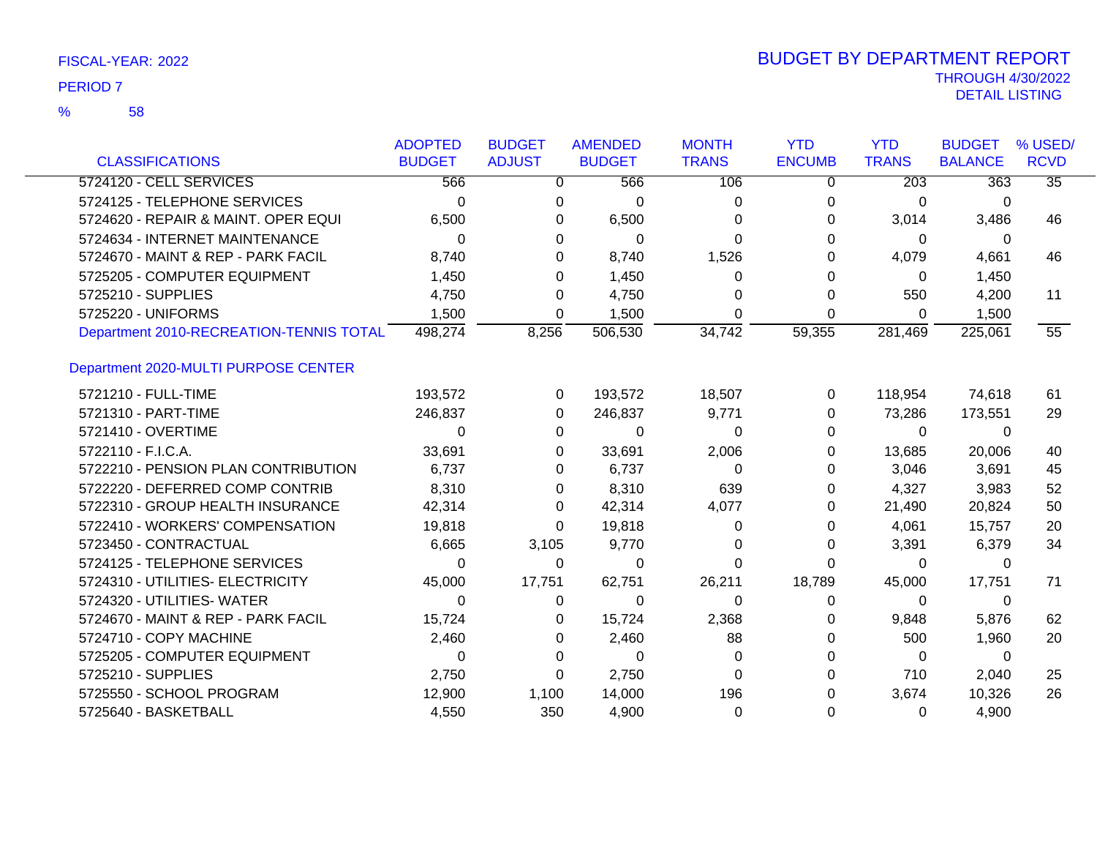|                                         | <b>ADOPTED</b> | <b>BUDGET</b> | <b>AMENDED</b> | <b>MONTH</b> | <b>YTD</b>    | <b>YTD</b>   | <b>BUDGET</b>    | % USED/         |
|-----------------------------------------|----------------|---------------|----------------|--------------|---------------|--------------|------------------|-----------------|
| <b>CLASSIFICATIONS</b>                  | <b>BUDGET</b>  | <b>ADJUST</b> | <b>BUDGET</b>  | <b>TRANS</b> | <b>ENCUMB</b> | <b>TRANS</b> | <b>BALANCE</b>   | <b>RCVD</b>     |
| 5724120 - CELL SERVICES                 | 566            | $\Omega$      | 566            | 106          | 0             | 203          | $\overline{363}$ | $\overline{35}$ |
| 5724125 - TELEPHONE SERVICES            | 0              | 0             | 0              | 0            | 0             | 0            | 0                |                 |
| 5724620 - REPAIR & MAINT. OPER EQUI     | 6,500          | 0             | 6,500          | 0            | 0             | 3,014        | 3,486            | 46              |
| 5724634 - INTERNET MAINTENANCE          | $\Omega$       | 0             | 0              | <sup>0</sup> | O             | 0            | $\Omega$         |                 |
| 5724670 - MAINT & REP - PARK FACIL      | 8,740          | 0             | 8,740          | 1,526        | 0             | 4,079        | 4,661            | 46              |
| 5725205 - COMPUTER EQUIPMENT            | 1,450          | 0             | 1,450          | 0            | 0             | 0            | 1,450            |                 |
| 5725210 - SUPPLIES                      | 4,750          | 0             | 4,750          | 0            | 0             | 550          | 4,200            | 11              |
| 5725220 - UNIFORMS                      | 1,500          | 0             | 1,500          | 0            | 0             | $\mathbf 0$  | 1,500            |                 |
| Department 2010-RECREATION-TENNIS TOTAL | 498,274        | 8,256         | 506,530        | 34,742       | 59,355        | 281,469      | 225,061          | 55              |
| Department 2020-MULTI PURPOSE CENTER    |                |               |                |              |               |              |                  |                 |
| 5721210 - FULL-TIME                     | 193,572        | $\Omega$      | 193,572        | 18,507       | 0             | 118,954      | 74,618           | 61              |
| 5721310 - PART-TIME                     | 246,837        | 0             | 246,837        | 9,771        | 0             | 73,286       | 173,551          | 29              |
| 5721410 - OVERTIME                      | 0              | 0             | 0              | 0            | 0             | 0            | $\Omega$         |                 |
| 5722110 - F.I.C.A.                      | 33,691         | 0             | 33,691         | 2,006        | 0             | 13,685       | 20,006           | 40              |
| 5722210 - PENSION PLAN CONTRIBUTION     | 6,737          | 0             | 6,737          | $\Omega$     | 0             | 3,046        | 3,691            | 45              |
| 5722220 - DEFERRED COMP CONTRIB         | 8,310          | 0             | 8,310          | 639          | 0             | 4,327        | 3,983            | 52              |
| 5722310 - GROUP HEALTH INSURANCE        | 42,314         | 0             | 42,314         | 4,077        | 0             | 21,490       | 20,824           | 50              |
| 5722410 - WORKERS' COMPENSATION         | 19,818         | $\Omega$      | 19,818         | 0            | 0             | 4,061        | 15,757           | 20              |
| 5723450 - CONTRACTUAL                   | 6,665          | 3,105         | 9,770          | 0            | 0             | 3,391        | 6,379            | 34              |
| 5724125 - TELEPHONE SERVICES            | 0              | 0             | $\Omega$       | 0            | 0             | $\mathbf 0$  | 0                |                 |
| 5724310 - UTILITIES- ELECTRICITY        | 45,000         | 17,751        | 62,751         | 26,211       | 18,789        | 45,000       | 17,751           | 71              |
| 5724320 - UTILITIES- WATER              | $\Omega$       | 0             | 0              | 0            | 0             | $\mathbf 0$  | 0                |                 |
| 5724670 - MAINT & REP - PARK FACIL      | 15,724         | 0             | 15,724         | 2,368        | 0             | 9,848        | 5,876            | 62              |
| 5724710 - COPY MACHINE                  | 2,460          | 0             | 2,460          | 88           | O             | 500          | 1,960            | 20              |
| 5725205 - COMPUTER EQUIPMENT            | 0              | 0             | $\Omega$       | 0            | O             | $\mathbf 0$  | 0                |                 |
| 5725210 - SUPPLIES                      | 2,750          | 0             | 2,750          | $\Omega$     | 0             | 710          | 2,040            | 25              |
| 5725550 - SCHOOL PROGRAM                | 12,900         | 1,100         | 14,000         | 196          | O             | 3,674        | 10,326           | 26              |
| 5725640 - BASKETBALL                    | 4,550          | 350           | 4,900          | 0            | 0             | 0            | 4,900            |                 |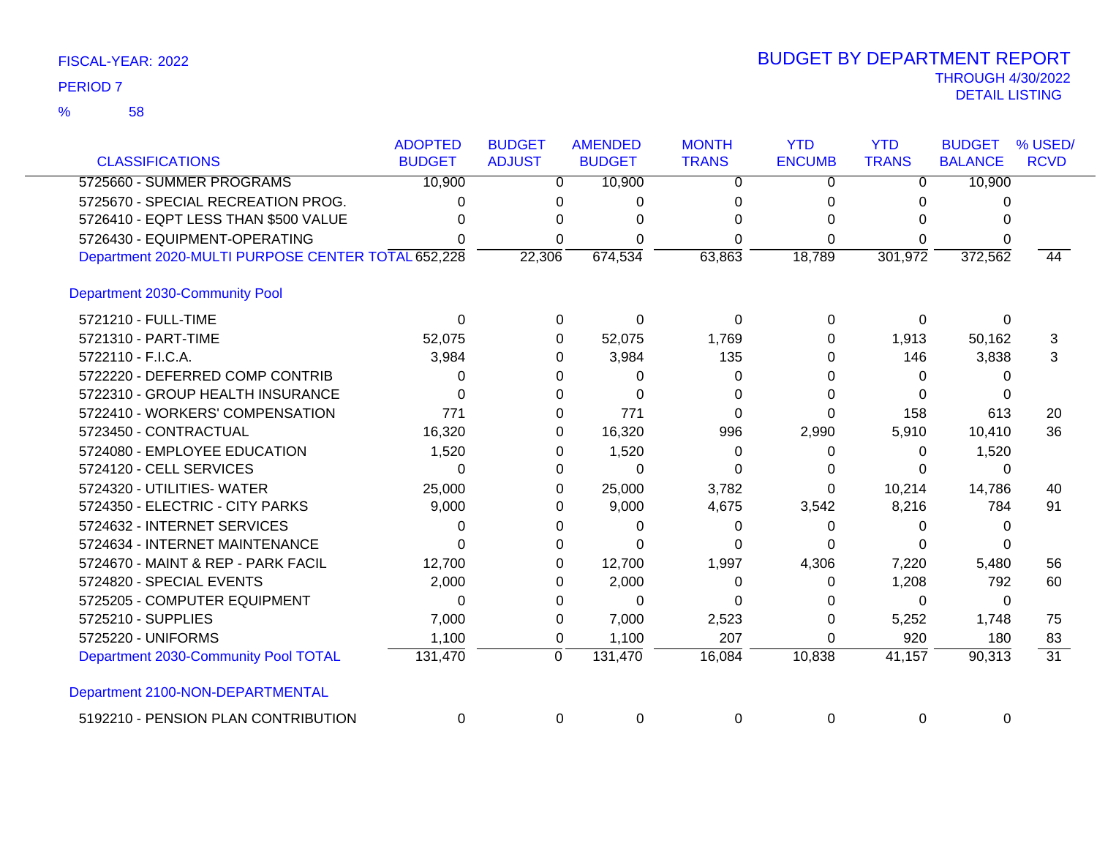| <b>CLASSIFICATIONS</b>                             | <b>ADOPTED</b><br><b>BUDGET</b> | <b>BUDGET</b><br><b>ADJUST</b> | <b>AMENDED</b><br><b>BUDGET</b> | <b>MONTH</b><br><b>TRANS</b> | <b>YTD</b><br><b>ENCUMB</b> | <b>YTD</b><br><b>TRANS</b> | <b>BUDGET</b><br><b>BALANCE</b> | % USED/<br><b>RCVD</b> |
|----------------------------------------------------|---------------------------------|--------------------------------|---------------------------------|------------------------------|-----------------------------|----------------------------|---------------------------------|------------------------|
| 5725660 - SUMMER PROGRAMS                          | 10,900                          | $\overline{0}$                 | 10,900                          | $\Omega$                     | $\Omega$                    | 0                          | 10,900                          |                        |
| 5725670 - SPECIAL RECREATION PROG.                 | ი                               | 0                              | 0                               | 0                            | 0                           |                            | 0                               |                        |
| 5726410 - EQPT LESS THAN \$500 VALUE               |                                 | 0                              | ∩                               | 0                            | O                           | 0                          |                                 |                        |
| 5726430 - EQUIPMENT-OPERATING                      |                                 | 0                              | 0                               | 0                            | 0                           | 0                          |                                 |                        |
| Department 2020-MULTI PURPOSE CENTER TOTAL 652,228 |                                 | 22,306                         | 674,534                         | 63,863                       | 18,789                      | 301,972                    | 372,562                         | $\overline{44}$        |
| Department 2030-Community Pool                     |                                 |                                |                                 |                              |                             |                            |                                 |                        |
| 5721210 - FULL-TIME                                | $\Omega$                        | $\Omega$                       | $\Omega$                        | $\Omega$                     | 0                           | $\Omega$                   | $\Omega$                        |                        |
| 5721310 - PART-TIME                                | 52,075                          | $\Omega$                       | 52,075                          | 1,769                        | 0                           | 1,913                      | 50,162                          | 3                      |
| 5722110 - F.I.C.A.                                 | 3,984                           | 0                              | 3,984                           | 135                          | 0                           | 146                        | 3,838                           | 3                      |
| 5722220 - DEFERRED COMP CONTRIB                    | 0                               | 0                              | 0                               | 0                            | 0                           | 0                          | 0                               |                        |
| 5722310 - GROUP HEALTH INSURANCE                   | 0                               | $\Omega$                       | $\Omega$                        | $\Omega$                     | 0                           | 0                          | 0                               |                        |
| 5722410 - WORKERS' COMPENSATION                    | 771                             | $\Omega$                       | 771                             | $\Omega$                     | 0                           | 158                        | 613                             | 20                     |
| 5723450 - CONTRACTUAL                              | 16,320                          | 0                              | 16,320                          | 996                          | 2,990                       | 5,910                      | 10,410                          | 36                     |
| 5724080 - EMPLOYEE EDUCATION                       | 1,520                           | $\Omega$                       | 1,520                           | $\Omega$                     | 0                           | 0                          | 1,520                           |                        |
| 5724120 - CELL SERVICES                            | $\Omega$                        | $\Omega$                       | 0                               | 0                            | 0                           | 0                          | 0                               |                        |
| 5724320 - UTILITIES- WATER                         | 25,000                          | $\Omega$                       | 25,000                          | 3,782                        | 0                           | 10,214                     | 14,786                          | 40                     |
| 5724350 - ELECTRIC - CITY PARKS                    | 9,000                           | $\Omega$                       | 9,000                           | 4,675                        | 3,542                       | 8,216                      | 784                             | 91                     |
| 5724632 - INTERNET SERVICES                        | 0                               | 0                              | 0                               | 0                            | 0                           | 0                          | 0                               |                        |
| 5724634 - INTERNET MAINTENANCE                     | 0                               | 0                              | 0                               | 0                            | $\Omega$                    | 0                          |                                 |                        |
| 5724670 - MAINT & REP - PARK FACIL                 | 12,700                          | 0                              | 12,700                          | 1,997                        | 4,306                       | 7,220                      | 5,480                           | 56                     |
| 5724820 - SPECIAL EVENTS                           | 2,000                           | $\Omega$                       | 2,000                           | 0                            | 0                           | 1,208                      | 792                             | 60                     |
| 5725205 - COMPUTER EQUIPMENT                       | $\Omega$                        | $\Omega$                       | $\Omega$                        | 0                            | 0                           | 0                          | 0                               |                        |
| 5725210 - SUPPLIES                                 | 7,000                           | 0                              | 7,000                           | 2,523                        | 0                           | 5,252                      | 1,748                           | 75                     |
| 5725220 - UNIFORMS                                 | 1,100                           | $\mathbf 0$                    | 1,100                           | 207                          | 0                           | 920                        | 180                             | 83                     |
| Department 2030-Community Pool TOTAL               | 131,470                         | 0                              | 131,470                         | 16,084                       | 10,838                      | 41,157                     | 90,313                          | $\overline{31}$        |
| Department 2100-NON-DEPARTMENTAL                   |                                 |                                |                                 |                              |                             |                            |                                 |                        |
| 5192210 - PENSION PLAN CONTRIBUTION                | 0                               | 0                              | 0                               | $\Omega$                     | 0                           | 0                          | 0                               |                        |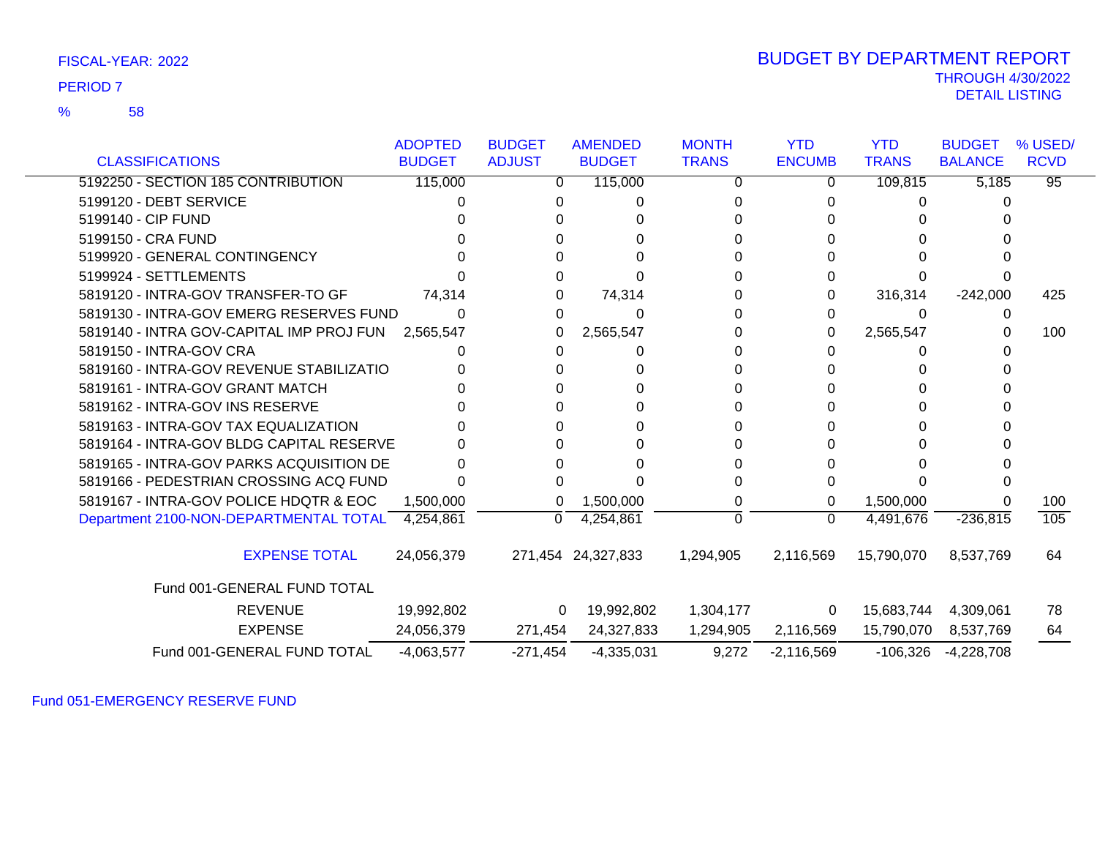58 %

| <b>CLASSIFICATIONS</b>                   | <b>ADOPTED</b><br><b>BUDGET</b> | <b>BUDGET</b><br><b>ADJUST</b> | <b>AMENDED</b><br><b>BUDGET</b> | <b>MONTH</b><br><b>TRANS</b> | <b>YTD</b><br><b>ENCUMB</b> | <b>YTD</b><br><b>TRANS</b> | <b>BUDGET</b><br><b>BALANCE</b> | % USED/<br><b>RCVD</b> |
|------------------------------------------|---------------------------------|--------------------------------|---------------------------------|------------------------------|-----------------------------|----------------------------|---------------------------------|------------------------|
| 5192250 - SECTION 185 CONTRIBUTION       | 115,000                         | 0                              | 115,000                         | 0                            | 0                           | 109,815                    | 5,185                           | $\overline{95}$        |
| 5199120 - DEBT SERVICE                   |                                 |                                |                                 |                              |                             |                            |                                 |                        |
| 5199140 - CIP FUND                       |                                 |                                |                                 |                              |                             |                            |                                 |                        |
| 5199150 - CRA FUND                       |                                 |                                |                                 |                              |                             |                            |                                 |                        |
| 5199920 - GENERAL CONTINGENCY            |                                 |                                |                                 |                              |                             |                            |                                 |                        |
| 5199924 - SETTLEMENTS                    |                                 |                                |                                 |                              |                             |                            |                                 |                        |
| 5819120 - INTRA-GOV TRANSFER-TO GF       | 74,314                          | 0                              | 74,314                          |                              | 0                           | 316,314                    | $-242,000$                      | 425                    |
| 5819130 - INTRA-GOV EMERG RESERVES FUND  |                                 | 0                              | 0                               |                              | 0                           |                            |                                 |                        |
| 5819140 - INTRA GOV-CAPITAL IMP PROJ FUN | 2,565,547                       | 0                              | 2,565,547                       |                              | 0                           | 2,565,547                  |                                 | 100                    |
| 5819150 - INTRA-GOV CRA                  |                                 |                                | 0                               |                              |                             |                            |                                 |                        |
| 5819160 - INTRA-GOV REVENUE STABILIZATIO |                                 |                                |                                 |                              |                             |                            |                                 |                        |
| 5819161 - INTRA-GOV GRANT MATCH          |                                 |                                |                                 |                              |                             |                            |                                 |                        |
| 5819162 - INTRA-GOV INS RESERVE          |                                 |                                |                                 |                              |                             |                            |                                 |                        |
| 5819163 - INTRA-GOV TAX EQUALIZATION     |                                 |                                | U                               | 0                            | 0                           |                            |                                 |                        |
| 5819164 - INTRA-GOV BLDG CAPITAL RESERVE |                                 |                                |                                 |                              |                             |                            |                                 |                        |
| 5819165 - INTRA-GOV PARKS ACQUISITION DE |                                 |                                |                                 |                              |                             |                            |                                 |                        |
| 5819166 - PEDESTRIAN CROSSING ACQ FUND   |                                 |                                |                                 |                              | $\Omega$                    |                            |                                 |                        |
| 5819167 - INTRA-GOV POLICE HDQTR & EOC   | 1,500,000                       | 0                              | 1,500,000                       |                              | 0                           | 1,500,000                  |                                 | 100                    |
| Department 2100-NON-DEPARTMENTAL TOTAL   | 4,254,861                       | $\Omega$                       | 4,254,861                       | $\Omega$                     | $\Omega$                    | 4,491,676                  | $-236,815$                      | 105                    |
| <b>EXPENSE TOTAL</b>                     | 24,056,379                      |                                | 271,454 24,327,833              | 1,294,905                    | 2,116,569                   | 15,790,070                 | 8,537,769                       | 64                     |
| Fund 001-GENERAL FUND TOTAL              |                                 |                                |                                 |                              |                             |                            |                                 |                        |
| <b>REVENUE</b>                           | 19,992,802                      | $\overline{0}$                 | 19,992,802                      | 1,304,177                    | $\overline{0}$              | 15,683,744                 | 4,309,061                       | 78                     |
| <b>EXPENSE</b>                           | 24,056,379                      | 271,454                        | 24,327,833                      | 1,294,905                    | 2,116,569                   | 15,790,070                 | 8,537,769                       | 64                     |
| Fund 001-GENERAL FUND TOTAL              | $-4,063,577$                    | $-271,454$                     | $-4,335,031$                    | 9,272                        | $-2,116,569$                | $-106,326$                 | $-4,228,708$                    |                        |

Fund 051-EMERGENCY RESERVE FUND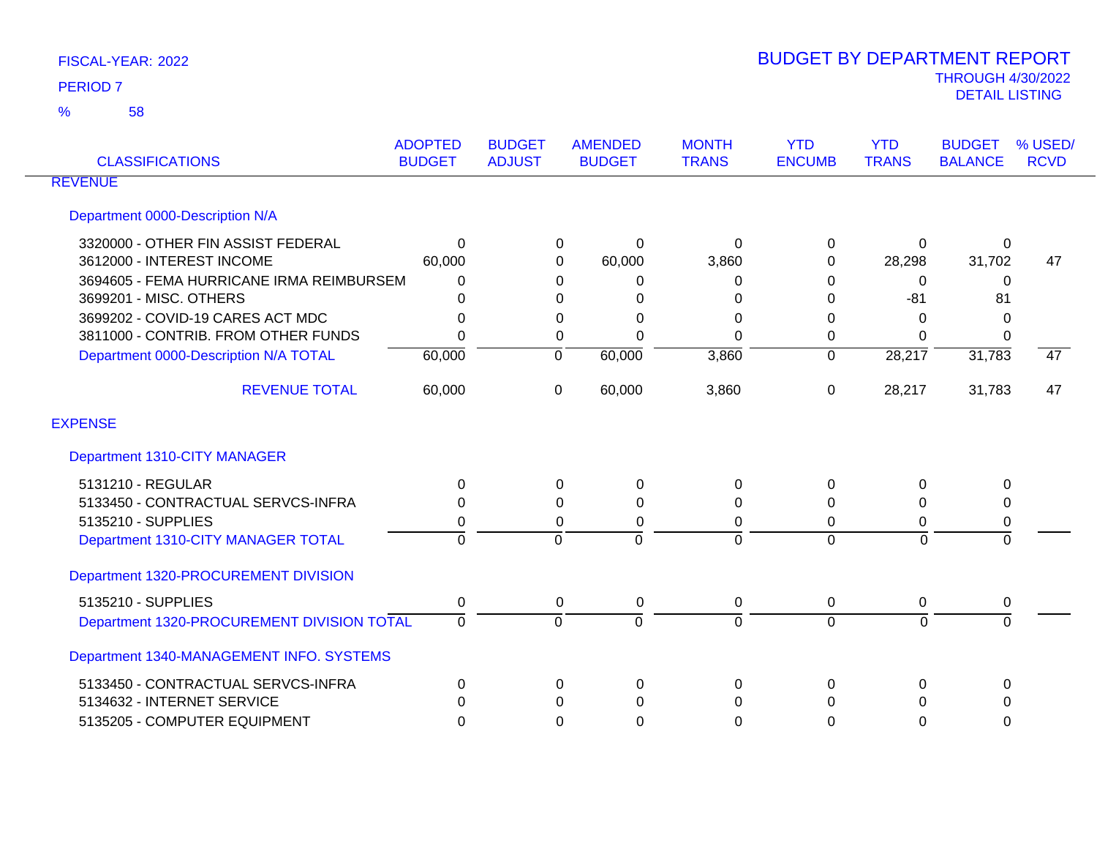| <b>CLASSIFICATIONS</b>                     | <b>ADOPTED</b><br><b>BUDGET</b> | <b>BUDGET</b><br><b>ADJUST</b> | <b>AMENDED</b><br><b>BUDGET</b> | <b>MONTH</b><br><b>TRANS</b> | <b>YTD</b><br><b>ENCUMB</b> | <b>YTD</b><br><b>TRANS</b> | <b>BUDGET</b><br><b>BALANCE</b> | % USED/<br><b>RCVD</b> |
|--------------------------------------------|---------------------------------|--------------------------------|---------------------------------|------------------------------|-----------------------------|----------------------------|---------------------------------|------------------------|
| <b>REVENUE</b>                             |                                 |                                |                                 |                              |                             |                            |                                 |                        |
| Department 0000-Description N/A            |                                 |                                |                                 |                              |                             |                            |                                 |                        |
| 3320000 - OTHER FIN ASSIST FEDERAL         | $\Omega$                        |                                | $\Omega$<br>0                   | 0                            | 0                           | 0                          | 0                               |                        |
| 3612000 - INTEREST INCOME                  | 60,000                          |                                | 60,000<br>0                     | 3,860                        | $\Omega$                    | 28,298                     | 31,702                          | 47                     |
| 3694605 - FEMA HURRICANE IRMA REIMBURSEM   | $\Omega$                        |                                | 0<br>0                          | 0                            | 0                           | 0                          | 0                               |                        |
| 3699201 - MISC. OTHERS                     | 0                               |                                | 0<br>0                          | 0                            | 0                           | $-81$                      | 81                              |                        |
| 3699202 - COVID-19 CARES ACT MDC           | $\Omega$                        |                                | 0<br>0                          | $\Omega$                     | $\Omega$                    | $\Omega$                   | 0                               |                        |
| 3811000 - CONTRIB. FROM OTHER FUNDS        | $\Omega$                        |                                | 0<br>$\Omega$                   | $\Omega$                     | 0                           | $\Omega$                   | 0                               |                        |
| Department 0000-Description N/A TOTAL      | 60,000                          |                                | 60,000<br>$\overline{0}$        | 3,860                        | $\overline{0}$              | 28,217                     | 31,783                          | $\overline{47}$        |
| <b>REVENUE TOTAL</b>                       | 60,000                          |                                | 60,000<br>0                     | 3,860                        | 0                           | 28,217                     | 31,783                          | 47                     |
| <b>EXPENSE</b>                             |                                 |                                |                                 |                              |                             |                            |                                 |                        |
| Department 1310-CITY MANAGER               |                                 |                                |                                 |                              |                             |                            |                                 |                        |
| 5131210 - REGULAR                          | 0                               |                                | $\Omega$<br>0                   | 0                            | $\Omega$                    | 0                          | 0                               |                        |
| 5133450 - CONTRACTUAL SERVCS-INFRA         | 0                               |                                | $\Omega$<br>$\Omega$            | 0                            | $\Omega$                    | $\Omega$                   | 0                               |                        |
| 5135210 - SUPPLIES                         | 0                               |                                | 0<br>0                          | $\mathbf 0$                  | 0                           | 0                          | 0                               |                        |
| Department 1310-CITY MANAGER TOTAL         | $\Omega$                        |                                | $\Omega$<br>$\Omega$            | $\mathbf 0$                  | $\Omega$                    | $\mathbf 0$                | $\Omega$                        |                        |
| Department 1320-PROCUREMENT DIVISION       |                                 |                                |                                 |                              |                             |                            |                                 |                        |
| 5135210 - SUPPLIES                         | 0                               |                                | 0<br>0                          | 0                            | $\mathbf 0$                 | 0                          | 0                               |                        |
| Department 1320-PROCUREMENT DIVISION TOTAL | $\Omega$                        |                                | $\Omega$<br>$\Omega$            | $\overline{0}$               | $\overline{0}$              | $\Omega$                   | $\Omega$                        |                        |
| Department 1340-MANAGEMENT INFO. SYSTEMS   |                                 |                                |                                 |                              |                             |                            |                                 |                        |
| 5133450 - CONTRACTUAL SERVCS-INFRA         | 0                               |                                | 0<br>0                          | 0                            | $\Omega$                    | 0                          | 0                               |                        |
| 5134632 - INTERNET SERVICE                 | 0                               |                                | $\Omega$<br>0                   | $\Omega$                     | 0                           | 0                          | 0                               |                        |
| 5135205 - COMPUTER EQUIPMENT               | 0                               |                                | $\Omega$<br>0                   | 0                            | 0                           | $\mathbf{0}$               | 0                               |                        |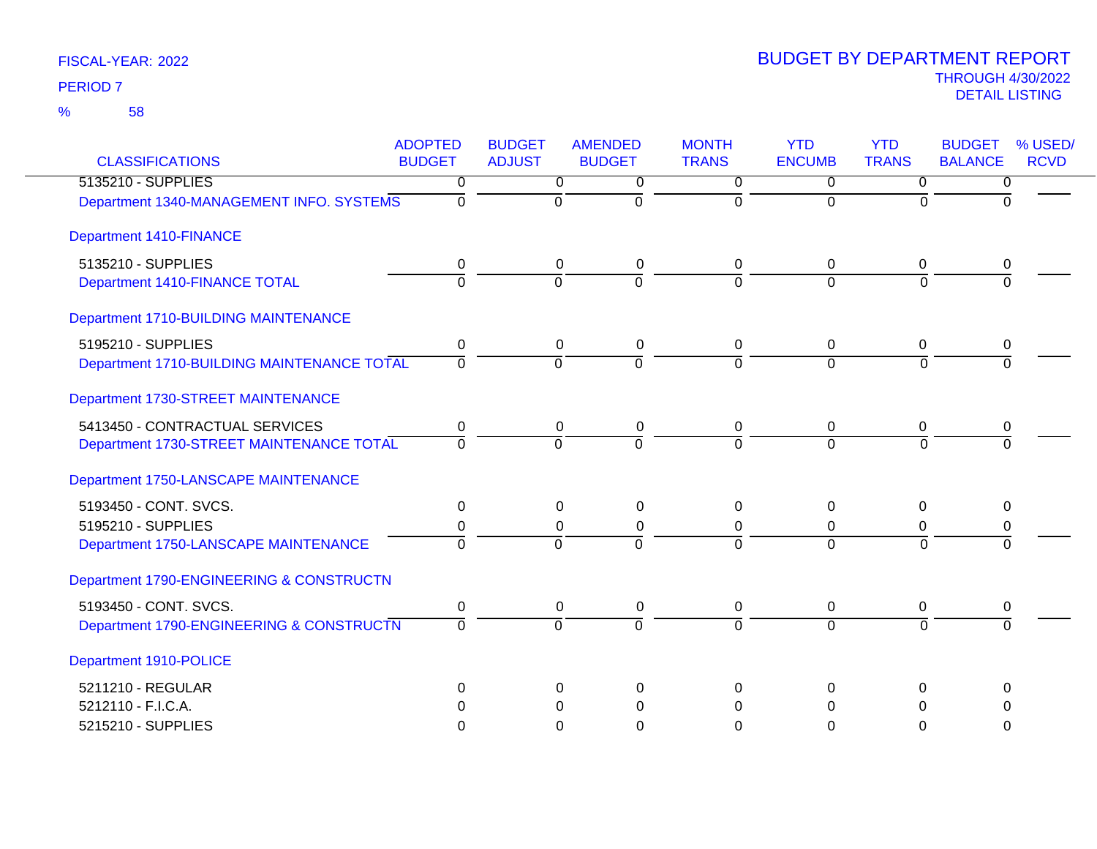| <b>CLASSIFICATIONS</b>                     | <b>ADOPTED</b><br><b>BUDGET</b> | <b>BUDGET</b><br><b>ADJUST</b> | <b>AMENDED</b><br><b>BUDGET</b> | <b>MONTH</b><br><b>TRANS</b> | <b>YTD</b><br><b>ENCUMB</b> | <b>YTD</b><br><b>TRANS</b> | <b>BUDGET</b><br>% USED/<br><b>BALANCE</b><br><b>RCVD</b> |
|--------------------------------------------|---------------------------------|--------------------------------|---------------------------------|------------------------------|-----------------------------|----------------------------|-----------------------------------------------------------|
| 5135210 - SUPPLIES                         | $\Omega$                        | 0                              | 0                               | $\overline{0}$               | $\overline{0}$              | $\overline{0}$             | 0                                                         |
| Department 1340-MANAGEMENT INFO. SYSTEMS   | $\Omega$                        | $\overline{0}$                 | $\overline{0}$                  | $\Omega$                     | $\Omega$                    | $\Omega$                   | $\Omega$                                                  |
| <b>Department 1410-FINANCE</b>             |                                 |                                |                                 |                              |                             |                            |                                                           |
| 5135210 - SUPPLIES                         | 0                               | 0                              | 0                               | 0                            | 0                           | 0                          | 0                                                         |
| Department 1410-FINANCE TOTAL              | $\overline{0}$                  | $\Omega$                       | $\Omega$                        | $\Omega$                     | $\Omega$                    | $\Omega$                   | $\Omega$                                                  |
| Department 1710-BUILDING MAINTENANCE       |                                 |                                |                                 |                              |                             |                            |                                                           |
| 5195210 - SUPPLIES                         | 0                               | 0                              | 0                               | 0                            | 0                           | 0                          | 0                                                         |
| Department 1710-BUILDING MAINTENANCE TOTAL | $\Omega$                        | $\Omega$                       | $\Omega$                        | 0                            | $\Omega$                    | $\Omega$                   |                                                           |
| Department 1730-STREET MAINTENANCE         |                                 |                                |                                 |                              |                             |                            |                                                           |
| 5413450 - CONTRACTUAL SERVICES             | $\mathbf 0$                     | 0                              | $\mathbf 0$                     | 0                            | $\mathbf 0$                 | 0                          | 0                                                         |
| Department 1730-STREET MAINTENANCE TOTAL   | $\Omega$                        | $\Omega$                       | $\overline{0}$                  | 0                            | $\Omega$                    | $\Omega$                   | $\Omega$                                                  |
| Department 1750-LANSCAPE MAINTENANCE       |                                 |                                |                                 |                              |                             |                            |                                                           |
| 5193450 - CONT. SVCS.                      | $\pmb{0}$                       | 0                              | $\mathbf 0$                     | 0                            | $\mathbf{0}$                | $\Omega$                   | 0                                                         |
| 5195210 - SUPPLIES                         | 0                               | 0                              | 0                               | 0                            | $\mathbf 0$                 | 0                          | 0                                                         |
| Department 1750-LANSCAPE MAINTENANCE       | $\Omega$                        | $\Omega$                       | $\Omega$                        | $\Omega$                     | $\Omega$                    | $\Omega$                   | $\Omega$                                                  |
| Department 1790-ENGINEERING & CONSTRUCTN   |                                 |                                |                                 |                              |                             |                            |                                                           |
| 5193450 - CONT. SVCS.                      | 0                               | 0                              | $\pmb{0}$                       | 0                            | $\mathbf 0$                 | 0                          | 0                                                         |
| Department 1790-ENGINEERING & CONSTRUCTN   | $\Omega$                        | $\overline{0}$                 | $\overline{0}$                  | $\Omega$                     | $\overline{0}$              | $\overline{0}$             | $\Omega$                                                  |
| Department 1910-POLICE                     |                                 |                                |                                 |                              |                             |                            |                                                           |
| 5211210 - REGULAR                          | 0                               | 0                              | 0                               | 0                            | $\Omega$                    | $\Omega$                   | $\Omega$                                                  |
| 5212110 - F.I.C.A.                         | $\Omega$                        | 0                              | $\Omega$                        | $\Omega$                     | $\Omega$                    | $\Omega$                   | 0                                                         |
| 5215210 - SUPPLIES                         | $\Omega$                        | $\Omega$                       | $\Omega$                        | 0                            | $\Omega$                    | 0                          | $\Omega$                                                  |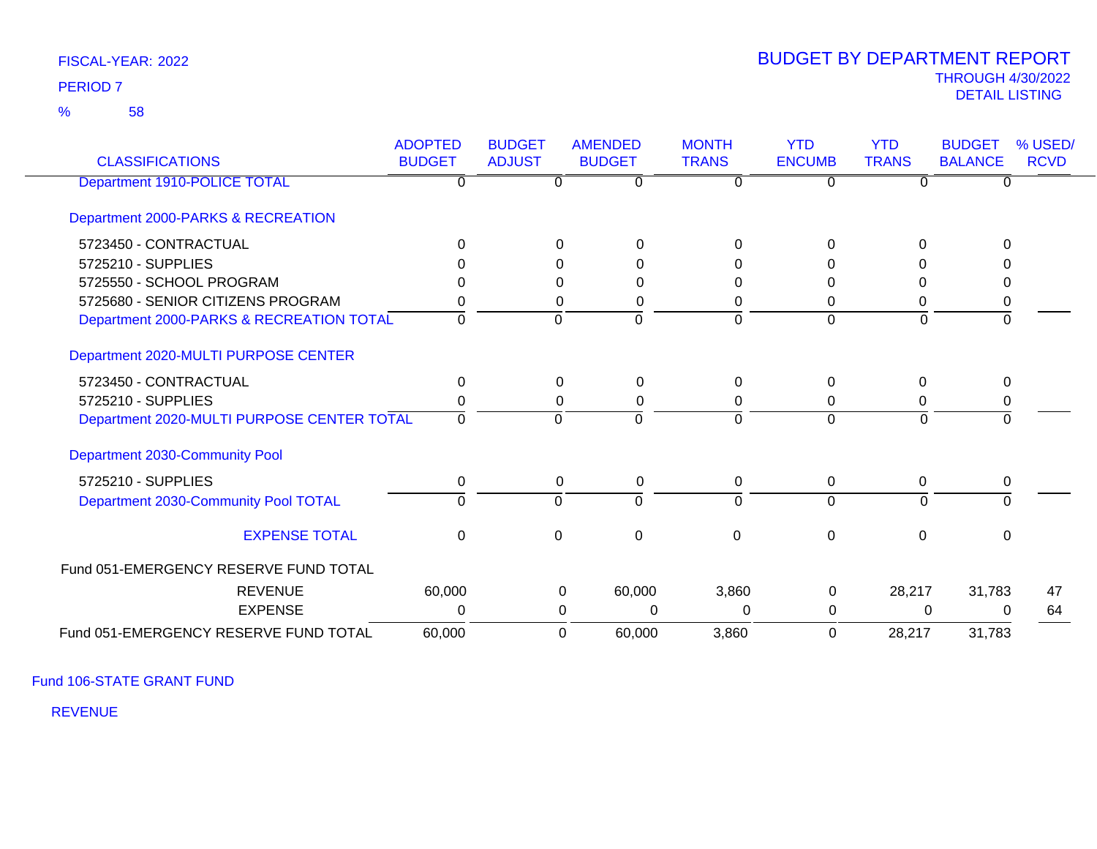58 %

### THROUGH 4/30/2022<br>DETAIL LISTING DETAIL LISTING PERIOD <sup>7</sup> BUDGET BY DEPARTMENT REPORT

| <b>CLASSIFICATIONS</b>                     | <b>ADOPTED</b><br><b>BUDGET</b> | <b>BUDGET</b><br><b>ADJUST</b> | <b>AMENDED</b><br><b>BUDGET</b> | <b>MONTH</b><br><b>TRANS</b> | <b>YTD</b><br><b>ENCUMB</b> | <b>YTD</b><br><b>TRANS</b> | <b>BUDGET</b><br><b>BALANCE</b> | % USED/<br><b>RCVD</b> |
|--------------------------------------------|---------------------------------|--------------------------------|---------------------------------|------------------------------|-----------------------------|----------------------------|---------------------------------|------------------------|
| Department 1910-POLICE TOTAL               | U                               |                                | $\Omega$                        | 0                            | 0                           | ∩                          | $\Omega$                        |                        |
| Department 2000-PARKS & RECREATION         |                                 |                                |                                 |                              |                             |                            |                                 |                        |
| 5723450 - CONTRACTUAL                      | 0                               |                                | $\Omega$<br>0                   | 0                            | 0                           | $\Omega$                   | $\Omega$                        |                        |
| 5725210 - SUPPLIES                         |                                 |                                | 0<br>0                          | 0                            | 0                           | U                          | O                               |                        |
| 5725550 - SCHOOL PROGRAM                   |                                 |                                | 0<br>0                          | 0                            | 0                           | 0                          | 0                               |                        |
| 5725680 - SENIOR CITIZENS PROGRAM          |                                 |                                | 0<br>0                          | 0                            | 0                           | 0                          | 0                               |                        |
| Department 2000-PARKS & RECREATION TOTAL   | 0                               | $\Omega$                       | $\Omega$                        | $\Omega$                     | $\Omega$                    | $\Omega$                   | $\Omega$                        |                        |
| Department 2020-MULTI PURPOSE CENTER       |                                 |                                |                                 |                              |                             |                            |                                 |                        |
| 5723450 - CONTRACTUAL                      | $\Omega$                        |                                | $\overline{0}$<br>0             | $\Omega$                     | $\Omega$                    | $\Omega$                   | $\mathbf{0}$                    |                        |
| 5725210 - SUPPLIES                         |                                 |                                | 0<br>0                          | 0                            | 0                           | 0                          | 0                               |                        |
| Department 2020-MULTI PURPOSE CENTER TOTAL | $\Omega$                        | $\Omega$                       | $\Omega$                        | $\Omega$                     | $\Omega$                    | $\Omega$                   | $\Omega$                        |                        |
| Department 2030-Community Pool             |                                 |                                |                                 |                              |                             |                            |                                 |                        |
| 5725210 - SUPPLIES                         | 0                               |                                | $\mathbf 0$<br>0                | 0                            | $\mathbf 0$                 | $\Omega$                   | 0                               |                        |
| Department 2030-Community Pool TOTAL       | $\Omega$                        | $\Omega$                       | $\Omega$                        | $\Omega$                     | $\Omega$                    | $\Omega$                   | $\Omega$                        |                        |
| <b>EXPENSE TOTAL</b>                       | $\Omega$                        | $\mathbf{0}$                   | $\Omega$                        | $\Omega$                     | $\Omega$                    | $\Omega$                   | $\mathbf{0}$                    |                        |
| Fund 051-EMERGENCY RESERVE FUND TOTAL      |                                 |                                |                                 |                              |                             |                            |                                 |                        |
| <b>REVENUE</b>                             | 60,000                          |                                | 60,000<br>0                     | 3,860                        | 0                           | 28,217                     | 31,783                          | 47                     |
| <b>EXPENSE</b>                             | 0                               |                                | $\Omega$<br>$\Omega$            | 0                            | 0                           | 0                          | 0                               | 64                     |
| Fund 051-EMERGENCY RESERVE FUND TOTAL      | 60,000                          |                                | 60,000<br>$\Omega$              | 3,860                        | $\Omega$                    | 28,217                     | 31,783                          |                        |

Fund 106-STATE GRANT FUND

REVENUE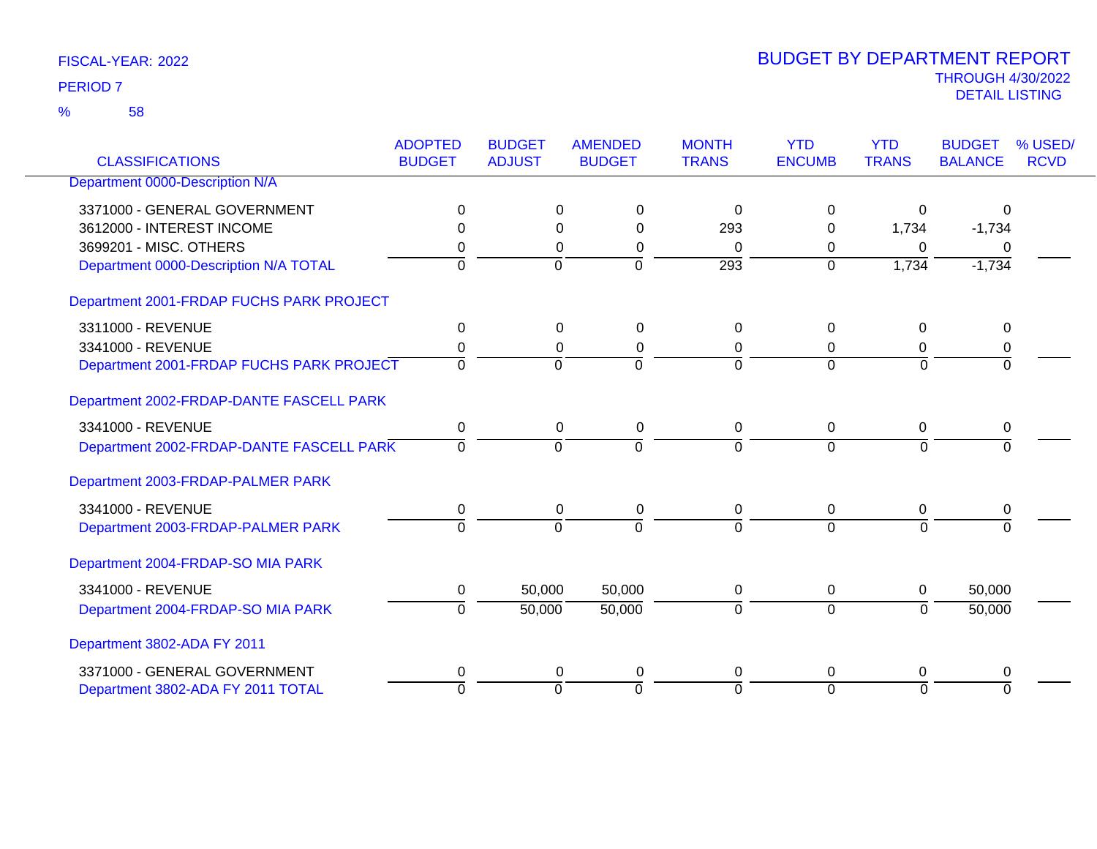58 %

| <b>CLASSIFICATIONS</b>                   | <b>ADOPTED</b><br><b>BUDGET</b> | <b>BUDGET</b><br><b>ADJUST</b> | <b>AMENDED</b><br><b>BUDGET</b> | <b>MONTH</b><br><b>TRANS</b> | <b>YTD</b><br><b>ENCUMB</b> | <b>YTD</b><br><b>TRANS</b> | <b>BUDGET</b><br><b>BALANCE</b> | % USED/<br><b>RCVD</b> |
|------------------------------------------|---------------------------------|--------------------------------|---------------------------------|------------------------------|-----------------------------|----------------------------|---------------------------------|------------------------|
| Department 0000-Description N/A          |                                 |                                |                                 |                              |                             |                            |                                 |                        |
| 3371000 - GENERAL GOVERNMENT             | 0                               | 0                              | 0                               | $\Omega$                     | $\Omega$                    | 0                          | $\Omega$                        |                        |
| 3612000 - INTEREST INCOME                |                                 | 0                              | $\Omega$                        | 293                          | $\Omega$                    | 1,734                      | $-1,734$                        |                        |
| 3699201 - MISC. OTHERS                   | 0                               | 0                              | 0                               | $\mathbf{0}$                 | 0                           | $\Omega$                   | $\Omega$                        |                        |
| Department 0000-Description N/A TOTAL    | $\Omega$                        | $\overline{0}$                 | $\overline{0}$                  | $\overline{293}$             | $\overline{0}$              | 1,734                      | $-1,734$                        |                        |
| Department 2001-FRDAP FUCHS PARK PROJECT |                                 |                                |                                 |                              |                             |                            |                                 |                        |
| 3311000 - REVENUE                        | 0                               | 0                              | 0                               | 0                            | 0                           | $\mathbf 0$                | 0                               |                        |
| 3341000 - REVENUE                        | 0                               | 0                              | 0                               | 0                            | $\mathbf 0$                 | 0                          | 0                               |                        |
| Department 2001-FRDAP FUCHS PARK PROJECT | $\Omega$                        | $\overline{0}$                 | $\overline{0}$                  | $\Omega$                     | $\Omega$                    | $\Omega$                   | $\overline{0}$                  |                        |
| Department 2002-FRDAP-DANTE FASCELL PARK |                                 |                                |                                 |                              |                             |                            |                                 |                        |
| 3341000 - REVENUE                        | 0                               |                                | 0<br>0                          | 0                            | $\mathbf 0$                 | 0                          | 0                               |                        |
| Department 2002-FRDAP-DANTE FASCELL PARK | $\Omega$                        | $\overline{0}$                 | $\overline{0}$                  | 0                            | $\overline{0}$              | $\overline{0}$             | $\Omega$                        |                        |
| Department 2003-FRDAP-PALMER PARK        |                                 |                                |                                 |                              |                             |                            |                                 |                        |
| 3341000 - REVENUE                        | 0                               | 0                              | 0                               | 0                            | 0                           | 0                          | 0                               |                        |
| Department 2003-FRDAP-PALMER PARK        | $\overline{0}$                  | $\overline{0}$                 | $\overline{0}$                  | $\Omega$                     | $\Omega$                    | $\overline{0}$             | $\Omega$                        |                        |
| Department 2004-FRDAP-SO MIA PARK        |                                 |                                |                                 |                              |                             |                            |                                 |                        |
| 3341000 - REVENUE                        | 0                               | 50,000                         | 50,000                          | 0                            | 0                           | 0                          | 50,000                          |                        |
| Department 2004-FRDAP-SO MIA PARK        | $\Omega$                        | 50,000                         | 50,000                          | $\Omega$                     | $\overline{0}$              | $\overline{0}$             | 50,000                          |                        |
| Department 3802-ADA FY 2011              |                                 |                                |                                 |                              |                             |                            |                                 |                        |
| 3371000 - GENERAL GOVERNMENT             | 0                               | 0                              | 0                               | 0                            | 0                           | $\Omega$                   | 0                               |                        |
| Department 3802-ADA FY 2011 TOTAL        | $\Omega$                        | $\overline{0}$                 | $\overline{0}$                  | $\Omega$                     | $\Omega$                    | $\overline{0}$             | $\Omega$                        |                        |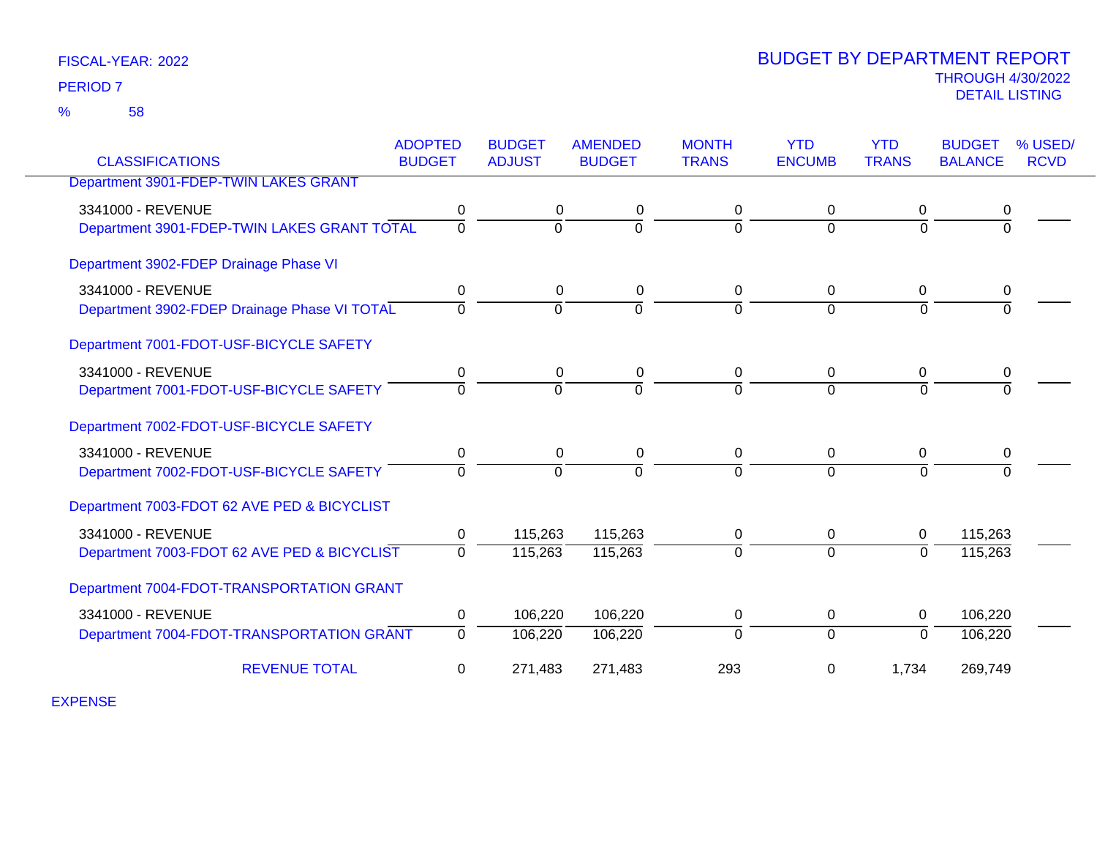58 %

### THROUGH 4/30/2022<br>DETAIL LISTING DETAIL LISTING PERIOD <sup>7</sup> BUDGET BY DEPARTMENT REPORT

| <b>CLASSIFICATIONS</b>                                            | <b>ADOPTED</b><br><b>BUDGET</b> | <b>BUDGET</b><br><b>ADJUST</b> | <b>AMENDED</b><br><b>BUDGET</b> | <b>MONTH</b><br><b>TRANS</b> | <b>YTD</b><br><b>ENCUMB</b> | <b>YTD</b><br><b>TRANS</b> | <b>BUDGET</b><br><b>BALANCE</b> | % USED/<br><b>RCVD</b> |
|-------------------------------------------------------------------|---------------------------------|--------------------------------|---------------------------------|------------------------------|-----------------------------|----------------------------|---------------------------------|------------------------|
| Department 3901-FDEP-TWIN LAKES GRANT                             |                                 |                                |                                 |                              |                             |                            |                                 |                        |
| 3341000 - REVENUE<br>Department 3901-FDEP-TWIN LAKES GRANT TOTAL  | 0<br>$\Omega$                   | 0<br>$\Omega$                  | 0<br>$\overline{0}$             | 0<br>$\Omega$                | $\mathbf 0$<br>$\Omega$     | 0<br>$\Omega$              | 0<br>$\Omega$                   |                        |
| Department 3902-FDEP Drainage Phase VI                            |                                 |                                |                                 |                              |                             |                            |                                 |                        |
| 3341000 - REVENUE<br>Department 3902-FDEP Drainage Phase VI TOTAL | 0<br>0                          | $\Omega$<br>$\Omega$           | 0<br>$\mathbf 0$                | 0<br>$\Omega$                | $\mathbf{0}$<br>$\Omega$    | $\Omega$<br>$\mathbf 0$    | 0<br>$\mathbf 0$                |                        |
| Department 7001-FDOT-USF-BICYCLE SAFETY                           |                                 |                                |                                 |                              |                             |                            |                                 |                        |
| 3341000 - REVENUE<br>Department 7001-FDOT-USF-BICYCLE SAFETY      | 0<br>$\Omega$                   | 0<br>$\Omega$                  | 0<br>$\overline{0}$             | $\mathbf 0$<br>$\Omega$      | 0<br>$\Omega$               | 0<br>$\overline{0}$        | 0<br>$\Omega$                   |                        |
| Department 7002-FDOT-USF-BICYCLE SAFETY                           |                                 |                                |                                 |                              |                             |                            |                                 |                        |
| 3341000 - REVENUE<br>Department 7002-FDOT-USF-BICYCLE SAFETY      | 0<br>$\overline{0}$             | $\Omega$<br>0                  | 0<br>$\mathbf 0$                | 0<br>$\Omega$                | 0<br>$\Omega$               | 0<br>$\overline{0}$        | 0<br>$\Omega$                   |                        |
| Department 7003-FDOT 62 AVE PED & BICYCLIST                       |                                 |                                |                                 |                              |                             |                            |                                 |                        |
| 3341000 - REVENUE                                                 | 0                               | 115,263                        | 115,263                         | 0                            | 0                           | $\mathbf 0$                | 115,263                         |                        |
| Department 7003-FDOT 62 AVE PED & BICYCLIST                       | $\Omega$                        | 115,263                        | 115,263                         | $\Omega$                     | $\Omega$                    | $\Omega$                   | 115,263                         |                        |
| Department 7004-FDOT-TRANSPORTATION GRANT                         |                                 |                                |                                 |                              |                             |                            |                                 |                        |
| 3341000 - REVENUE                                                 | 0                               | 106,220                        | 106,220                         | 0                            | $\mathbf 0$                 | 0                          | 106,220                         |                        |
| Department 7004-FDOT-TRANSPORTATION GRANT                         | $\Omega$                        | 106,220                        | 106,220                         | $\Omega$                     | $\Omega$                    | $\Omega$                   | 106,220                         |                        |
| <b>REVENUE TOTAL</b>                                              | 0                               | 271,483                        | 271,483                         | 293                          | $\mathbf 0$                 | 1,734                      | 269,749                         |                        |

EXPENSE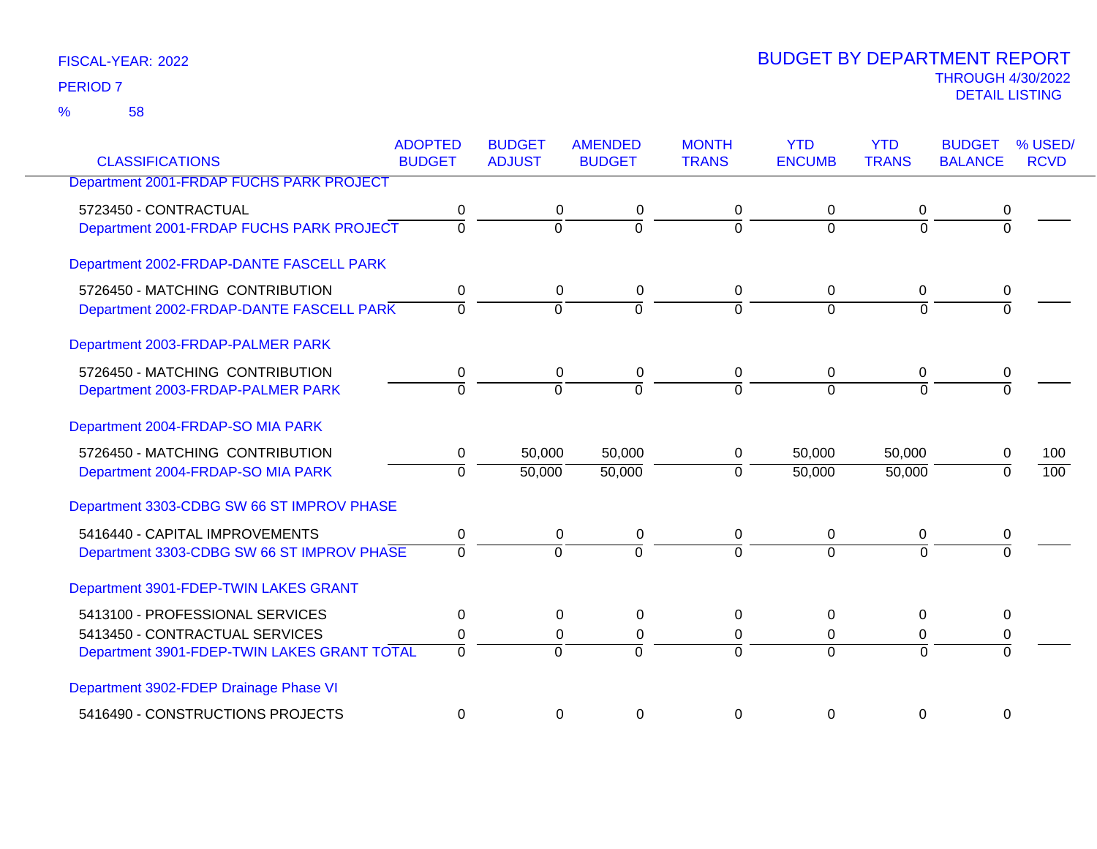58 %

| <b>CLASSIFICATIONS</b>                          | <b>ADOPTED</b><br><b>BUDGET</b> | <b>BUDGET</b><br><b>ADJUST</b> | <b>AMENDED</b><br><b>BUDGET</b> | <b>MONTH</b><br><b>TRANS</b> | <b>YTD</b><br><b>ENCUMB</b> | <b>YTD</b><br><b>TRANS</b> | <b>BUDGET</b><br><b>BALANCE</b> | % USED/<br><b>RCVD</b> |
|-------------------------------------------------|---------------------------------|--------------------------------|---------------------------------|------------------------------|-----------------------------|----------------------------|---------------------------------|------------------------|
| <b>Department 2001-FRDAP FUCHS PARK PROJECT</b> |                                 |                                |                                 |                              |                             |                            |                                 |                        |
|                                                 |                                 |                                |                                 |                              |                             |                            |                                 |                        |
| 5723450 - CONTRACTUAL                           | 0                               | 0                              | 0                               | 0                            | 0                           | 0                          | 0                               |                        |
| Department 2001-FRDAP FUCHS PARK PROJECT        | $\overline{0}$                  | 0                              | $\overline{0}$                  | 0                            | $\Omega$                    | $\overline{0}$             | $\overline{0}$                  |                        |
| Department 2002-FRDAP-DANTE FASCELL PARK        |                                 |                                |                                 |                              |                             |                            |                                 |                        |
| 5726450 - MATCHING CONTRIBUTION                 | 0                               | 0                              | 0                               | 0                            | $\mathbf 0$                 | 0                          | 0                               |                        |
| Department 2002-FRDAP-DANTE FASCELL PARK        | $\overline{0}$                  | $\overline{0}$                 | $\overline{0}$                  | $\Omega$                     | $\overline{0}$              | $\overline{0}$             | $\Omega$                        |                        |
| Department 2003-FRDAP-PALMER PARK               |                                 |                                |                                 |                              |                             |                            |                                 |                        |
| 5726450 - MATCHING CONTRIBUTION                 | 0                               | $\mathbf 0$                    | 0                               | 0                            | $\mathbf 0$                 | 0                          | 0                               |                        |
| Department 2003-FRDAP-PALMER PARK               | $\overline{0}$                  | $\Omega$                       | $\overline{0}$                  | $\Omega$                     | $\Omega$                    | $\overline{0}$             | $\Omega$                        |                        |
| Department 2004-FRDAP-SO MIA PARK               |                                 |                                |                                 |                              |                             |                            |                                 |                        |
| 5726450 - MATCHING CONTRIBUTION                 | 0                               | 50,000                         | 50,000                          | 0                            | 50,000                      | 50,000                     | 0                               | 100                    |
| Department 2004-FRDAP-SO MIA PARK               | $\Omega$                        | 50,000                         | 50,000                          | $\Omega$                     | 50,000                      | 50,000                     | $\Omega$                        | 100                    |
| Department 3303-CDBG SW 66 ST IMPROV PHASE      |                                 |                                |                                 |                              |                             |                            |                                 |                        |
| 5416440 - CAPITAL IMPROVEMENTS                  | $\pmb{0}$                       | $\mathbf 0$                    | $\pmb{0}$                       | 0                            | $\mathbf 0$                 | $\pmb{0}$                  | 0                               |                        |
| Department 3303-CDBG SW 66 ST IMPROV PHASE      | $\Omega$                        | $\Omega$                       | $\Omega$                        | $\Omega$                     | $\Omega$                    | $\Omega$                   |                                 |                        |
| Department 3901-FDEP-TWIN LAKES GRANT           |                                 |                                |                                 |                              |                             |                            |                                 |                        |
| 5413100 - PROFESSIONAL SERVICES                 | 0                               | $\Omega$                       | 0                               | 0                            | $\Omega$                    | 0                          | 0                               |                        |
| 5413450 - CONTRACTUAL SERVICES                  | 0                               | $\mathbf 0$                    | 0                               | 0                            | $\mathbf 0$                 | $\Omega$                   | 0                               |                        |
| Department 3901-FDEP-TWIN LAKES GRANT TOTAL     | $\overline{0}$                  | $\Omega$                       | $\Omega$                        | 0                            | $\Omega$                    | $\Omega$                   | $\Omega$                        |                        |
| Department 3902-FDEP Drainage Phase VI          |                                 |                                |                                 |                              |                             |                            |                                 |                        |
| 5416490 - CONSTRUCTIONS PROJECTS                | 0                               | 0                              | 0                               | 0                            | 0                           | $\mathbf 0$                | 0                               |                        |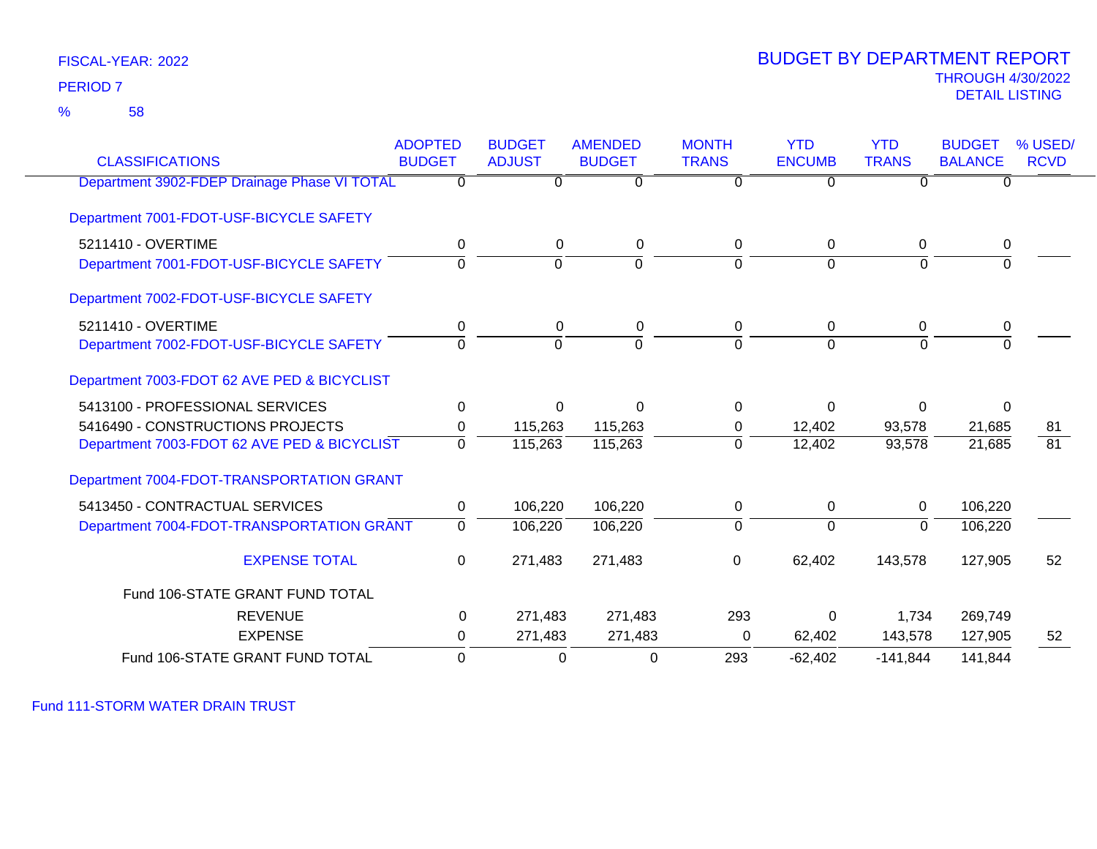58 %

### THROUGH 4/30/2022<br>DETAIL LISTING DETAIL LISTING PERIOD <sup>7</sup> BUDGET BY DEPARTMENT REPORT

| <b>CLASSIFICATIONS</b>                       | <b>ADOPTED</b><br><b>BUDGET</b> | <b>BUDGET</b><br><b>ADJUST</b> | <b>AMENDED</b><br><b>BUDGET</b> | <b>MONTH</b><br><b>TRANS</b> | <b>YTD</b><br><b>ENCUMB</b> | <b>YTD</b><br><b>TRANS</b> | <b>BUDGET</b><br><b>BALANCE</b> | % USED/<br><b>RCVD</b> |
|----------------------------------------------|---------------------------------|--------------------------------|---------------------------------|------------------------------|-----------------------------|----------------------------|---------------------------------|------------------------|
| Department 3902-FDEP Drainage Phase VI TOTAL | $\overline{0}$                  | $\Omega$                       | $\overline{0}$                  | $\Omega$                     | $\overline{0}$              | $\overline{0}$             | 0                               |                        |
| Department 7001-FDOT-USF-BICYCLE SAFETY      |                                 |                                |                                 |                              |                             |                            |                                 |                        |
| 5211410 - OVERTIME                           | 0                               | 0                              | 0                               | $\mathbf 0$                  | 0                           | $\mathbf 0$                | 0                               |                        |
| Department 7001-FDOT-USF-BICYCLE SAFETY      | $\Omega$                        | $\overline{0}$                 | $\mathbf 0$                     | $\Omega$                     | $\Omega$                    | $\Omega$                   | $\Omega$                        |                        |
| Department 7002-FDOT-USF-BICYCLE SAFETY      |                                 |                                |                                 |                              |                             |                            |                                 |                        |
| 5211410 - OVERTIME                           | 0                               | $\mathbf 0$                    | 0                               | 0                            | $\mathbf 0$                 | 0                          | 0                               |                        |
| Department 7002-FDOT-USF-BICYCLE SAFETY      | $\Omega$                        | $\Omega$                       | $\Omega$                        | $\Omega$                     | $\Omega$                    | $\Omega$                   | $\Omega$                        |                        |
| Department 7003-FDOT 62 AVE PED & BICYCLIST  |                                 |                                |                                 |                              |                             |                            |                                 |                        |
| 5413100 - PROFESSIONAL SERVICES              | 0                               | $\Omega$                       | $\Omega$                        | $\Omega$                     | $\Omega$                    | 0                          | $\Omega$                        |                        |
| 5416490 - CONSTRUCTIONS PROJECTS             | 0                               | 115,263                        | 115,263                         | 0                            | 12,402                      | 93,578                     | 21,685                          | 81                     |
| Department 7003-FDOT 62 AVE PED & BICYCLIST  | $\overline{0}$                  | 115,263                        | 115,263                         | $\mathbf{0}$                 | 12,402                      | 93,578                     | 21,685                          | 81                     |
| Department 7004-FDOT-TRANSPORTATION GRANT    |                                 |                                |                                 |                              |                             |                            |                                 |                        |
| 5413450 - CONTRACTUAL SERVICES               | $\mathbf 0$                     | 106,220                        | 106,220                         | $\mathbf 0$                  | $\mathbf 0$                 | $\mathbf 0$                | 106,220                         |                        |
| Department 7004-FDOT-TRANSPORTATION GRANT    | $\overline{0}$                  | 106,220                        | 106,220                         | $\Omega$                     | $\mathbf 0$                 | $\overline{0}$             | 106,220                         |                        |
| <b>EXPENSE TOTAL</b>                         | 0                               | 271,483                        | 271,483                         | $\mathbf 0$                  | 62,402                      | 143,578                    | 127,905                         | 52                     |
| Fund 106-STATE GRANT FUND TOTAL              |                                 |                                |                                 |                              |                             |                            |                                 |                        |
| <b>REVENUE</b>                               | $\mathbf 0$                     | 271,483                        | 271,483                         | 293                          | $\Omega$                    | 1,734                      | 269,749                         |                        |
| <b>EXPENSE</b>                               | 0                               | 271,483                        | 271,483                         | 0                            | 62,402                      | 143,578                    | 127,905                         | 52                     |
| Fund 106-STATE GRANT FUND TOTAL              | $\Omega$                        | $\Omega$                       | $\Omega$                        | 293                          | $-62,402$                   | $-141,844$                 | 141,844                         |                        |

Fund 111-STORM WATER DRAIN TRUST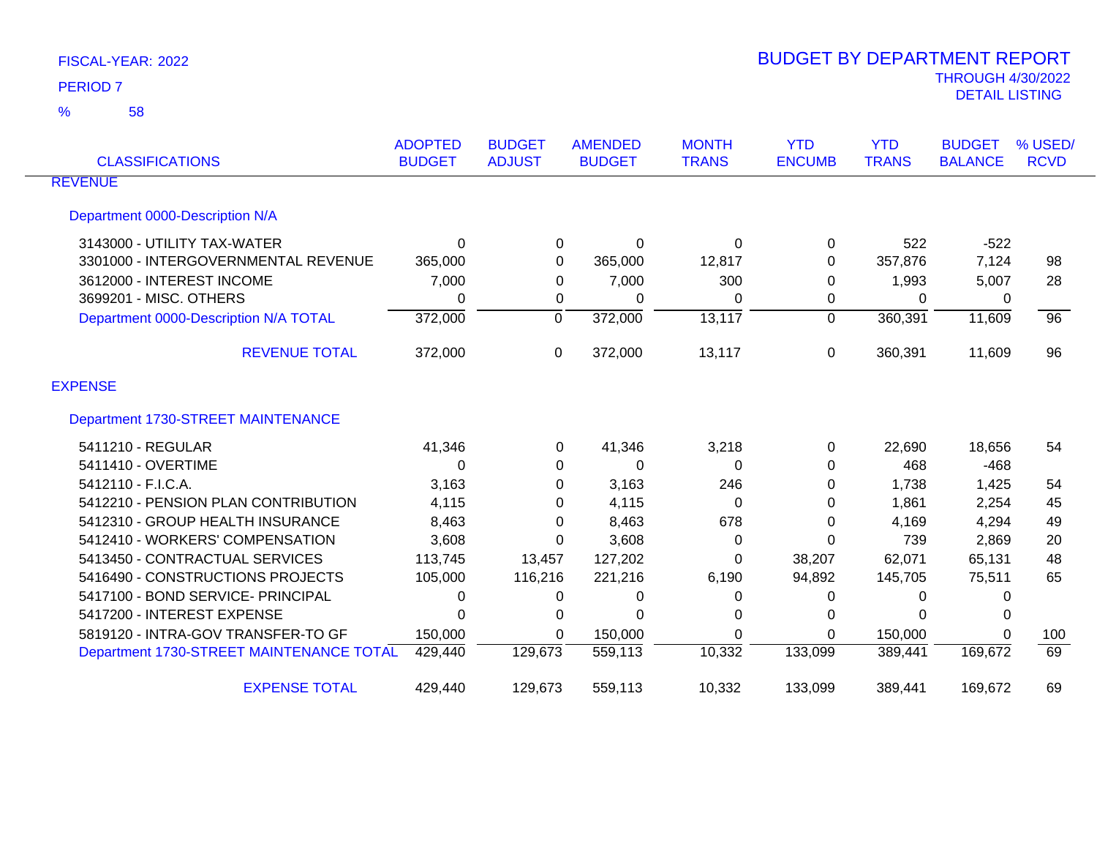| <b>CLASSIFICATIONS</b>                   | <b>ADOPTED</b><br><b>BUDGET</b> | <b>BUDGET</b><br><b>ADJUST</b> | <b>AMENDED</b><br><b>BUDGET</b> | <b>MONTH</b><br><b>TRANS</b> | <b>YTD</b><br><b>ENCUMB</b> | <b>YTD</b><br><b>TRANS</b> | <b>BUDGET</b><br><b>BALANCE</b> | % USED/<br><b>RCVD</b> |
|------------------------------------------|---------------------------------|--------------------------------|---------------------------------|------------------------------|-----------------------------|----------------------------|---------------------------------|------------------------|
| <b>REVENUE</b>                           |                                 |                                |                                 |                              |                             |                            |                                 |                        |
| Department 0000-Description N/A          |                                 |                                |                                 |                              |                             |                            |                                 |                        |
| 3143000 - UTILITY TAX-WATER              | $\Omega$                        | 0                              | $\Omega$                        | $\Omega$                     | $\Omega$                    | 522                        | $-522$                          |                        |
| 3301000 - INTERGOVERNMENTAL REVENUE      | 365,000                         | 0                              | 365,000                         | 12,817                       | 0                           | 357,876                    | 7,124                           | 98                     |
| 3612000 - INTEREST INCOME                | 7,000                           | 0                              | 7,000                           | 300                          | 0                           | 1,993                      | 5,007                           | 28                     |
| 3699201 - MISC. OTHERS                   | 0                               | 0                              | 0                               | 0                            | 0                           | $\Omega$                   | 0                               |                        |
| Department 0000-Description N/A TOTAL    | 372,000                         | $\Omega$                       | 372,000                         | 13,117                       | $\Omega$                    | 360,391                    | 11,609                          | $\overline{96}$        |
| <b>REVENUE TOTAL</b>                     | 372,000                         | 0                              | 372,000                         | 13,117                       | 0                           | 360,391                    | 11,609                          | 96                     |
| <b>EXPENSE</b>                           |                                 |                                |                                 |                              |                             |                            |                                 |                        |
| Department 1730-STREET MAINTENANCE       |                                 |                                |                                 |                              |                             |                            |                                 |                        |
| 5411210 - REGULAR                        | 41,346                          | 0                              | 41,346                          | 3,218                        | 0                           | 22,690                     | 18,656                          | 54                     |
| 5411410 - OVERTIME                       | $\Omega$                        | 0                              | 0                               | 0                            | $\Omega$                    | 468                        | $-468$                          |                        |
| 5412110 - F.I.C.A.                       | 3,163                           | 0                              | 3,163                           | 246                          | 0                           | 1,738                      | 1,425                           | 54                     |
| 5412210 - PENSION PLAN CONTRIBUTION      | 4,115                           | 0                              | 4,115                           | 0                            | 0                           | 1,861                      | 2,254                           | 45                     |
| 5412310 - GROUP HEALTH INSURANCE         | 8,463                           | 0                              | 8,463                           | 678                          | $\Omega$                    | 4,169                      | 4,294                           | 49                     |
| 5412410 - WORKERS' COMPENSATION          | 3,608                           | 0                              | 3,608                           | 0                            | 0                           | 739                        | 2,869                           | 20                     |
| 5413450 - CONTRACTUAL SERVICES           | 113,745                         | 13,457                         | 127,202                         | 0                            | 38,207                      | 62,071                     | 65,131                          | 48                     |
| 5416490 - CONSTRUCTIONS PROJECTS         | 105,000                         | 116,216                        | 221,216                         | 6,190                        | 94,892                      | 145,705                    | 75,511                          | 65                     |
| 5417100 - BOND SERVICE- PRINCIPAL        | 0                               | 0                              | 0                               | 0                            | 0                           | $\Omega$                   | 0                               |                        |
| 5417200 - INTEREST EXPENSE               | 0                               | 0                              | 0                               | 0                            | 0                           | $\Omega$                   | 0                               |                        |
| 5819120 - INTRA-GOV TRANSFER-TO GF       | 150,000                         | 0                              | 150,000                         | $\Omega$                     | 0                           | 150,000                    | $\Omega$                        | 100                    |
| Department 1730-STREET MAINTENANCE TOTAL | 429,440                         | 129,673                        | 559,113                         | 10,332                       | 133,099                     | 389,441                    | 169,672                         | 69                     |
| <b>EXPENSE TOTAL</b>                     | 429,440                         | 129,673                        | 559,113                         | 10,332                       | 133,099                     | 389,441                    | 169,672                         | 69                     |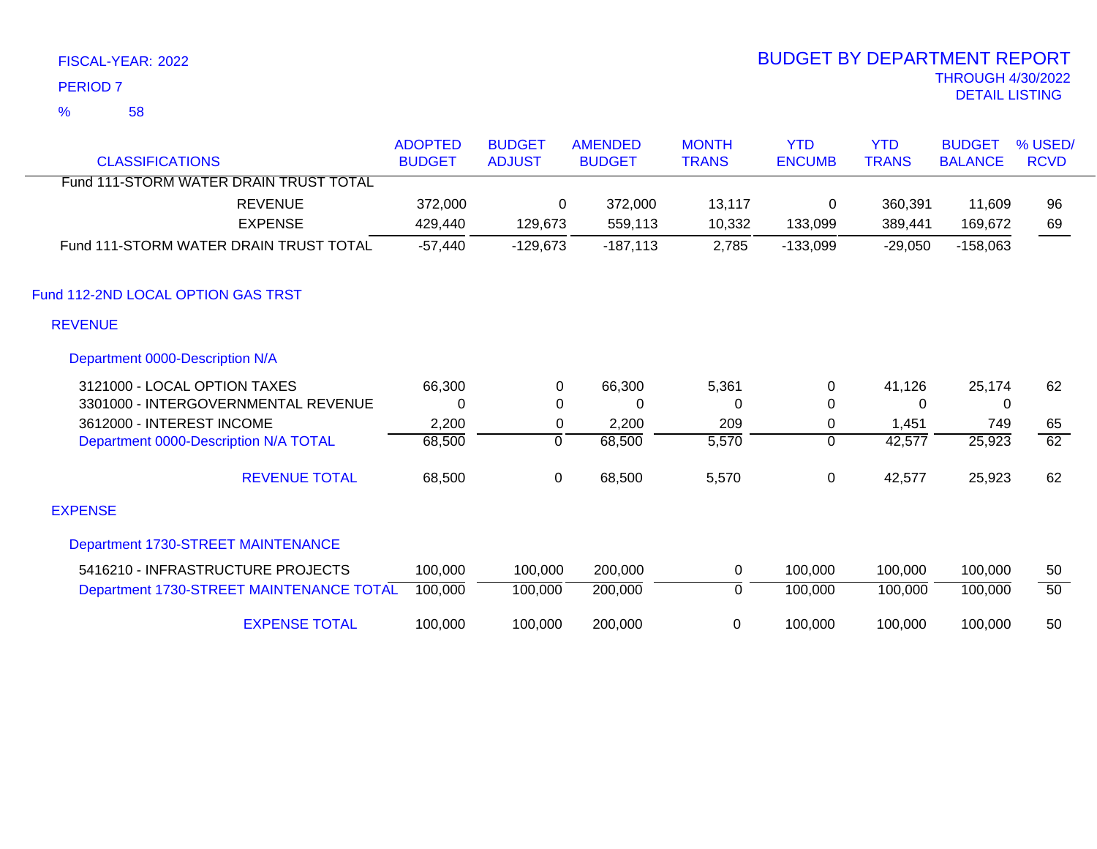58 %

| <b>CLASSIFICATIONS</b>                   | <b>ADOPTED</b><br><b>BUDGET</b> | <b>BUDGET</b><br><b>ADJUST</b> | <b>AMENDED</b><br><b>BUDGET</b> | <b>MONTH</b><br><b>TRANS</b> | <b>YTD</b><br><b>ENCUMB</b> | <b>YTD</b><br><b>TRANS</b> | <b>BUDGET</b><br><b>BALANCE</b> | % USED/<br><b>RCVD</b> |
|------------------------------------------|---------------------------------|--------------------------------|---------------------------------|------------------------------|-----------------------------|----------------------------|---------------------------------|------------------------|
| Fund 111-STORM WATER DRAIN TRUST TOTAL   |                                 |                                |                                 |                              |                             |                            |                                 |                        |
| <b>REVENUE</b>                           | 372,000                         | $\Omega$                       | 372,000                         | 13,117                       | 0                           | 360,391                    | 11,609                          | 96                     |
| <b>EXPENSE</b>                           | 429,440                         | 129,673                        | 559,113                         | 10,332                       | 133,099                     | 389,441                    | 169,672                         | 69                     |
| Fund 111-STORM WATER DRAIN TRUST TOTAL   | $-57,440$                       | $-129,673$                     | $-187,113$                      | 2,785                        | $-133,099$                  | $-29,050$                  | $-158,063$                      |                        |
| Fund 112-2ND LOCAL OPTION GAS TRST       |                                 |                                |                                 |                              |                             |                            |                                 |                        |
| <b>REVENUE</b>                           |                                 |                                |                                 |                              |                             |                            |                                 |                        |
| Department 0000-Description N/A          |                                 |                                |                                 |                              |                             |                            |                                 |                        |
| 3121000 - LOCAL OPTION TAXES             | 66,300                          | 0                              | 66,300                          | 5,361                        | 0                           | 41,126                     | 25,174                          | 62                     |
| 3301000 - INTERGOVERNMENTAL REVENUE      | $\Omega$                        | $\Omega$                       | 0                               | 0                            | 0                           | $\Omega$                   | 0                               |                        |
| 3612000 - INTEREST INCOME                | 2,200                           | 0                              | 2,200                           | 209                          | 0                           | 1,451                      | 749                             | 65                     |
| Department 0000-Description N/A TOTAL    | 68,500                          | $\mathbf 0$                    | 68,500                          | 5,570                        | $\mathbf 0$                 | 42,577                     | 25,923                          | $\overline{62}$        |
| <b>REVENUE TOTAL</b>                     | 68,500                          | 0                              | 68,500                          | 5,570                        | 0                           | 42,577                     | 25,923                          | 62                     |
| <b>EXPENSE</b>                           |                                 |                                |                                 |                              |                             |                            |                                 |                        |
| Department 1730-STREET MAINTENANCE       |                                 |                                |                                 |                              |                             |                            |                                 |                        |
| 5416210 - INFRASTRUCTURE PROJECTS        | 100,000                         | 100,000                        | 200,000                         | 0                            | 100,000                     | 100,000                    | 100,000                         | 50                     |
| Department 1730-STREET MAINTENANCE TOTAL | 100,000                         | 100,000                        | 200,000                         | 0                            | 100,000                     | 100,000                    | 100,000                         | $\overline{50}$        |
| <b>EXPENSE TOTAL</b>                     | 100,000                         | 100,000                        | 200,000                         | 0                            | 100,000                     | 100,000                    | 100,000                         | 50                     |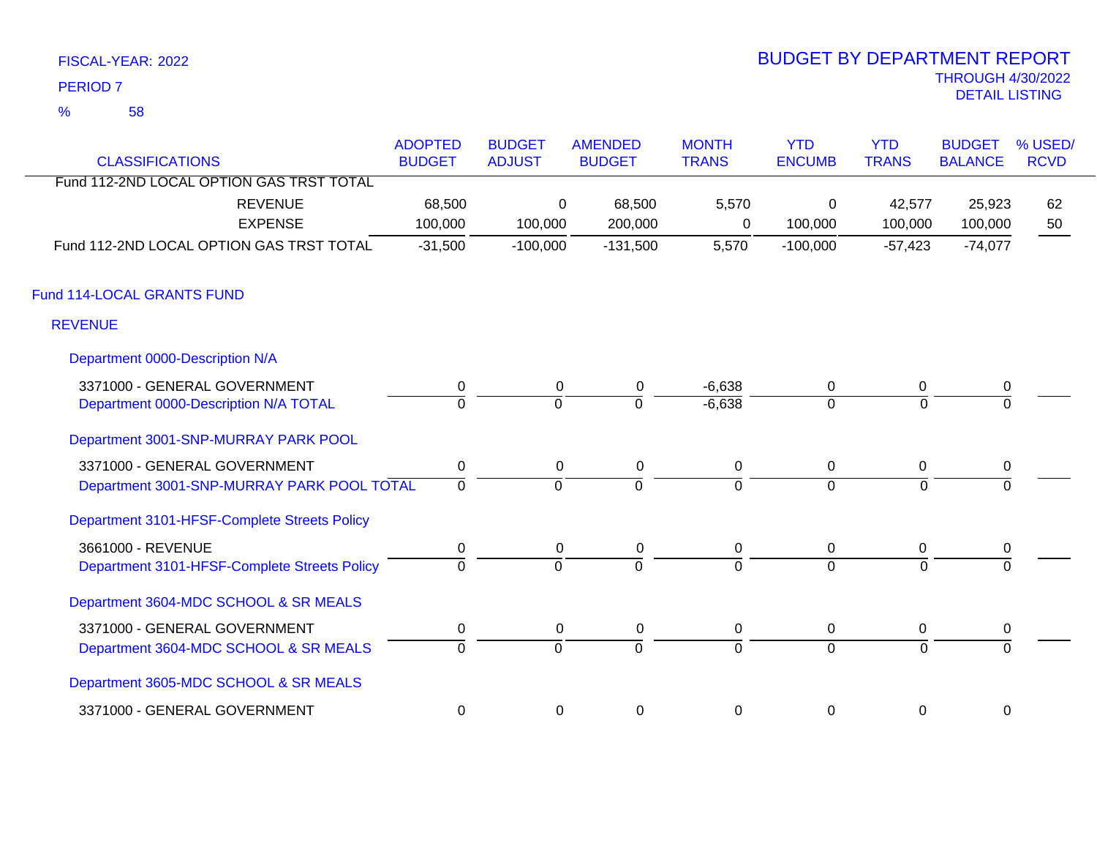58 %

| <b>CLASSIFICATIONS</b>                       | <b>ADOPTED</b><br><b>BUDGET</b> | <b>BUDGET</b><br><b>ADJUST</b> | <b>AMENDED</b><br><b>BUDGET</b> | <b>MONTH</b><br><b>TRANS</b> | <b>YTD</b><br><b>ENCUMB</b> | <b>YTD</b><br><b>TRANS</b> | <b>BUDGET</b><br><b>BALANCE</b> | % USED/<br><b>RCVD</b> |
|----------------------------------------------|---------------------------------|--------------------------------|---------------------------------|------------------------------|-----------------------------|----------------------------|---------------------------------|------------------------|
| Fund 112-2ND LOCAL OPTION GAS TRST TOTAL     |                                 |                                |                                 |                              |                             |                            |                                 |                        |
| <b>REVENUE</b><br><b>EXPENSE</b>             | 68,500<br>100,000               | $\Omega$<br>100,000            | 68,500<br>200,000               | 5,570<br>0                   | 0<br>100,000                | 42,577<br>100,000          | 25,923<br>100,000               | 62<br>50               |
| Fund 112-2ND LOCAL OPTION GAS TRST TOTAL     | $-31,500$                       | $-100,000$                     | $-131,500$                      | 5,570                        | $-100,000$                  | $-57,423$                  | $-74,077$                       |                        |
| Fund 114-LOCAL GRANTS FUND                   |                                 |                                |                                 |                              |                             |                            |                                 |                        |
| <b>REVENUE</b>                               |                                 |                                |                                 |                              |                             |                            |                                 |                        |
| Department 0000-Description N/A              |                                 |                                |                                 |                              |                             |                            |                                 |                        |
| 3371000 - GENERAL GOVERNMENT                 | 0                               | $\mathbf{0}$                   | 0                               | $-6,638$                     | 0                           | 0                          | 0                               |                        |
| Department 0000-Description N/A TOTAL        | $\overline{0}$                  | $\mathbf 0$                    | $\Omega$                        | $-6,638$                     | $\overline{0}$              | $\Omega$                   | $\Omega$                        |                        |
| Department 3001-SNP-MURRAY PARK POOL         |                                 |                                |                                 |                              |                             |                            |                                 |                        |
| 3371000 - GENERAL GOVERNMENT                 | 0                               | 0                              | 0                               | 0                            | $\mathbf 0$                 | 0                          | 0                               |                        |
| Department 3001-SNP-MURRAY PARK POOL TOTAL   | $\Omega$                        | $\Omega$                       | $\Omega$                        | $\Omega$                     | $\Omega$                    | $\Omega$                   | $\Omega$                        |                        |
| Department 3101-HFSF-Complete Streets Policy |                                 |                                |                                 |                              |                             |                            |                                 |                        |
| 3661000 - REVENUE                            | $\mathbf 0$                     | $\mathbf 0$                    | $\mathbf 0$                     | $\mathbf 0$                  | $\mathbf 0$                 | 0                          | $\pmb{0}$                       |                        |
| Department 3101-HFSF-Complete Streets Policy | $\Omega$                        | $\Omega$                       | $\Omega$                        | $\Omega$                     | $\Omega$                    | $\Omega$                   | $\Omega$                        |                        |
| Department 3604-MDC SCHOOL & SR MEALS        |                                 |                                |                                 |                              |                             |                            |                                 |                        |
| 3371000 - GENERAL GOVERNMENT                 | 0                               | $\mathbf 0$                    | $\mathbf 0$                     | 0                            | $\mathbf 0$                 | 0                          | $\mathbf 0$                     |                        |
| Department 3604-MDC SCHOOL & SR MEALS        | $\overline{0}$                  | $\overline{0}$                 | $\overline{0}$                  | $\overline{0}$               | $\overline{0}$              | $\mathbf 0$                | $\Omega$                        |                        |
| Department 3605-MDC SCHOOL & SR MEALS        |                                 |                                |                                 |                              |                             |                            |                                 |                        |
| 3371000 - GENERAL GOVERNMENT                 | $\mathbf 0$                     | 0                              | 0                               | 0                            | $\mathbf 0$                 | 0                          | $\mathbf 0$                     |                        |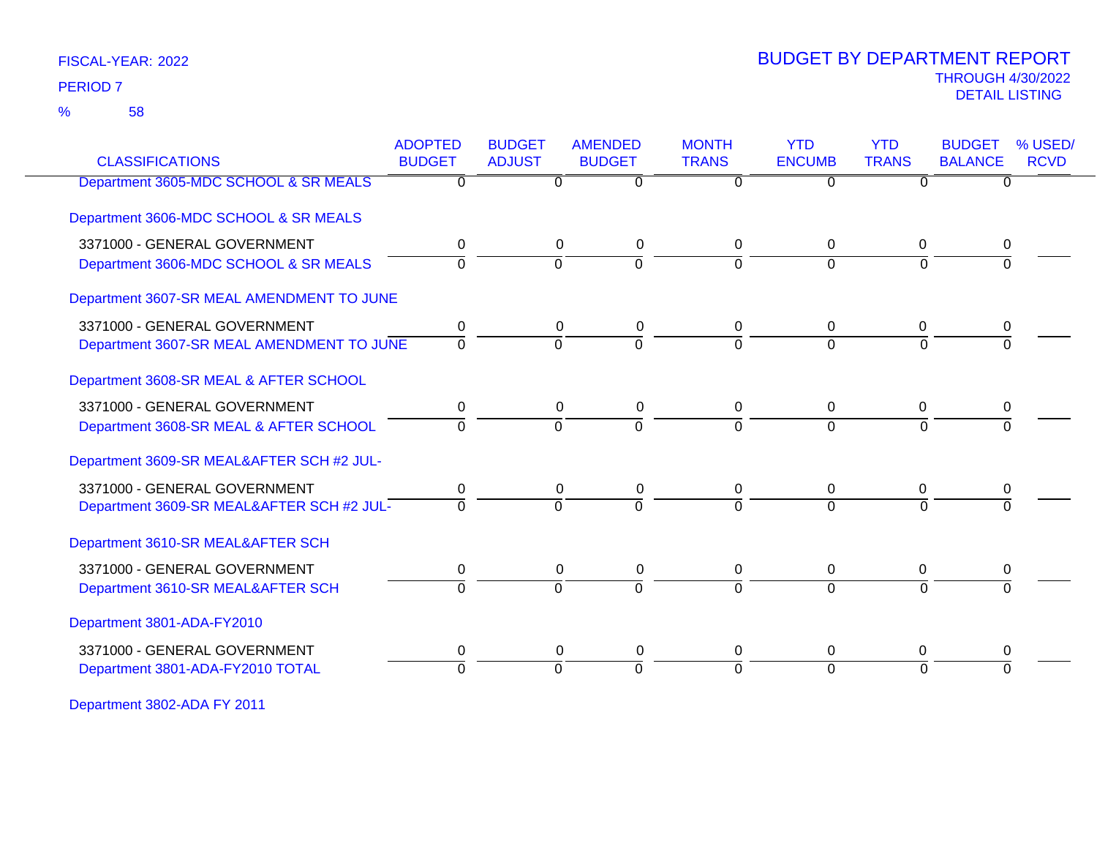58 %

### THROUGH 4/30/2022<br>DETAIL LISTING DETAIL LISTING PERIOD <sup>7</sup> BUDGET BY DEPARTMENT REPORT

| <b>CLASSIFICATIONS</b>                    | <b>ADOPTED</b><br><b>BUDGET</b> | <b>BUDGET</b><br><b>ADJUST</b> | <b>AMENDED</b><br><b>BUDGET</b> | <b>MONTH</b><br><b>TRANS</b> | <b>YTD</b><br><b>ENCUMB</b> | <b>YTD</b><br><b>TRANS</b> | <b>BUDGET</b><br><b>BALANCE</b> | % USED/<br><b>RCVD</b> |
|-------------------------------------------|---------------------------------|--------------------------------|---------------------------------|------------------------------|-----------------------------|----------------------------|---------------------------------|------------------------|
| Department 3605-MDC SCHOOL & SR MEALS     | $\overline{0}$                  | $\Omega$                       | $\overline{0}$                  | $\overline{0}$               | $\overline{0}$              | $\overline{0}$             | $\overline{0}$                  |                        |
| Department 3606-MDC SCHOOL & SR MEALS     |                                 |                                |                                 |                              |                             |                            |                                 |                        |
| 3371000 - GENERAL GOVERNMENT              | 0                               |                                | 0<br>0                          | 0                            | 0                           | 0                          | 0                               |                        |
| Department 3606-MDC SCHOOL & SR MEALS     | $\Omega$                        | $\Omega$                       | $\Omega$                        | 0                            | $\Omega$                    | $\Omega$                   |                                 |                        |
| Department 3607-SR MEAL AMENDMENT TO JUNE |                                 |                                |                                 |                              |                             |                            |                                 |                        |
| 3371000 - GENERAL GOVERNMENT              | 0                               | 0                              | 0                               | 0                            | $\Omega$                    | 0                          | 0                               |                        |
| Department 3607-SR MEAL AMENDMENT TO JUNE | $\mathbf 0$                     | $\overline{0}$                 | $\Omega$                        | $\Omega$                     | $\Omega$                    | $\Omega$                   | $\Omega$                        |                        |
| Department 3608-SR MEAL & AFTER SCHOOL    |                                 |                                |                                 |                              |                             |                            |                                 |                        |
| 3371000 - GENERAL GOVERNMENT              | 0                               |                                | $\mathbf 0$<br>0                | 0                            | 0                           | $\Omega$                   | 0                               |                        |
| Department 3608-SR MEAL & AFTER SCHOOL    | $\Omega$                        | $\Omega$                       | $\Omega$                        | 0                            | $\Omega$                    | $\Omega$                   | $\Omega$                        |                        |
| Department 3609-SR MEAL&AFTER SCH #2 JUL- |                                 |                                |                                 |                              |                             |                            |                                 |                        |
| 3371000 - GENERAL GOVERNMENT              | 0                               |                                | 0<br>0                          | 0                            | $\mathbf{0}$                | 0                          | 0                               |                        |
| Department 3609-SR MEAL&AFTER SCH #2 JUL- | $\overline{0}$                  | $\Omega$                       | $\overline{0}$                  | $\Omega$                     | $\Omega$                    | $\Omega$                   |                                 |                        |
| Department 3610-SR MEAL&AFTER SCH         |                                 |                                |                                 |                              |                             |                            |                                 |                        |
| 3371000 - GENERAL GOVERNMENT              | 0                               |                                | 0<br>0                          | 0                            | 0                           | 0                          | 0                               |                        |
| Department 3610-SR MEAL&AFTER SCH         | $\Omega$                        | $\Omega$                       | $\overline{0}$                  | $\Omega$                     | $\Omega$                    | $\Omega$                   | $\Omega$                        |                        |
| Department 3801-ADA-FY2010                |                                 |                                |                                 |                              |                             |                            |                                 |                        |
| 3371000 - GENERAL GOVERNMENT              | 0                               | $\mathbf 0$                    | 0                               | 0                            | $\mathbf 0$                 | $\mathbf 0$                | 0                               |                        |
| Department 3801-ADA-FY2010 TOTAL          | $\Omega$                        | $\Omega$                       | $\Omega$                        | $\Omega$                     | $\Omega$                    | $\Omega$                   | $\Omega$                        |                        |
|                                           |                                 |                                |                                 |                              |                             |                            |                                 |                        |

Department 3802-ADA FY 2011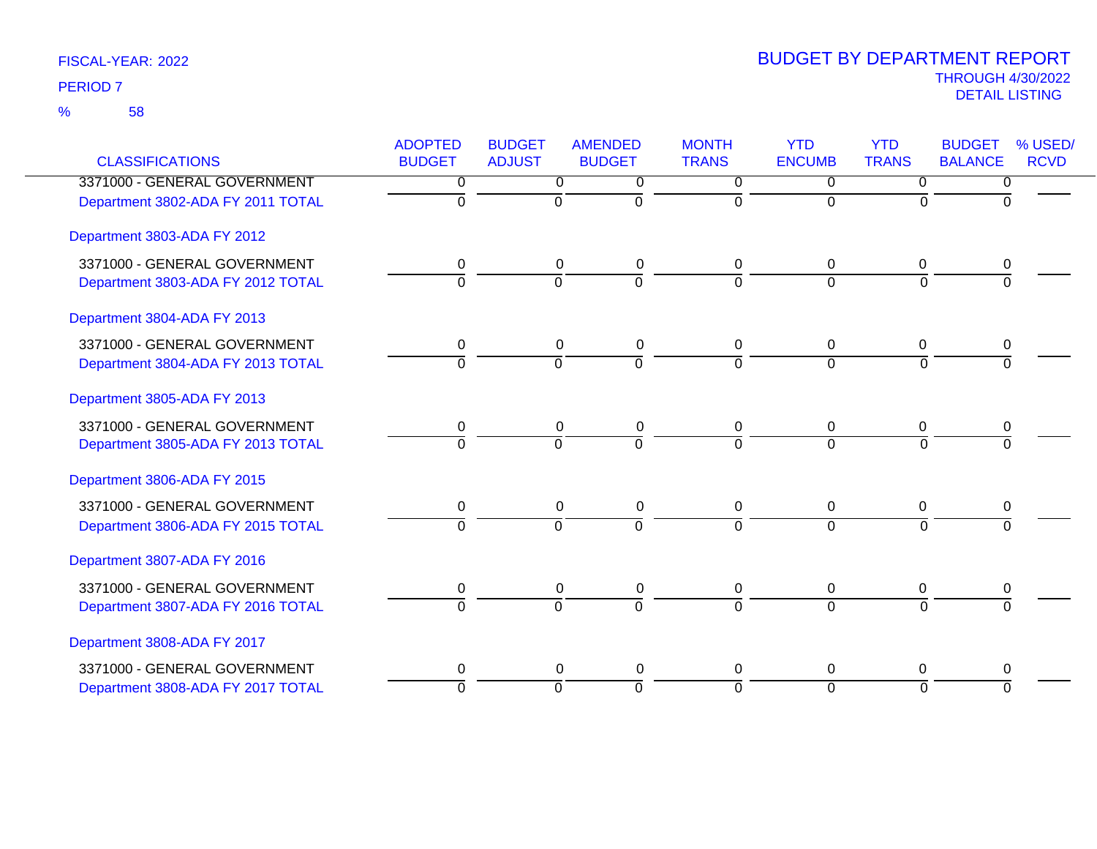58 %

| <b>CLASSIFICATIONS</b>            | <b>ADOPTED</b><br><b>BUDGET</b> | <b>BUDGET</b><br><b>ADJUST</b> | <b>AMENDED</b><br><b>BUDGET</b> | <b>MONTH</b><br><b>TRANS</b> | <b>YTD</b><br><b>ENCUMB</b> | <b>YTD</b><br><b>TRANS</b> | <b>BUDGET</b><br><b>BALANCE</b> | % USED/<br><b>RCVD</b> |
|-----------------------------------|---------------------------------|--------------------------------|---------------------------------|------------------------------|-----------------------------|----------------------------|---------------------------------|------------------------|
| 3371000 - GENERAL GOVERNMENT      | 0                               | $\overline{0}$                 | $\overline{0}$                  | $\overline{0}$               | $\overline{0}$              | $\Omega$                   | 0                               |                        |
| Department 3802-ADA FY 2011 TOTAL | $\Omega$                        | $\Omega$                       | $\Omega$                        | $\Omega$                     | $\Omega$                    | $\Omega$                   | $\Omega$                        |                        |
| Department 3803-ADA FY 2012       |                                 |                                |                                 |                              |                             |                            |                                 |                        |
| 3371000 - GENERAL GOVERNMENT      | 0                               | $\overline{0}$                 | 0                               | $\mathbf 0$                  | $\mathbf 0$                 | $\mathbf 0$                | 0                               |                        |
| Department 3803-ADA FY 2012 TOTAL | $\overline{0}$                  | $\overline{0}$                 | $\overline{0}$                  | $\Omega$                     | $\Omega$                    | $\Omega$                   | $\Omega$                        |                        |
| Department 3804-ADA FY 2013       |                                 |                                |                                 |                              |                             |                            |                                 |                        |
| 3371000 - GENERAL GOVERNMENT      | 0                               | $\mathbf 0$                    | 0                               | 0                            | $\mathbf 0$                 | $\Omega$                   | 0                               |                        |
| Department 3804-ADA FY 2013 TOTAL | $\Omega$                        | $\Omega$                       | $\overline{0}$                  | $\Omega$                     | $\Omega$                    | $\Omega$                   | $\Omega$                        |                        |
| Department 3805-ADA FY 2013       |                                 |                                |                                 |                              |                             |                            |                                 |                        |
| 3371000 - GENERAL GOVERNMENT      | 0                               | 0                              | 0                               | 0                            | $\overline{0}$              | 0                          | 0                               |                        |
| Department 3805-ADA FY 2013 TOTAL | $\Omega$                        | $\Omega$                       | $\overline{0}$                  | $\Omega$                     | $\overline{0}$              | $\Omega$                   | $\Omega$                        |                        |
| Department 3806-ADA FY 2015       |                                 |                                |                                 |                              |                             |                            |                                 |                        |
| 3371000 - GENERAL GOVERNMENT      | 0                               | $\mathbf 0$                    | 0                               | $\mathbf 0$                  | $\mathbf 0$                 | 0                          | 0                               |                        |
| Department 3806-ADA FY 2015 TOTAL | $\Omega$                        | $\overline{0}$                 | $\overline{0}$                  | $\Omega$                     | $\Omega$                    | $\mathbf 0$                | $\Omega$                        |                        |
| Department 3807-ADA FY 2016       |                                 |                                |                                 |                              |                             |                            |                                 |                        |
| 3371000 - GENERAL GOVERNMENT      | 0                               | $\mathbf 0$                    | 0                               | 0                            | $\mathbf 0$                 | 0                          | 0                               |                        |
| Department 3807-ADA FY 2016 TOTAL | $\Omega$                        | $\Omega$                       | $\Omega$                        | $\Omega$                     | $\Omega$                    | $\Omega$                   | $\Omega$                        |                        |
| Department 3808-ADA FY 2017       |                                 |                                |                                 |                              |                             |                            |                                 |                        |
| 3371000 - GENERAL GOVERNMENT      | 0                               | $\overline{0}$                 | 0                               | 0                            | $\mathbf 0$                 | 0                          | 0                               |                        |
| Department 3808-ADA FY 2017 TOTAL | $\overline{0}$                  | $\overline{0}$                 | $\overline{0}$                  | $\Omega$                     | $\overline{0}$              | $\overline{0}$             | $\Omega$                        |                        |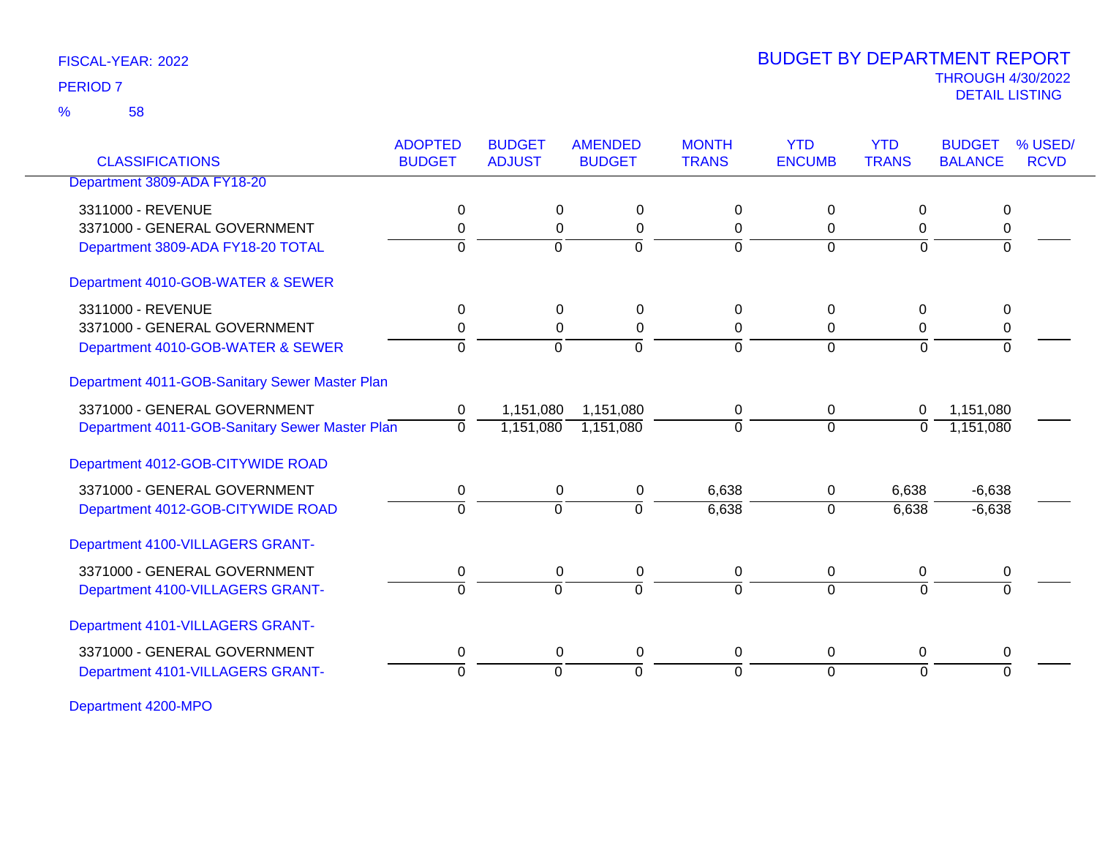58 %

### THROUGH 4/30/2022<br>DETAIL LISTING DETAIL LISTING PERIOD <sup>7</sup> BUDGET BY DEPARTMENT REPORT

| <b>CLASSIFICATIONS</b>                         | <b>ADOPTED</b><br><b>BUDGET</b> | <b>BUDGET</b><br><b>ADJUST</b> | <b>AMENDED</b><br><b>BUDGET</b> | <b>MONTH</b><br><b>TRANS</b> | <b>YTD</b><br><b>ENCUMB</b> | <b>YTD</b><br><b>TRANS</b> | <b>BUDGET</b><br><b>BALANCE</b> | % USED/<br><b>RCVD</b> |
|------------------------------------------------|---------------------------------|--------------------------------|---------------------------------|------------------------------|-----------------------------|----------------------------|---------------------------------|------------------------|
| Department 3809-ADA FY18-20                    |                                 |                                |                                 |                              |                             |                            |                                 |                        |
| 3311000 - REVENUE                              | 0                               | 0                              | 0                               | $\Omega$                     | 0                           | $\Omega$                   | 0                               |                        |
| 3371000 - GENERAL GOVERNMENT                   | 0                               | 0                              | $\mathbf 0$                     | 0                            | 0                           | 0                          | 0                               |                        |
| Department 3809-ADA FY18-20 TOTAL              | $\Omega$                        | $\Omega$                       | $\Omega$                        | $\Omega$                     | $\mathbf 0$                 | $\Omega$                   | $\Omega$                        |                        |
| Department 4010-GOB-WATER & SEWER              |                                 |                                |                                 |                              |                             |                            |                                 |                        |
| 3311000 - REVENUE                              | 0                               | 0                              | 0                               | 0                            | 0                           | 0                          | 0                               |                        |
| 3371000 - GENERAL GOVERNMENT                   | $\mathbf 0$                     | 0                              | $\mathbf 0$                     | 0                            | 0                           | 0                          | 0                               |                        |
| Department 4010-GOB-WATER & SEWER              | $\Omega$                        | $\Omega$                       | $\Omega$                        | $\Omega$                     | $\Omega$                    | $\Omega$                   | $\Omega$                        |                        |
| Department 4011-GOB-Sanitary Sewer Master Plan |                                 |                                |                                 |                              |                             |                            |                                 |                        |
| 3371000 - GENERAL GOVERNMENT                   | 0                               | 1,151,080                      | 1,151,080                       | $\mathbf 0$                  | 0                           | 0                          | 1,151,080                       |                        |
| Department 4011-GOB-Sanitary Sewer Master Plan | $\mathbf{0}$                    | 1,151,080                      | 1,151,080                       | $\Omega$                     | $\overline{0}$              | $\Omega$                   | 1,151,080                       |                        |
| Department 4012-GOB-CITYWIDE ROAD              |                                 |                                |                                 |                              |                             |                            |                                 |                        |
| 3371000 - GENERAL GOVERNMENT                   | 0                               | 0                              | 0                               | 6,638                        | 0                           | 6,638                      | $-6,638$                        |                        |
| Department 4012-GOB-CITYWIDE ROAD              | $\overline{0}$                  | $\overline{0}$                 | 0                               | 6,638                        | $\mathbf 0$                 | 6,638                      | $-6,638$                        |                        |
| Department 4100-VILLAGERS GRANT-               |                                 |                                |                                 |                              |                             |                            |                                 |                        |
| 3371000 - GENERAL GOVERNMENT                   | 0                               | 0                              | 0                               | 0                            | 0                           | 0                          | 0                               |                        |
| Department 4100-VILLAGERS GRANT-               | $\Omega$                        | $\Omega$                       | $\overline{0}$                  | $\Omega$                     | $\Omega$                    | $\Omega$                   | $\overline{0}$                  |                        |
| Department 4101-VILLAGERS GRANT-               |                                 |                                |                                 |                              |                             |                            |                                 |                        |
| 3371000 - GENERAL GOVERNMENT                   | 0                               | 0                              | $\pmb{0}$                       | 0                            | 0                           | 0                          | 0                               |                        |
| Department 4101-VILLAGERS GRANT-               | $\Omega$                        | $\overline{0}$                 | $\overline{0}$                  | $\Omega$                     | $\overline{0}$              | $\Omega$                   | $\overline{0}$                  |                        |

Department 4200-MPO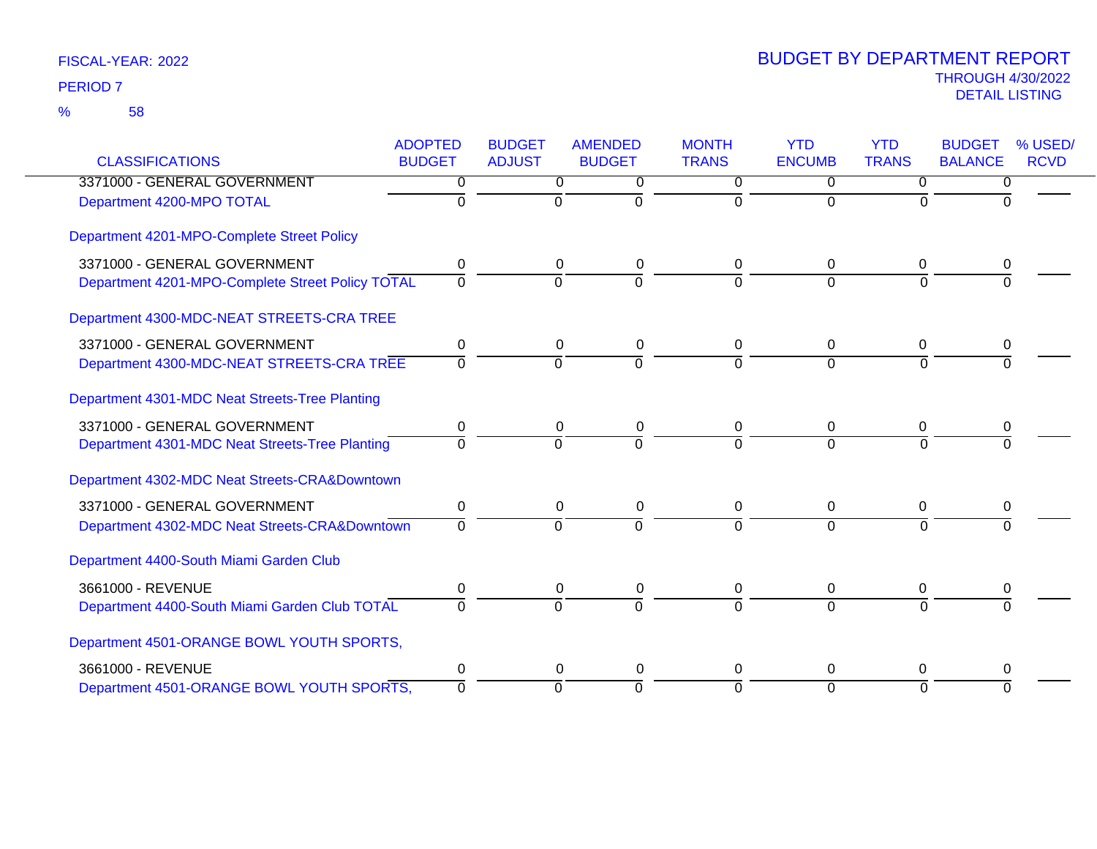|                                                  | <b>ADOPTED</b> | <b>BUDGET</b> | <b>AMENDED</b>   | <b>MONTH</b> | <b>YTD</b>    | <b>YTD</b>     | <b>BUDGET</b>  | % USED/     |
|--------------------------------------------------|----------------|---------------|------------------|--------------|---------------|----------------|----------------|-------------|
| <b>CLASSIFICATIONS</b>                           | <b>BUDGET</b>  | <b>ADJUST</b> | <b>BUDGET</b>    | <b>TRANS</b> | <b>ENCUMB</b> | <b>TRANS</b>   | <b>BALANCE</b> | <b>RCVD</b> |
| 3371000 - GENERAL GOVERNMENT                     | 0              | 0             | 0                | 0            | $\Omega$      | 0              | 0              |             |
| Department 4200-MPO TOTAL                        | 0              | $\Omega$      | $\Omega$         | 0            | $\Omega$      | 0              | $\Omega$       |             |
| Department 4201-MPO-Complete Street Policy       |                |               |                  |              |               |                |                |             |
| 3371000 - GENERAL GOVERNMENT                     | 0              | 0             | 0                | 0            | 0             | 0              |                |             |
| Department 4201-MPO-Complete Street Policy TOTAL | $\mathbf 0$    | $\mathbf 0$   | $\mathbf 0$      | $\Omega$     | $\Omega$      | $\overline{0}$ | $\Omega$       |             |
| Department 4300-MDC-NEAT STREETS-CRA TREE        |                |               |                  |              |               |                |                |             |
| 3371000 - GENERAL GOVERNMENT                     | 0              | 0             | 0                | 0            | 0             | 0              | 0              |             |
| Department 4300-MDC-NEAT STREETS-CRA TREE        | $\Omega$       | $\Omega$      | $\overline{0}$   | $\Omega$     | $\Omega$      | $\Omega$       |                |             |
| Department 4301-MDC Neat Streets-Tree Planting   |                |               |                  |              |               |                |                |             |
| 3371000 - GENERAL GOVERNMENT                     | 0              | 0             | 0                | 0            | 0             | 0              | 0              |             |
| Department 4301-MDC Neat Streets-Tree Planting   | $\Omega$       | $\Omega$      | $\overline{0}$   | $\Omega$     | $\Omega$      | $\Omega$       |                |             |
| Department 4302-MDC Neat Streets-CRA&Downtown    |                |               |                  |              |               |                |                |             |
| 3371000 - GENERAL GOVERNMENT                     | 0              | 0             | 0                | 0            | 0             | 0              | 0              |             |
| Department 4302-MDC Neat Streets-CRA&Downtown    | $\Omega$       | $\Omega$      | $\Omega$         | $\Omega$     | $\Omega$      | $\Omega$       | $\Omega$       |             |
| Department 4400-South Miami Garden Club          |                |               |                  |              |               |                |                |             |
| 3661000 - REVENUE                                | 0              | 0             | 0                | 0            | 0             | 0              | 0              |             |
| Department 4400-South Miami Garden Club TOTAL    | $\Omega$       | $\Omega$      | $\overline{0}$   | $\Omega$     | $\Omega$      | $\Omega$       |                |             |
| Department 4501-ORANGE BOWL YOUTH SPORTS,        |                |               |                  |              |               |                |                |             |
| 3661000 - REVENUE                                | 0              |               | $\mathbf 0$<br>0 | 0            | $\Omega$      | $\Omega$       | 0              |             |
| Department 4501-ORANGE BOWL YOUTH SPORTS,        | $\Omega$       | $\Omega$      | $\Omega$         | $\Omega$     | $\Omega$      | $\Omega$       | $\Omega$       |             |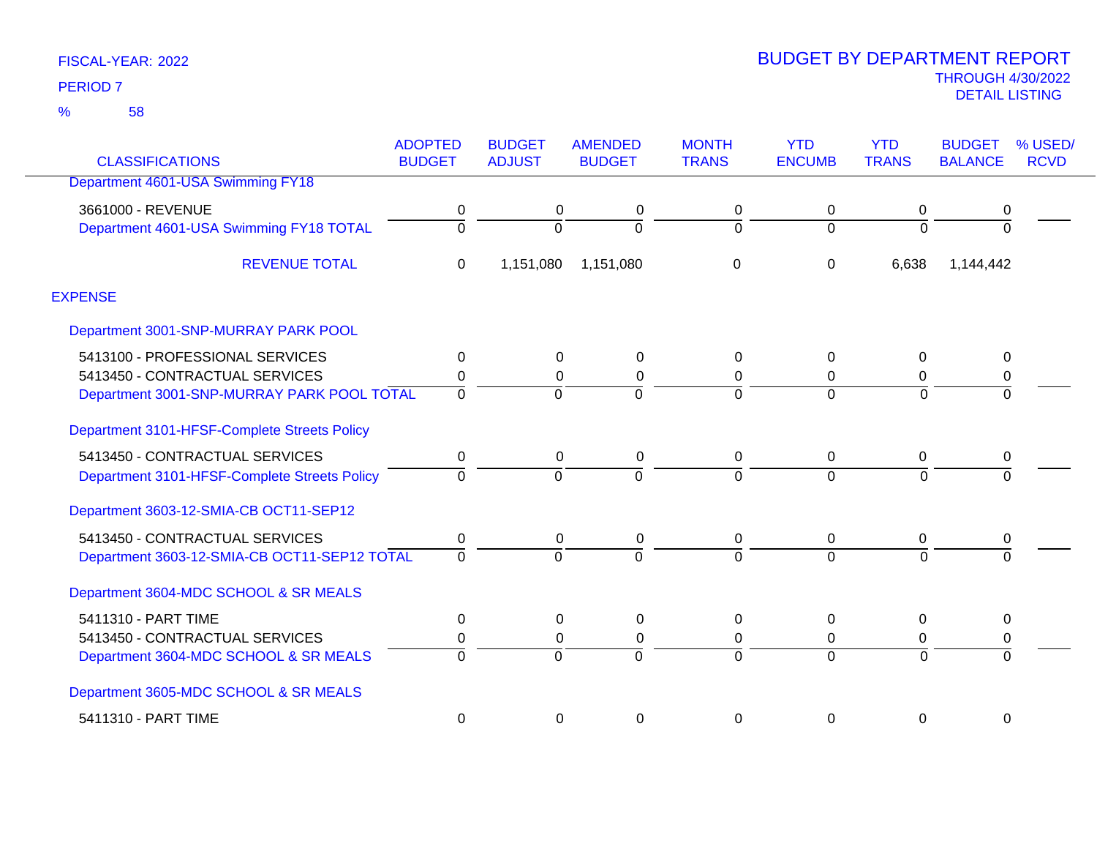58 %

| <b>CLASSIFICATIONS</b>                       | <b>ADOPTED</b><br><b>BUDGET</b> | <b>BUDGET</b><br><b>ADJUST</b> | <b>AMENDED</b><br><b>BUDGET</b> | <b>MONTH</b><br><b>TRANS</b> | <b>YTD</b><br><b>ENCUMB</b> | <b>YTD</b><br><b>TRANS</b> | <b>BUDGET</b><br><b>BALANCE</b> | % USED/<br><b>RCVD</b> |
|----------------------------------------------|---------------------------------|--------------------------------|---------------------------------|------------------------------|-----------------------------|----------------------------|---------------------------------|------------------------|
| Department 4601-USA Swimming FY18            |                                 |                                |                                 |                              |                             |                            |                                 |                        |
| 3661000 - REVENUE                            | 0                               | 0                              | 0                               | 0                            | 0                           | 0                          | 0                               |                        |
| Department 4601-USA Swimming FY18 TOTAL      | $\Omega$                        | $\Omega$                       | $\Omega$                        | $\Omega$                     | $\overline{0}$              | $\Omega$                   | $\Omega$                        |                        |
| <b>REVENUE TOTAL</b>                         | $\Omega$                        | 1,151,080                      | 1,151,080                       | 0                            | 0                           | 6,638                      | 1,144,442                       |                        |
| <b>EXPENSE</b>                               |                                 |                                |                                 |                              |                             |                            |                                 |                        |
| Department 3001-SNP-MURRAY PARK POOL         |                                 |                                |                                 |                              |                             |                            |                                 |                        |
| 5413100 - PROFESSIONAL SERVICES              | 0                               | 0                              | 0                               | 0                            | 0                           | $\Omega$                   | 0                               |                        |
| 5413450 - CONTRACTUAL SERVICES               | 0                               | 0                              | 0                               | 0                            | 0                           | 0                          | 0                               |                        |
| Department 3001-SNP-MURRAY PARK POOL TOTAL   | $\Omega$                        | $\Omega$                       | $\Omega$                        | $\overline{0}$               | $\Omega$                    | $\Omega$                   | $\overline{0}$                  |                        |
| Department 3101-HFSF-Complete Streets Policy |                                 |                                |                                 |                              |                             |                            |                                 |                        |
| 5413450 - CONTRACTUAL SERVICES               | 0                               | 0                              | 0                               | 0                            | 0                           | 0                          | $\boldsymbol{0}$                |                        |
| Department 3101-HFSF-Complete Streets Policy | $\Omega$                        | $\Omega$                       | ∩                               | $\Omega$                     | $\Omega$                    | $\Omega$                   |                                 |                        |
| Department 3603-12-SMIA-CB OCT11-SEP12       |                                 |                                |                                 |                              |                             |                            |                                 |                        |
| 5413450 - CONTRACTUAL SERVICES               | 0                               | 0                              | $\pmb{0}$                       | 0                            | $\mathbf 0$                 | 0                          | 0                               |                        |
| Department 3603-12-SMIA-CB OCT11-SEP12 TOTAL | $\Omega$                        | $\Omega$                       | $\Omega$                        | $\Omega$                     | $\Omega$                    | $\Omega$                   |                                 |                        |
| Department 3604-MDC SCHOOL & SR MEALS        |                                 |                                |                                 |                              |                             |                            |                                 |                        |
| 5411310 - PART TIME                          | 0                               | 0                              | 0                               | 0                            | $\Omega$                    | $\Omega$                   | 0                               |                        |
| 5413450 - CONTRACTUAL SERVICES               | 0                               | 0                              | 0                               | 0                            | 0                           | 0                          | 0                               |                        |
| Department 3604-MDC SCHOOL & SR MEALS        | $\Omega$                        | $\Omega$                       | $\Omega$                        | $\overline{0}$               | $\Omega$                    | $\overline{0}$             | $\overline{0}$                  |                        |
| Department 3605-MDC SCHOOL & SR MEALS        |                                 |                                |                                 |                              |                             |                            |                                 |                        |
| 5411310 - PART TIME                          | $\Omega$                        | 0                              | 0                               | 0                            | $\Omega$                    | 0                          | 0                               |                        |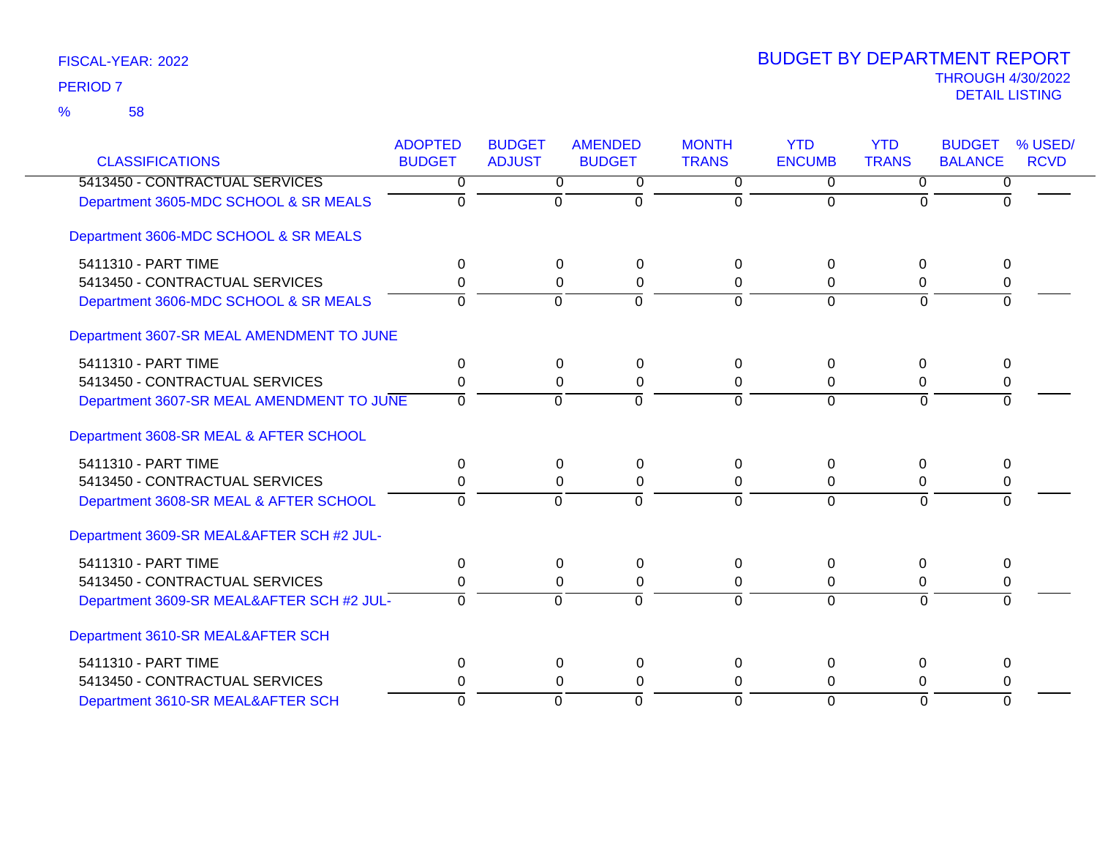| <b>CLASSIFICATIONS</b>                    | <b>ADOPTED</b><br><b>BUDGET</b> | <b>BUDGET</b><br><b>ADJUST</b> | <b>AMENDED</b><br><b>BUDGET</b> | <b>MONTH</b><br><b>TRANS</b> | <b>YTD</b><br><b>ENCUMB</b> | <b>YTD</b><br><b>TRANS</b> | <b>BUDGET</b><br><b>BALANCE</b> | % USED/<br><b>RCVD</b> |
|-------------------------------------------|---------------------------------|--------------------------------|---------------------------------|------------------------------|-----------------------------|----------------------------|---------------------------------|------------------------|
| 5413450 - CONTRACTUAL SERVICES            | $\overline{0}$                  | $\overline{0}$                 | $\overline{0}$                  | $\overline{0}$               | $\overline{0}$              | $\overline{0}$             | 0                               |                        |
| Department 3605-MDC SCHOOL & SR MEALS     | $\Omega$                        | $\mathbf 0$                    | $\Omega$                        | $\Omega$                     | $\Omega$                    | $\Omega$                   | $\Omega$                        |                        |
| Department 3606-MDC SCHOOL & SR MEALS     |                                 |                                |                                 |                              |                             |                            |                                 |                        |
| 5411310 - PART TIME                       | $\Omega$                        | $\Omega$                       | 0                               | $\Omega$                     | $\Omega$                    | $\Omega$                   | $\Omega$                        |                        |
| 5413450 - CONTRACTUAL SERVICES            | 0                               | 0                              | 0                               | $\Omega$                     | $\Omega$                    | $\Omega$                   | 0                               |                        |
| Department 3606-MDC SCHOOL & SR MEALS     | $\Omega$                        | $\overline{0}$                 | $\mathbf 0$                     | $\Omega$                     | $\Omega$                    | $\Omega$                   | $\Omega$                        |                        |
| Department 3607-SR MEAL AMENDMENT TO JUNE |                                 |                                |                                 |                              |                             |                            |                                 |                        |
| 5411310 - PART TIME                       | 0                               | 0                              | 0                               | $\Omega$                     | 0                           | 0                          | 0                               |                        |
| 5413450 - CONTRACTUAL SERVICES            | $\Omega$                        | $\Omega$                       | $\pmb{0}$                       | $\Omega$                     | 0                           | $\Omega$                   | 0                               |                        |
| Department 3607-SR MEAL AMENDMENT TO JUNE | $\Omega$                        | $\Omega$                       | $\Omega$                        | $\Omega$                     | $\Omega$                    | $\Omega$                   | $\Omega$                        |                        |
| Department 3608-SR MEAL & AFTER SCHOOL    |                                 |                                |                                 |                              |                             |                            |                                 |                        |
| 5411310 - PART TIME                       | $\Omega$                        | 0                              | $\pmb{0}$                       | $\Omega$                     | $\Omega$                    | 0                          | $\Omega$                        |                        |
| 5413450 - CONTRACTUAL SERVICES            | 0                               | $\Omega$                       | 0                               | $\Omega$                     | $\Omega$                    | $\mathbf 0$                | 0                               |                        |
| Department 3608-SR MEAL & AFTER SCHOOL    | $\Omega$                        | $\mathbf 0$                    | $\mathbf 0$                     | $\Omega$                     | $\Omega$                    | $\Omega$                   | $\Omega$                        |                        |
| Department 3609-SR MEAL&AFTER SCH #2 JUL- |                                 |                                |                                 |                              |                             |                            |                                 |                        |
| 5411310 - PART TIME                       | 0                               | $\mathbf 0$                    | $\pmb{0}$                       | 0                            | 0                           | $\mathbf 0$                | 0                               |                        |
| 5413450 - CONTRACTUAL SERVICES            | $\Omega$                        | 0                              | $\pmb{0}$                       | $\Omega$                     | $\Omega$                    | $\Omega$                   | 0                               |                        |
| Department 3609-SR MEAL&AFTER SCH #2 JUL- | $\Omega$                        | $\overline{0}$                 | $\overline{0}$                  | $\Omega$                     | $\Omega$                    | $\Omega$                   | $\overline{0}$                  |                        |
| Department 3610-SR MEAL&AFTER SCH         |                                 |                                |                                 |                              |                             |                            |                                 |                        |
| 5411310 - PART TIME                       | 0                               | $\mathbf 0$                    | $\pmb{0}$                       | 0                            | $\Omega$                    | 0                          | $\Omega$                        |                        |
| 5413450 - CONTRACTUAL SERVICES            | $\Omega$                        | $\Omega$                       | 0                               | $\Omega$                     | 0                           | $\Omega$                   | 0                               |                        |
| Department 3610-SR MEAL&AFTER SCH         | $\Omega$                        | $\mathbf 0$                    | $\Omega$                        | $\Omega$                     | $\Omega$                    | $\Omega$                   | $\Omega$                        |                        |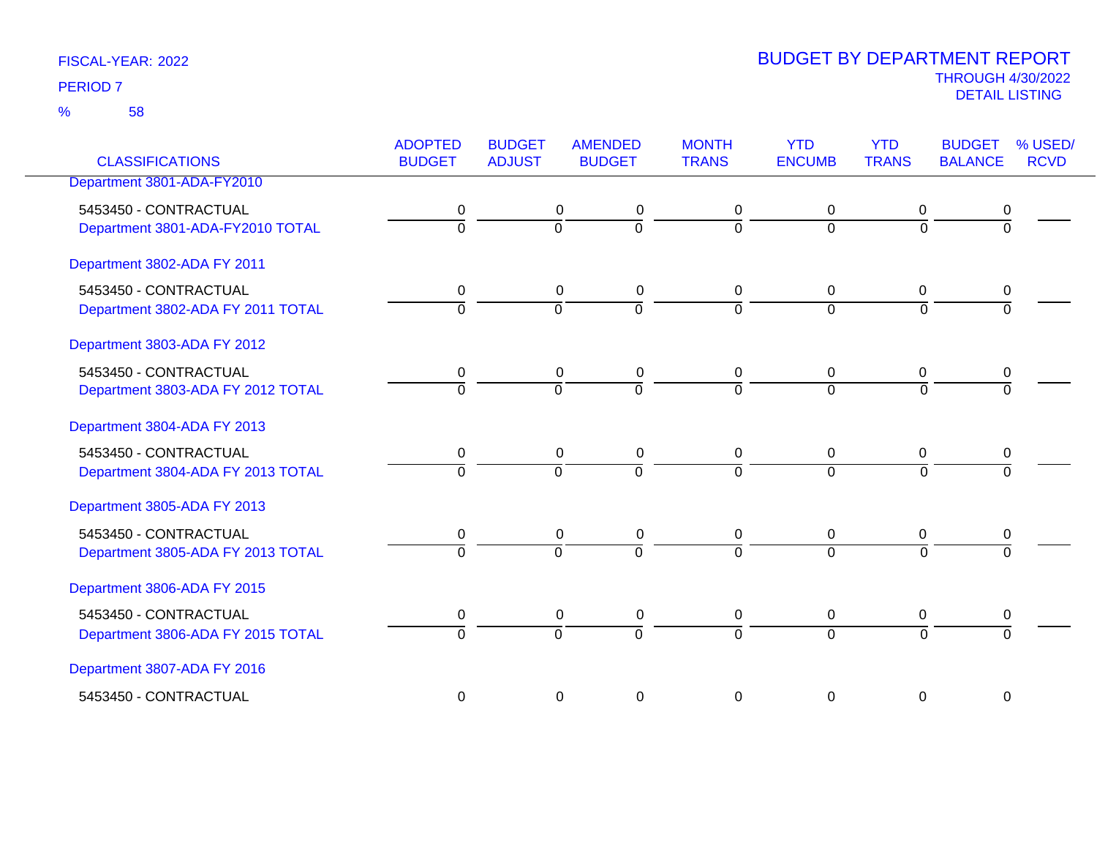58 %

| <b>CLASSIFICATIONS</b>                                     | <b>ADOPTED</b><br><b>BUDGET</b> | <b>BUDGET</b><br><b>ADJUST</b> | <b>AMENDED</b><br><b>BUDGET</b>                              | <b>MONTH</b><br><b>TRANS</b>  | <b>YTD</b><br><b>ENCUMB</b>   | <b>YTD</b><br><b>TRANS</b> | <b>BUDGET</b><br><b>BALANCE</b> | % USED/<br><b>RCVD</b> |
|------------------------------------------------------------|---------------------------------|--------------------------------|--------------------------------------------------------------|-------------------------------|-------------------------------|----------------------------|---------------------------------|------------------------|
| Department 3801-ADA-FY2010                                 |                                 |                                |                                                              |                               |                               |                            |                                 |                        |
| 5453450 - CONTRACTUAL<br>Department 3801-ADA-FY2010 TOTAL  | 0<br>$\overline{0}$             |                                | 0<br>0<br>$\overline{0}$<br>$\overline{0}$                   | 0<br>$\mathbf 0$              | $\mathbf 0$<br>$\overline{0}$ | 0<br>$\overline{0}$        | 0<br>$\overline{0}$             |                        |
| Department 3802-ADA FY 2011                                |                                 |                                |                                                              |                               |                               |                            |                                 |                        |
| 5453450 - CONTRACTUAL<br>Department 3802-ADA FY 2011 TOTAL | 0<br>$\Omega$                   |                                | $\mathbf 0$<br>$\mathbf 0$<br>$\overline{0}$<br>$\Omega$     | $\mathbf 0$<br>$\Omega$       | $\mathbf 0$<br>$\Omega$       | 0<br>$\Omega$              | 0<br>$\Omega$                   |                        |
| Department 3803-ADA FY 2012                                |                                 |                                |                                                              |                               |                               |                            |                                 |                        |
| 5453450 - CONTRACTUAL<br>Department 3803-ADA FY 2012 TOTAL | 0<br>$\overline{0}$             |                                | $\mathbf 0$<br>0<br>$\overline{0}$<br>$\overline{0}$         | 0<br>$\Omega$                 | 0<br>$\overline{0}$           | 0<br>$\Omega$              | 0<br>$\Omega$                   |                        |
| Department 3804-ADA FY 2013                                |                                 |                                |                                                              |                               |                               |                            |                                 |                        |
| 5453450 - CONTRACTUAL<br>Department 3804-ADA FY 2013 TOTAL | 0<br>$\overline{0}$             |                                | 0<br>$\mathbf 0$<br>ō<br>$\overline{0}$                      | 0<br>$\mathbf 0$              | 0<br>$\mathbf 0$              | 0<br>$\mathbf 0$           | 0<br>$\Omega$                   |                        |
| Department 3805-ADA FY 2013                                |                                 |                                |                                                              |                               |                               |                            |                                 |                        |
| 5453450 - CONTRACTUAL<br>Department 3805-ADA FY 2013 TOTAL | 0<br>$\overline{0}$             |                                | $\mathbf 0$<br>$\pmb{0}$<br>$\overline{0}$<br>$\overline{0}$ | $\mathbf 0$<br>$\overline{0}$ | $\mathbf 0$<br>$\Omega$       | 0<br>$\overline{0}$        | 0<br>$\overline{0}$             |                        |
| Department 3806-ADA FY 2015                                |                                 |                                |                                                              |                               |                               |                            |                                 |                        |
| 5453450 - CONTRACTUAL<br>Department 3806-ADA FY 2015 TOTAL | 0<br>$\mathbf 0$                |                                | $\mathbf 0$<br>$\mathbf 0$<br>ō<br>$\overline{0}$            | $\mathbf 0$<br>$\mathbf 0$    | $\mathbf 0$<br>$\mathbf 0$    | $\pmb{0}$<br>$\mathbf 0$   | $\pmb{0}$<br>$\Omega$           |                        |
| Department 3807-ADA FY 2016                                |                                 |                                |                                                              |                               |                               |                            |                                 |                        |
| 5453450 - CONTRACTUAL                                      | 0                               |                                | $\mathbf 0$<br>$\mathbf 0$                                   | $\mathbf 0$                   | 0                             | 0                          | 0                               |                        |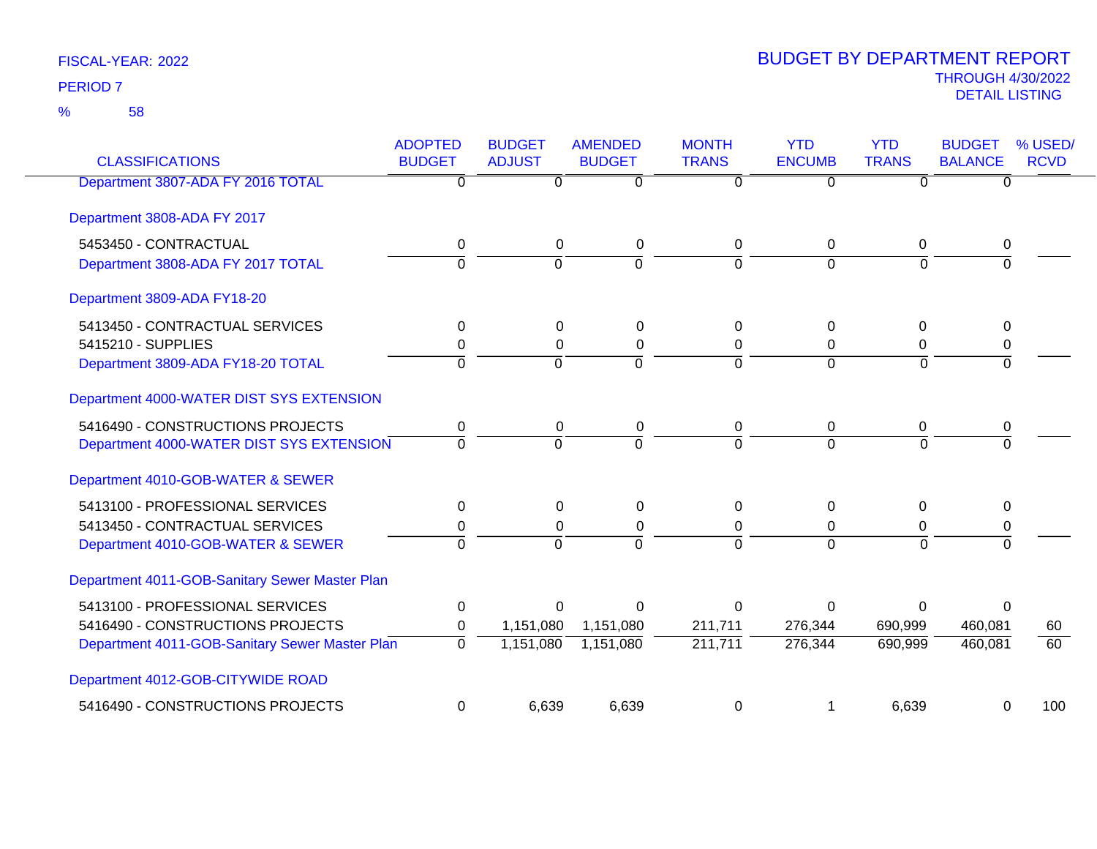58 %

| <b>CLASSIFICATIONS</b>                         | <b>ADOPTED</b><br><b>BUDGET</b> | <b>BUDGET</b><br><b>ADJUST</b> | <b>AMENDED</b><br><b>BUDGET</b> | <b>MONTH</b><br><b>TRANS</b> | <b>YTD</b><br><b>ENCUMB</b> | <b>YTD</b><br><b>TRANS</b> | <b>BUDGET</b><br><b>BALANCE</b> | % USED/<br><b>RCVD</b> |
|------------------------------------------------|---------------------------------|--------------------------------|---------------------------------|------------------------------|-----------------------------|----------------------------|---------------------------------|------------------------|
| Department 3807-ADA FY 2016 TOTAL              | 0                               | 0                              | 0                               | 0                            | 0                           | 0                          | $\Omega$                        |                        |
| Department 3808-ADA FY 2017                    |                                 |                                |                                 |                              |                             |                            |                                 |                        |
| 5453450 - CONTRACTUAL                          | 0                               | $\mathbf 0$                    | 0                               | 0                            | $\mathbf 0$                 | 0                          | 0                               |                        |
| Department 3808-ADA FY 2017 TOTAL              | $\Omega$                        | $\Omega$                       | $\overline{0}$                  | $\Omega$                     | $\Omega$                    | $\Omega$                   | $\Omega$                        |                        |
| Department 3809-ADA FY18-20                    |                                 |                                |                                 |                              |                             |                            |                                 |                        |
| 5413450 - CONTRACTUAL SERVICES                 | 0                               | $\Omega$                       | 0                               | 0                            | $\Omega$                    | $\Omega$                   | $\Omega$                        |                        |
| 5415210 - SUPPLIES                             | 0                               | $\Omega$                       | $\Omega$                        | $\Omega$                     | $\Omega$                    | 0                          | 0                               |                        |
| Department 3809-ADA FY18-20 TOTAL              | $\Omega$                        | 0                              | $\Omega$                        | 0                            | $\Omega$                    | $\Omega$                   | $\Omega$                        |                        |
| Department 4000-WATER DIST SYS EXTENSION       |                                 |                                |                                 |                              |                             |                            |                                 |                        |
| 5416490 - CONSTRUCTIONS PROJECTS               | 0                               | 0                              | 0                               | 0                            | $\mathbf 0$                 | 0                          | 0                               |                        |
| Department 4000-WATER DIST SYS EXTENSION       | $\mathbf 0$                     | $\overline{0}$                 | $\overline{0}$                  | $\mathbf 0$                  | $\Omega$                    | 0                          | $\overline{0}$                  |                        |
| Department 4010-GOB-WATER & SEWER              |                                 |                                |                                 |                              |                             |                            |                                 |                        |
| 5413100 - PROFESSIONAL SERVICES                | $\mathbf 0$                     | $\Omega$                       | $\Omega$                        | 0                            | $\mathbf{0}$                | 0                          | $\Omega$                        |                        |
| 5413450 - CONTRACTUAL SERVICES                 | 0                               | $\Omega$                       | 0                               | 0                            | 0                           | 0                          | 0                               |                        |
| Department 4010-GOB-WATER & SEWER              | $\Omega$                        | $\Omega$                       | $\Omega$                        | $\Omega$                     | $\Omega$                    | $\Omega$                   | $\Omega$                        |                        |
| Department 4011-GOB-Sanitary Sewer Master Plan |                                 |                                |                                 |                              |                             |                            |                                 |                        |
| 5413100 - PROFESSIONAL SERVICES                | 0                               | $\Omega$                       | $\Omega$                        | 0                            | $\Omega$                    | $\Omega$                   | $\Omega$                        |                        |
| 5416490 - CONSTRUCTIONS PROJECTS               | 0                               | 1,151,080                      | 1,151,080                       | 211,711                      | 276,344                     | 690,999                    | 460,081                         | 60                     |
| Department 4011-GOB-Sanitary Sewer Master Plan | $\overline{0}$                  | 1,151,080                      | 1,151,080                       | 211,711                      | 276,344                     | 690,999                    | 460,081                         | 60                     |
| Department 4012-GOB-CITYWIDE ROAD              |                                 |                                |                                 |                              |                             |                            |                                 |                        |
| 5416490 - CONSTRUCTIONS PROJECTS               | $\mathbf 0$                     | 6,639                          | 6,639                           | 0                            |                             | 6,639                      | 0                               | 100                    |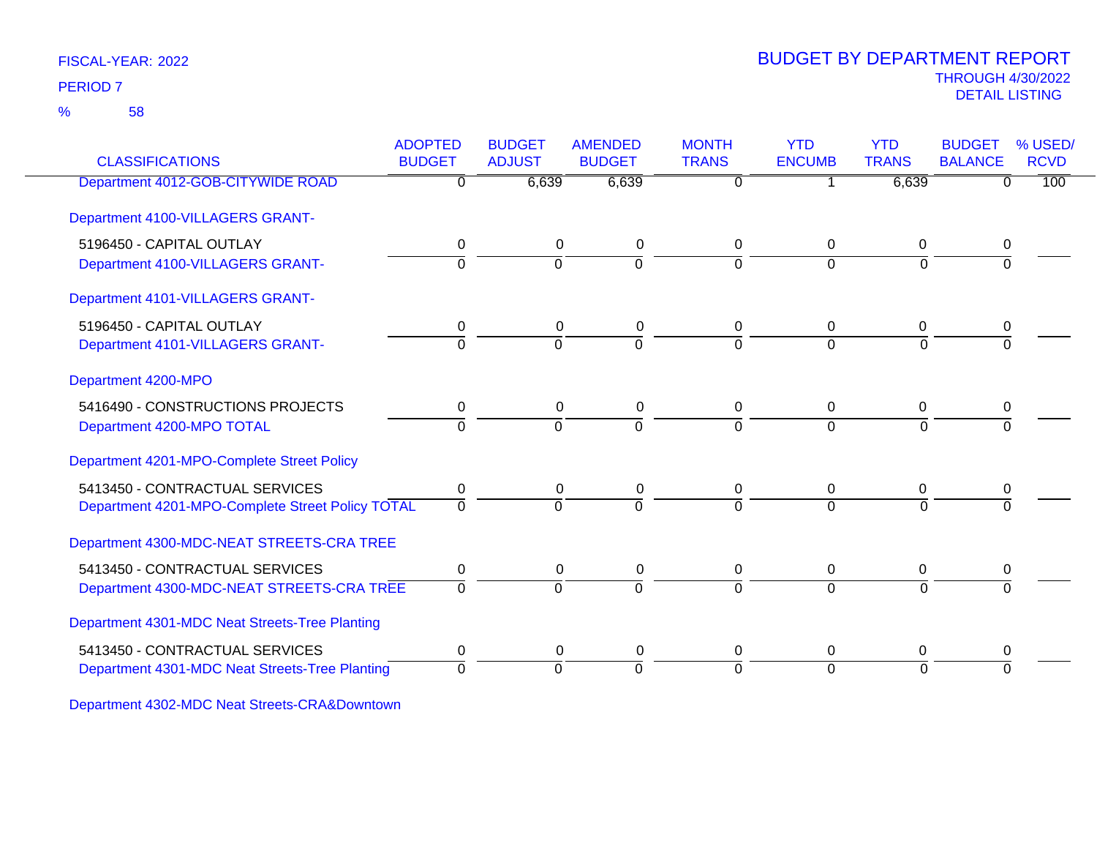58 %

# THROUGH 4/30/2022<br>DETAIL LISTING DETAIL LISTING PERIOD <sup>7</sup> BUDGET BY DEPARTMENT REPORT

| <b>CLASSIFICATIONS</b>                           | <b>ADOPTED</b><br><b>BUDGET</b> | <b>BUDGET</b><br><b>ADJUST</b> | <b>AMENDED</b><br><b>BUDGET</b> | <b>MONTH</b><br><b>TRANS</b> | <b>YTD</b><br><b>ENCUMB</b> | <b>YTD</b><br><b>TRANS</b> | <b>BUDGET</b><br><b>BALANCE</b> | % USED/<br><b>RCVD</b> |
|--------------------------------------------------|---------------------------------|--------------------------------|---------------------------------|------------------------------|-----------------------------|----------------------------|---------------------------------|------------------------|
| Department 4012-GOB-CITYWIDE ROAD                | $\overline{0}$                  | 6,639                          | 6,639                           | $\overline{0}$               |                             | 6,639                      | $\Omega$                        | 100                    |
| Department 4100-VILLAGERS GRANT-                 |                                 |                                |                                 |                              |                             |                            |                                 |                        |
| 5196450 - CAPITAL OUTLAY                         | 0                               | 0                              | 0                               | 0                            | 0                           | 0                          | 0                               |                        |
| Department 4100-VILLAGERS GRANT-                 | $\Omega$                        | $\Omega$                       | $\Omega$                        | $\Omega$                     | $\Omega$                    | $\Omega$                   |                                 |                        |
| Department 4101-VILLAGERS GRANT-                 |                                 |                                |                                 |                              |                             |                            |                                 |                        |
| 5196450 - CAPITAL OUTLAY                         | 0                               | 0                              | 0                               | 0                            | 0                           | 0                          |                                 |                        |
| Department 4101-VILLAGERS GRANT-                 | $\overline{0}$                  | $\overline{0}$                 | $\overline{0}$                  | $\Omega$                     | $\Omega$                    | $\Omega$                   | $\Omega$                        |                        |
| Department 4200-MPO                              |                                 |                                |                                 |                              |                             |                            |                                 |                        |
| 5416490 - CONSTRUCTIONS PROJECTS                 | 0                               | 0                              | 0                               | 0                            | 0                           | 0                          | 0                               |                        |
| Department 4200-MPO TOTAL                        | $\Omega$                        | $\Omega$                       | $\Omega$                        | $\Omega$                     | $\Omega$                    | $\Omega$                   |                                 |                        |
| Department 4201-MPO-Complete Street Policy       |                                 |                                |                                 |                              |                             |                            |                                 |                        |
| 5413450 - CONTRACTUAL SERVICES                   | 0                               | 0                              | 0                               | 0                            | $\Omega$                    | 0                          | 0                               |                        |
| Department 4201-MPO-Complete Street Policy TOTAL | $\Omega$                        | $\Omega$                       | $\Omega$                        | $\Omega$                     | $\Omega$                    | $\Omega$                   | $\Omega$                        |                        |
| Department 4300-MDC-NEAT STREETS-CRA TREE        |                                 |                                |                                 |                              |                             |                            |                                 |                        |
| 5413450 - CONTRACTUAL SERVICES                   | 0                               | 0                              | 0                               | 0                            | $\mathbf{0}$                | 0                          | 0                               |                        |
| Department 4300-MDC-NEAT STREETS-CRA TREE        | $\Omega$                        | $\Omega$                       | $\Omega$                        | $\Omega$                     | $\Omega$                    | $\Omega$                   |                                 |                        |
| Department 4301-MDC Neat Streets-Tree Planting   |                                 |                                |                                 |                              |                             |                            |                                 |                        |
| 5413450 - CONTRACTUAL SERVICES                   | 0                               | 0                              | 0                               | 0                            | $\mathbf{0}$                | 0                          | 0                               |                        |
| Department 4301-MDC Neat Streets-Tree Planting   | $\mathbf 0$                     | $\overline{0}$                 | $\overline{0}$                  | $\Omega$                     | $\Omega$                    | 0                          | $\Omega$                        |                        |

Department 4302-MDC Neat Streets-CRA&Downtown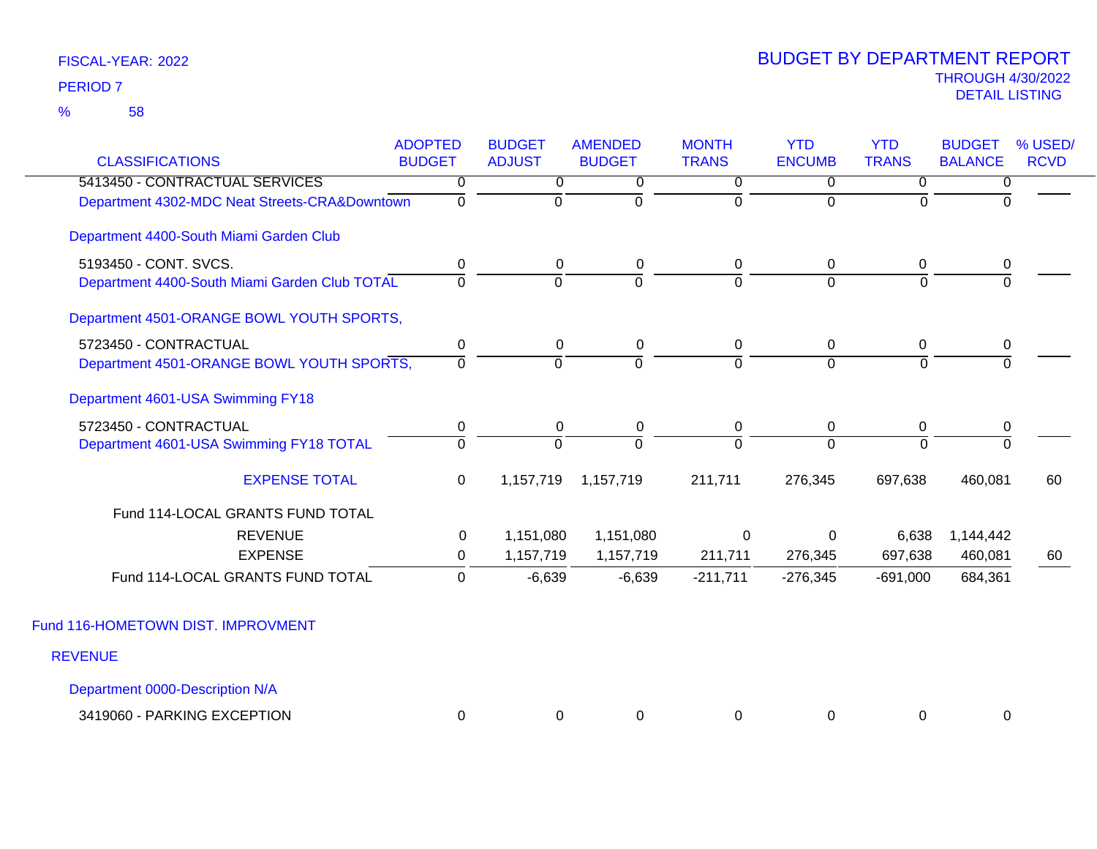| <b>CLASSIFICATIONS</b>                        | <b>ADOPTED</b><br><b>BUDGET</b> | <b>BUDGET</b><br><b>ADJUST</b> | <b>AMENDED</b><br><b>BUDGET</b> | <b>MONTH</b><br><b>TRANS</b> | <b>YTD</b><br><b>ENCUMB</b> | <b>YTD</b><br><b>TRANS</b> | <b>BUDGET</b><br><b>BALANCE</b> | % USED/<br><b>RCVD</b> |
|-----------------------------------------------|---------------------------------|--------------------------------|---------------------------------|------------------------------|-----------------------------|----------------------------|---------------------------------|------------------------|
| 5413450 - CONTRACTUAL SERVICES                | 0                               | 0                              | 0                               | 0                            | 0                           | $\overline{0}$             | 0                               |                        |
| Department 4302-MDC Neat Streets-CRA&Downtown | 0                               | $\mathbf 0$                    | 0                               | $\overline{0}$               | $\Omega$                    | $\Omega$                   | $\Omega$                        |                        |
| Department 4400-South Miami Garden Club       |                                 |                                |                                 |                              |                             |                            |                                 |                        |
| 5193450 - CONT. SVCS.                         | 0                               | 0                              | 0                               | 0                            | 0                           | $\mathbf 0$                | 0                               |                        |
| Department 4400-South Miami Garden Club TOTAL | $\Omega$                        | $\mathbf 0$                    | $\overline{0}$                  | $\Omega$                     | $\overline{0}$              | $\Omega$                   | $\mathbf 0$                     |                        |
| Department 4501-ORANGE BOWL YOUTH SPORTS,     |                                 |                                |                                 |                              |                             |                            |                                 |                        |
| 5723450 - CONTRACTUAL                         | $\pmb{0}$                       | 0                              | $\mathbf 0$                     | 0                            | $\mathbf 0$                 | $\mathbf 0$                | $\pmb{0}$                       |                        |
| Department 4501-ORANGE BOWL YOUTH SPORTS,     | $\Omega$                        | $\Omega$                       | $\overline{0}$                  | $\Omega$                     | $\Omega$                    | $\Omega$                   | $\Omega$                        |                        |
| Department 4601-USA Swimming FY18             |                                 |                                |                                 |                              |                             |                            |                                 |                        |
| 5723450 - CONTRACTUAL                         | $\pmb{0}$                       | 0                              | $\mathbf 0$                     | 0                            | 0                           | $\mathbf 0$                | $\mathbf 0$                     |                        |
| Department 4601-USA Swimming FY18 TOTAL       | $\Omega$                        | $\Omega$                       | $\overline{0}$                  | $\Omega$                     | $\Omega$                    | $\Omega$                   | $\Omega$                        |                        |
| <b>EXPENSE TOTAL</b>                          | 0                               | 1,157,719                      | 1,157,719                       | 211,711                      | 276,345                     | 697,638                    | 460,081                         | 60                     |
| Fund 114-LOCAL GRANTS FUND TOTAL              |                                 |                                |                                 |                              |                             |                            |                                 |                        |
| <b>REVENUE</b>                                | 0                               | 1,151,080                      | 1,151,080                       | $\mathbf 0$                  | $\mathbf 0$                 | 6,638                      | 1,144,442                       |                        |
| <b>EXPENSE</b>                                | 0                               | 1,157,719                      | 1,157,719                       | 211,711                      | 276,345                     | 697,638                    | 460,081                         | 60                     |
| Fund 114-LOCAL GRANTS FUND TOTAL              | $\Omega$                        | $-6,639$                       | $-6,639$                        | $-211,711$                   | $-276,345$                  | $-691,000$                 | 684,361                         |                        |
| Fund 116-HOMETOWN DIST. IMPROVMENT            |                                 |                                |                                 |                              |                             |                            |                                 |                        |
| <b>REVENUE</b>                                |                                 |                                |                                 |                              |                             |                            |                                 |                        |
| Department 0000-Description N/A               |                                 |                                |                                 |                              |                             |                            |                                 |                        |

| - PARKING EXCEPTION<br>3419060 - |  |  |  |  |
|----------------------------------|--|--|--|--|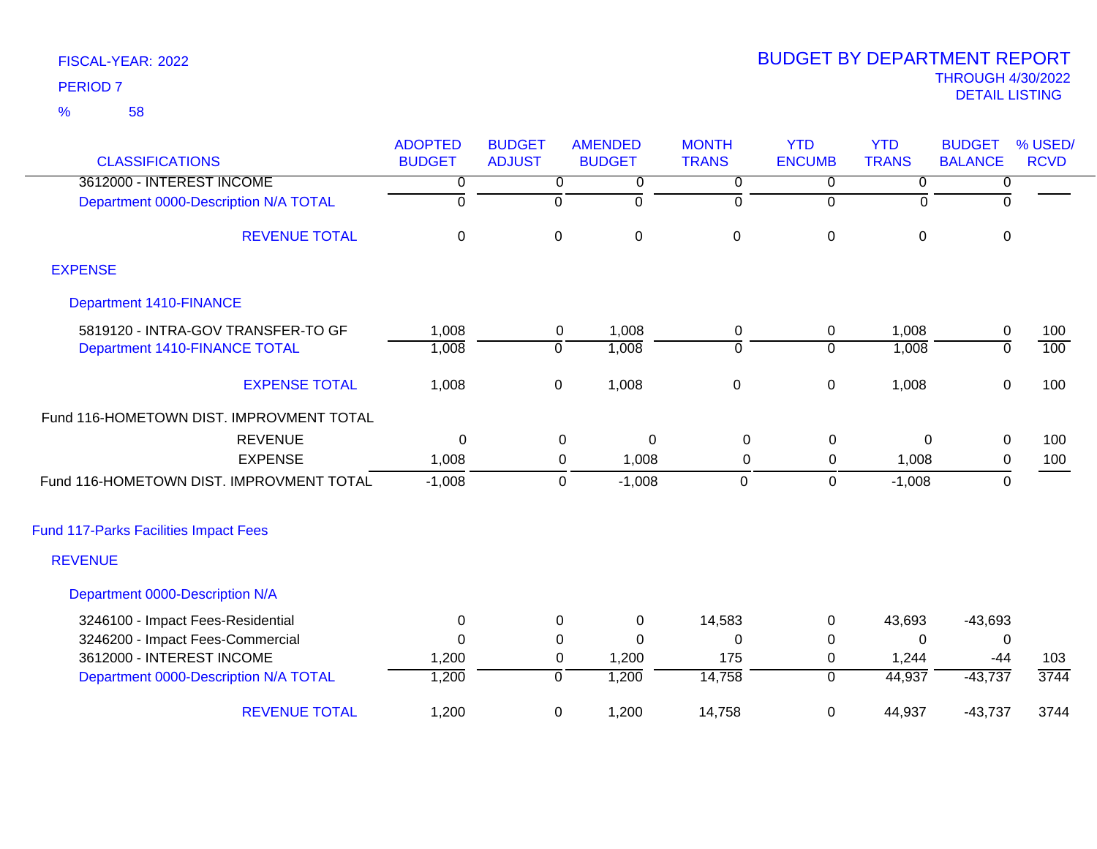| FISCAL-YEAR: 2022 |  |
|-------------------|--|
| <b>DEDIAD 7</b>   |  |

# THROUGH 4/30/2022<br>DETAIL LISTING DETAIL LISTING PERIOD <sup>7</sup> BUDGET BY DEPARTMENT REPORT

|                                              | <b>ADOPTED</b> | <b>BUDGET</b>  | <b>AMENDED</b>           | <b>MONTH</b>   | <b>YTD</b>     | <b>YTD</b>   | <b>BUDGET</b>  | % USED/     |
|----------------------------------------------|----------------|----------------|--------------------------|----------------|----------------|--------------|----------------|-------------|
| <b>CLASSIFICATIONS</b>                       | <b>BUDGET</b>  | <b>ADJUST</b>  | <b>BUDGET</b>            | <b>TRANS</b>   | <b>ENCUMB</b>  | <b>TRANS</b> | <b>BALANCE</b> | <b>RCVD</b> |
| 3612000 - INTEREST INCOME                    | 0              | 0              | 0                        | 0              | 0              | 0            | 0              |             |
| Department 0000-Description N/A TOTAL        | ō              | ō              | ō                        | 0              | $\overline{0}$ | $\mathbf 0$  | $\Omega$       |             |
| <b>REVENUE TOTAL</b>                         | $\mathbf 0$    | $\mathbf 0$    | $\pmb{0}$                | $\pmb{0}$      | $\pmb{0}$      | $\mathbf 0$  | $\mathbf 0$    |             |
| <b>EXPENSE</b>                               |                |                |                          |                |                |              |                |             |
| <b>Department 1410-FINANCE</b>               |                |                |                          |                |                |              |                |             |
| 5819120 - INTRA-GOV TRANSFER-TO GF           | 1,008          | $\mathbf 0$    | 1,008                    | $\mathbf 0$    | $\mathbf 0$    | 1,008        | 0              | 100         |
| Department 1410-FINANCE TOTAL                | 1,008          | $\overline{0}$ | 1,008                    | $\overline{0}$ | $\overline{0}$ | 1,008        | $\overline{0}$ | 100         |
| <b>EXPENSE TOTAL</b>                         | 1,008          | $\pmb{0}$      | 1,008                    | $\pmb{0}$      | $\mathbf 0$    | 1,008        | $\pmb{0}$      | 100         |
| Fund 116-HOMETOWN DIST. IMPROVMENT TOTAL     |                |                |                          |                |                |              |                |             |
| <b>REVENUE</b>                               | 0              |                | $\pmb{0}$<br>$\mathbf 0$ | $\pmb{0}$      | $\pmb{0}$      | 0            | $\pmb{0}$      | 100         |
| <b>EXPENSE</b>                               | 1,008          |                | 0<br>1,008               | 0              | 0              | 1,008        | 0              | 100         |
| Fund 116-HOMETOWN DIST. IMPROVMENT TOTAL     | $-1,008$       |                | $-1,008$<br>$\mathbf 0$  | $\mathbf 0$    | $\mathbf 0$    | $-1,008$     | 0              |             |
| <b>Fund 117-Parks Facilities Impact Fees</b> |                |                |                          |                |                |              |                |             |
| <b>REVENUE</b>                               |                |                |                          |                |                |              |                |             |
| Department 0000-Description N/A              |                |                |                          |                |                |              |                |             |
| 3246100 - Impact Fees-Residential            | $\pmb{0}$      | 0              | $\pmb{0}$                | 14,583         | $\pmb{0}$      | 43,693       | $-43,693$      |             |
| 3246200 - Impact Fees-Commercial             | $\Omega$       | $\Omega$       | $\Omega$                 | $\Omega$       | 0              | $\Omega$     | 0              |             |
| 3612000 - INTEREST INCOME                    | 1,200          | 0              | 1,200                    | 175            | 0              | 1,244        | $-44$          | 103         |
| Department 0000-Description N/A TOTAL        | 1,200          | $\overline{0}$ | 1,200                    | 14,758         | $\overline{0}$ | 44,937       | $-43,737$      | 3744        |
| <b>REVENUE TOTAL</b>                         | 1,200          | 0              | 1,200                    | 14,758         | $\mathbf 0$    | 44,937       | $-43,737$      | 3744        |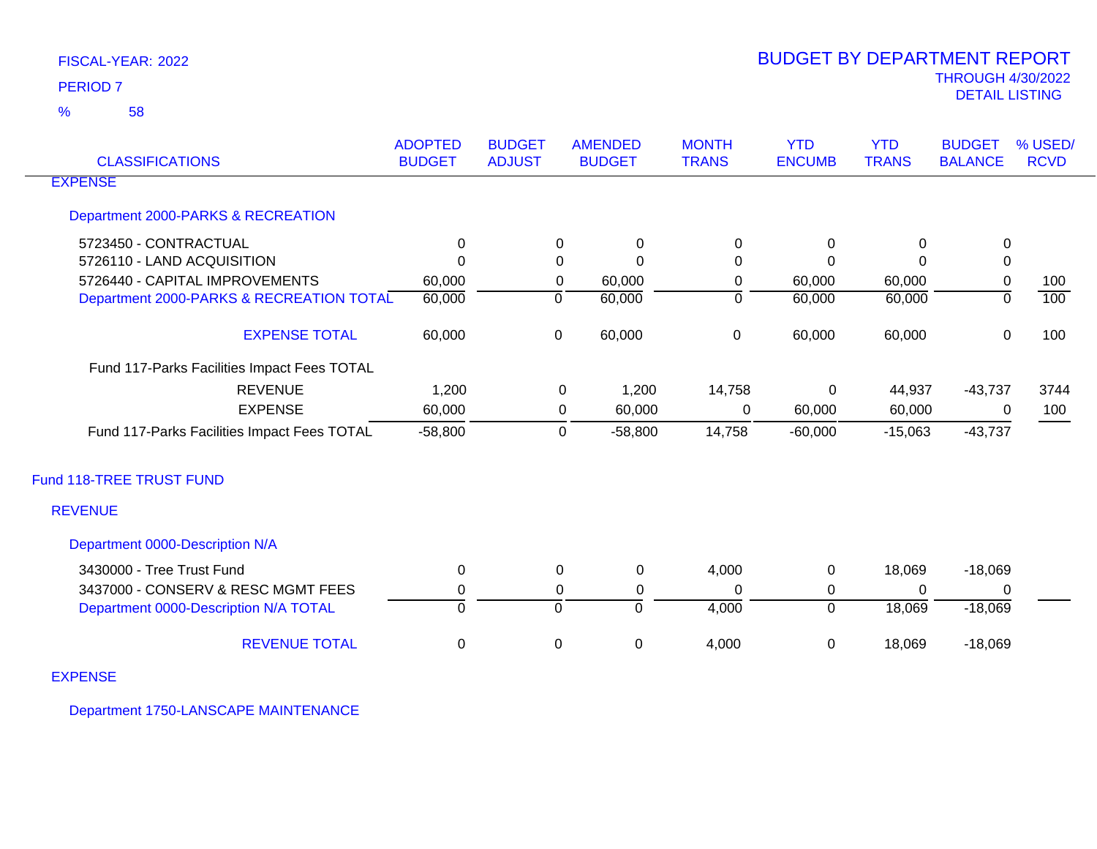58 %

| <b>CLASSIFICATIONS</b>                      | <b>ADOPTED</b><br><b>BUDGET</b> | <b>BUDGET</b><br><b>ADJUST</b> |             | <b>AMENDED</b><br><b>BUDGET</b> | <b>MONTH</b><br><b>TRANS</b> | <b>YTD</b><br><b>ENCUMB</b> | <b>YTD</b><br><b>TRANS</b> | <b>BUDGET</b><br><b>BALANCE</b> | % USED/<br><b>RCVD</b> |
|---------------------------------------------|---------------------------------|--------------------------------|-------------|---------------------------------|------------------------------|-----------------------------|----------------------------|---------------------------------|------------------------|
| <b>EXPENSE</b>                              |                                 |                                |             |                                 |                              |                             |                            |                                 |                        |
| Department 2000-PARKS & RECREATION          |                                 |                                |             |                                 |                              |                             |                            |                                 |                        |
| 5723450 - CONTRACTUAL                       | $\mathbf{0}$                    |                                | 0           | $\mathbf 0$                     | $\Omega$                     | 0                           | $\Omega$                   | $\mathbf 0$                     |                        |
| 5726110 - LAND ACQUISITION                  | $\Omega$                        |                                | 0           | $\Omega$                        | 0                            | $\Omega$                    | 0                          | $\mathbf 0$                     |                        |
| 5726440 - CAPITAL IMPROVEMENTS              | 60,000                          |                                | $\mathbf 0$ | 60,000                          | 0                            | 60,000                      | 60,000                     | $\pmb{0}$                       | 100                    |
| Department 2000-PARKS & RECREATION TOTAL    | 60,000                          | $\mathbf 0$                    |             | 60,000                          | $\overline{0}$               | 60,000                      | 60,000                     | $\overline{0}$                  | 100                    |
| <b>EXPENSE TOTAL</b>                        | 60,000                          |                                | $\mathbf 0$ | 60,000                          | $\mathbf 0$                  | 60,000                      | 60,000                     | 0                               | 100                    |
| Fund 117-Parks Facilities Impact Fees TOTAL |                                 |                                |             |                                 |                              |                             |                            |                                 |                        |
| <b>REVENUE</b>                              | 1,200                           |                                | 0           | 1,200                           | 14,758                       | 0                           | 44,937                     | $-43,737$                       | 3744                   |
| <b>EXPENSE</b>                              | 60,000                          |                                | 0           | 60,000                          | $\mathbf 0$                  | 60,000                      | 60,000                     | 0                               | 100                    |
| Fund 117-Parks Facilities Impact Fees TOTAL | $-58,800$                       |                                | $\Omega$    | $-58,800$                       | 14,758                       | $-60,000$                   | $-15,063$                  | $-43,737$                       |                        |
| Fund 118-TREE TRUST FUND                    |                                 |                                |             |                                 |                              |                             |                            |                                 |                        |
| <b>REVENUE</b>                              |                                 |                                |             |                                 |                              |                             |                            |                                 |                        |
| Department 0000-Description N/A             |                                 |                                |             |                                 |                              |                             |                            |                                 |                        |
| 3430000 - Tree Trust Fund                   | 0                               |                                | 0           | 0                               | 4,000                        | $\mathbf 0$                 | 18,069                     | $-18,069$                       |                        |
| 3437000 - CONSERV & RESC MGMT FEES          | $\mathbf 0$                     |                                | 0           | 0                               | $\Omega$                     | 0                           | 0                          | 0                               |                        |
| Department 0000-Description N/A TOTAL       | $\Omega$                        | $\mathbf 0$                    |             | $\mathbf 0$                     | 4,000                        | $\overline{0}$              | 18,069                     | $-18,069$                       |                        |
| <b>REVENUE TOTAL</b>                        | $\pmb{0}$                       | $\,0\,$                        |             | $\pmb{0}$                       | 4,000                        | $\pmb{0}$                   | 18,069                     | $-18,069$                       |                        |
| <b>EXPENSE</b>                              |                                 |                                |             |                                 |                              |                             |                            |                                 |                        |

Department 1750-LANSCAPE MAINTENANCE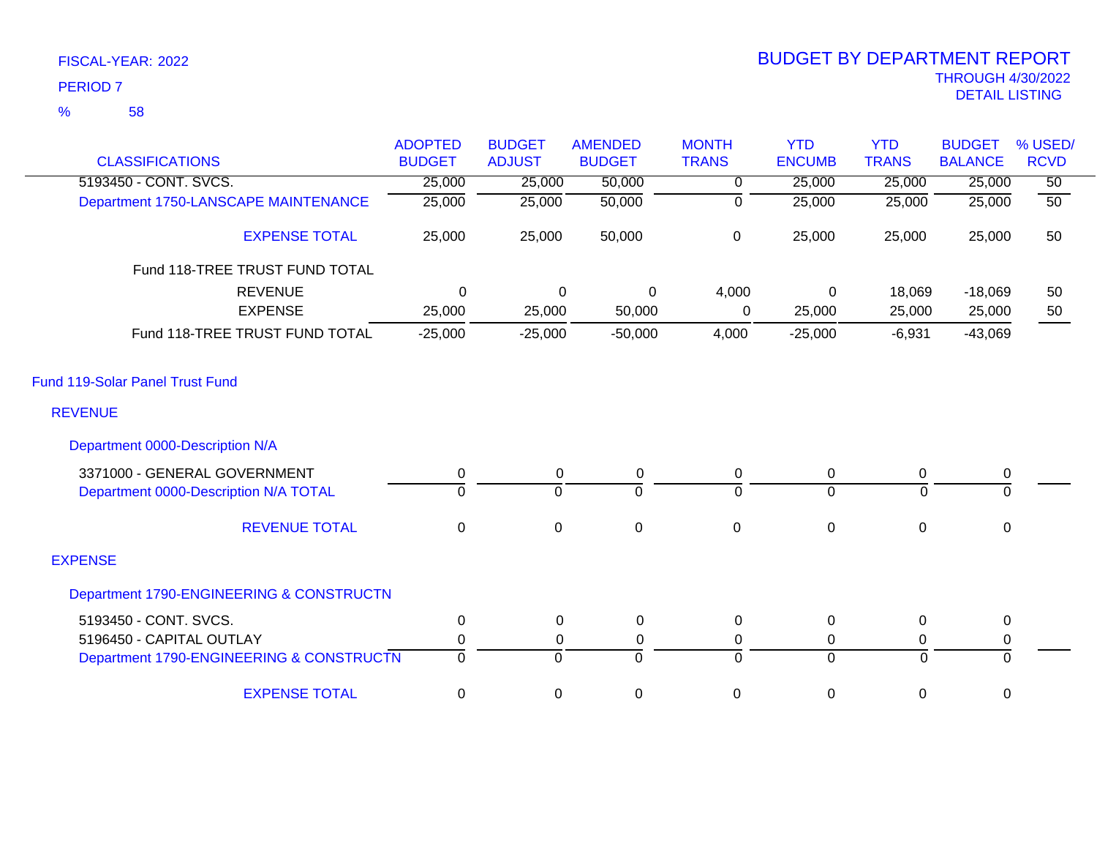| <b>CLASSIFICATIONS</b>                   | <b>ADOPTED</b><br><b>BUDGET</b> | <b>BUDGET</b><br><b>ADJUST</b> | <b>AMENDED</b><br><b>BUDGET</b> | <b>MONTH</b><br><b>TRANS</b> | <b>YTD</b><br><b>ENCUMB</b> | <b>YTD</b><br><b>TRANS</b> | <b>BUDGET</b><br><b>BALANCE</b> | % USED/<br><b>RCVD</b> |
|------------------------------------------|---------------------------------|--------------------------------|---------------------------------|------------------------------|-----------------------------|----------------------------|---------------------------------|------------------------|
| 5193450 - CONT. SVCS.                    | 25,000                          | 25,000                         | 50,000                          | 0                            | 25,000                      | 25,000                     | 25,000                          | $\overline{50}$        |
| Department 1750-LANSCAPE MAINTENANCE     | 25,000                          | 25,000                         | 50,000                          | $\overline{0}$               | 25,000                      | 25,000                     | 25,000                          | $\overline{50}$        |
| <b>EXPENSE TOTAL</b>                     | 25,000                          | 25,000                         | 50,000                          | 0                            | 25,000                      | 25,000                     | 25,000                          | 50                     |
| Fund 118-TREE TRUST FUND TOTAL           |                                 |                                |                                 |                              |                             |                            |                                 |                        |
| <b>REVENUE</b>                           | $\mathbf 0$                     | 0                              | 0                               | 4,000                        | 0                           | 18,069                     | $-18,069$                       | 50                     |
| <b>EXPENSE</b>                           | 25,000                          | 25,000                         | 50,000                          | 0                            | 25,000                      | 25,000                     | 25,000                          | 50                     |
| Fund 118-TREE TRUST FUND TOTAL           | $-25,000$                       | $-25,000$                      | $-50,000$                       | 4,000                        | $-25,000$                   | $-6,931$                   | $-43,069$                       |                        |
| Fund 119-Solar Panel Trust Fund          |                                 |                                |                                 |                              |                             |                            |                                 |                        |
| <b>REVENUE</b>                           |                                 |                                |                                 |                              |                             |                            |                                 |                        |
| Department 0000-Description N/A          |                                 |                                |                                 |                              |                             |                            |                                 |                        |
| 3371000 - GENERAL GOVERNMENT             | 0                               | 0                              | 0                               | 0                            | $\mathbf 0$                 | 0                          | $\pmb{0}$                       |                        |
| Department 0000-Description N/A TOTAL    | $\Omega$                        | $\mathbf 0$                    | $\Omega$                        | $\Omega$                     | $\overline{0}$              | 0                          | $\Omega$                        |                        |
| <b>REVENUE TOTAL</b>                     | $\mathbf{0}$                    | $\mathbf 0$                    | $\boldsymbol{0}$                | $\mathbf 0$                  | $\pmb{0}$                   | $\mathbf 0$                | 0                               |                        |
| <b>EXPENSE</b>                           |                                 |                                |                                 |                              |                             |                            |                                 |                        |
| Department 1790-ENGINEERING & CONSTRUCTN |                                 |                                |                                 |                              |                             |                            |                                 |                        |
| 5193450 - CONT. SVCS.                    | 0                               | 0                              | 0                               | 0                            | $\boldsymbol{0}$            | $\mathbf 0$                | $\mathbf 0$                     |                        |
| 5196450 - CAPITAL OUTLAY                 | 0                               | 0                              | 0                               | 0                            | $\mathbf 0$                 | 0                          | 0                               |                        |
| Department 1790-ENGINEERING & CONSTRUCTN | $\mathbf 0$                     | $\mathbf 0$                    | $\overline{0}$                  | $\overline{0}$               | $\mathbf 0$                 | $\overline{0}$             | $\mathbf 0$                     |                        |
| <b>EXPENSE TOTAL</b>                     | 0                               | 0                              | 0                               | 0                            | 0                           | 0                          | 0                               |                        |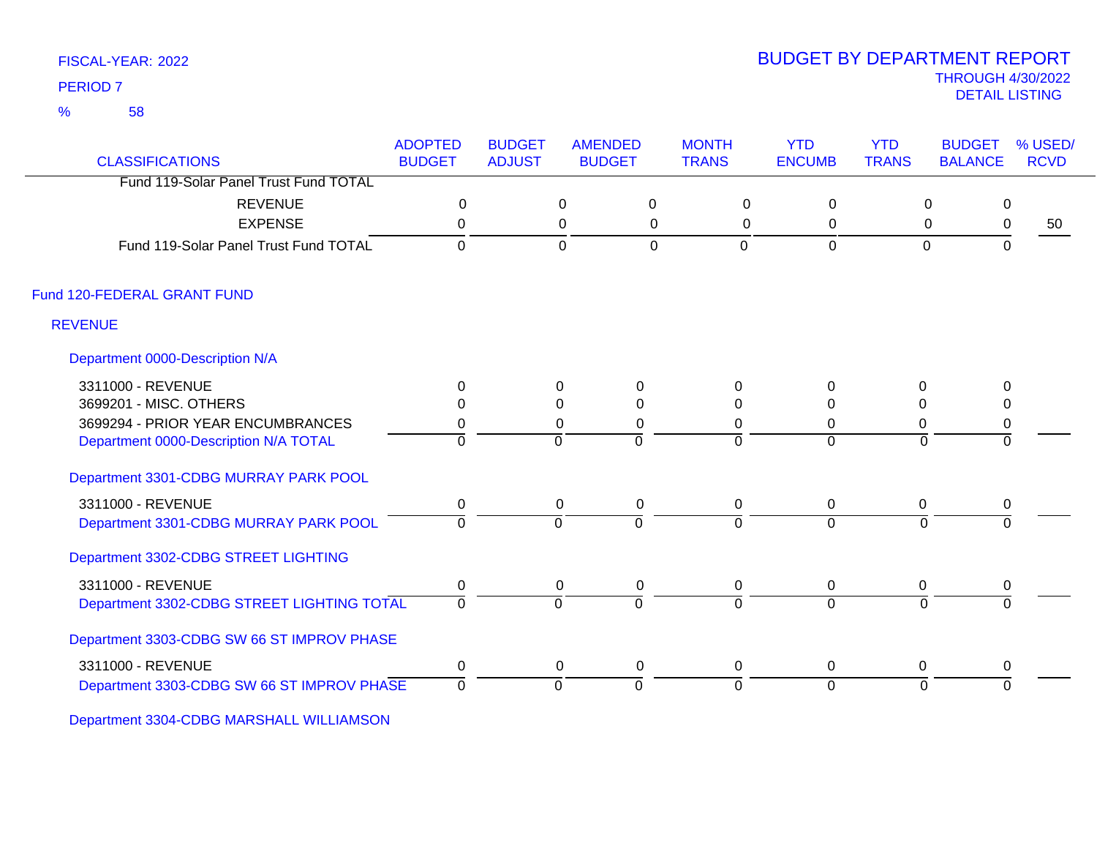58 %

# THROUGH 4/30/2022<br>DETAIL LISTING DETAIL LISTING PERIOD <sup>7</sup> BUDGET BY DEPARTMENT REPORT

| <b>CLASSIFICATIONS</b>                     | <b>ADOPTED</b><br><b>BUDGET</b> | <b>BUDGET</b><br><b>ADJUST</b> | <b>AMENDED</b><br><b>BUDGET</b> | <b>MONTH</b><br><b>TRANS</b> | <b>YTD</b><br><b>ENCUMB</b> | <b>YTD</b><br><b>TRANS</b> | <b>BUDGET</b><br>% USED/<br><b>RCVD</b><br><b>BALANCE</b> |    |
|--------------------------------------------|---------------------------------|--------------------------------|---------------------------------|------------------------------|-----------------------------|----------------------------|-----------------------------------------------------------|----|
| Fund 119-Solar Panel Trust Fund TOTAL      |                                 |                                |                                 |                              |                             |                            |                                                           |    |
| <b>REVENUE</b>                             | $\mathbf 0$                     |                                | $\Omega$                        | $\mathbf 0$<br>$\mathbf 0$   | $\mathbf 0$                 | $\mathbf 0$                | $\mathbf 0$                                               |    |
| <b>EXPENSE</b>                             | 0                               |                                | 0                               | $\mathbf 0$<br>0             | $\mathbf 0$                 | $\mathbf 0$                | $\pmb{0}$                                                 | 50 |
| Fund 119-Solar Panel Trust Fund TOTAL      | $\Omega$                        |                                | $\mathbf 0$                     | $\overline{0}$<br>0          | 0                           | $\mathbf 0$                | $\mathbf 0$                                               |    |
| Fund 120-FEDERAL GRANT FUND                |                                 |                                |                                 |                              |                             |                            |                                                           |    |
| <b>REVENUE</b>                             |                                 |                                |                                 |                              |                             |                            |                                                           |    |
| Department 0000-Description N/A            |                                 |                                |                                 |                              |                             |                            |                                                           |    |
| 3311000 - REVENUE                          | $\mathbf{0}$                    | 0                              | $\mathbf 0$                     | $\Omega$                     | 0                           | 0                          | 0                                                         |    |
| 3699201 - MISC. OTHERS                     | $\Omega$                        | $\Omega$                       | $\Omega$                        | $\Omega$                     | $\Omega$                    | $\Omega$                   | 0                                                         |    |
| 3699294 - PRIOR YEAR ENCUMBRANCES          | 0                               | 0                              | 0                               | $\Omega$                     | 0                           | 0                          | $\pmb{0}$                                                 |    |
| Department 0000-Description N/A TOTAL      | $\Omega$                        | $\Omega$                       | $\Omega$                        | $\Omega$                     | $\Omega$                    | $\Omega$                   | $\Omega$                                                  |    |
| Department 3301-CDBG MURRAY PARK POOL      |                                 |                                |                                 |                              |                             |                            |                                                           |    |
| 3311000 - REVENUE                          | $\mathbf 0$                     |                                | $\mathbf 0$<br>$\mathbf 0$      | $\mathbf 0$                  | $\mathbf 0$                 | 0                          | 0                                                         |    |
| Department 3301-CDBG MURRAY PARK POOL      | $\Omega$                        | $\Omega$                       | $\overline{0}$                  | $\Omega$                     | $\overline{0}$              | $\Omega$                   | $\Omega$                                                  |    |
| Department 3302-CDBG STREET LIGHTING       |                                 |                                |                                 |                              |                             |                            |                                                           |    |
| 3311000 - REVENUE                          | $\pmb{0}$                       | $\mathbf 0$                    | $\pmb{0}$                       | $\mathbf 0$                  | $\mathbf 0$                 | 0                          | $\pmb{0}$                                                 |    |
| Department 3302-CDBG STREET LIGHTING TOTAL | $\Omega$                        | $\Omega$                       | $\Omega$                        | $\Omega$                     | $\Omega$                    | $\Omega$                   | $\Omega$                                                  |    |
| Department 3303-CDBG SW 66 ST IMPROV PHASE |                                 |                                |                                 |                              |                             |                            |                                                           |    |
| 3311000 - REVENUE                          | 0                               |                                | 0<br>0                          | 0                            | $\mathbf 0$                 | 0                          | 0                                                         |    |
| Department 3303-CDBG SW 66 ST IMPROV PHASE | $\overline{0}$                  | $\Omega$                       | $\overline{0}$                  | $\overline{0}$               | $\overline{0}$              | $\mathbf{0}$               | $\Omega$                                                  |    |

Department 3304-CDBG MARSHALL WILLIAMSON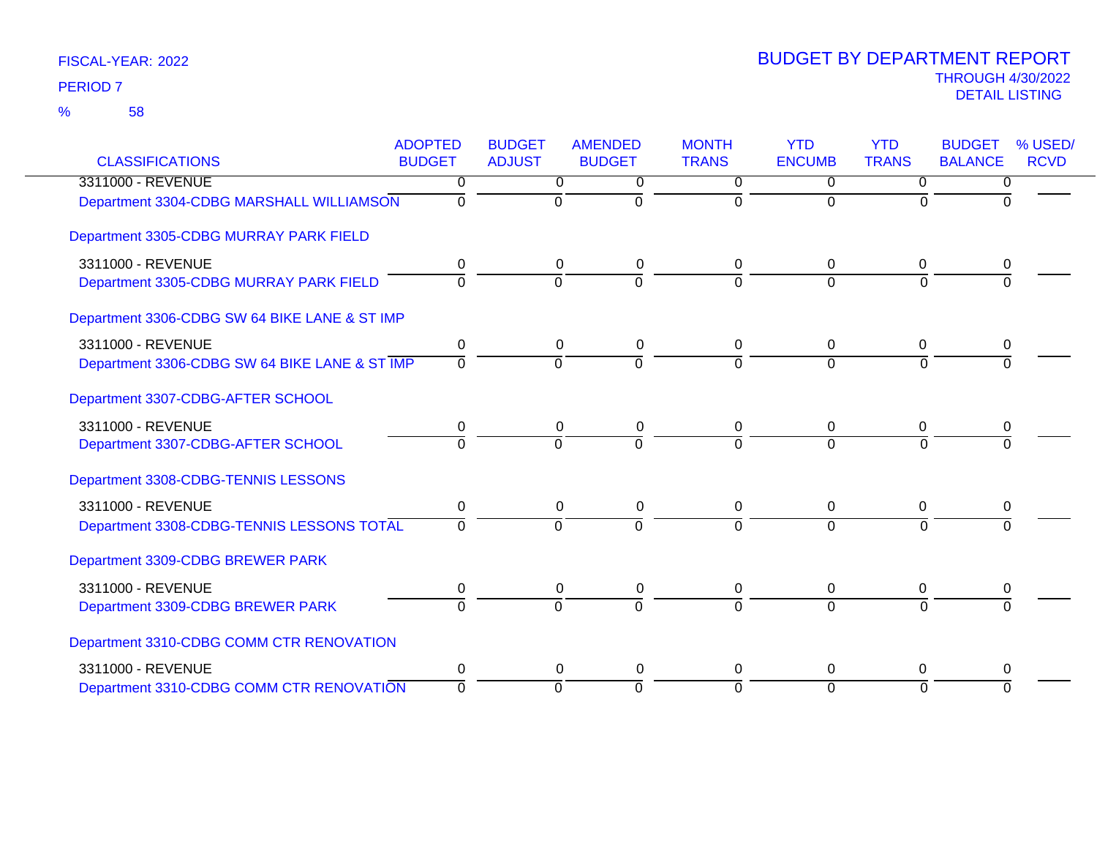|                                               | <b>ADOPTED</b> | <b>BUDGET</b>  | <b>AMENDED</b> | <b>MONTH</b>         | <b>YTD</b>           | <b>YTD</b>           | <b>BUDGET</b>  | % USED/     |
|-----------------------------------------------|----------------|----------------|----------------|----------------------|----------------------|----------------------|----------------|-------------|
| <b>CLASSIFICATIONS</b>                        | <b>BUDGET</b>  | <b>ADJUST</b>  | <b>BUDGET</b>  | <b>TRANS</b>         | <b>ENCUMB</b>        | <b>TRANS</b>         | <b>BALANCE</b> | <b>RCVD</b> |
| 3311000 - REVENUE                             | 0<br>$\Omega$  | 0<br>$\Omega$  | 0<br>$\Omega$  | $\Omega$<br>$\Omega$ | $\Omega$<br>$\Omega$ | $\Omega$<br>$\Omega$ | 0<br>$\Omega$  |             |
| Department 3304-CDBG MARSHALL WILLIAMSON      |                |                |                |                      |                      |                      |                |             |
| Department 3305-CDBG MURRAY PARK FIELD        |                |                |                |                      |                      |                      |                |             |
| 3311000 - REVENUE                             | 0              | 0              | 0              | 0                    | 0                    | 0                    | 0              |             |
| Department 3305-CDBG MURRAY PARK FIELD        | $\Omega$       | $\mathbf 0$    | $\Omega$       | $\Omega$             | $\Omega$             | $\overline{0}$       | $\Omega$       |             |
| Department 3306-CDBG SW 64 BIKE LANE & ST IMP |                |                |                |                      |                      |                      |                |             |
| 3311000 - REVENUE                             | 0              | 0              | 0              | 0                    | 0                    | $\mathbf 0$          | 0              |             |
| Department 3306-CDBG SW 64 BIKE LANE & ST IMP | $\Omega$       | $\Omega$       | $\Omega$       | 0                    | $\Omega$             | $\Omega$             |                |             |
| Department 3307-CDBG-AFTER SCHOOL             |                |                |                |                      |                      |                      |                |             |
| 3311000 - REVENUE                             | 0              | 0              | $\pmb{0}$      | 0                    | $\Omega$             | 0                    | 0              |             |
| Department 3307-CDBG-AFTER SCHOOL             | $\Omega$       | $\overline{0}$ | $\overline{0}$ | $\Omega$             | $\Omega$             | $\Omega$             |                |             |
| Department 3308-CDBG-TENNIS LESSONS           |                |                |                |                      |                      |                      |                |             |
| 3311000 - REVENUE                             | 0              | 0              | 0              | 0                    | 0                    | 0                    | 0              |             |
| Department 3308-CDBG-TENNIS LESSONS TOTAL     | $\Omega$       | $\Omega$       | $\Omega$       | $\Omega$             | $\Omega$             | $\Omega$             | $\Omega$       |             |
| Department 3309-CDBG BREWER PARK              |                |                |                |                      |                      |                      |                |             |
| 3311000 - REVENUE                             | 0              | 0              | 0              | 0                    | 0                    | 0                    | 0              |             |
| Department 3309-CDBG BREWER PARK              | $\Omega$       | $\Omega$       | $\Omega$       | $\Omega$             | $\Omega$             | $\Omega$             |                |             |
| Department 3310-CDBG COMM CTR RENOVATION      |                |                |                |                      |                      |                      |                |             |
| 3311000 - REVENUE                             | 0              | $\Omega$       | 0              | $\Omega$             | $\Omega$             | $\Omega$             | 0              |             |
| Department 3310-CDBG COMM CTR RENOVATION      | $\Omega$       | $\Omega$       | $\Omega$       | $\Omega$             | $\Omega$             | $\Omega$             | $\Omega$       |             |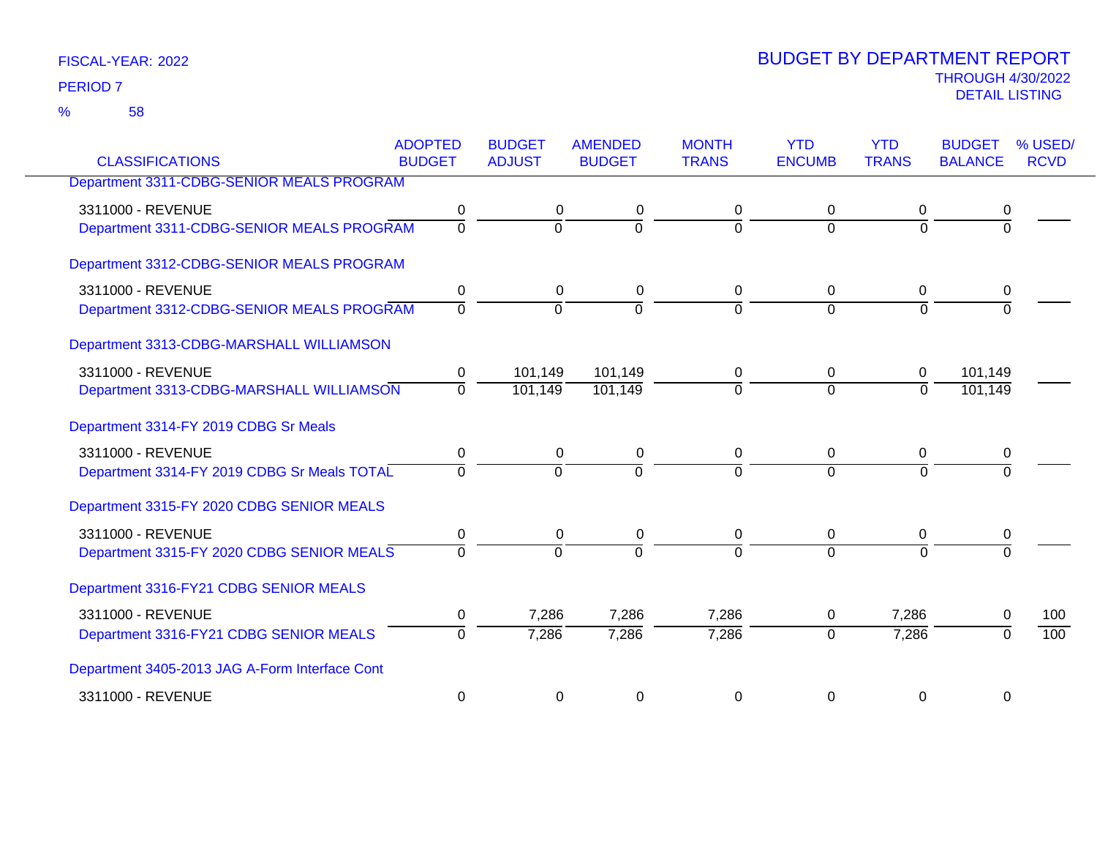58 %

| <b>CLASSIFICATIONS</b>                         | <b>ADOPTED</b><br><b>BUDGET</b> | <b>BUDGET</b><br><b>ADJUST</b> | <b>AMENDED</b><br><b>BUDGET</b> | <b>MONTH</b><br><b>TRANS</b> | <b>YTD</b><br><b>ENCUMB</b> | <b>YTD</b><br><b>TRANS</b> | <b>BUDGET</b><br><b>BALANCE</b> | % USED/<br><b>RCVD</b> |
|------------------------------------------------|---------------------------------|--------------------------------|---------------------------------|------------------------------|-----------------------------|----------------------------|---------------------------------|------------------------|
| Department 3311-CDBG-SENIOR MEALS PROGRAM      |                                 |                                |                                 |                              |                             |                            |                                 |                        |
|                                                |                                 |                                |                                 |                              |                             |                            |                                 |                        |
| 3311000 - REVENUE                              | 0                               | 0                              | 0                               | 0                            | 0                           | 0                          | 0                               |                        |
| Department 3311-CDBG-SENIOR MEALS PROGRAM      | $\overline{0}$                  | $\overline{0}$                 | $\overline{0}$                  | $\Omega$                     | $\Omega$                    | $\Omega$                   | $\Omega$                        |                        |
| Department 3312-CDBG-SENIOR MEALS PROGRAM      |                                 |                                |                                 |                              |                             |                            |                                 |                        |
| 3311000 - REVENUE                              | 0                               | 0                              | 0                               | 0                            | 0                           | 0                          | 0                               |                        |
| Department 3312-CDBG-SENIOR MEALS PROGRAM      | $\overline{0}$                  | $\Omega$                       | $\Omega$                        | $\Omega$                     | $\Omega$                    | $\Omega$                   |                                 |                        |
| Department 3313-CDBG-MARSHALL WILLIAMSON       |                                 |                                |                                 |                              |                             |                            |                                 |                        |
| 3311000 - REVENUE                              | 0                               | 101,149                        | 101,149                         | 0                            | $\Omega$                    | 0                          | 101,149                         |                        |
| Department 3313-CDBG-MARSHALL WILLIAMSON       | $\overline{0}$                  | 101,149                        | 101,149                         | $\Omega$                     | $\Omega$                    | $\overline{0}$             | 101,149                         |                        |
| Department 3314-FY 2019 CDBG Sr Meals          |                                 |                                |                                 |                              |                             |                            |                                 |                        |
| 3311000 - REVENUE                              | 0                               | 0                              | 0                               | 0                            | 0                           | 0                          | 0                               |                        |
| Department 3314-FY 2019 CDBG Sr Meals TOTAL    | $\Omega$                        | $\Omega$                       | $\overline{0}$                  | $\Omega$                     | $\Omega$                    | $\Omega$                   | $\Omega$                        |                        |
| Department 3315-FY 2020 CDBG SENIOR MEALS      |                                 |                                |                                 |                              |                             |                            |                                 |                        |
| 3311000 - REVENUE                              | 0                               | 0                              | 0                               | 0                            | $\mathbf 0$                 | 0                          | 0                               |                        |
| Department 3315-FY 2020 CDBG SENIOR MEALS      | $\Omega$                        | $\Omega$                       | $\overline{0}$                  | $\Omega$                     | $\Omega$                    | $\Omega$                   | $\Omega$                        |                        |
| Department 3316-FY21 CDBG SENIOR MEALS         |                                 |                                |                                 |                              |                             |                            |                                 |                        |
| 3311000 - REVENUE                              | 0                               | 7,286                          | 7,286                           | 7,286                        | 0                           | 7,286                      | 0                               | 100                    |
| Department 3316-FY21 CDBG SENIOR MEALS         | $\mathbf 0$                     | 7,286                          | 7,286                           | 7,286                        | $\mathbf{0}$                | 7,286                      | $\Omega$                        | $\overline{100}$       |
| Department 3405-2013 JAG A-Form Interface Cont |                                 |                                |                                 |                              |                             |                            |                                 |                        |
| 3311000 - REVENUE                              | 0                               | 0                              | 0                               | 0                            | 0                           | 0                          | 0                               |                        |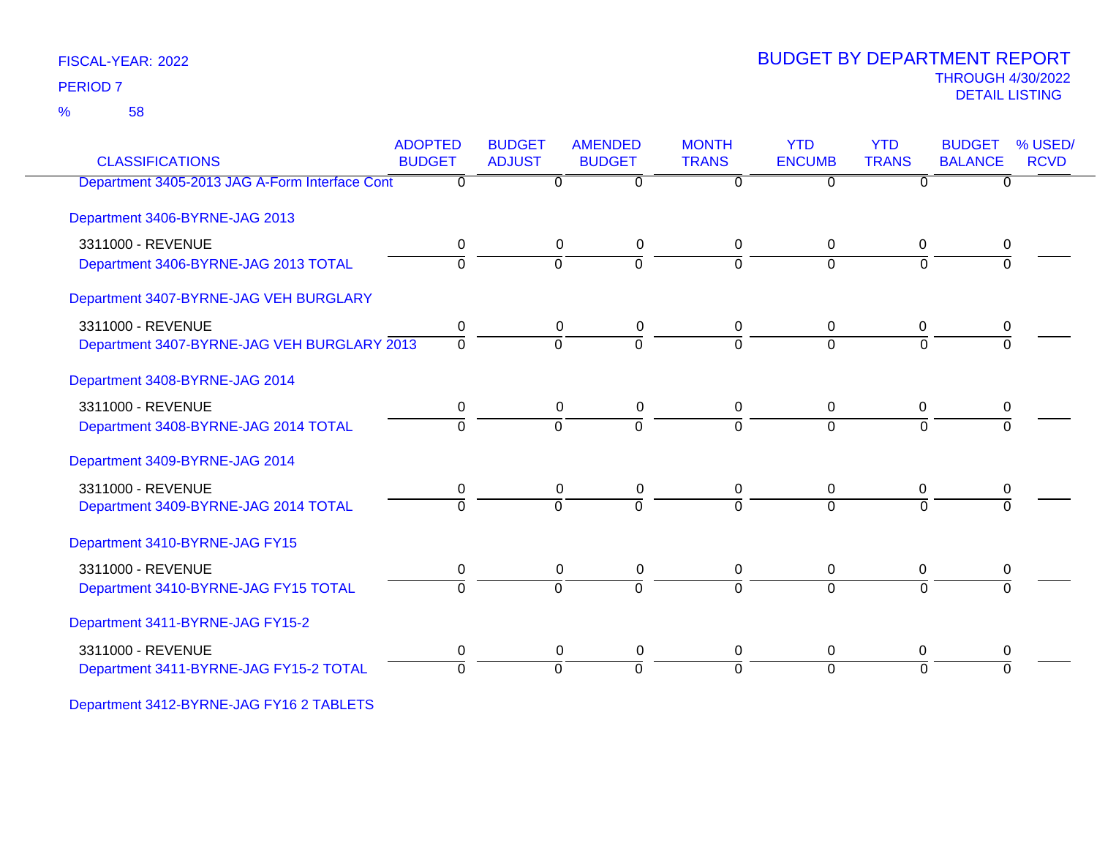58 %

# THROUGH 4/30/2022<br>DETAIL LISTING DETAIL LISTING PERIOD <sup>7</sup> BUDGET BY DEPARTMENT REPORT

| <b>CLASSIFICATIONS</b>                         | <b>ADOPTED</b><br><b>BUDGET</b> | <b>BUDGET</b><br><b>ADJUST</b> | <b>AMENDED</b><br><b>BUDGET</b> | <b>MONTH</b><br><b>TRANS</b> | <b>YTD</b><br><b>ENCUMB</b> | <b>YTD</b><br><b>TRANS</b> | <b>BUDGET</b><br><b>BALANCE</b> | % USED/<br><b>RCVD</b> |
|------------------------------------------------|---------------------------------|--------------------------------|---------------------------------|------------------------------|-----------------------------|----------------------------|---------------------------------|------------------------|
| Department 3405-2013 JAG A-Form Interface Cont | 0                               | 0                              | $\Omega$                        | $\Omega$                     | $\Omega$                    | 0                          | 0                               |                        |
| Department 3406-BYRNE-JAG 2013                 |                                 |                                |                                 |                              |                             |                            |                                 |                        |
| 3311000 - REVENUE                              | 0                               | 0                              | $\mathbf 0$                     | 0                            | 0                           | 0                          | 0                               |                        |
| Department 3406-BYRNE-JAG 2013 TOTAL           | 0                               | $\Omega$                       | $\Omega$                        | $\Omega$                     | $\Omega$                    | $\Omega$                   |                                 |                        |
| Department 3407-BYRNE-JAG VEH BURGLARY         |                                 |                                |                                 |                              |                             |                            |                                 |                        |
| 3311000 - REVENUE                              | 0                               | 0                              | $\pmb{0}$                       | 0                            | 0                           | 0                          | 0                               |                        |
| Department 3407-BYRNE-JAG VEH BURGLARY 2013    | $\overline{0}$                  | $\mathbf 0$                    | $\overline{0}$                  | $\Omega$                     | $\Omega$                    | $\Omega$                   | $\Omega$                        |                        |
| Department 3408-BYRNE-JAG 2014                 |                                 |                                |                                 |                              |                             |                            |                                 |                        |
| 3311000 - REVENUE                              | 0                               | 0                              | 0                               | 0                            | 0                           | 0                          | 0                               |                        |
| Department 3408-BYRNE-JAG 2014 TOTAL           | $\Omega$                        | $\overline{0}$                 | $\overline{0}$                  | $\Omega$                     | $\overline{0}$              | $\Omega$                   | $\Omega$                        |                        |
| Department 3409-BYRNE-JAG 2014                 |                                 |                                |                                 |                              |                             |                            |                                 |                        |
| 3311000 - REVENUE                              | 0                               | 0                              | $\pmb{0}$                       | 0                            | 0                           | 0                          | 0                               |                        |
| Department 3409-BYRNE-JAG 2014 TOTAL           | $\Omega$                        | $\Omega$                       | $\Omega$                        | $\Omega$                     | $\Omega$                    | $\Omega$                   | $\Omega$                        |                        |
| Department 3410-BYRNE-JAG FY15                 |                                 |                                |                                 |                              |                             |                            |                                 |                        |
| 3311000 - REVENUE                              | 0                               | 0                              | 0                               | 0                            | 0                           | 0                          | 0                               |                        |
| Department 3410-BYRNE-JAG FY15 TOTAL           | $\Omega$                        | $\mathbf 0$                    | $\Omega$                        | $\Omega$                     | $\Omega$                    | $\Omega$                   | $\Omega$                        |                        |
| Department 3411-BYRNE-JAG FY15-2               |                                 |                                |                                 |                              |                             |                            |                                 |                        |
| 3311000 - REVENUE                              | 0                               | 0                              | $\pmb{0}$                       | 0                            | $\mathbf 0$                 | 0                          | 0                               |                        |
| Department 3411-BYRNE-JAG FY15-2 TOTAL         | $\Omega$                        | $\Omega$                       | $\overline{0}$                  | $\Omega$                     | $\Omega$                    | $\Omega$                   | $\Omega$                        |                        |
|                                                |                                 |                                |                                 |                              |                             |                            |                                 |                        |

Department 3412-BYRNE-JAG FY16 2 TABLETS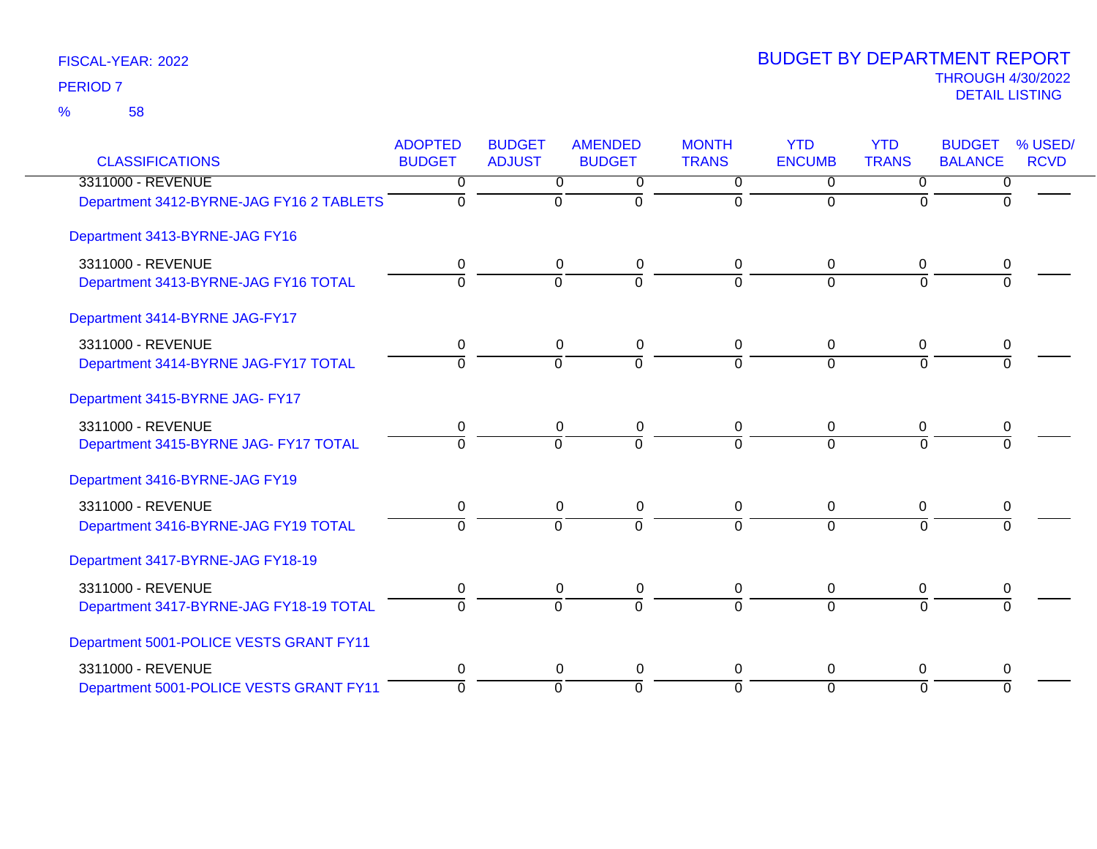| <b>CLASSIFICATIONS</b>                   | <b>ADOPTED</b><br><b>BUDGET</b> | <b>BUDGET</b><br><b>ADJUST</b> | <b>AMENDED</b><br><b>BUDGET</b> | <b>MONTH</b><br><b>TRANS</b> | <b>YTD</b><br><b>ENCUMB</b> | <b>YTD</b><br><b>TRANS</b> | <b>BUDGET</b><br><b>BALANCE</b> | % USED/<br><b>RCVD</b> |
|------------------------------------------|---------------------------------|--------------------------------|---------------------------------|------------------------------|-----------------------------|----------------------------|---------------------------------|------------------------|
| 3311000 - REVENUE                        | 0                               | 0                              | 0                               | $\Omega$                     | $\Omega$                    | $\Omega$                   | 0                               |                        |
| Department 3412-BYRNE-JAG FY16 2 TABLETS | $\Omega$                        | $\mathbf 0$                    | $\Omega$                        | $\Omega$                     | $\Omega$                    | $\Omega$                   | $\Omega$                        |                        |
| Department 3413-BYRNE-JAG FY16           |                                 |                                |                                 |                              |                             |                            |                                 |                        |
| 3311000 - REVENUE                        | 0                               | 0                              | $\pmb{0}$                       | 0                            | $\Omega$                    | $\Omega$                   | 0                               |                        |
| Department 3413-BYRNE-JAG FY16 TOTAL     | $\mathbf 0$                     | $\overline{0}$                 | $\overline{0}$                  | $\Omega$                     | $\Omega$                    | $\Omega$                   | $\Omega$                        |                        |
| Department 3414-BYRNE JAG-FY17           |                                 |                                |                                 |                              |                             |                            |                                 |                        |
| 3311000 - REVENUE                        | 0                               | 0                              | 0                               | 0                            | $\mathbf 0$                 | $\mathbf{0}$               | 0                               |                        |
| Department 3414-BYRNE JAG-FY17 TOTAL     | $\Omega$                        | $\Omega$                       | $\Omega$                        | $\Omega$                     | $\Omega$                    | $\Omega$                   | $\Omega$                        |                        |
| Department 3415-BYRNE JAG- FY17          |                                 |                                |                                 |                              |                             |                            |                                 |                        |
| 3311000 - REVENUE                        | 0                               | 0                              | $\pmb{0}$                       | 0                            | 0                           | 0                          | 0                               |                        |
| Department 3415-BYRNE JAG- FY17 TOTAL    | $\Omega$                        | $\Omega$                       | $\Omega$                        | 0                            | $\Omega$                    | $\Omega$                   | $\Omega$                        |                        |
| Department 3416-BYRNE-JAG FY19           |                                 |                                |                                 |                              |                             |                            |                                 |                        |
| 3311000 - REVENUE                        | 0                               | 0                              | $\pmb{0}$                       | 0                            | 0                           | 0                          | 0                               |                        |
| Department 3416-BYRNE-JAG FY19 TOTAL     | $\overline{0}$                  | $\overline{0}$                 | $\overline{0}$                  | $\Omega$                     | $\overline{0}$              | $\overline{0}$             | $\overline{0}$                  |                        |
| Department 3417-BYRNE-JAG FY18-19        |                                 |                                |                                 |                              |                             |                            |                                 |                        |
| 3311000 - REVENUE                        | 0                               | 0                              | 0                               | 0                            | 0                           | 0                          | 0                               |                        |
| Department 3417-BYRNE-JAG FY18-19 TOTAL  | $\Omega$                        | $\Omega$                       | $\overline{0}$                  | $\Omega$                     | $\Omega$                    | $\Omega$                   | $\Omega$                        |                        |
| Department 5001-POLICE VESTS GRANT FY11  |                                 |                                |                                 |                              |                             |                            |                                 |                        |
| 3311000 - REVENUE                        | 0                               | 0                              | $\pmb{0}$                       | 0                            | 0                           | $\Omega$                   | 0                               |                        |
| Department 5001-POLICE VESTS GRANT FY11  | $\Omega$                        | $\Omega$                       | $\Omega$                        | $\Omega$                     | $\Omega$                    | $\Omega$                   | $\Omega$                        |                        |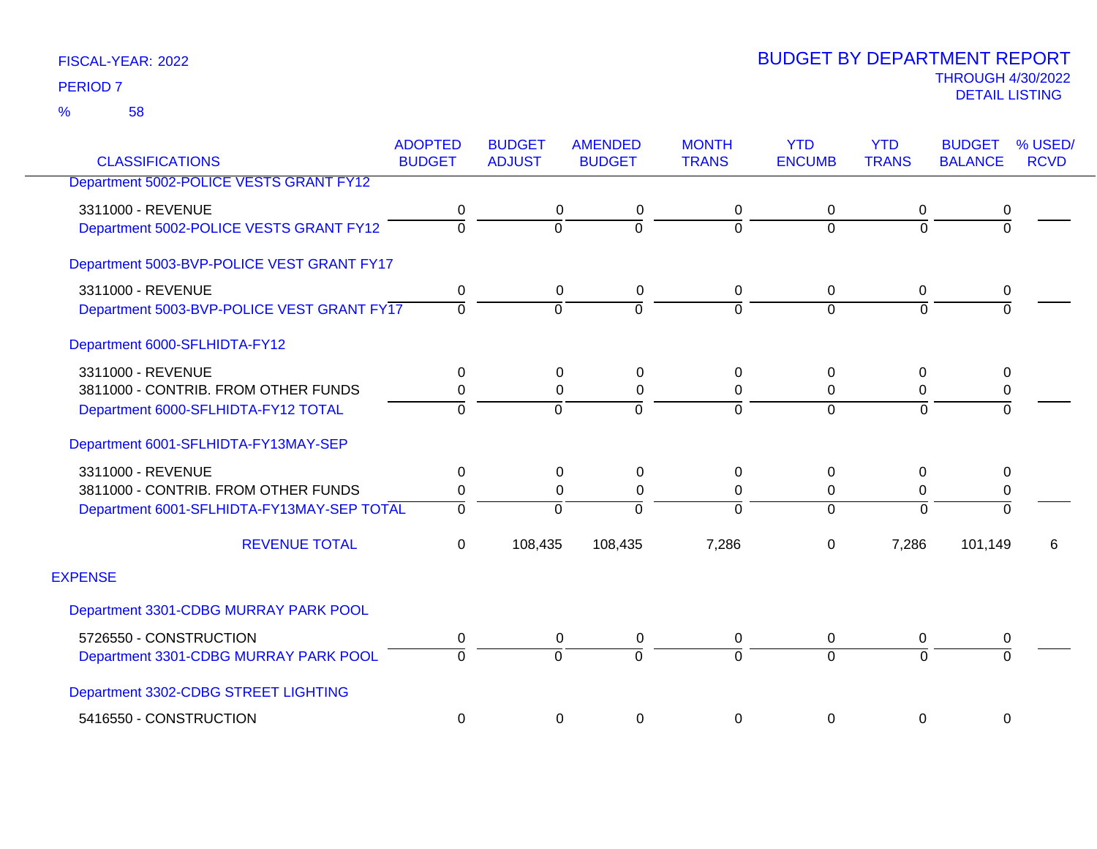58 %

|                                            | <b>ADOPTED</b> | <b>BUDGET</b>  | <b>AMENDED</b> | <b>MONTH</b>   | <b>YTD</b>     | <b>YTD</b>     | <b>BUDGET</b>  | % USED/     |
|--------------------------------------------|----------------|----------------|----------------|----------------|----------------|----------------|----------------|-------------|
| <b>CLASSIFICATIONS</b>                     | <b>BUDGET</b>  | <b>ADJUST</b>  | <b>BUDGET</b>  | <b>TRANS</b>   | <b>ENCUMB</b>  | <b>TRANS</b>   | <b>BALANCE</b> | <b>RCVD</b> |
| Department 5002-POLICE VESTS GRANT FY12    |                |                |                |                |                |                |                |             |
| 3311000 - REVENUE                          | 0              | 0              | 0              | 0              | 0              | 0              | 0              |             |
| Department 5002-POLICE VESTS GRANT FY12    | $\overline{0}$ | $\overline{0}$ | $\overline{0}$ | $\mathbf 0$    | $\Omega$       | $\Omega$       | $\overline{0}$ |             |
| Department 5003-BVP-POLICE VEST GRANT FY17 |                |                |                |                |                |                |                |             |
| 3311000 - REVENUE                          | 0              | 0              | 0              | 0              | 0              | 0              | 0              |             |
| Department 5003-BVP-POLICE VEST GRANT FY17 | $\overline{0}$ | $\overline{0}$ | $\overline{0}$ | ō              | $\overline{0}$ | $\Omega$       | $\Omega$       |             |
| Department 6000-SFLHIDTA-FY12              |                |                |                |                |                |                |                |             |
| 3311000 - REVENUE                          | 0              | 0              | 0              | 0              | 0              | 0              | 0              |             |
| 3811000 - CONTRIB. FROM OTHER FUNDS        | 0              | $\mathbf 0$    | $\mathbf 0$    | $\pmb{0}$      | 0              | 0              | 0              |             |
| Department 6000-SFLHIDTA-FY12 TOTAL        | $\Omega$       | $\overline{0}$ | $\Omega$       | $\overline{0}$ | $\overline{0}$ | $\Omega$       | $\Omega$       |             |
| Department 6001-SFLHIDTA-FY13MAY-SEP       |                |                |                |                |                |                |                |             |
| 3311000 - REVENUE                          | 0              | 0              | 0              | 0              | 0              | 0              | 0              |             |
| 3811000 - CONTRIB. FROM OTHER FUNDS        | $\mathbf 0$    | $\mathbf 0$    | 0              | $\pmb{0}$      | $\mathbf 0$    | 0              | $\mathbf 0$    |             |
| Department 6001-SFLHIDTA-FY13MAY-SEP TOTAL | 0              | $\Omega$       | $\Omega$       | $\Omega$       | $\Omega$       | $\Omega$       | $\Omega$       |             |
| <b>REVENUE TOTAL</b>                       | 0              | 108,435        | 108,435        | 7,286          | 0              | 7,286          | 101,149        | 6           |
| <b>EXPENSE</b>                             |                |                |                |                |                |                |                |             |
| Department 3301-CDBG MURRAY PARK POOL      |                |                |                |                |                |                |                |             |
| 5726550 - CONSTRUCTION                     | 0              | 0              | 0              | 0              | $\overline{0}$ | 0              | 0              |             |
| Department 3301-CDBG MURRAY PARK POOL      | $\Omega$       | $\overline{0}$ | $\overline{0}$ | $\overline{0}$ | $\Omega$       | $\overline{0}$ | $\overline{0}$ |             |
| Department 3302-CDBG STREET LIGHTING       |                |                |                |                |                |                |                |             |
| 5416550 - CONSTRUCTION                     | 0              | 0              | 0              | 0              | 0              | 0              | 0              |             |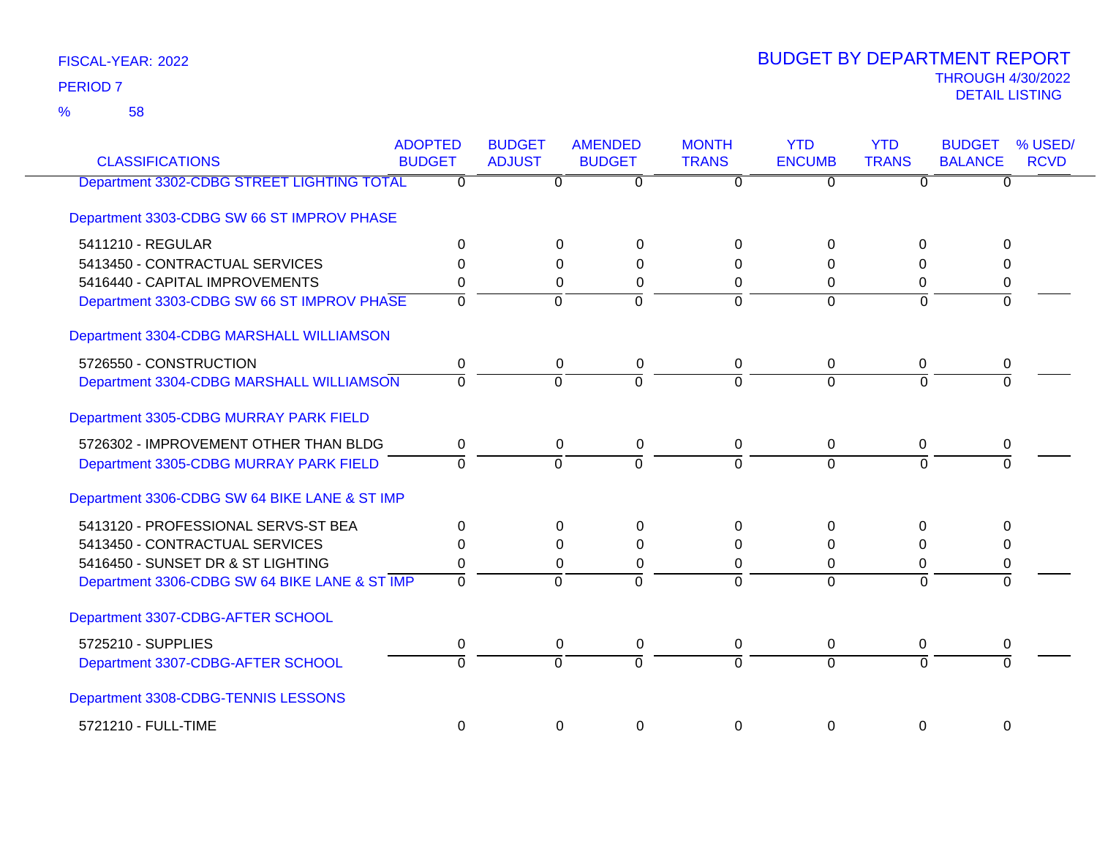58 %

| <b>CLASSIFICATIONS</b>                        | <b>ADOPTED</b><br><b>BUDGET</b> | <b>BUDGET</b><br><b>ADJUST</b> | <b>AMENDED</b><br><b>BUDGET</b>  | <b>MONTH</b><br><b>TRANS</b> | <b>YTD</b><br><b>ENCUMB</b> | <b>YTD</b><br><b>TRANS</b> | <b>BUDGET</b><br>% USED/<br><b>BALANCE</b><br><b>RCVD</b> |
|-----------------------------------------------|---------------------------------|--------------------------------|----------------------------------|------------------------------|-----------------------------|----------------------------|-----------------------------------------------------------|
| Department 3302-CDBG STREET LIGHTING TOTAL    | $\overline{\mathfrak{o}}$       |                                | $\overline{0}$<br>$\overline{0}$ | $\overline{0}$               | $\overline{0}$              | $\overline{0}$             | $\overline{0}$                                            |
| Department 3303-CDBG SW 66 ST IMPROV PHASE    |                                 |                                |                                  |                              |                             |                            |                                                           |
| 5411210 - REGULAR                             | $\Omega$                        |                                | $\Omega$<br>$\Omega$             | $\Omega$                     | $\Omega$                    | $\Omega$                   | $\Omega$                                                  |
| 5413450 - CONTRACTUAL SERVICES                | $\Omega$                        |                                | 0<br>0                           | 0                            | 0                           | 0                          | 0                                                         |
| 5416440 - CAPITAL IMPROVEMENTS                | $\Omega$                        |                                | $\Omega$<br>$\Omega$             | $\Omega$                     | $\Omega$                    | $\Omega$                   | 0                                                         |
| Department 3303-CDBG SW 66 ST IMPROV PHASE    | $\overline{0}$                  |                                | $\overline{0}$<br>$\overline{0}$ | $\Omega$                     | $\Omega$                    | $\overline{0}$             | $\overline{0}$                                            |
| Department 3304-CDBG MARSHALL WILLIAMSON      |                                 |                                |                                  |                              |                             |                            |                                                           |
| 5726550 - CONSTRUCTION                        | 0                               |                                | 0<br>0                           | 0                            | 0                           | 0                          | 0                                                         |
| Department 3304-CDBG MARSHALL WILLIAMSON      | $\overline{0}$                  |                                | $\overline{0}$<br>$\Omega$       |                              | $\Omega$                    | $\overline{0}$             | $\overline{0}$                                            |
| Department 3305-CDBG MURRAY PARK FIELD        |                                 |                                |                                  |                              |                             |                            |                                                           |
| 5726302 - IMPROVEMENT OTHER THAN BLDG         | $\Omega$                        |                                | 0<br>0                           | 0                            | $\mathbf 0$                 | $\Omega$                   | 0                                                         |
| Department 3305-CDBG MURRAY PARK FIELD        | $\Omega$                        |                                | $\Omega$<br>$\Omega$             | $\Omega$                     | $\Omega$                    | $\Omega$                   | $\Omega$                                                  |
| Department 3306-CDBG SW 64 BIKE LANE & ST IMP |                                 |                                |                                  |                              |                             |                            |                                                           |
| 5413120 - PROFESSIONAL SERVS-ST BEA           | $\Omega$                        |                                | $\Omega$<br>$\Omega$             | $\Omega$                     | $\Omega$                    | $\Omega$                   | $\Omega$                                                  |
| 5413450 - CONTRACTUAL SERVICES                | $\Omega$                        |                                | $\Omega$<br>0                    | 0                            | 0                           | 0                          | 0                                                         |
| 5416450 - SUNSET DR & ST LIGHTING             | 0                               |                                | $\Omega$<br>0                    | 0                            | 0                           | 0                          | 0                                                         |
| Department 3306-CDBG SW 64 BIKE LANE & ST IMP | $\overline{0}$                  |                                | $\overline{0}$<br>$\Omega$       | $\Omega$                     | $\Omega$                    | $\overline{0}$             | $\Omega$                                                  |
| Department 3307-CDBG-AFTER SCHOOL             |                                 |                                |                                  |                              |                             |                            |                                                           |
| 5725210 - SUPPLIES                            | 0                               |                                | 0<br>0                           | 0                            | $\mathbf 0$                 | 0                          | 0                                                         |
| Department 3307-CDBG-AFTER SCHOOL             | $\overline{0}$                  |                                | 0<br>$\overline{0}$              | $\Omega$                     | $\Omega$                    | $\overline{0}$             | $\Omega$                                                  |
| Department 3308-CDBG-TENNIS LESSONS           |                                 |                                |                                  |                              |                             |                            |                                                           |
| 5721210 - FULL-TIME                           | $\Omega$                        |                                | $\Omega$<br>0                    | $\Omega$                     | $\Omega$                    | 0                          | $\Omega$                                                  |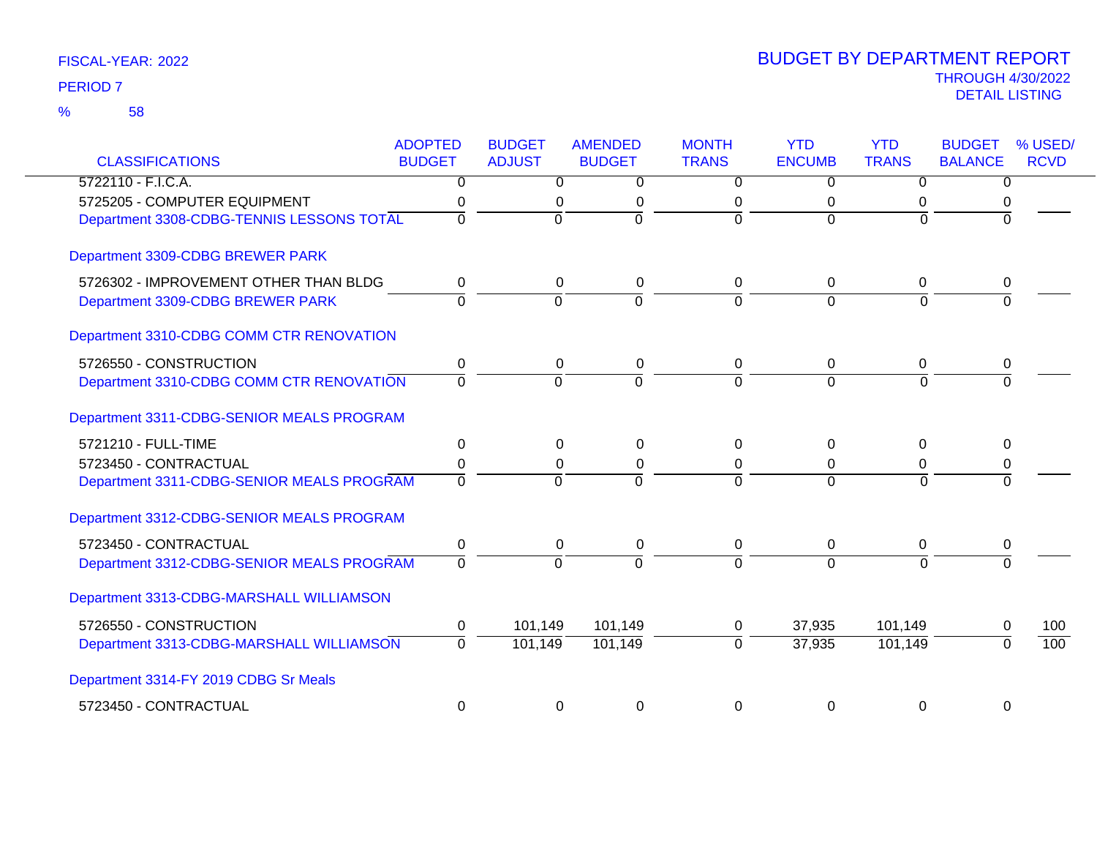| <b>CLASSIFICATIONS</b>                    | <b>ADOPTED</b><br><b>BUDGET</b> | <b>BUDGET</b><br><b>ADJUST</b> | <b>AMENDED</b><br><b>BUDGET</b> | <b>MONTH</b><br><b>TRANS</b> | <b>YTD</b><br><b>ENCUMB</b> | <b>YTD</b><br><b>TRANS</b> | <b>BUDGET</b><br><b>BALANCE</b> | % USED/<br><b>RCVD</b> |
|-------------------------------------------|---------------------------------|--------------------------------|---------------------------------|------------------------------|-----------------------------|----------------------------|---------------------------------|------------------------|
| 5722110 - F.I.C.A.                        | $\mathbf{0}$                    | $\mathbf{0}$                   | 0                               | $\Omega$                     | $\Omega$                    | $\Omega$                   | 0                               |                        |
| 5725205 - COMPUTER EQUIPMENT              | 0                               | 0                              | 0                               | 0                            | 0                           | 0                          | 0                               |                        |
| Department 3308-CDBG-TENNIS LESSONS TOTAL | $\overline{0}$                  | $\overline{0}$                 | $\overline{0}$                  | $\overline{0}$               | $\overline{0}$              | $\Omega$                   | $\overline{0}$                  |                        |
| Department 3309-CDBG BREWER PARK          |                                 |                                |                                 |                              |                             |                            |                                 |                        |
| 5726302 - IMPROVEMENT OTHER THAN BLDG     | 0                               | 0                              | 0                               | 0                            | 0                           | 0                          | 0                               |                        |
| Department 3309-CDBG BREWER PARK          | $\overline{0}$                  | $\overline{0}$                 | ō                               | ō                            | $\mathbf 0$                 | 0                          | 0                               |                        |
| Department 3310-CDBG COMM CTR RENOVATION  |                                 |                                |                                 |                              |                             |                            |                                 |                        |
| 5726550 - CONSTRUCTION                    | 0                               | 0                              | 0                               | 0                            | 0                           | 0                          | 0                               |                        |
| Department 3310-CDBG COMM CTR RENOVATION  | $\overline{0}$                  | $\overline{0}$                 | $\overline{0}$                  | $\overline{0}$               | $\overline{0}$              | $\Omega$                   | $\Omega$                        |                        |
| Department 3311-CDBG-SENIOR MEALS PROGRAM |                                 |                                |                                 |                              |                             |                            |                                 |                        |
| 5721210 - FULL-TIME                       | $\mathbf{0}$                    | $\Omega$                       | 0                               | $\Omega$                     | 0                           | 0                          | 0                               |                        |
| 5723450 - CONTRACTUAL                     | 0                               | $\Omega$                       | 0                               | 0                            | $\Omega$                    | 0                          | 0                               |                        |
| Department 3311-CDBG-SENIOR MEALS PROGRAM | $\overline{0}$                  | $\Omega$                       | $\Omega$                        | $\Omega$                     | $\Omega$                    | $\Omega$                   | $\Omega$                        |                        |
| Department 3312-CDBG-SENIOR MEALS PROGRAM |                                 |                                |                                 |                              |                             |                            |                                 |                        |
| 5723450 - CONTRACTUAL                     | 0                               | 0                              | 0                               | 0                            | 0                           | 0                          | 0                               |                        |
| Department 3312-CDBG-SENIOR MEALS PROGRAM | $\Omega$                        | $\Omega$                       | $\Omega$                        | $\Omega$                     | $\Omega$                    | $\Omega$                   | $\Omega$                        |                        |
| Department 3313-CDBG-MARSHALL WILLIAMSON  |                                 |                                |                                 |                              |                             |                            |                                 |                        |
| 5726550 - CONSTRUCTION                    | 0                               | 101,149                        | 101,149                         | 0                            | 37,935                      | 101,149                    | $\Omega$                        | 100                    |
| Department 3313-CDBG-MARSHALL WILLIAMSON  | $\overline{0}$                  | 101,149                        | 101,149                         | $\overline{0}$               | 37,935                      | 101,149                    | $\Omega$                        | 100                    |
| Department 3314-FY 2019 CDBG Sr Meals     |                                 |                                |                                 |                              |                             |                            |                                 |                        |
| 5723450 - CONTRACTUAL                     | $\mathbf 0$                     | $\mathbf 0$                    | 0                               | 0                            | 0                           | $\mathbf 0$                | $\mathbf 0$                     |                        |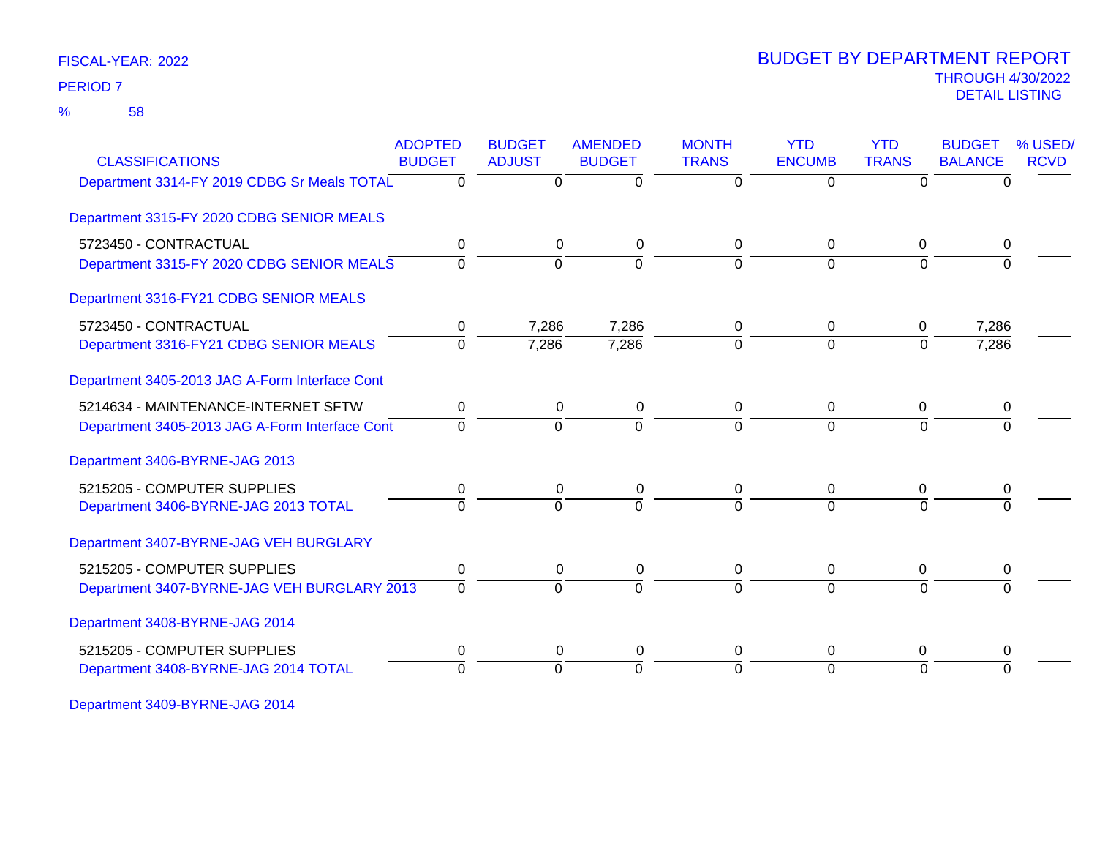58 %

# THROUGH 4/30/2022<br>DETAIL LISTING DETAIL LISTING PERIOD <sup>7</sup> BUDGET BY DEPARTMENT REPORT

| <b>CLASSIFICATIONS</b>                         | <b>ADOPTED</b><br><b>BUDGET</b> | <b>BUDGET</b><br><b>ADJUST</b> | <b>AMENDED</b><br><b>BUDGET</b> | <b>MONTH</b><br><b>TRANS</b> | <b>YTD</b><br><b>ENCUMB</b> | <b>YTD</b><br><b>TRANS</b> | <b>BUDGET</b><br><b>BALANCE</b> | % USED/<br><b>RCVD</b> |
|------------------------------------------------|---------------------------------|--------------------------------|---------------------------------|------------------------------|-----------------------------|----------------------------|---------------------------------|------------------------|
| Department 3314-FY 2019 CDBG Sr Meals TOTAL    | $\overline{0}$                  | $\overline{0}$                 | $\overline{0}$                  | $\overline{0}$               | $\overline{0}$              | $\Omega$                   | $\overline{0}$                  |                        |
| Department 3315-FY 2020 CDBG SENIOR MEALS      |                                 |                                |                                 |                              |                             |                            |                                 |                        |
| 5723450 - CONTRACTUAL                          | 0                               | 0                              | 0                               | 0                            | $\Omega$                    | $\mathbf 0$                | 0                               |                        |
| Department 3315-FY 2020 CDBG SENIOR MEALS      | $\Omega$                        | $\Omega$                       | $\overline{0}$                  | $\Omega$                     | $\Omega$                    | $\Omega$                   | <sup>0</sup>                    |                        |
| Department 3316-FY21 CDBG SENIOR MEALS         |                                 |                                |                                 |                              |                             |                            |                                 |                        |
| 5723450 - CONTRACTUAL                          | 0                               | 7,286                          | 7,286                           | 0                            | $\Omega$                    | $\Omega$                   | 7,286                           |                        |
| Department 3316-FY21 CDBG SENIOR MEALS         | $\overline{0}$                  | 7,286                          | 7,286                           | $\Omega$                     | $\overline{0}$              | $\Omega$                   | 7,286                           |                        |
| Department 3405-2013 JAG A-Form Interface Cont |                                 |                                |                                 |                              |                             |                            |                                 |                        |
| 5214634 - MAINTENANCE-INTERNET SFTW            | 0                               | 0                              | 0                               | 0                            | 0                           | $\mathbf 0$                | 0                               |                        |
| Department 3405-2013 JAG A-Form Interface Cont | $\overline{0}$                  | $\overline{0}$                 | $\overline{0}$                  | $\Omega$                     | $\Omega$                    | $\overline{0}$             | $\Omega$                        |                        |
| Department 3406-BYRNE-JAG 2013                 |                                 |                                |                                 |                              |                             |                            |                                 |                        |
| 5215205 - COMPUTER SUPPLIES                    | 0                               | 0                              | 0                               | 0                            | 0                           | 0                          | 0                               |                        |
| Department 3406-BYRNE-JAG 2013 TOTAL           | $\Omega$                        | $\overline{0}$                 | $\Omega$                        | $\Omega$                     | $\Omega$                    | $\Omega$                   |                                 |                        |
| Department 3407-BYRNE-JAG VEH BURGLARY         |                                 |                                |                                 |                              |                             |                            |                                 |                        |
| 5215205 - COMPUTER SUPPLIES                    | 0                               | $\pmb{0}$                      | $\pmb{0}$                       | 0                            | 0                           | 0                          | 0                               |                        |
| Department 3407-BYRNE-JAG VEH BURGLARY 2013    | $\Omega$                        | $\Omega$                       | $\Omega$                        | $\Omega$                     | $\Omega$                    | $\Omega$                   | $\Omega$                        |                        |
| Department 3408-BYRNE-JAG 2014                 |                                 |                                |                                 |                              |                             |                            |                                 |                        |
| 5215205 - COMPUTER SUPPLIES                    | 0                               | 0                              | 0                               | 0                            | 0                           | 0                          | 0                               |                        |
| Department 3408-BYRNE-JAG 2014 TOTAL           | $\Omega$                        | $\Omega$                       | $\Omega$                        | $\Omega$                     | $\Omega$                    | $\Omega$                   | $\Omega$                        |                        |

Department 3409-BYRNE-JAG 2014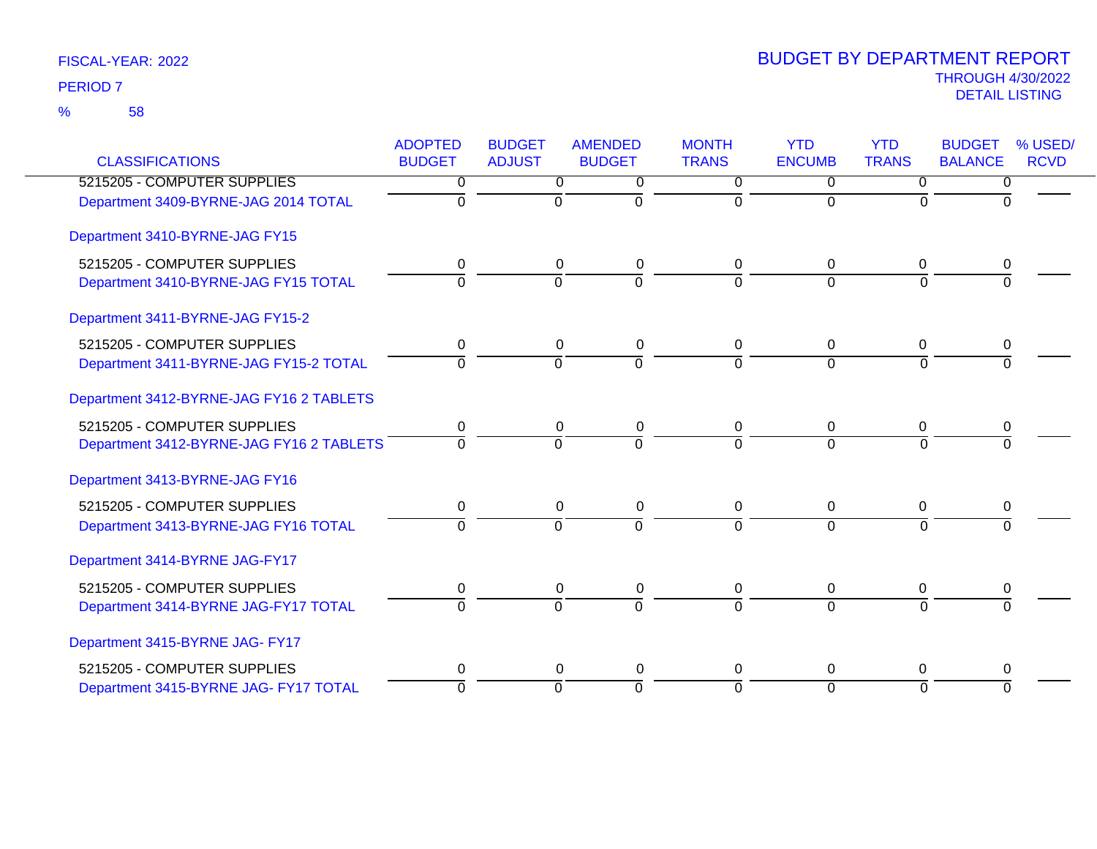| <b>CLASSIFICATIONS</b>                                                  | <b>ADOPTED</b><br><b>BUDGET</b> | <b>BUDGET</b><br><b>ADJUST</b> | <b>AMENDED</b><br><b>BUDGET</b> | <b>MONTH</b><br><b>TRANS</b> | <b>YTD</b><br><b>ENCUMB</b> | <b>YTD</b><br><b>TRANS</b> | <b>BUDGET</b><br><b>BALANCE</b> | % USED/<br><b>RCVD</b> |
|-------------------------------------------------------------------------|---------------------------------|--------------------------------|---------------------------------|------------------------------|-----------------------------|----------------------------|---------------------------------|------------------------|
| 5215205 - COMPUTER SUPPLIES                                             | 0                               | 0                              | 0                               | $\mathbf{0}$                 | $\Omega$                    | $\Omega$                   | 0                               |                        |
| Department 3409-BYRNE-JAG 2014 TOTAL                                    | 0                               | $\mathbf{0}$                   | $\mathbf 0$                     | $\Omega$                     | $\Omega$                    | $\Omega$                   | $\Omega$                        |                        |
| Department 3410-BYRNE-JAG FY15                                          |                                 |                                |                                 |                              |                             |                            |                                 |                        |
| 5215205 - COMPUTER SUPPLIES<br>Department 3410-BYRNE-JAG FY15 TOTAL     | 0<br>$\Omega$                   | 0<br>$\Omega$                  | 0<br>$\mathbf 0$                | 0<br>$\Omega$                | 0<br>$\Omega$               | 0<br>$\overline{0}$        | 0<br>$\Omega$                   |                        |
| Department 3411-BYRNE-JAG FY15-2                                        |                                 |                                |                                 |                              |                             |                            |                                 |                        |
| 5215205 - COMPUTER SUPPLIES<br>Department 3411-BYRNE-JAG FY15-2 TOTAL   | 0<br>$\Omega$                   | 0<br>$\overline{0}$            | 0<br>$\overline{0}$             | 0<br>$\Omega$                | 0<br>$\Omega$               | 0<br>$\Omega$              | 0                               |                        |
| Department 3412-BYRNE-JAG FY16 2 TABLETS                                |                                 |                                |                                 |                              |                             |                            |                                 |                        |
| 5215205 - COMPUTER SUPPLIES<br>Department 3412-BYRNE-JAG FY16 2 TABLETS | 0<br>$\Omega$                   | 0<br>$\overline{0}$            | 0<br>$\overline{0}$             | 0<br>$\Omega$                | 0<br>$\overline{0}$         | 0<br>$\Omega$              | 0                               |                        |
| Department 3413-BYRNE-JAG FY16                                          |                                 |                                |                                 |                              |                             |                            |                                 |                        |
| 5215205 - COMPUTER SUPPLIES<br>Department 3413-BYRNE-JAG FY16 TOTAL     | 0<br>$\Omega$                   | 0<br>$\Omega$                  | $\pmb{0}$<br>$\Omega$           | 0<br>$\Omega$                | 0<br>$\Omega$               | 0<br>$\Omega$              | 0<br>$\Omega$                   |                        |
| Department 3414-BYRNE JAG-FY17                                          |                                 |                                |                                 |                              |                             |                            |                                 |                        |
| 5215205 - COMPUTER SUPPLIES<br>Department 3414-BYRNE JAG-FY17 TOTAL     | 0<br>$\Omega$                   | 0<br>$\overline{0}$            | 0<br>$\overline{0}$             | 0<br>$\Omega$                | 0<br>$\Omega$               | 0<br>$\Omega$              | 0<br>$\Omega$                   |                        |
| Department 3415-BYRNE JAG- FY17                                         |                                 |                                |                                 |                              |                             |                            |                                 |                        |
| 5215205 - COMPUTER SUPPLIES                                             | 0                               | $\Omega$                       | $\mathbf 0$                     | 0                            | 0                           | 0                          | 0                               |                        |
| Department 3415-BYRNE JAG- FY17 TOTAL                                   | $\Omega$                        | $\Omega$                       | $\mathbf 0$                     | $\Omega$                     | $\Omega$                    | $\Omega$                   | $\Omega$                        |                        |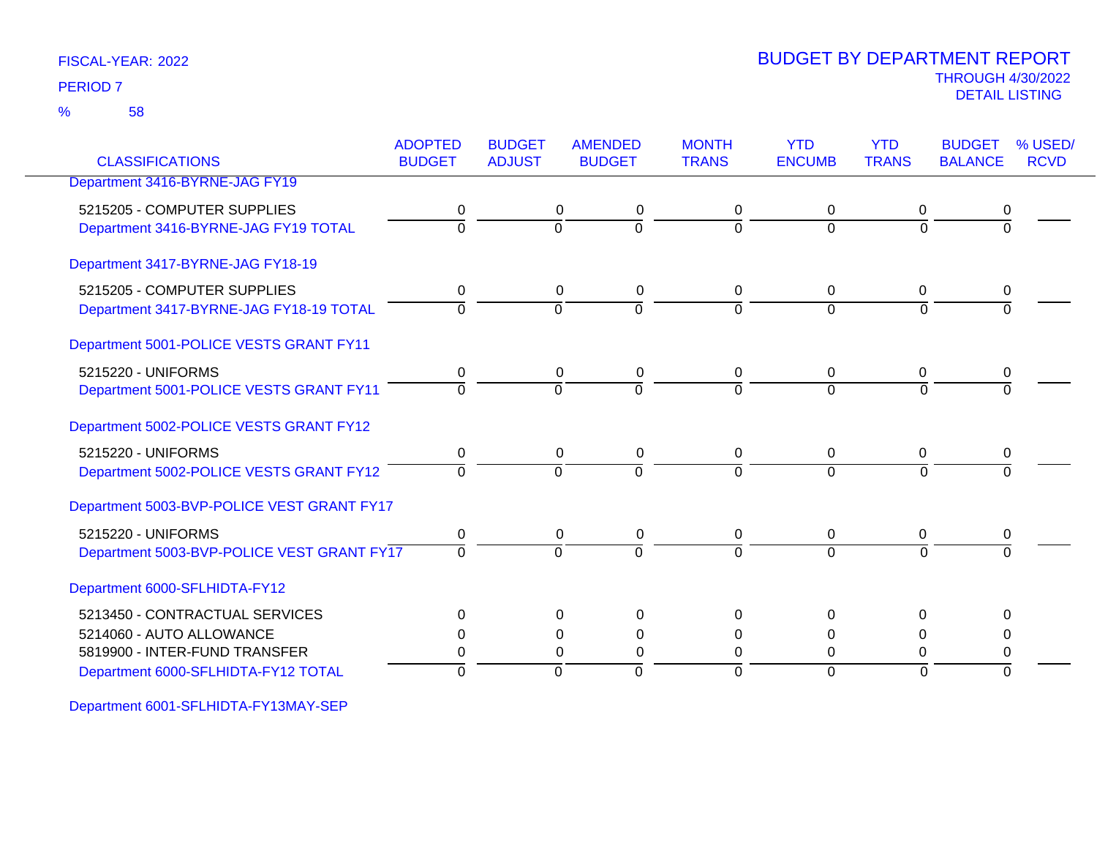58 %

# THROUGH 4/30/2022<br>DETAIL LISTING DETAIL LISTING PERIOD <sup>7</sup> BUDGET BY DEPARTMENT REPORT

| <b>CLASSIFICATIONS</b>                                                                      | <b>ADOPTED</b><br><b>BUDGET</b> | <b>BUDGET</b><br><b>ADJUST</b> | <b>AMENDED</b><br><b>BUDGET</b>                        | <b>MONTH</b><br><b>TRANS</b> | <b>YTD</b><br><b>ENCUMB</b>      | <b>YTD</b><br><b>TRANS</b>       | <b>BUDGET</b><br><b>BALANCE</b> | % USED/<br><b>RCVD</b> |
|---------------------------------------------------------------------------------------------|---------------------------------|--------------------------------|--------------------------------------------------------|------------------------------|----------------------------------|----------------------------------|---------------------------------|------------------------|
| Department 3416-BYRNE-JAG FY19                                                              |                                 |                                |                                                        |                              |                                  |                                  |                                 |                        |
| 5215205 - COMPUTER SUPPLIES<br>Department 3416-BYRNE-JAG FY19 TOTAL                         | 0<br>$\Omega$                   | $\Omega$                       | 0<br>0<br>$\overline{0}$                               | 0<br>$\Omega$                | 0<br>$\Omega$                    | 0<br>$\Omega$                    | $\Omega$                        |                        |
| Department 3417-BYRNE-JAG FY18-19                                                           |                                 |                                |                                                        |                              |                                  |                                  |                                 |                        |
| 5215205 - COMPUTER SUPPLIES<br>Department 3417-BYRNE-JAG FY18-19 TOTAL                      | $\pmb{0}$<br>$\Omega$           | $\Omega$                       | 0<br>0<br>$\Omega$                                     | $\mathbf 0$<br>0             | 0<br>$\Omega$                    | $\mathbf 0$<br>$\Omega$          | 0                               |                        |
| Department 5001-POLICE VESTS GRANT FY11                                                     |                                 |                                |                                                        |                              |                                  |                                  |                                 |                        |
| 5215220 - UNIFORMS<br>Department 5001-POLICE VESTS GRANT FY11                               | 0<br>$\Omega$                   | $\Omega$                       | 0<br>0<br>$\Omega$                                     | 0<br>$\Omega$                | 0<br>$\Omega$                    | 0<br>$\Omega$                    | 0<br>$\Omega$                   |                        |
| Department 5002-POLICE VESTS GRANT FY12                                                     |                                 |                                |                                                        |                              |                                  |                                  |                                 |                        |
| 5215220 - UNIFORMS<br>Department 5002-POLICE VESTS GRANT FY12                               | 0<br>$\Omega$                   | $\Omega$                       | 0<br>0<br>$\Omega$                                     | 0<br>$\Omega$                | 0<br>$\Omega$                    | 0<br>$\Omega$                    | 0                               |                        |
| Department 5003-BVP-POLICE VEST GRANT FY17                                                  |                                 |                                |                                                        |                              |                                  |                                  |                                 |                        |
| 5215220 - UNIFORMS<br>Department 5003-BVP-POLICE VEST GRANT FY17                            | 0<br>$\Omega$                   | $\Omega$                       | 0<br>0<br>$\overline{0}$                               | 0<br>$\Omega$                | 0<br>$\Omega$                    | 0<br>$\Omega$                    | 0<br>$\Omega$                   |                        |
| Department 6000-SFLHIDTA-FY12                                                               |                                 |                                |                                                        |                              |                                  |                                  |                                 |                        |
| 5213450 - CONTRACTUAL SERVICES<br>5214060 - AUTO ALLOWANCE<br>5819900 - INTER-FUND TRANSFER | $\Omega$<br>$\Omega$<br>0       |                                | $\Omega$<br>$\Omega$<br>$\Omega$<br>0<br>$\Omega$<br>0 | $\Omega$<br>0<br>$\Omega$    | $\Omega$<br>$\Omega$<br>$\Omega$ | $\Omega$<br>$\Omega$<br>$\Omega$ | ∩<br>0                          |                        |
| Department 6000-SFLHIDTA-FY12 TOTAL                                                         | $\Omega$                        | $\Omega$                       | $\Omega$                                               | $\Omega$                     | $\Omega$                         | $\Omega$                         | $\Omega$                        |                        |

Department 6001-SFLHIDTA-FY13MAY-SEP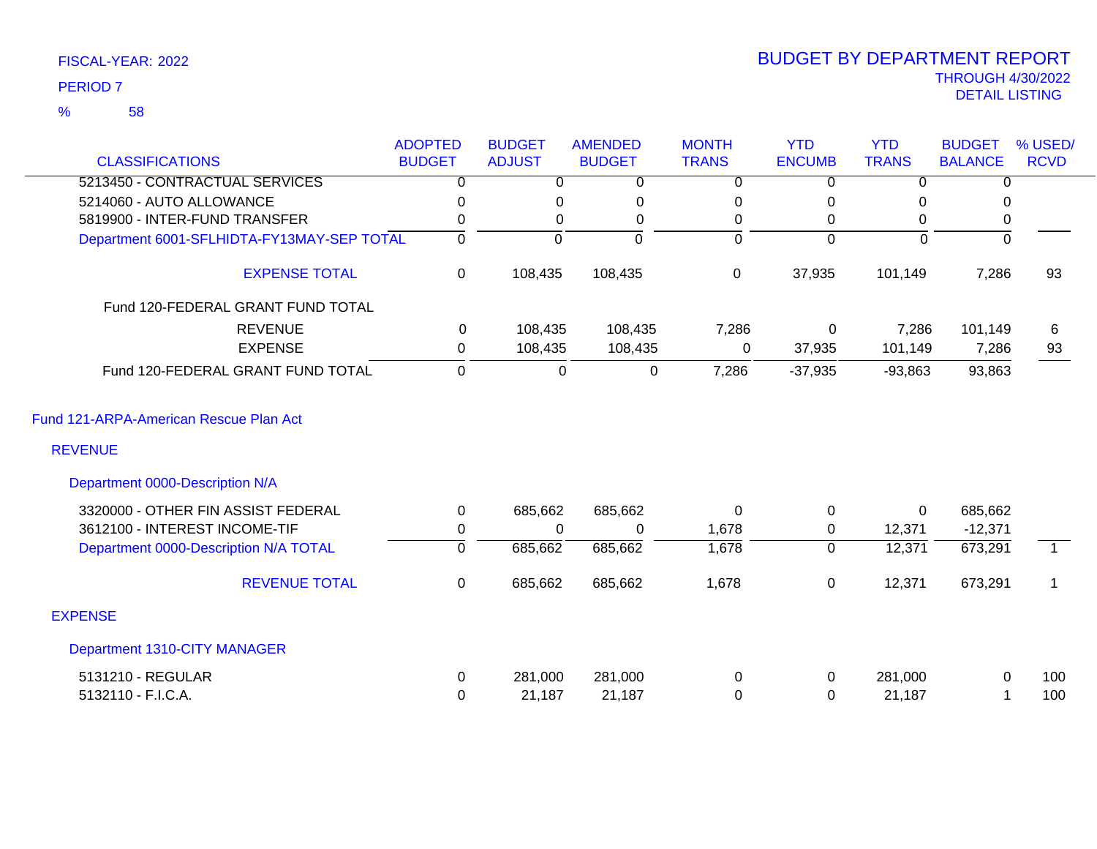## 58 %

|                                                          | <b>ADOPTED</b> | <b>BUDGET</b>  | <b>AMENDED</b> | <b>MONTH</b>   | <b>YTD</b>     | <b>YTD</b>     | <b>BUDGET</b>  | % USED/        |
|----------------------------------------------------------|----------------|----------------|----------------|----------------|----------------|----------------|----------------|----------------|
| <b>CLASSIFICATIONS</b>                                   | <b>BUDGET</b>  | <b>ADJUST</b>  | <b>BUDGET</b>  | <b>TRANS</b>   | <b>ENCUMB</b>  | <b>TRANS</b>   | <b>BALANCE</b> | <b>RCVD</b>    |
| 5213450 - CONTRACTUAL SERVICES                           | $\overline{0}$ | $\overline{0}$ | $\overline{0}$ | $\overline{0}$ | $\Omega$       | $\overline{0}$ | $\overline{0}$ |                |
| 5214060 - AUTO ALLOWANCE                                 | 0              | 0              | 0              | 0              | 0              | 0              | $\Omega$       |                |
| 5819900 - INTER-FUND TRANSFER                            | 0              | 0              | 0              | 0              | 0              | 0              | 0              |                |
| Department 6001-SFLHIDTA-FY13MAY-SEP TOTAL               | $\overline{0}$ | $\overline{0}$ | $\overline{0}$ | $\overline{0}$ | $\Omega$       | $\mathbf 0$    | $\overline{0}$ |                |
| <b>EXPENSE TOTAL</b>                                     | 0              | 108,435        | 108,435        | $\mathbf 0$    | 37,935         | 101,149        | 7,286          | 93             |
| Fund 120-FEDERAL GRANT FUND TOTAL                        |                |                |                |                |                |                |                |                |
| <b>REVENUE</b>                                           | 0              | 108,435        | 108,435        | 7,286          | $\mathbf 0$    | 7,286          | 101,149        | 6              |
| <b>EXPENSE</b>                                           | 0              | 108,435        | 108,435        | 0              | 37,935         | 101,149        | 7,286          | 93             |
| Fund 120-FEDERAL GRANT FUND TOTAL                        | $\mathbf 0$    | $\overline{0}$ | $\mathbf 0$    | 7,286          | $-37,935$      | $-93,863$      | 93,863         |                |
| Fund 121-ARPA-American Rescue Plan Act<br><b>REVENUE</b> |                |                |                |                |                |                |                |                |
| Department 0000-Description N/A                          |                |                |                |                |                |                |                |                |
| 3320000 - OTHER FIN ASSIST FEDERAL                       | 0              | 685,662        | 685,662        | 0              | 0              | 0              | 685,662        |                |
| 3612100 - INTEREST INCOME-TIF                            | 0              | 0              | 0              | 1,678          | 0              | 12,371         | $-12,371$      |                |
| Department 0000-Description N/A TOTAL                    | $\overline{0}$ | 685,662        | 685,662        | 1,678          | $\overline{0}$ | 12,371         | 673,291        | $\overline{1}$ |
| <b>REVENUE TOTAL</b>                                     | $\Omega$       | 685,662        | 685,662        | 1,678          | 0              | 12,371         | 673,291        | 1              |
| <b>EXPENSE</b>                                           |                |                |                |                |                |                |                |                |
| Department 1310-CITY MANAGER                             |                |                |                |                |                |                |                |                |
| 5131210 - REGULAR                                        | 0              | 281,000        | 281,000        | 0              | 0              | 281,000        | 0              | 100            |
| 5132110 - F.I.C.A.                                       | 0              | 21,187         | 21,187         | 0              | $\Omega$       | 21,187         |                | 100            |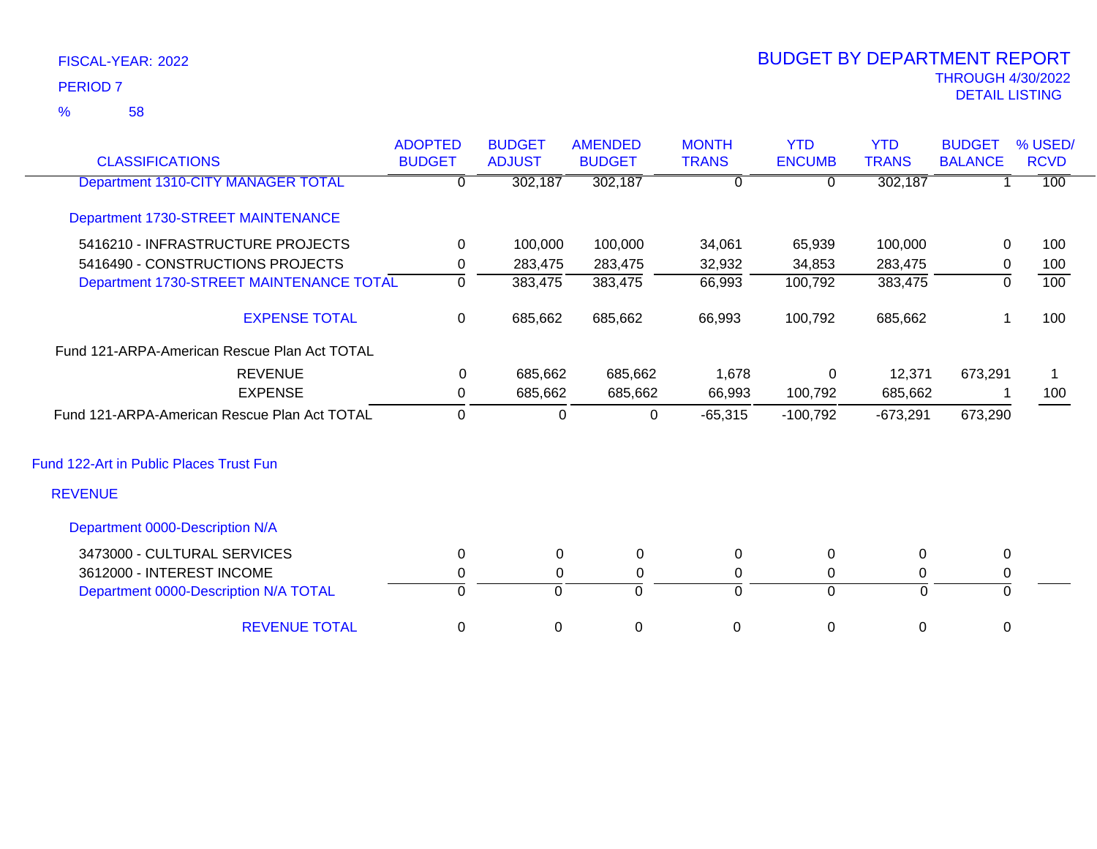58 %

| <b>CLASSIFICATIONS</b>                       | <b>ADOPTED</b><br><b>BUDGET</b> | <b>BUDGET</b><br><b>ADJUST</b> | <b>AMENDED</b><br><b>BUDGET</b> | <b>MONTH</b><br><b>TRANS</b> | <b>YTD</b><br><b>ENCUMB</b> | <b>YTD</b><br><b>TRANS</b> | <b>BUDGET</b><br><b>BALANCE</b> | % USED/<br><b>RCVD</b> |
|----------------------------------------------|---------------------------------|--------------------------------|---------------------------------|------------------------------|-----------------------------|----------------------------|---------------------------------|------------------------|
| Department 1310-CITY MANAGER TOTAL           | 0                               | 302,187                        | 302,187                         | $\Omega$                     | 0                           | 302,187                    |                                 | $\overline{100}$       |
| Department 1730-STREET MAINTENANCE           |                                 |                                |                                 |                              |                             |                            |                                 |                        |
| 5416210 - INFRASTRUCTURE PROJECTS            | $\Omega$                        | 100,000                        | 100,000                         | 34,061                       | 65,939                      | 100,000                    | 0                               | 100                    |
| 5416490 - CONSTRUCTIONS PROJECTS             | 0                               | 283,475                        | 283,475                         | 32,932                       | 34,853                      | 283,475                    | $\mathbf 0$                     | 100                    |
| Department 1730-STREET MAINTENANCE TOTAL     | $\Omega$                        | 383,475                        | 383,475                         | 66,993                       | 100,792                     | 383,475                    | $\Omega$                        | 100                    |
| <b>EXPENSE TOTAL</b>                         | 0                               | 685,662                        | 685,662                         | 66,993                       | 100,792                     | 685,662                    |                                 | 100                    |
| Fund 121-ARPA-American Rescue Plan Act TOTAL |                                 |                                |                                 |                              |                             |                            |                                 |                        |
| <b>REVENUE</b>                               | 0                               | 685,662                        | 685,662                         | 1,678                        | 0                           | 12,371                     | 673,291                         | 1                      |
| <b>EXPENSE</b>                               | 0                               | 685,662                        | 685,662                         | 66,993                       | 100,792                     | 685,662                    |                                 | 100                    |
| Fund 121-ARPA-American Rescue Plan Act TOTAL | $\mathbf 0$                     | $\Omega$                       | 0                               | $-65,315$                    | $-100,792$                  | $-673,291$                 | 673,290                         |                        |
| Fund 122-Art in Public Places Trust Fun      |                                 |                                |                                 |                              |                             |                            |                                 |                        |
| <b>REVENUE</b>                               |                                 |                                |                                 |                              |                             |                            |                                 |                        |
| Department 0000-Description N/A              |                                 |                                |                                 |                              |                             |                            |                                 |                        |
| 3473000 - CULTURAL SERVICES                  | $\mathbf 0$                     | 0                              | $\pmb{0}$                       | $\mathbf 0$                  | 0                           | 0                          | $\mathbf 0$                     |                        |
| 3612000 - INTEREST INCOME                    | 0                               | 0                              | 0                               | 0                            | 0                           | 0                          | 0                               |                        |
| Department 0000-Description N/A TOTAL        | $\Omega$                        | $\Omega$                       | $\Omega$                        | $\Omega$                     | $\Omega$                    | $\Omega$                   | $\Omega$                        |                        |
| <b>REVENUE TOTAL</b>                         | 0                               | 0                              | $\mathbf 0$                     | 0                            | 0                           | 0                          | 0                               |                        |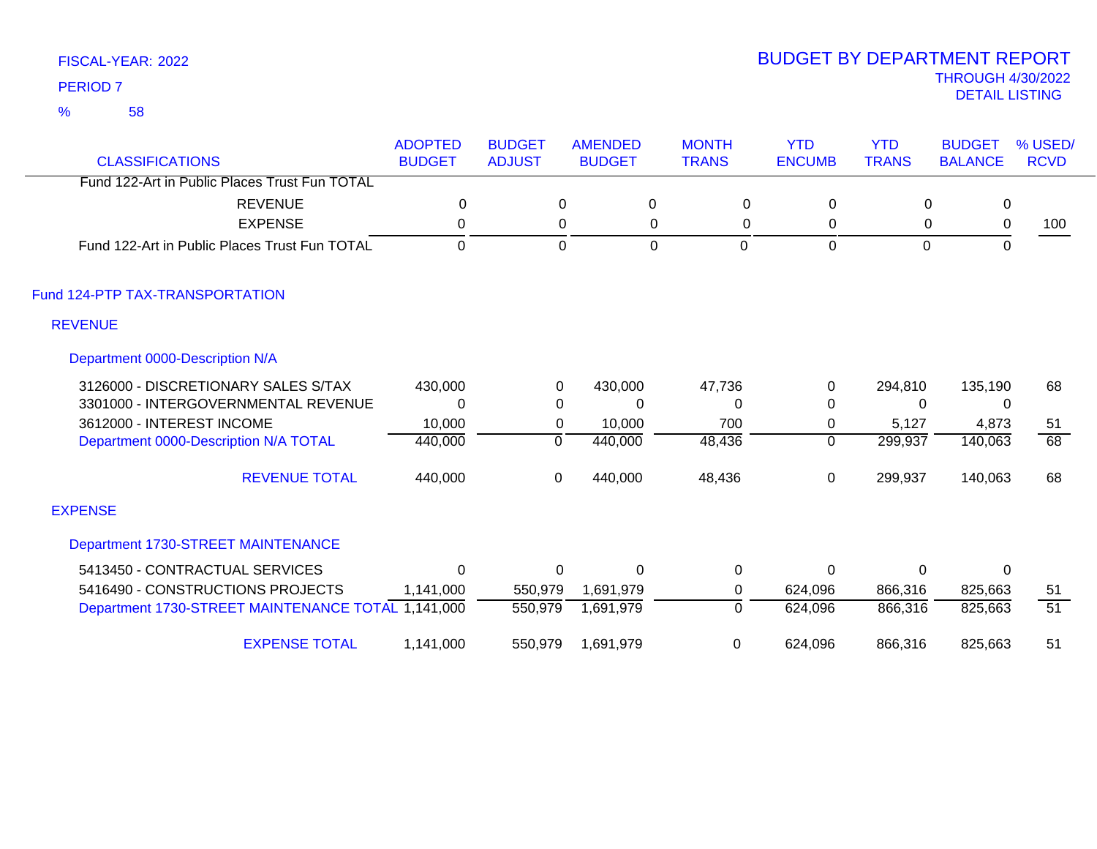58 %

| <b>CLASSIFICATIONS</b>                             | <b>ADOPTED</b><br><b>BUDGET</b> | <b>BUDGET</b><br><b>ADJUST</b> | <b>AMENDED</b><br><b>BUDGET</b> | <b>MONTH</b><br><b>TRANS</b> | <b>YTD</b><br><b>ENCUMB</b> | <b>YTD</b><br><b>TRANS</b> | <b>BUDGET</b><br><b>BALANCE</b> | % USED/<br><b>RCVD</b> |
|----------------------------------------------------|---------------------------------|--------------------------------|---------------------------------|------------------------------|-----------------------------|----------------------------|---------------------------------|------------------------|
| Fund 122-Art in Public Places Trust Fun TOTAL      |                                 |                                |                                 |                              |                             |                            |                                 |                        |
|                                                    |                                 |                                |                                 |                              |                             |                            |                                 |                        |
| <b>REVENUE</b>                                     | 0                               | $\Omega$                       | 0                               | 0                            | 0                           | 0                          | 0                               |                        |
| <b>EXPENSE</b>                                     | 0                               | 0                              | 0                               | 0                            | 0                           | 0                          | 0                               | 100                    |
| Fund 122-Art in Public Places Trust Fun TOTAL      | $\mathbf 0$                     | $\overline{0}$                 | $\overline{0}$                  | $\mathbf{0}$                 | 0                           | $\overline{0}$             | $\Omega$                        |                        |
| Fund 124-PTP TAX-TRANSPORTATION                    |                                 |                                |                                 |                              |                             |                            |                                 |                        |
| <b>REVENUE</b>                                     |                                 |                                |                                 |                              |                             |                            |                                 |                        |
| Department 0000-Description N/A                    |                                 |                                |                                 |                              |                             |                            |                                 |                        |
| 3126000 - DISCRETIONARY SALES S/TAX                | 430,000                         | 0                              | 430,000                         | 47,736                       | 0                           | 294,810                    | 135,190                         | 68                     |
| 3301000 - INTERGOVERNMENTAL REVENUE                | 0                               | 0                              | 0                               | 0                            | 0                           | $\Omega$                   | 0                               |                        |
| 3612000 - INTEREST INCOME                          | 10,000                          | $\pmb{0}$                      | 10,000                          | 700                          | 0                           | 5,127                      | 4,873                           | 51                     |
| Department 0000-Description N/A TOTAL              | 440,000                         | $\Omega$                       | 440,000                         | 48,436                       | $\mathbf 0$                 | 299,937                    | 140,063                         | $\overline{68}$        |
| <b>REVENUE TOTAL</b>                               | 440,000                         | 0                              | 440,000                         | 48,436                       | 0                           | 299,937                    | 140,063                         | 68                     |
| <b>EXPENSE</b>                                     |                                 |                                |                                 |                              |                             |                            |                                 |                        |
| Department 1730-STREET MAINTENANCE                 |                                 |                                |                                 |                              |                             |                            |                                 |                        |
| 5413450 - CONTRACTUAL SERVICES                     | $\Omega$                        | 0                              | $\mathbf{0}$                    | 0                            | 0                           | $\Omega$                   | $\Omega$                        |                        |
| 5416490 - CONSTRUCTIONS PROJECTS                   | 1,141,000                       | 550,979                        | 1,691,979                       | 0                            | 624,096                     | 866,316                    | 825,663                         | 51                     |
| Department 1730-STREET MAINTENANCE TOTAL 1,141,000 |                                 | 550,979                        | 1,691,979                       | 0                            | 624,096                     | 866,316                    | 825,663                         | 51                     |
| <b>EXPENSE TOTAL</b>                               | 1,141,000                       | 550,979                        | 1,691,979                       | 0                            | 624,096                     | 866,316                    | 825,663                         | 51                     |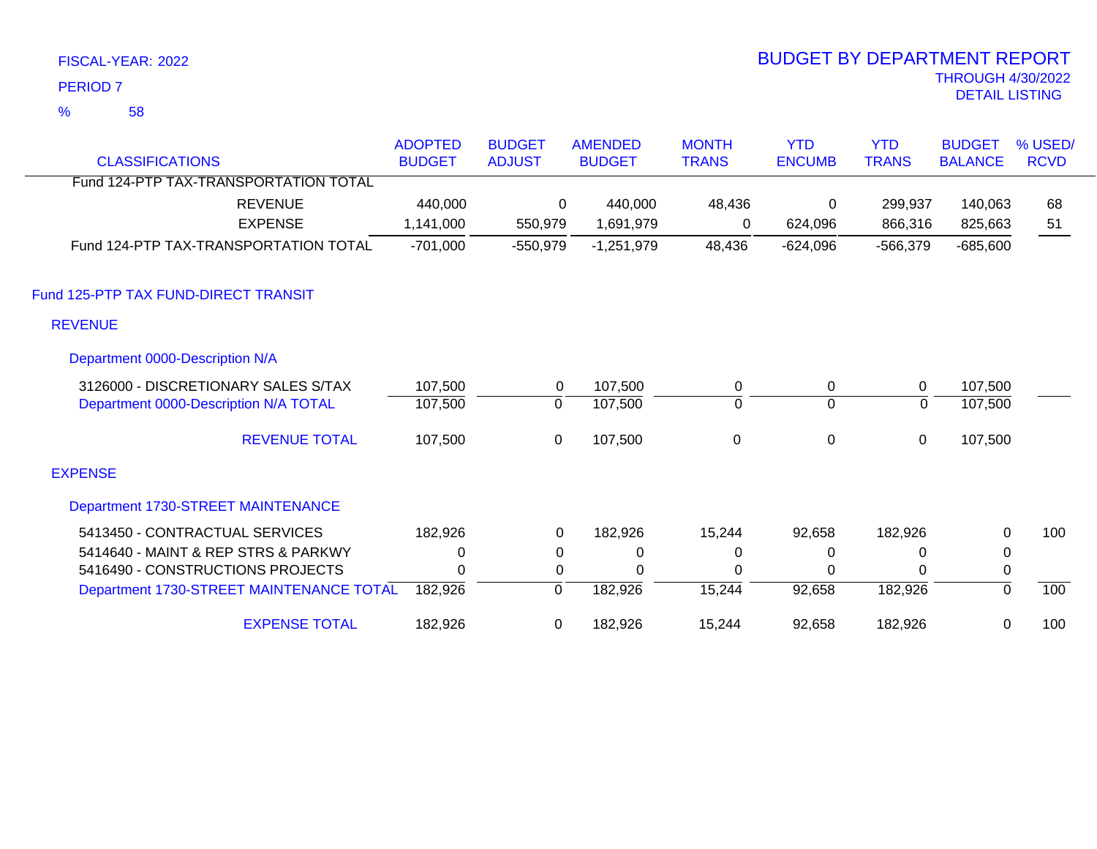58 %

| <b>CLASSIFICATIONS</b>                   | <b>ADOPTED</b><br><b>BUDGET</b> | <b>BUDGET</b><br><b>ADJUST</b> | <b>AMENDED</b><br><b>BUDGET</b> | <b>MONTH</b><br><b>TRANS</b> | <b>YTD</b><br><b>ENCUMB</b> | <b>YTD</b><br><b>TRANS</b> | <b>BUDGET</b><br><b>BALANCE</b> | % USED/<br><b>RCVD</b> |
|------------------------------------------|---------------------------------|--------------------------------|---------------------------------|------------------------------|-----------------------------|----------------------------|---------------------------------|------------------------|
| Fund 124-PTP TAX-TRANSPORTATION TOTAL    |                                 |                                |                                 |                              |                             |                            |                                 |                        |
| <b>REVENUE</b>                           | 440,000                         | $\Omega$                       | 440,000                         | 48,436                       | $\mathbf 0$                 | 299,937                    | 140,063                         | 68                     |
| <b>EXPENSE</b>                           | 1,141,000                       | 550,979                        | 1,691,979                       | 0                            | 624,096                     | 866,316                    | 825,663                         | 51                     |
| Fund 124-PTP TAX-TRANSPORTATION TOTAL    | $-701,000$                      | $-550,979$                     | $-1,251,979$                    | 48,436                       | $-624,096$                  | $-566,379$                 | $-685,600$                      |                        |
| Fund 125-PTP TAX FUND-DIRECT TRANSIT     |                                 |                                |                                 |                              |                             |                            |                                 |                        |
| <b>REVENUE</b>                           |                                 |                                |                                 |                              |                             |                            |                                 |                        |
| Department 0000-Description N/A          |                                 |                                |                                 |                              |                             |                            |                                 |                        |
| 3126000 - DISCRETIONARY SALES S/TAX      | 107,500                         | 0                              | 107,500                         | 0                            | $\mathbf 0$                 | $\mathbf 0$                | 107,500                         |                        |
| Department 0000-Description N/A TOTAL    | 107,500                         | 0                              | 107,500                         | $\Omega$                     | $\overline{0}$              | 0                          | 107,500                         |                        |
| <b>REVENUE TOTAL</b>                     | 107,500                         | $\mathbf 0$                    | 107,500                         | $\boldsymbol{0}$             | $\boldsymbol{0}$            | $\mathbf 0$                | 107,500                         |                        |
| <b>EXPENSE</b>                           |                                 |                                |                                 |                              |                             |                            |                                 |                        |
| Department 1730-STREET MAINTENANCE       |                                 |                                |                                 |                              |                             |                            |                                 |                        |
| 5413450 - CONTRACTUAL SERVICES           | 182,926                         | 0                              | 182,926                         | 15,244                       | 92,658                      | 182,926                    | 0                               | 100                    |
| 5414640 - MAINT & REP STRS & PARKWY      | 0                               | 0                              | 0                               | 0                            | 0                           | 0                          | 0                               |                        |
| 5416490 - CONSTRUCTIONS PROJECTS         | 0                               | 0                              | 0                               | 0                            | 0                           | $\Omega$                   | 0                               |                        |
| Department 1730-STREET MAINTENANCE TOTAL | 182,926                         | 0                              | 182,926                         | 15,244                       | 92,658                      | 182,926                    | $\mathbf{0}$                    | 100                    |
| <b>EXPENSE TOTAL</b>                     | 182,926                         | 0                              | 182,926                         | 15,244                       | 92,658                      | 182,926                    | 0                               | 100                    |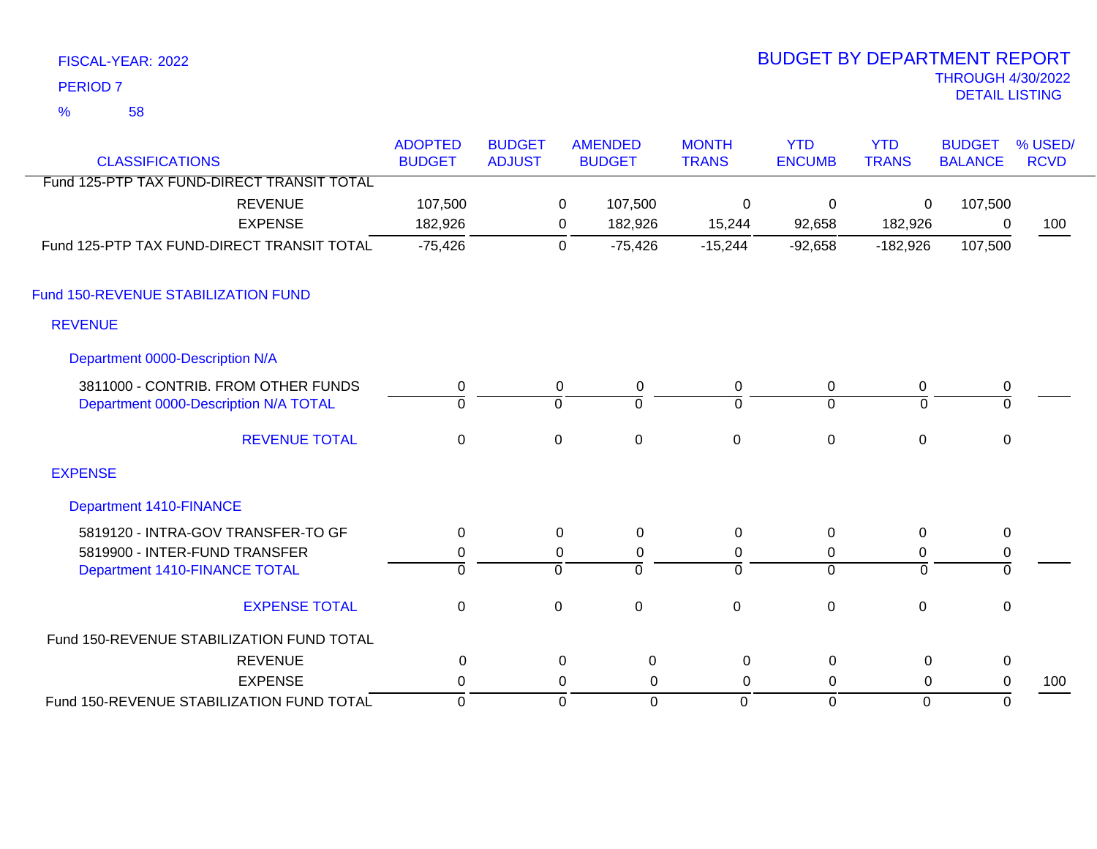58 %

| <b>CLASSIFICATIONS</b>                     | <b>ADOPTED</b><br><b>BUDGET</b> | <b>BUDGET</b><br><b>ADJUST</b> |             | <b>AMENDED</b><br><b>BUDGET</b> | <b>MONTH</b><br><b>TRANS</b> | <b>YTD</b><br><b>ENCUMB</b> | <b>YTD</b><br><b>TRANS</b> | <b>BUDGET</b><br><b>BALANCE</b> | % USED/<br><b>RCVD</b> |
|--------------------------------------------|---------------------------------|--------------------------------|-------------|---------------------------------|------------------------------|-----------------------------|----------------------------|---------------------------------|------------------------|
| Fund 125-PTP TAX FUND-DIRECT TRANSIT TOTAL |                                 |                                |             |                                 |                              |                             |                            |                                 |                        |
| <b>REVENUE</b>                             | 107,500                         |                                | 0           | 107,500                         | $\mathbf 0$                  | $\mathbf{0}$                | 0                          | 107,500                         |                        |
| <b>EXPENSE</b>                             | 182,926                         |                                | 0           | 182,926                         | 15,244                       | 92,658                      | 182,926                    | 0                               | 100                    |
| Fund 125-PTP TAX FUND-DIRECT TRANSIT TOTAL | $-75,426$                       |                                | $\mathbf 0$ | $-75,426$                       | $-15,244$                    | $-92,658$                   | $-182,926$                 | 107,500                         |                        |
| Fund 150-REVENUE STABILIZATION FUND        |                                 |                                |             |                                 |                              |                             |                            |                                 |                        |
| <b>REVENUE</b>                             |                                 |                                |             |                                 |                              |                             |                            |                                 |                        |
| Department 0000-Description N/A            |                                 |                                |             |                                 |                              |                             |                            |                                 |                        |
| 3811000 - CONTRIB. FROM OTHER FUNDS        | 0                               |                                | 0           | 0                               | $\mathbf 0$                  | 0                           | 0                          | $\pmb{0}$                       |                        |
| Department 0000-Description N/A TOTAL      | $\Omega$                        |                                | $\mathbf 0$ | $\Omega$                        | 0                            | $\overline{0}$              | $\Omega$                   | $\mathbf 0$                     |                        |
| <b>REVENUE TOTAL</b>                       | $\pmb{0}$                       |                                | $\mathbf 0$ | $\mathbf 0$                     | $\mathbf 0$                  | $\mathbf 0$                 | $\mathbf 0$                | $\mathbf 0$                     |                        |
| <b>EXPENSE</b>                             |                                 |                                |             |                                 |                              |                             |                            |                                 |                        |
| <b>Department 1410-FINANCE</b>             |                                 |                                |             |                                 |                              |                             |                            |                                 |                        |
| 5819120 - INTRA-GOV TRANSFER-TO GF         | 0                               |                                | 0           | $\pmb{0}$                       | 0                            | 0                           | $\mathbf 0$                | $\mathbf 0$                     |                        |
| 5819900 - INTER-FUND TRANSFER              | 0                               |                                | 0           | 0                               | 0                            | 0                           | 0                          | 0                               |                        |
| Department 1410-FINANCE TOTAL              | $\overline{0}$                  |                                | ō           | $\Omega$                        | $\Omega$                     | $\overline{0}$              | $\overline{0}$             | $\overline{0}$                  |                        |
| <b>EXPENSE TOTAL</b>                       | $\mathbf 0$                     |                                | $\mathbf 0$ | $\mathbf 0$                     | $\mathbf 0$                  | $\mathbf 0$                 | $\mathbf 0$                | 0                               |                        |
| Fund 150-REVENUE STABILIZATION FUND TOTAL  |                                 |                                |             |                                 |                              |                             |                            |                                 |                        |
| <b>REVENUE</b>                             | 0                               |                                | 0           | 0                               | 0                            | $\Omega$                    | 0                          | 0                               |                        |
| <b>EXPENSE</b>                             | 0                               |                                | 0           | 0                               | 0                            | 0                           | 0                          | 0                               | 100                    |
| Fund 150-REVENUE STABILIZATION FUND TOTAL  | $\mathbf 0$                     |                                | $\mathbf 0$ | $\Omega$                        | $\mathbf 0$                  | $\mathbf 0$                 | $\mathbf 0$                | $\mathbf 0$                     |                        |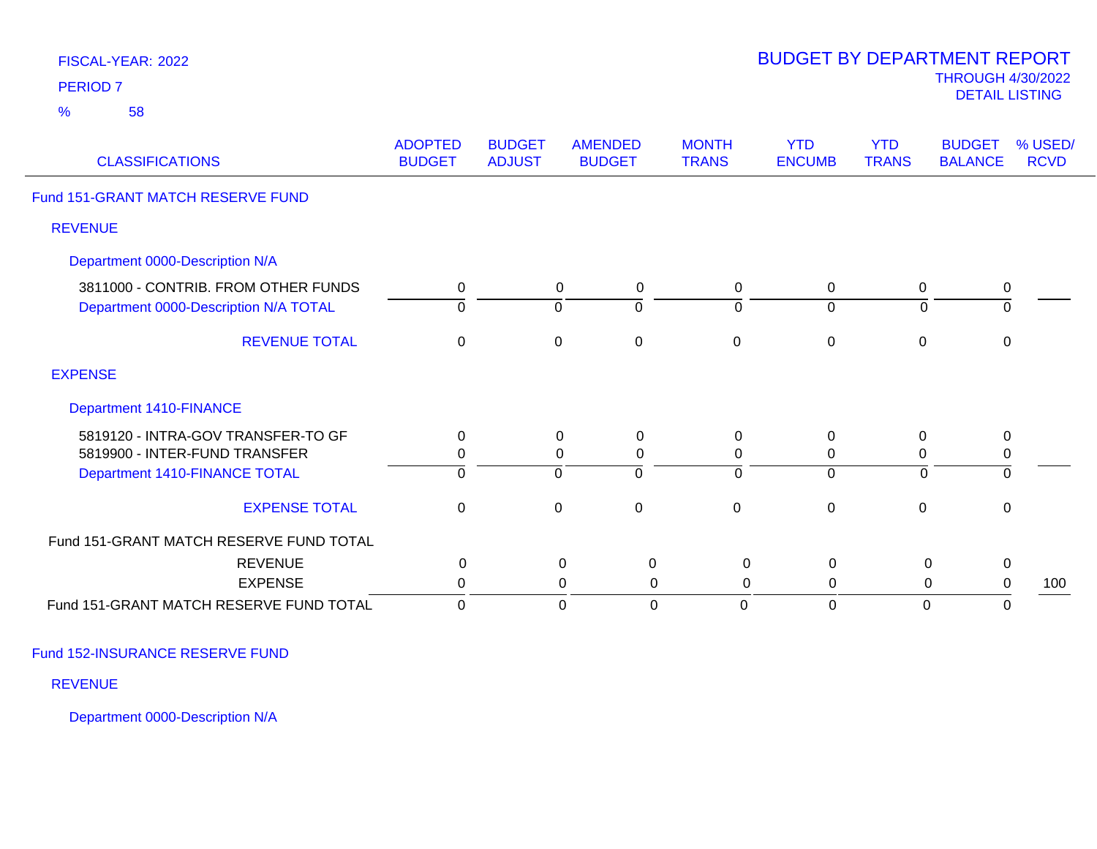| FISCAL-YEAR: 2022<br>PERIOD <sub>7</sub>                                     |                                 |                                |                  |                                 |                               | <b>BUDGET BY DEPARTMENT REPORT</b> |                            | <b>THROUGH 4/30/2022</b><br><b>DETAIL LISTING</b> |                        |
|------------------------------------------------------------------------------|---------------------------------|--------------------------------|------------------|---------------------------------|-------------------------------|------------------------------------|----------------------------|---------------------------------------------------|------------------------|
| $\frac{9}{6}$<br>58                                                          |                                 |                                |                  |                                 |                               |                                    |                            |                                                   |                        |
| <b>CLASSIFICATIONS</b>                                                       | <b>ADOPTED</b><br><b>BUDGET</b> | <b>BUDGET</b><br><b>ADJUST</b> |                  | <b>AMENDED</b><br><b>BUDGET</b> | <b>MONTH</b><br><b>TRANS</b>  | <b>YTD</b><br><b>ENCUMB</b>        | <b>YTD</b><br><b>TRANS</b> | <b>BUDGET</b><br><b>BALANCE</b>                   | % USED/<br><b>RCVD</b> |
| Fund 151-GRANT MATCH RESERVE FUND                                            |                                 |                                |                  |                                 |                               |                                    |                            |                                                   |                        |
| <b>REVENUE</b>                                                               |                                 |                                |                  |                                 |                               |                                    |                            |                                                   |                        |
| Department 0000-Description N/A                                              |                                 |                                |                  |                                 |                               |                                    |                            |                                                   |                        |
| 3811000 - CONTRIB. FROM OTHER FUNDS<br>Department 0000-Description N/A TOTAL | $\mathbf 0$<br>$\Omega$         |                                | 0<br>$\mathbf 0$ | $\pmb{0}$<br>$\mathbf 0$        | $\mathbf 0$<br>$\overline{0}$ | 0<br>$\mathbf 0$                   | $\mathbf 0$<br>$\mathbf 0$ | 0<br>$\overline{0}$                               |                        |
| <b>REVENUE TOTAL</b>                                                         | $\mathbf 0$                     |                                | $\mathbf 0$      | $\pmb{0}$                       | $\pmb{0}$                     | $\mathbf 0$                        | $\pmb{0}$                  | $\mathsf 0$                                       |                        |
| <b>EXPENSE</b>                                                               |                                 |                                |                  |                                 |                               |                                    |                            |                                                   |                        |
| <b>Department 1410-FINANCE</b>                                               |                                 |                                |                  |                                 |                               |                                    |                            |                                                   |                        |
| 5819120 - INTRA-GOV TRANSFER-TO GF                                           | $\mathbf 0$                     |                                | 0                | 0                               | 0                             | 0                                  | 0                          | 0                                                 |                        |
| 5819900 - INTER-FUND TRANSFER                                                | $\mathbf 0$                     |                                | 0                | $\boldsymbol{0}$                | $\mathbf 0$                   | $\mathbf 0$                        | $\mathbf 0$                | $\pmb{0}$                                         |                        |
| Department 1410-FINANCE TOTAL                                                | $\mathbf 0$                     |                                | $\mathbf 0$      | $\mathbf 0$                     | $\mathbf 0$                   | $\mathbf 0$                        | $\mathbf 0$                | $\overline{0}$                                    |                        |
| <b>EXPENSE TOTAL</b>                                                         | $\mathbf 0$                     |                                | $\mathbf 0$      | $\pmb{0}$                       | $\pmb{0}$                     | $\mathbf 0$                        | $\pmb{0}$                  | $\mathsf 0$                                       |                        |
| Fund 151-GRANT MATCH RESERVE FUND TOTAL                                      |                                 |                                |                  |                                 |                               |                                    |                            |                                                   |                        |
| <b>REVENUE</b>                                                               | 0                               |                                | $\mathbf 0$      | $\mathbf 0$                     | 0                             | $\mathbf 0$                        | 0                          | $\mathbf 0$                                       |                        |
| <b>EXPENSE</b>                                                               | $\mathbf 0$                     |                                | 0                | $\mathbf 0$                     | 0                             | $\mathbf 0$                        | 0                          | $\mathbf 0$                                       | 100                    |
| Fund 151-GRANT MATCH RESERVE FUND TOTAL                                      | $\mathbf 0$                     |                                | $\mathbf 0$      | $\overline{0}$                  | $\Omega$                      | $\mathbf 0$                        | $\overline{0}$             | $\mathbf 0$                                       |                        |

Fund 152-INSURANCE RESERVE FUND

REVENUE

Department 0000-Description N/A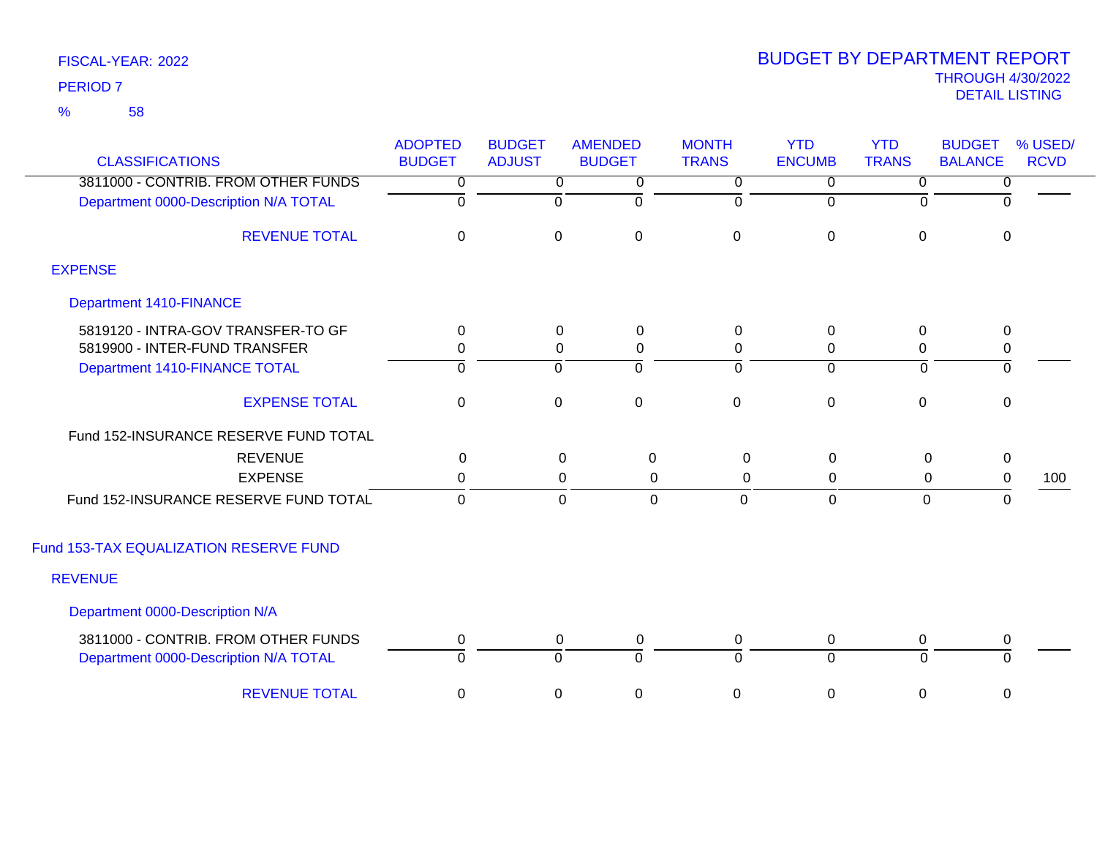58 %

| <b>CLASSIFICATIONS</b>                                                       | <b>ADOPTED</b><br><b>BUDGET</b> | <b>BUDGET</b><br><b>ADJUST</b> | <b>AMENDED</b><br><b>BUDGET</b> | <b>MONTH</b><br><b>TRANS</b> | <b>YTD</b><br><b>ENCUMB</b> | <b>YTD</b><br><b>TRANS</b> | <b>BUDGET</b><br><b>BALANCE</b> | % USED/<br><b>RCVD</b> |
|------------------------------------------------------------------------------|---------------------------------|--------------------------------|---------------------------------|------------------------------|-----------------------------|----------------------------|---------------------------------|------------------------|
| 3811000 - CONTRIB. FROM OTHER FUNDS                                          | 0                               | $\overline{0}$                 | 0                               | 0                            | $\overline{0}$              | $\overline{0}$             | 0                               |                        |
| Department 0000-Description N/A TOTAL                                        | $\overline{0}$                  | $\overline{0}$                 | $\mathbf 0$                     | $\mathbf 0$                  | $\mathbf 0$                 | $\Omega$                   | $\Omega$                        |                        |
| <b>REVENUE TOTAL</b>                                                         | 0                               | 0                              | $\mathbf 0$                     | $\pmb{0}$                    | $\pmb{0}$                   | 0                          | $\mathbf 0$                     |                        |
| <b>EXPENSE</b>                                                               |                                 |                                |                                 |                              |                             |                            |                                 |                        |
| <b>Department 1410-FINANCE</b>                                               |                                 |                                |                                 |                              |                             |                            |                                 |                        |
| 5819120 - INTRA-GOV TRANSFER-TO GF                                           | 0                               | 0                              | 0                               | $\mathbf 0$                  | $\pmb{0}$                   | 0                          | $\mathbf 0$                     |                        |
| 5819900 - INTER-FUND TRANSFER                                                | 0                               | $\Omega$                       | 0                               | 0                            | 0                           | $\mathbf{0}$               | 0                               |                        |
| Department 1410-FINANCE TOTAL                                                | ō                               | $\overline{0}$                 | ō                               | 0                            | $\overline{0}$              | $\mathbf 0$                | $\overline{0}$                  |                        |
| <b>EXPENSE TOTAL</b>                                                         | $\mathbf 0$                     | $\mathbf 0$                    | $\mathbf 0$                     | $\mathbf 0$                  | $\mathbf 0$                 | $\mathbf 0$                | $\mathbf 0$                     |                        |
| Fund 152-INSURANCE RESERVE FUND TOTAL                                        |                                 |                                |                                 |                              |                             |                            |                                 |                        |
| <b>REVENUE</b>                                                               | $\Omega$                        |                                | 0<br>0                          | 0                            | $\mathbf 0$                 | $\mathbf 0$                | $\mathbf 0$                     |                        |
| <b>EXPENSE</b>                                                               | 0                               |                                | 0<br>0                          | $\mathbf 0$                  | 0                           | 0                          | 0                               | 100                    |
| Fund 152-INSURANCE RESERVE FUND TOTAL                                        | $\mathbf{0}$                    |                                | $\mathbf 0$<br>$\mathbf 0$      | $\mathbf 0$                  | $\mathbf 0$                 | 0                          | $\mathbf 0$                     |                        |
| Fund 153-TAX EQUALIZATION RESERVE FUND                                       |                                 |                                |                                 |                              |                             |                            |                                 |                        |
| <b>REVENUE</b>                                                               |                                 |                                |                                 |                              |                             |                            |                                 |                        |
| Department 0000-Description N/A                                              |                                 |                                |                                 |                              |                             |                            |                                 |                        |
| 3811000 - CONTRIB. FROM OTHER FUNDS<br>Department 0000-Description N/A TOTAL | $\mathbf 0$<br>$\Omega$         | $\mathbf 0$<br>$\Omega$        | $\mathbf 0$<br>$\overline{0}$   | $\mathbf 0$<br>$\Omega$      | 0<br>$\overline{0}$         | $\mathbf 0$<br>$\Omega$    | $\mathbf 0$<br>$\Omega$         |                        |
| <b>REVENUE TOTAL</b>                                                         | 0                               | 0                              | $\mathbf 0$                     | 0                            | 0                           | 0                          | 0                               |                        |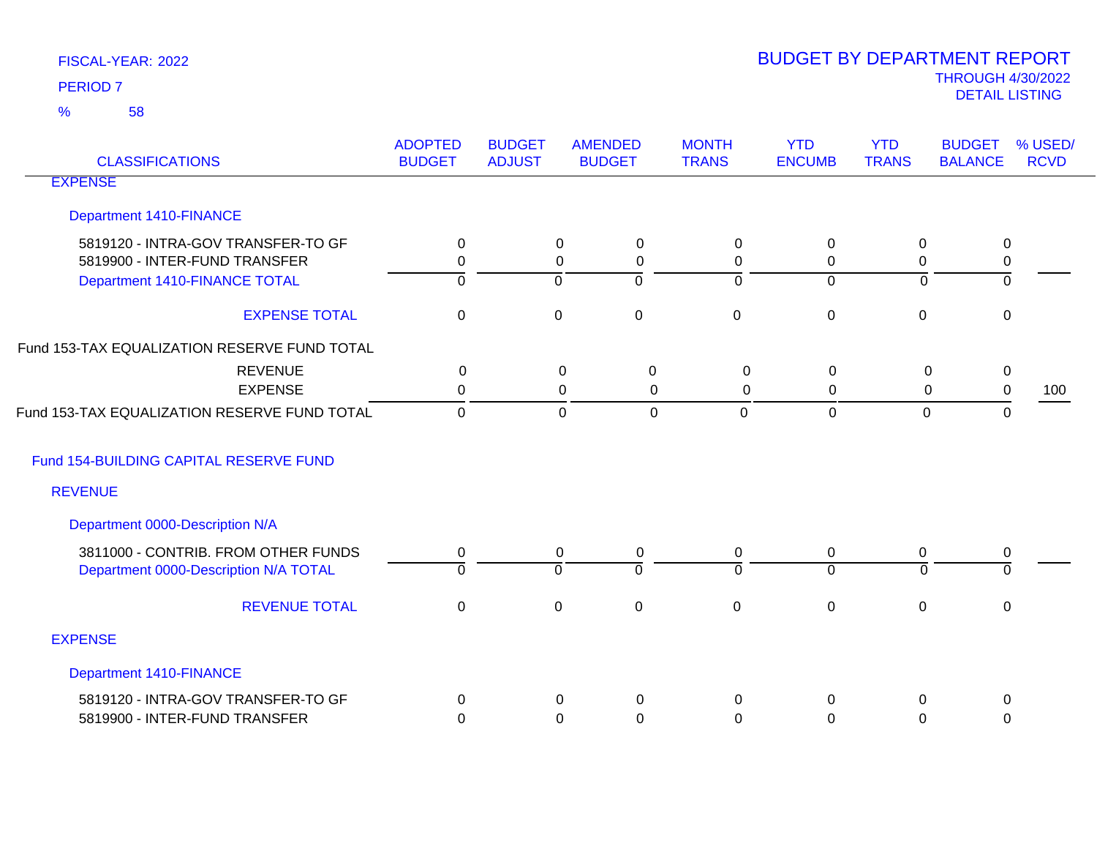| <b>CLASSIFICATIONS</b>                                                                               | <b>ADOPTED</b><br><b>BUDGET</b> | <b>BUDGET</b><br><b>ADJUST</b> | <b>AMENDED</b><br><b>BUDGET</b>                                                   | <b>MONTH</b><br><b>TRANS</b>    | <b>YTD</b><br><b>ENCUMB</b>        | <b>YTD</b><br><b>TRANS</b>               | <b>BUDGET</b><br><b>BALANCE</b> | % USED/<br><b>RCVD</b> |
|------------------------------------------------------------------------------------------------------|---------------------------------|--------------------------------|-----------------------------------------------------------------------------------|---------------------------------|------------------------------------|------------------------------------------|---------------------------------|------------------------|
| <b>EXPENSE</b>                                                                                       |                                 |                                |                                                                                   |                                 |                                    |                                          |                                 |                        |
| <b>Department 1410-FINANCE</b>                                                                       |                                 |                                |                                                                                   |                                 |                                    |                                          |                                 |                        |
| 5819120 - INTRA-GOV TRANSFER-TO GF<br>5819900 - INTER-FUND TRANSFER<br>Department 1410-FINANCE TOTAL | 0<br>0<br>$\overline{0}$        |                                | $\mathbf 0$<br>0<br>$\boldsymbol{0}$<br>$\mathbf 0$<br>$\overline{0}$<br>$\Omega$ | 0<br>$\mathbf 0$<br>$\mathbf 0$ | $\mathbf 0$<br>0<br>$\overline{0}$ | $\pmb{0}$<br>$\pmb{0}$<br>$\overline{0}$ | 0<br>0<br>0                     |                        |
| <b>EXPENSE TOTAL</b>                                                                                 | $\mathbf 0$                     |                                | $\mathbf 0$<br>$\mathbf 0$                                                        | $\mathbf 0$                     | $\mathbf 0$                        | $\pmb{0}$                                | 0                               |                        |
| Fund 153-TAX EQUALIZATION RESERVE FUND TOTAL                                                         |                                 |                                |                                                                                   |                                 |                                    |                                          |                                 |                        |
| <b>REVENUE</b><br><b>EXPENSE</b>                                                                     | $\mathbf{0}$<br>0               |                                | 0<br>0<br>$\Omega$<br>$\Omega$                                                    | $\mathbf 0$<br>$\Omega$         | 0<br>0                             | 0<br>0                                   | $\pmb{0}$<br>0                  | 100                    |
| Fund 153-TAX EQUALIZATION RESERVE FUND TOTAL                                                         | $\mathbf 0$                     |                                | $\mathbf 0$<br>$\mathbf 0$                                                        | $\mathbf 0$                     | $\mathbf 0$                        | $\mathbf 0$                              | $\mathbf{0}$                    |                        |
| Fund 154-BUILDING CAPITAL RESERVE FUND                                                               |                                 |                                |                                                                                   |                                 |                                    |                                          |                                 |                        |
| <b>REVENUE</b>                                                                                       |                                 |                                |                                                                                   |                                 |                                    |                                          |                                 |                        |
| Department 0000-Description N/A                                                                      |                                 |                                |                                                                                   |                                 |                                    |                                          |                                 |                        |
| 3811000 - CONTRIB. FROM OTHER FUNDS<br>Department 0000-Description N/A TOTAL                         | $\mathbf 0$<br>$\mathbf 0$      |                                | $\mathsf 0$<br>0<br>$\mathbf 0$<br>$\Omega$                                       | 0<br>$\Omega$                   | $\mathbf 0$<br>$\overline{0}$      | 0<br>$\Omega$                            | 0<br>$\Omega$                   |                        |
| <b>REVENUE TOTAL</b>                                                                                 | $\mathbf 0$                     |                                | $\mathbf 0$<br>$\mathbf 0$                                                        | $\mathbf 0$                     | $\mathbf 0$                        | $\mathbf 0$                              | $\boldsymbol{0}$                |                        |
| <b>EXPENSE</b>                                                                                       |                                 |                                |                                                                                   |                                 |                                    |                                          |                                 |                        |
| <b>Department 1410-FINANCE</b>                                                                       |                                 |                                |                                                                                   |                                 |                                    |                                          |                                 |                        |
| 5819120 - INTRA-GOV TRANSFER-TO GF<br>5819900 - INTER-FUND TRANSFER                                  | $\Omega$<br>$\Omega$            |                                | 0<br>0<br>0<br>0                                                                  | 0<br>$\Omega$                   | $\Omega$<br>0                      | 0<br>0                                   | 0<br>0                          |                        |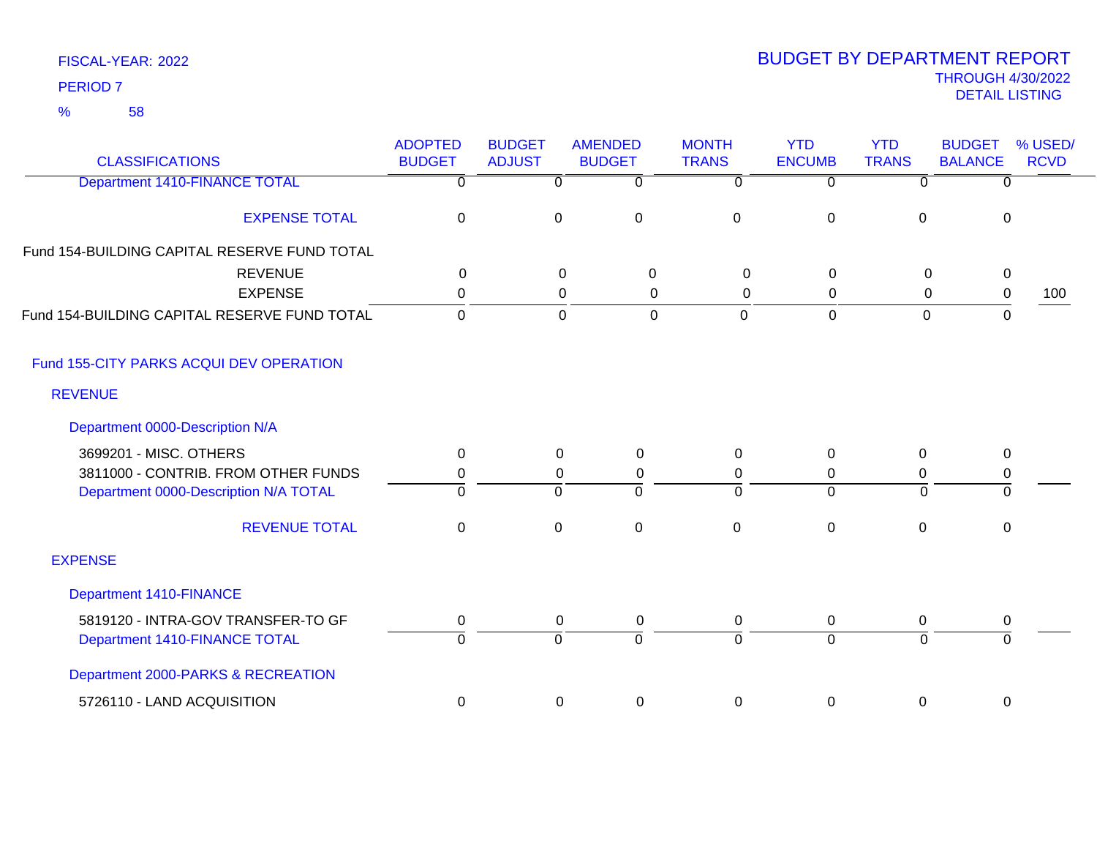| FISCAL-YEAR: 2022 |
|-------------------|
| <b>PERIOD 7</b>   |

| <b>CLASSIFICATIONS</b>                       | <b>ADOPTED</b><br><b>BUDGET</b> | <b>BUDGET</b><br><b>ADJUST</b> | <b>AMENDED</b><br><b>BUDGET</b> | <b>MONTH</b><br><b>TRANS</b> | <b>YTD</b><br><b>ENCUMB</b> | <b>YTD</b><br><b>TRANS</b> | <b>BUDGET</b><br><b>BALANCE</b> | % USED/<br><b>RCVD</b> |
|----------------------------------------------|---------------------------------|--------------------------------|---------------------------------|------------------------------|-----------------------------|----------------------------|---------------------------------|------------------------|
| <b>Department 1410-FINANCE TOTAL</b>         | 0                               | $\mathbf 0$                    | 0                               | $\mathbf 0$                  | $\overline{0}$              | 0                          | 0                               |                        |
| <b>EXPENSE TOTAL</b>                         | $\pmb{0}$                       | $\mathbf 0$                    | $\pmb{0}$                       | $\pmb{0}$                    | $\pmb{0}$                   | $\mathbf 0$                | 0                               |                        |
| Fund 154-BUILDING CAPITAL RESERVE FUND TOTAL |                                 |                                |                                 |                              |                             |                            |                                 |                        |
| <b>REVENUE</b>                               | 0                               | $\mathsf 0$                    | $\mathbf 0$                     | $\mathbf 0$                  | $\mathbf 0$                 | $\mathsf 0$                | $\pmb{0}$                       |                        |
| <b>EXPENSE</b>                               | $\Omega$                        |                                | $\mathbf 0$<br>0                | $\mathbf 0$                  | 0                           | $\mathbf 0$                | $\pmb{0}$                       | 100                    |
| Fund 154-BUILDING CAPITAL RESERVE FUND TOTAL | $\Omega$                        |                                | $\mathbf 0$<br>$\overline{0}$   | $\mathbf 0$                  | $\mathbf 0$                 | $\mathbf 0$                | $\Omega$                        |                        |
| Fund 155-CITY PARKS ACQUI DEV OPERATION      |                                 |                                |                                 |                              |                             |                            |                                 |                        |
| <b>REVENUE</b>                               |                                 |                                |                                 |                              |                             |                            |                                 |                        |
| Department 0000-Description N/A              |                                 |                                |                                 |                              |                             |                            |                                 |                        |
| 3699201 - MISC. OTHERS                       | 0                               | 0                              | 0                               | $\mathbf{0}$                 | 0                           | $\Omega$                   | 0                               |                        |
| 3811000 - CONTRIB. FROM OTHER FUNDS          | 0                               | 0                              | 0                               | 0                            | 0                           | $\Omega$                   | 0                               |                        |
| Department 0000-Description N/A TOTAL        | $\Omega$                        | $\Omega$                       | $\overline{0}$                  | $\Omega$                     | $\overline{0}$              | $\overline{0}$             | $\mathbf 0$                     |                        |
| <b>REVENUE TOTAL</b>                         | 0                               | $\mathbf 0$                    | $\mathbf 0$                     | $\mathbf 0$                  | $\mathbf 0$                 | $\mathbf 0$                | 0                               |                        |
| <b>EXPENSE</b>                               |                                 |                                |                                 |                              |                             |                            |                                 |                        |
| Department 1410-FINANCE                      |                                 |                                |                                 |                              |                             |                            |                                 |                        |
| 5819120 - INTRA-GOV TRANSFER-TO GF           | 0                               | 0                              | $\mathbf 0$                     | $\mathbf 0$                  | 0                           | 0                          | $\pmb{0}$                       |                        |
| Department 1410-FINANCE TOTAL                | O                               | $\Omega$                       | $\Omega$                        | $\Omega$                     | $\overline{0}$              | $\Omega$                   | $\Omega$                        |                        |
| Department 2000-PARKS & RECREATION           |                                 |                                |                                 |                              |                             |                            |                                 |                        |
| 5726110 - LAND ACQUISITION                   | 0                               | $\pmb{0}$                      | $\pmb{0}$                       | $\mathbf 0$                  | $\pmb{0}$                   | 0                          | 0                               |                        |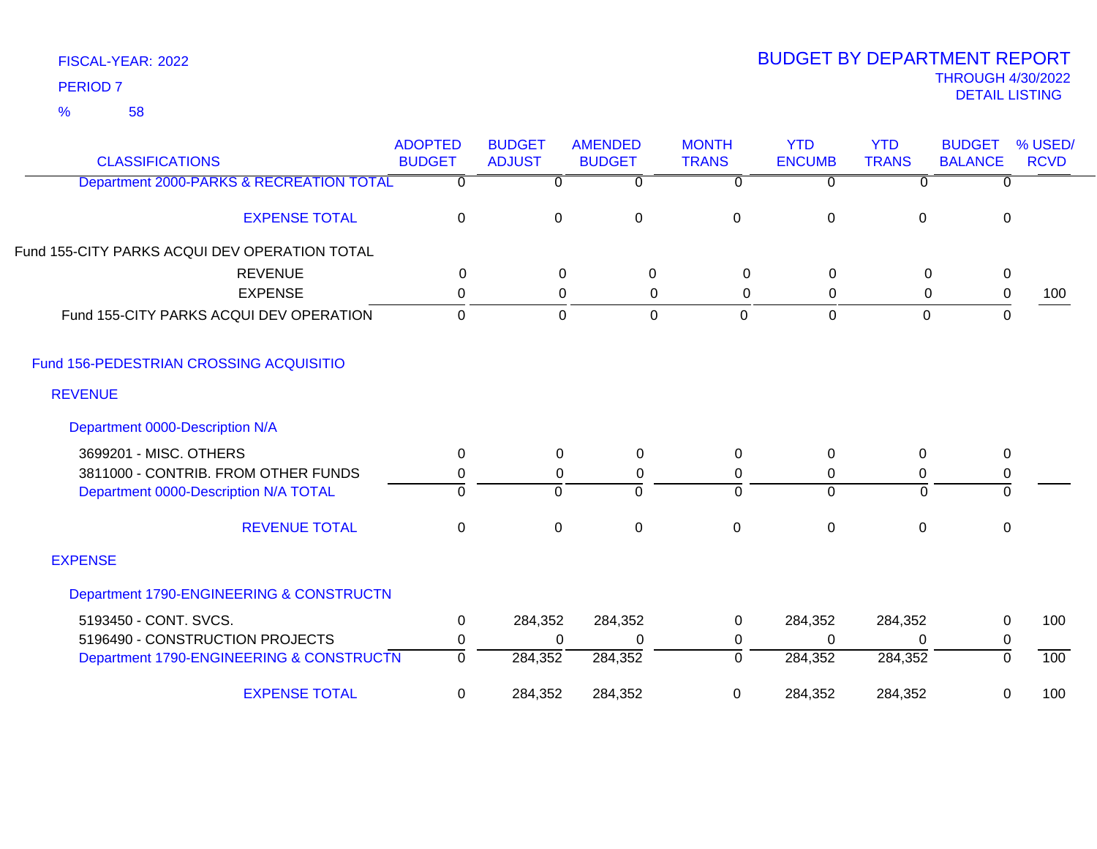58 %

| <b>CLASSIFICATIONS</b>                        | <b>ADOPTED</b><br><b>BUDGET</b> | <b>BUDGET</b><br><b>ADJUST</b> | <b>AMENDED</b><br><b>BUDGET</b> | <b>MONTH</b><br><b>TRANS</b> | <b>YTD</b><br><b>ENCUMB</b> | <b>YTD</b><br><b>TRANS</b> | <b>BUDGET</b><br><b>BALANCE</b> | % USED/<br><b>RCVD</b> |
|-----------------------------------------------|---------------------------------|--------------------------------|---------------------------------|------------------------------|-----------------------------|----------------------------|---------------------------------|------------------------|
| Department 2000-PARKS & RECREATION TOTAL      | $\Omega$                        | 0                              | $\overline{0}$                  | 0                            | $\overline{0}$              | $\Omega$                   | 0                               |                        |
| <b>EXPENSE TOTAL</b>                          | $\pmb{0}$                       | $\mathbf 0$                    | $\mathbf 0$                     | $\mathbf 0$                  | $\mathbf 0$                 | 0                          | $\mathbf 0$                     |                        |
| Fund 155-CITY PARKS ACQUI DEV OPERATION TOTAL |                                 |                                |                                 |                              |                             |                            |                                 |                        |
| <b>REVENUE</b>                                | $\mathbf{0}$                    | $\mathbf 0$                    | 0                               | $\Omega$                     | 0                           | 0                          | $\pmb{0}$                       |                        |
| <b>EXPENSE</b>                                | 0                               | 0                              | 0                               | 0                            | 0                           | 0                          | $\pmb{0}$                       | 100                    |
| Fund 155-CITY PARKS ACQUI DEV OPERATION       | $\mathbf 0$                     | $\mathbf 0$                    | 0                               | $\mathbf 0$                  | $\mathbf 0$                 | $\mathbf 0$                | $\mathbf 0$                     |                        |
| Fund 156-PEDESTRIAN CROSSING ACQUISITIO       |                                 |                                |                                 |                              |                             |                            |                                 |                        |
| <b>REVENUE</b>                                |                                 |                                |                                 |                              |                             |                            |                                 |                        |
| Department 0000-Description N/A               |                                 |                                |                                 |                              |                             |                            |                                 |                        |
| 3699201 - MISC. OTHERS                        | 0                               | 0                              | 0                               | $\Omega$                     | 0                           | 0                          | $\mathbf 0$                     |                        |
| 3811000 - CONTRIB. FROM OTHER FUNDS           | 0                               | 0                              | 0                               | 0                            | 0                           | 0                          | $\pmb{0}$                       |                        |
| Department 0000-Description N/A TOTAL         | $\Omega$                        | $\mathbf 0$                    | $\Omega$                        | 0                            | $\Omega$                    | $\Omega$                   | 0                               |                        |
| <b>REVENUE TOTAL</b>                          | $\pmb{0}$                       | $\mathbf 0$                    | $\pmb{0}$                       | $\mathbf 0$                  | $\mathbf 0$                 | $\pmb{0}$                  | $\pmb{0}$                       |                        |
| <b>EXPENSE</b>                                |                                 |                                |                                 |                              |                             |                            |                                 |                        |
| Department 1790-ENGINEERING & CONSTRUCTN      |                                 |                                |                                 |                              |                             |                            |                                 |                        |
| 5193450 - CONT. SVCS.                         | 0                               | 284,352                        | 284,352                         | 0                            | 284,352                     | 284,352                    | $\mathbf 0$                     | 100                    |
| 5196490 - CONSTRUCTION PROJECTS               | 0                               | $\Omega$                       | $\Omega$                        | 0                            | $\Omega$                    | $\Omega$                   | $\pmb{0}$                       |                        |
| Department 1790-ENGINEERING & CONSTRUCTN      | $\overline{0}$                  | 284,352                        | 284,352                         | 0                            | 284,352                     | 284,352                    | 0                               | 100                    |
| <b>EXPENSE TOTAL</b>                          | $\mathbf 0$                     | 284,352                        | 284,352                         | 0                            | 284,352                     | 284,352                    | 0                               | 100                    |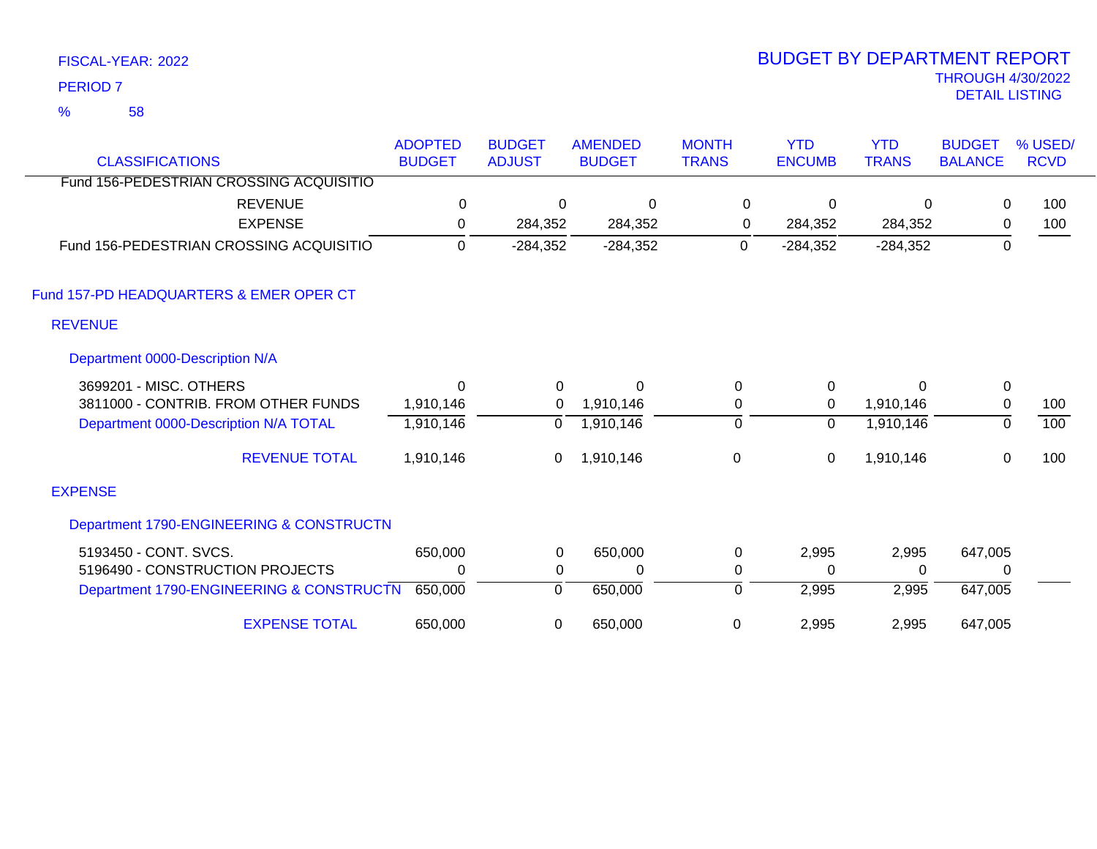58 %

| <b>CLASSIFICATIONS</b>                   | <b>ADOPTED</b><br><b>BUDGET</b> | <b>BUDGET</b><br><b>ADJUST</b> | <b>AMENDED</b><br><b>BUDGET</b> | <b>MONTH</b><br><b>TRANS</b> | <b>YTD</b><br><b>ENCUMB</b> | <b>YTD</b><br><b>TRANS</b> | <b>BUDGET</b><br><b>BALANCE</b> | % USED/<br><b>RCVD</b> |
|------------------------------------------|---------------------------------|--------------------------------|---------------------------------|------------------------------|-----------------------------|----------------------------|---------------------------------|------------------------|
| Fund 156-PEDESTRIAN CROSSING ACQUISITIO  |                                 |                                |                                 |                              |                             |                            |                                 |                        |
| <b>REVENUE</b>                           | $\mathbf 0$                     | 0                              | 0                               | 0                            | 0                           | $\Omega$                   | 0                               | 100                    |
| <b>EXPENSE</b>                           | 0                               | 284,352                        | 284,352                         | 0                            | 284,352                     | 284,352                    | 0                               | 100                    |
| Fund 156-PEDESTRIAN CROSSING ACQUISITIO  | $\mathbf 0$                     | $-284,352$                     | $-284,352$                      | 0                            | $-284,352$                  | $-284,352$                 | 0                               |                        |
| Fund 157-PD HEADQUARTERS & EMER OPER CT  |                                 |                                |                                 |                              |                             |                            |                                 |                        |
| <b>REVENUE</b>                           |                                 |                                |                                 |                              |                             |                            |                                 |                        |
| Department 0000-Description N/A          |                                 |                                |                                 |                              |                             |                            |                                 |                        |
| 3699201 - MISC. OTHERS                   | 0                               | 0                              | 0                               | $\pmb{0}$                    | $\mathbf 0$                 | 0                          | $\mathbf 0$                     |                        |
| 3811000 - CONTRIB. FROM OTHER FUNDS      | 1,910,146                       | 0                              | 1,910,146                       | 0                            | 0                           | 1,910,146                  | $\mathbf 0$                     | 100                    |
| Department 0000-Description N/A TOTAL    | 1,910,146                       | 0                              | 1,910,146                       | $\pmb{0}$                    | $\overline{0}$              | 1,910,146                  | $\overline{0}$                  | 100                    |
| <b>REVENUE TOTAL</b>                     | 1,910,146                       | 0                              | 1,910,146                       | 0                            | 0                           | 1,910,146                  | 0                               | 100                    |
| <b>EXPENSE</b>                           |                                 |                                |                                 |                              |                             |                            |                                 |                        |
| Department 1790-ENGINEERING & CONSTRUCTN |                                 |                                |                                 |                              |                             |                            |                                 |                        |
| 5193450 - CONT. SVCS.                    | 650,000                         | $\pmb{0}$                      | 650,000                         | 0                            | 2,995                       | 2,995                      | 647,005                         |                        |
| 5196490 - CONSTRUCTION PROJECTS          | 0                               | 0                              | 0                               | 0                            | $\Omega$                    | 0                          | 0                               |                        |
| Department 1790-ENGINEERING & CONSTRUCTN | 650,000                         | $\mathbf 0$                    | 650,000                         | $\pmb{0}$                    | 2,995                       | 2,995                      | 647,005                         |                        |
| <b>EXPENSE TOTAL</b>                     | 650,000                         | 0                              | 650,000                         | 0                            | 2,995                       | 2,995                      | 647,005                         |                        |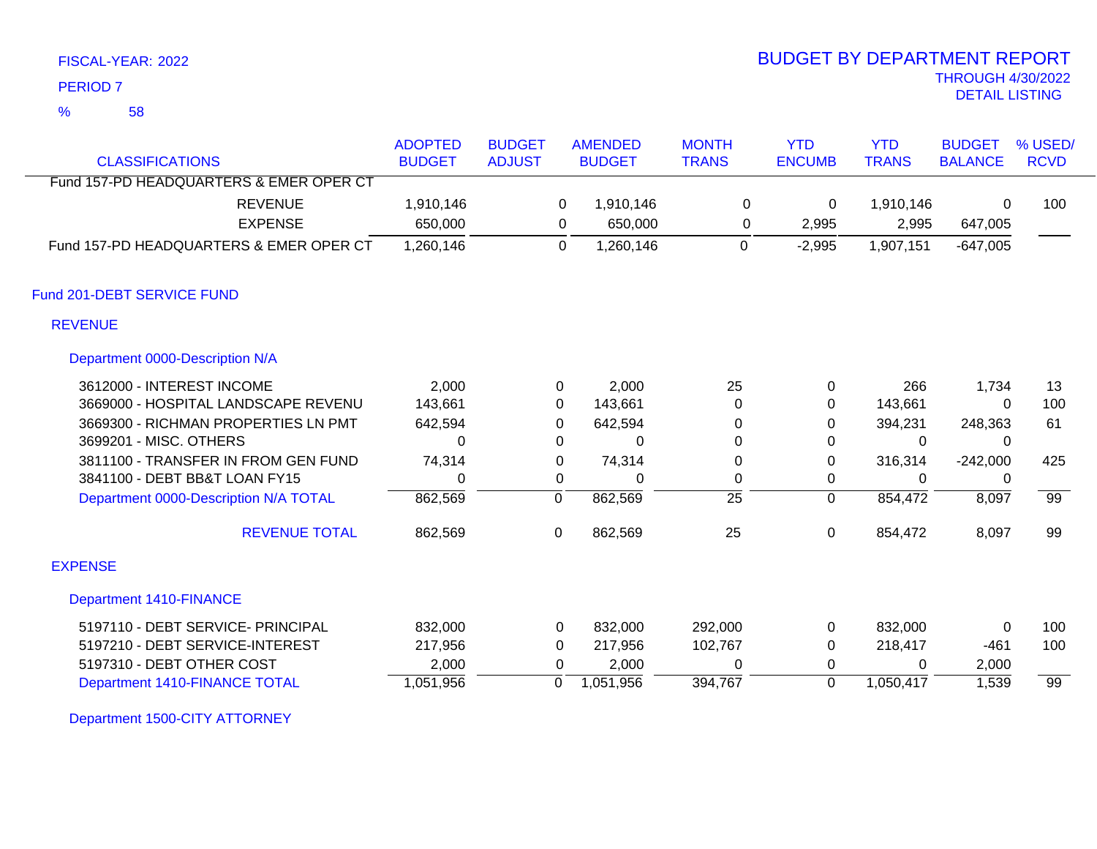58 %

# THROUGH 4/30/2022<br>DETAIL LISTING DETAIL LISTING PERIOD <sup>7</sup> BUDGET BY DEPARTMENT REPORT

| <b>CLASSIFICATIONS</b>                  | <b>ADOPTED</b><br><b>BUDGET</b> | <b>BUDGET</b><br><b>ADJUST</b> | <b>AMENDED</b><br><b>BUDGET</b> | <b>MONTH</b><br><b>TRANS</b> | <b>YTD</b><br><b>ENCUMB</b> | <b>YTD</b><br><b>TRANS</b> | <b>BUDGET</b><br><b>BALANCE</b> | % USED/<br><b>RCVD</b> |
|-----------------------------------------|---------------------------------|--------------------------------|---------------------------------|------------------------------|-----------------------------|----------------------------|---------------------------------|------------------------|
| Fund 157-PD HEADQUARTERS & EMER OPER CT |                                 |                                |                                 |                              |                             |                            |                                 |                        |
| <b>REVENUE</b>                          | 1,910,146                       |                                | 0<br>1,910,146                  | 0                            | 0                           | 1,910,146                  | $\mathbf{0}$                    | 100                    |
| <b>EXPENSE</b>                          | 650,000                         |                                | 650,000<br>0                    | 0                            | 2,995                       | 2,995                      | 647,005                         |                        |
| Fund 157-PD HEADQUARTERS & EMER OPER CT | 1,260,146                       |                                | 0<br>1,260,146                  | 0                            | $-2,995$                    | 1,907,151                  | $-647,005$                      |                        |
| Fund 201-DEBT SERVICE FUND              |                                 |                                |                                 |                              |                             |                            |                                 |                        |
| <b>REVENUE</b>                          |                                 |                                |                                 |                              |                             |                            |                                 |                        |
| Department 0000-Description N/A         |                                 |                                |                                 |                              |                             |                            |                                 |                        |
| 3612000 - INTEREST INCOME               | 2,000                           |                                | 2,000<br>0                      | 25                           | 0                           | 266                        | 1,734                           | 13                     |
| 3669000 - HOSPITAL LANDSCAPE REVENU     | 143,661                         | 0                              | 143,661                         | 0                            | 0                           | 143,661                    | 0                               | 100                    |
| 3669300 - RICHMAN PROPERTIES LN PMT     | 642,594                         | 0                              | 642,594                         | 0                            | 0                           | 394,231                    | 248,363                         | 61                     |
| 3699201 - MISC. OTHERS                  | $\Omega$                        | 0                              | 0                               | 0                            | 0                           | 0                          | 0                               |                        |
| 3811100 - TRANSFER IN FROM GEN FUND     | 74,314                          | 0                              | 74,314                          | 0                            | $\mathbf 0$                 | 316,314                    | $-242,000$                      | 425                    |
| 3841100 - DEBT BB&T LOAN FY15           | $\mathbf{0}$                    | 0                              | $\Omega$                        | 0                            | 0                           | $\Omega$                   | 0                               |                        |
| Department 0000-Description N/A TOTAL   | 862,569                         | 0                              | 862,569                         | $\overline{25}$              | $\overline{0}$              | 854,472                    | 8,097                           | 99                     |
| <b>REVENUE TOTAL</b>                    | 862,569                         | 0                              | 862,569                         | 25                           | $\pmb{0}$                   | 854,472                    | 8,097                           | 99                     |
| <b>EXPENSE</b>                          |                                 |                                |                                 |                              |                             |                            |                                 |                        |
| <b>Department 1410-FINANCE</b>          |                                 |                                |                                 |                              |                             |                            |                                 |                        |
| 5197110 - DEBT SERVICE- PRINCIPAL       | 832,000                         | 0                              | 832,000                         | 292,000                      | 0                           | 832,000                    | 0                               | 100                    |
| 5197210 - DEBT SERVICE-INTEREST         | 217,956                         | 0                              | 217,956                         | 102,767                      | 0                           | 218,417                    | $-461$                          | 100                    |
| 5197310 - DEBT OTHER COST               | 2,000                           | $\Omega$                       | 2,000                           | $\Omega$                     | 0                           | $\Omega$                   | 2,000                           |                        |
| Department 1410-FINANCE TOTAL           | 1,051,956                       | 0                              | 1,051,956                       | 394,767                      | $\mathbf 0$                 | 1,050,417                  | 1,539                           | $\overline{99}$        |

Department 1500-CITY ATTORNEY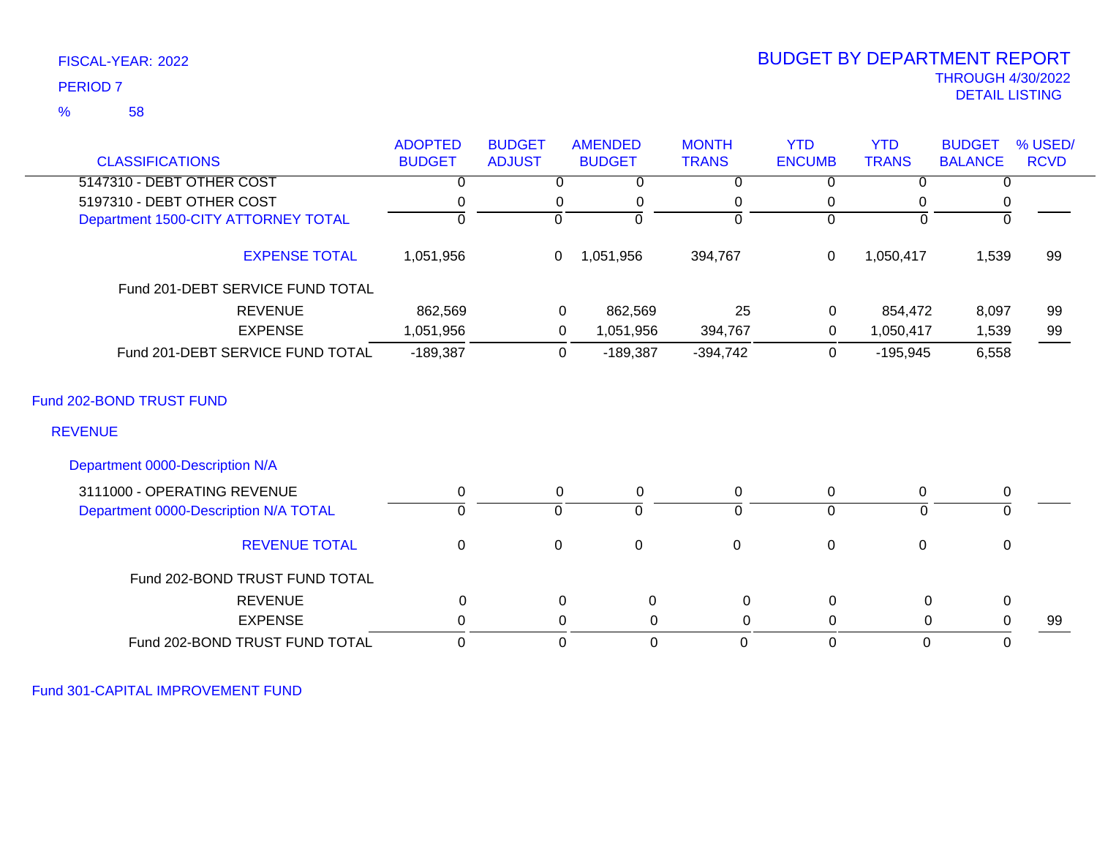## 58 %

# THROUGH 4/30/2022<br>DETAIL LISTING DETAIL LISTING PERIOD <sup>7</sup> BUDGET BY DEPARTMENT REPORT

|                                       | <b>ADOPTED</b> | <b>BUDGET</b>  | <b>AMENDED</b>                | <b>MONTH</b>   | <b>YTD</b>     | <b>YTD</b>   | <b>BUDGET</b>  | % USED/     |
|---------------------------------------|----------------|----------------|-------------------------------|----------------|----------------|--------------|----------------|-------------|
| <b>CLASSIFICATIONS</b>                | <b>BUDGET</b>  | <b>ADJUST</b>  | <b>BUDGET</b>                 | <b>TRANS</b>   | <b>ENCUMB</b>  | <b>TRANS</b> | <b>BALANCE</b> | <b>RCVD</b> |
| 5147310 - DEBT OTHER COST             |                |                | 0<br>0                        | 0              | 0              | $\Omega$     | 0              |             |
| 5197310 - DEBT OTHER COST             |                | 0              | 0                             | 0              | 0              | 0            | 0              |             |
| Department 1500-CITY ATTORNEY TOTAL   | ∩              | $\Omega$       | $\Omega$                      | $\Omega$       | $\Omega$       | $\Omega$     | $\Omega$       |             |
| <b>EXPENSE TOTAL</b>                  | 1,051,956      | $\mathbf{0}$   | 1,051,956                     | 394,767        | 0              | 1,050,417    | 1,539          | 99          |
| Fund 201-DEBT SERVICE FUND TOTAL      |                |                |                               |                |                |              |                |             |
| <b>REVENUE</b>                        | 862,569        |                | 862,569<br>0                  | 25             | 0              | 854,472      | 8,097          | 99          |
| <b>EXPENSE</b>                        | 1,051,956      |                | 0<br>1,051,956                | 394,767        | 0              | 1,050,417    | 1,539          | 99          |
| Fund 201-DEBT SERVICE FUND TOTAL      | $-189,387$     |                | $-189,387$<br>0               | $-394,742$     | $\mathbf 0$    | $-195,945$   | 6,558          |             |
| Fund 202-BOND TRUST FUND              |                |                |                               |                |                |              |                |             |
| <b>REVENUE</b>                        |                |                |                               |                |                |              |                |             |
| Department 0000-Description N/A       |                |                |                               |                |                |              |                |             |
| 3111000 - OPERATING REVENUE           | 0              |                | 0<br>0                        | 0              | $\mathbf 0$    | 0            | 0              |             |
| Department 0000-Description N/A TOTAL | $\Omega$       | $\overline{0}$ | $\overline{0}$                | $\overline{0}$ | $\overline{0}$ | 0            | 0              |             |
| <b>REVENUE TOTAL</b>                  | $\mathbf 0$    | $\mathbf 0$    | $\mathbf 0$                   | $\mathbf 0$    | $\pmb{0}$      | $\mathbf 0$  | $\mathbf 0$    |             |
| Fund 202-BOND TRUST FUND TOTAL        |                |                |                               |                |                |              |                |             |
| <b>REVENUE</b>                        | $\mathbf 0$    |                | $\mathbf 0$<br>$\mathbf 0$    | $\mathbf 0$    | $\mathbf 0$    | $\mathsf 0$  | $\mathbf 0$    |             |
| <b>EXPENSE</b>                        | 0              |                | 0                             | 0<br>0         | 0              | $\pmb{0}$    | 0              | 99          |
| Fund 202-BOND TRUST FUND TOTAL        | $\Omega$       |                | $\overline{0}$<br>$\mathbf 0$ | 0              | $\mathbf 0$    | $\mathbf 0$  | $\Omega$       |             |

Fund 301-CAPITAL IMPROVEMENT FUND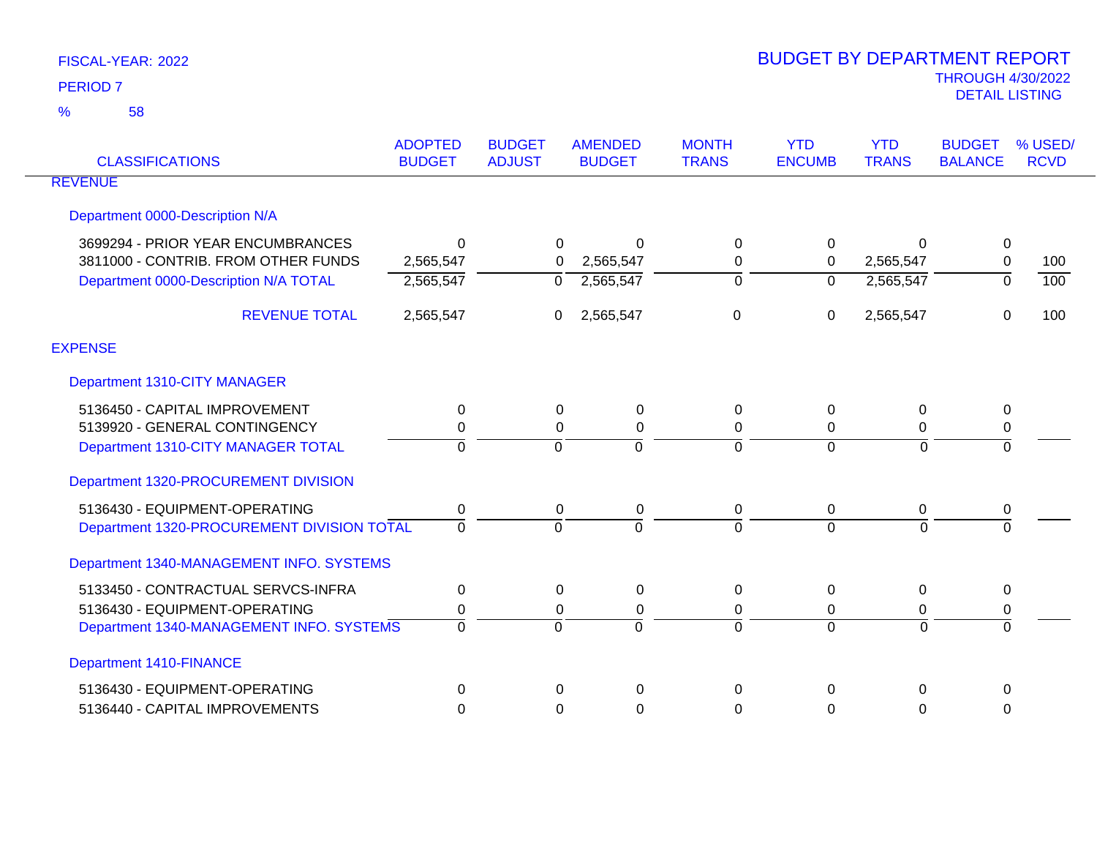| <b>CLASSIFICATIONS</b>                     | <b>ADOPTED</b><br><b>BUDGET</b> | <b>BUDGET</b><br><b>ADJUST</b> | <b>AMENDED</b><br><b>BUDGET</b> | <b>MONTH</b><br><b>TRANS</b> | <b>YTD</b><br><b>ENCUMB</b> | <b>YTD</b><br><b>TRANS</b> | <b>BUDGET</b><br><b>BALANCE</b> | % USED/<br><b>RCVD</b> |
|--------------------------------------------|---------------------------------|--------------------------------|---------------------------------|------------------------------|-----------------------------|----------------------------|---------------------------------|------------------------|
| <b>REVENUE</b>                             |                                 |                                |                                 |                              |                             |                            |                                 |                        |
| Department 0000-Description N/A            |                                 |                                |                                 |                              |                             |                            |                                 |                        |
| 3699294 - PRIOR YEAR ENCUMBRANCES          | ∩                               | 0                              | $\Omega$                        | 0                            | $\Omega$                    | $\Omega$                   | 0                               |                        |
| 3811000 - CONTRIB. FROM OTHER FUNDS        | 2,565,547                       | $\Omega$                       | 2,565,547                       | 0                            | 0                           | 2,565,547                  | $\mathsf 0$                     | 100                    |
| Department 0000-Description N/A TOTAL      | 2,565,547                       | 0                              | 2,565,547                       | 0                            | 0                           | 2,565,547                  | 0                               | $\overline{100}$       |
| <b>REVENUE TOTAL</b>                       | 2,565,547                       | $\overline{0}$                 | 2,565,547                       | 0                            | 0                           | 2,565,547                  | $\mathbf 0$                     | 100                    |
| <b>EXPENSE</b>                             |                                 |                                |                                 |                              |                             |                            |                                 |                        |
| Department 1310-CITY MANAGER               |                                 |                                |                                 |                              |                             |                            |                                 |                        |
| 5136450 - CAPITAL IMPROVEMENT              | 0                               | 0                              | 0                               | 0                            | $\Omega$                    | $\Omega$                   | 0                               |                        |
| 5139920 - GENERAL CONTINGENCY              | 0                               | 0                              | 0                               | 0                            | 0                           | 0                          | $\pmb{0}$                       |                        |
| Department 1310-CITY MANAGER TOTAL         | $\Omega$                        | $\Omega$                       | $\Omega$                        | $\Omega$                     | $\Omega$                    | $\overline{0}$             | $\Omega$                        |                        |
| Department 1320-PROCUREMENT DIVISION       |                                 |                                |                                 |                              |                             |                            |                                 |                        |
| 5136430 - EQUIPMENT-OPERATING              | 0                               | 0                              | 0                               | 0                            | 0                           | 0                          | 0                               |                        |
| Department 1320-PROCUREMENT DIVISION TOTAL | $\Omega$                        | $\Omega$                       | $\Omega$                        | $\overline{0}$               | $\Omega$                    | $\Omega$                   | $\Omega$                        |                        |
| Department 1340-MANAGEMENT INFO. SYSTEMS   |                                 |                                |                                 |                              |                             |                            |                                 |                        |
| 5133450 - CONTRACTUAL SERVCS-INFRA         | $\Omega$                        | $\Omega$                       | $\Omega$                        | 0                            | $\Omega$                    | $\Omega$                   | $\mathbf{0}$                    |                        |
| 5136430 - EQUIPMENT-OPERATING              | 0                               | 0                              | 0                               | 0                            | 0                           | 0                          | 0                               |                        |
| Department 1340-MANAGEMENT INFO. SYSTEMS   | $\Omega$                        | $\Omega$                       | $\Omega$                        | 0                            | $\Omega$                    | $\Omega$                   | $\Omega$                        |                        |
| <b>Department 1410-FINANCE</b>             |                                 |                                |                                 |                              |                             |                            |                                 |                        |
| 5136430 - EQUIPMENT-OPERATING              | $\Omega$                        | $\Omega$                       | $\Omega$                        | 0                            | $\Omega$                    | $\Omega$                   | $\Omega$                        |                        |
| 5136440 - CAPITAL IMPROVEMENTS             | $\Omega$                        | $\Omega$                       | $\Omega$                        | 0                            | 0                           | 0                          | $\mathbf{0}$                    |                        |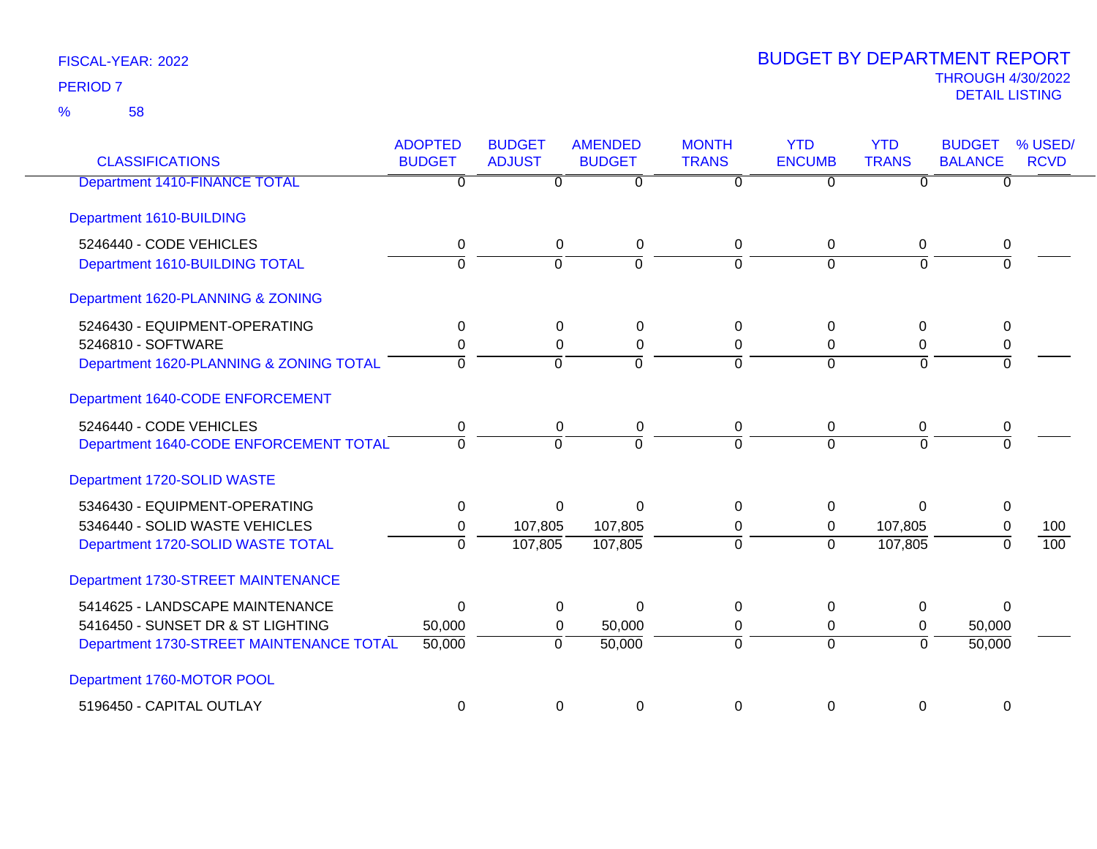58 %

| <b>CLASSIFICATIONS</b>                   | <b>ADOPTED</b><br><b>BUDGET</b> | <b>BUDGET</b><br><b>ADJUST</b> | <b>AMENDED</b><br><b>BUDGET</b> | <b>MONTH</b><br><b>TRANS</b> | <b>YTD</b><br><b>ENCUMB</b> | <b>YTD</b><br><b>TRANS</b> | <b>BUDGET</b><br><b>BALANCE</b> | % USED/<br><b>RCVD</b> |
|------------------------------------------|---------------------------------|--------------------------------|---------------------------------|------------------------------|-----------------------------|----------------------------|---------------------------------|------------------------|
| <b>Department 1410-FINANCE TOTAL</b>     | $\Omega$                        | 0                              | 0                               | $\Omega$                     | U                           | 0                          | O                               |                        |
| Department 1610-BUILDING                 |                                 |                                |                                 |                              |                             |                            |                                 |                        |
| 5246440 - CODE VEHICLES                  | 0                               | 0                              | 0                               | 0                            | $\mathbf 0$                 | 0                          | 0                               |                        |
| Department 1610-BUILDING TOTAL           | $\mathbf 0$                     | $\Omega$                       | $\Omega$                        | $\Omega$                     | $\Omega$                    | $\Omega$                   | $\Omega$                        |                        |
| Department 1620-PLANNING & ZONING        |                                 |                                |                                 |                              |                             |                            |                                 |                        |
| 5246430 - EQUIPMENT-OPERATING            | 0                               | $\Omega$                       | 0                               | 0                            | $\mathbf{0}$                | $\Omega$                   | $\Omega$                        |                        |
| 5246810 - SOFTWARE                       | 0                               | $\Omega$                       | 0                               | 0                            | $\Omega$                    | 0                          | 0                               |                        |
| Department 1620-PLANNING & ZONING TOTAL  | $\Omega$                        | $\Omega$                       | $\Omega$                        | 0                            | $\overline{0}$              | $\Omega$                   | $\Omega$                        |                        |
| Department 1640-CODE ENFORCEMENT         |                                 |                                |                                 |                              |                             |                            |                                 |                        |
| 5246440 - CODE VEHICLES                  | 0                               | 0                              | 0                               | 0                            | 0                           | 0                          | 0                               |                        |
| Department 1640-CODE ENFORCEMENT TOTAL   | $\Omega$                        | $\Omega$                       | 0                               | $\mathbf 0$                  | $\Omega$                    | $\Omega$                   | $\Omega$                        |                        |
| Department 1720-SOLID WASTE              |                                 |                                |                                 |                              |                             |                            |                                 |                        |
| 5346430 - EQUIPMENT-OPERATING            | $\Omega$                        | $\Omega$                       | $\Omega$                        | $\Omega$                     | $\Omega$                    | $\Omega$                   | 0                               |                        |
| 5346440 - SOLID WASTE VEHICLES           | 0                               | 107,805                        | 107,805                         | 0                            | 0                           | 107,805                    | $\mathbf 0$                     | 100                    |
| Department 1720-SOLID WASTE TOTAL        | $\Omega$                        | 107,805                        | 107,805                         | $\Omega$                     | $\Omega$                    | 107,805                    | $\Omega$                        | 100                    |
| Department 1730-STREET MAINTENANCE       |                                 |                                |                                 |                              |                             |                            |                                 |                        |
| 5414625 - LANDSCAPE MAINTENANCE          | $\mathbf 0$                     | $\Omega$                       | $\Omega$                        | 0                            | $\mathbf{0}$                | 0                          | $\Omega$                        |                        |
| 5416450 - SUNSET DR & ST LIGHTING        | 50,000                          | $\Omega$                       | 50,000                          | 0                            | $\mathbf 0$                 | $\Omega$                   | 50,000                          |                        |
| Department 1730-STREET MAINTENANCE TOTAL | 50,000                          | $\overline{0}$                 | 50,000                          | $\overline{0}$               | $\overline{0}$              | $\overline{0}$             | 50,000                          |                        |
| Department 1760-MOTOR POOL               |                                 |                                |                                 |                              |                             |                            |                                 |                        |
| 5196450 - CAPITAL OUTLAY                 | $\mathbf 0$                     | 0                              | 0                               | 0                            | 0                           | $\mathbf 0$                | 0                               |                        |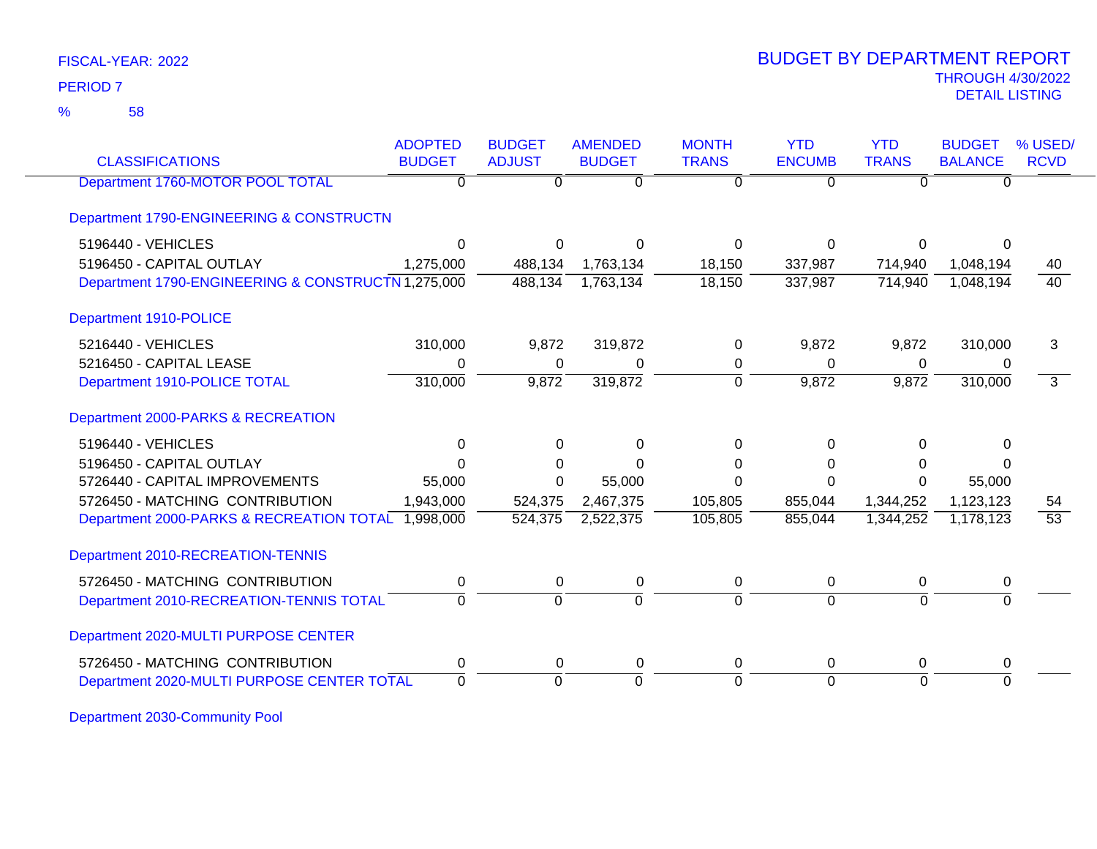58 %

## THROUGH 4/30/2022<br>DETAIL LISTING DETAIL LISTING PERIOD <sup>7</sup> BUDGET BY DEPARTMENT REPORT

| <b>CLASSIFICATIONS</b>                             | <b>ADOPTED</b><br><b>BUDGET</b> | <b>BUDGET</b><br><b>ADJUST</b> | <b>AMENDED</b><br><b>BUDGET</b> | <b>MONTH</b><br><b>TRANS</b> | <b>YTD</b><br><b>ENCUMB</b> | <b>YTD</b><br><b>TRANS</b> | <b>BUDGET</b><br><b>BALANCE</b> | % USED/<br><b>RCVD</b> |
|----------------------------------------------------|---------------------------------|--------------------------------|---------------------------------|------------------------------|-----------------------------|----------------------------|---------------------------------|------------------------|
| Department 1760-MOTOR POOL TOTAL                   | 0                               | 0                              | $\overline{0}$                  | $\Omega$                     | $\Omega$                    | $\Omega$                   | $\Omega$                        |                        |
| Department 1790-ENGINEERING & CONSTRUCTN           |                                 |                                |                                 |                              |                             |                            |                                 |                        |
| 5196440 - VEHICLES                                 | $\Omega$                        | $\Omega$                       | O                               | 0                            | $\Omega$                    | $\Omega$                   | 0                               |                        |
| 5196450 - CAPITAL OUTLAY                           | 1,275,000                       | 488,134                        | 1,763,134                       | 18,150                       | 337,987                     | 714,940                    | 1,048,194                       | 40                     |
| Department 1790-ENGINEERING & CONSTRUCTN 1,275,000 |                                 | 488,134                        | 1,763,134                       | 18,150                       | 337,987                     | 714,940                    | 1,048,194                       | $\overline{40}$        |
| Department 1910-POLICE                             |                                 |                                |                                 |                              |                             |                            |                                 |                        |
| 5216440 - VEHICLES                                 | 310,000                         | 9,872                          | 319,872                         | 0                            | 9,872                       | 9,872                      | 310,000                         | 3                      |
| 5216450 - CAPITAL LEASE                            | 0                               | 0                              | 0                               | 0                            | $\mathbf 0$                 | 0                          | 0                               |                        |
| Department 1910-POLICE TOTAL                       | 310,000                         | 9,872                          | 319,872                         | $\Omega$                     | 9,872                       | 9,872                      | 310,000                         | $\overline{3}$         |
| Department 2000-PARKS & RECREATION                 |                                 |                                |                                 |                              |                             |                            |                                 |                        |
| 5196440 - VEHICLES                                 | $\Omega$                        | $\Omega$                       | $\Omega$                        | 0                            | $\Omega$                    | $\Omega$                   | $\Omega$                        |                        |
| 5196450 - CAPITAL OUTLAY                           |                                 | $\Omega$                       | U                               | $\Omega$                     | $\Omega$                    | $\Omega$                   | $\Omega$                        |                        |
| 5726440 - CAPITAL IMPROVEMENTS                     | 55,000                          | $\Omega$                       | 55,000                          | $\Omega$                     | $\Omega$                    | $\Omega$                   | 55,000                          |                        |
| 5726450 - MATCHING CONTRIBUTION                    | 1,943,000                       | 524,375                        | 2,467,375                       | 105,805                      | 855,044                     | 1,344,252                  | 1,123,123                       | 54                     |
| Department 2000-PARKS & RECREATION TOTAL 1,998,000 |                                 | 524,375                        | 2,522,375                       | 105,805                      | 855,044                     | 1,344,252                  | 1,178,123                       | $\overline{53}$        |
| Department 2010-RECREATION-TENNIS                  |                                 |                                |                                 |                              |                             |                            |                                 |                        |
| 5726450 - MATCHING CONTRIBUTION                    | 0                               | $\Omega$                       | 0                               | 0                            | $\mathbf{0}$                | 0                          | 0                               |                        |
| Department 2010-RECREATION-TENNIS TOTAL            | $\Omega$                        | $\mathbf 0$                    | $\Omega$                        | $\Omega$                     | $\Omega$                    | $\Omega$                   | $\Omega$                        |                        |
| Department 2020-MULTI PURPOSE CENTER               |                                 |                                |                                 |                              |                             |                            |                                 |                        |
| 5726450 - MATCHING CONTRIBUTION                    | 0                               | 0                              | 0                               | 0                            | 0                           | 0                          | 0                               |                        |
| Department 2020-MULTI PURPOSE CENTER TOTAL         | $\Omega$                        | $\Omega$                       | $\Omega$                        | $\Omega$                     | $\Omega$                    | $\Omega$                   | $\Omega$                        |                        |

Department 2030-Community Pool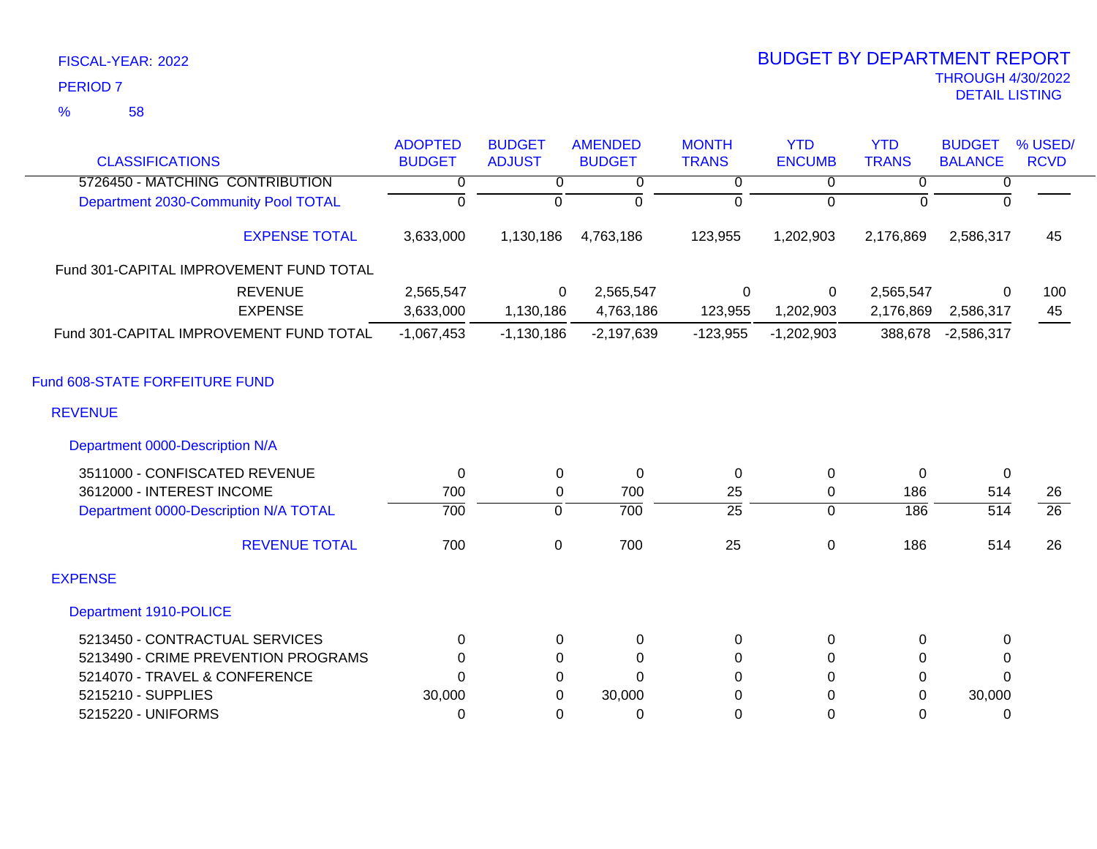58 %

| <b>CLASSIFICATIONS</b>                  | <b>ADOPTED</b><br><b>BUDGET</b> | <b>BUDGET</b><br><b>ADJUST</b> | <b>AMENDED</b><br><b>BUDGET</b> | <b>MONTH</b><br><b>TRANS</b> | <b>YTD</b><br><b>ENCUMB</b> | <b>YTD</b><br><b>TRANS</b> | <b>BUDGET</b><br><b>BALANCE</b> | % USED/<br><b>RCVD</b> |
|-----------------------------------------|---------------------------------|--------------------------------|---------------------------------|------------------------------|-----------------------------|----------------------------|---------------------------------|------------------------|
| 5726450 - MATCHING CONTRIBUTION         | 0                               | 0                              | 0                               | $\overline{0}$               | 0                           | $\overline{0}$             | 0                               |                        |
| Department 2030-Community Pool TOTAL    | $\overline{0}$                  | 0                              | $\mathbf 0$                     | $\Omega$                     | $\Omega$                    | $\Omega$                   | $\Omega$                        |                        |
| <b>EXPENSE TOTAL</b>                    | 3,633,000                       | 1,130,186                      | 4,763,186                       | 123,955                      | 1,202,903                   | 2,176,869                  | 2,586,317                       | 45                     |
| Fund 301-CAPITAL IMPROVEMENT FUND TOTAL |                                 |                                |                                 |                              |                             |                            |                                 |                        |
| <b>REVENUE</b><br><b>EXPENSE</b>        | 2,565,547<br>3,633,000          | 0<br>1,130,186                 | 2,565,547<br>4,763,186          | 0<br>123,955                 | 0<br>1,202,903              | 2,565,547<br>2,176,869     | 0<br>2,586,317                  | 100<br>45              |
| Fund 301-CAPITAL IMPROVEMENT FUND TOTAL | $-1,067,453$                    | $-1,130,186$                   | $-2,197,639$                    | $-123,955$                   | $-1,202,903$                | 388,678                    | $-2,586,317$                    |                        |
| Fund 608-STATE FORFEITURE FUND          |                                 |                                |                                 |                              |                             |                            |                                 |                        |
| <b>REVENUE</b>                          |                                 |                                |                                 |                              |                             |                            |                                 |                        |
| Department 0000-Description N/A         |                                 |                                |                                 |                              |                             |                            |                                 |                        |
| 3511000 - CONFISCATED REVENUE           | $\Omega$                        | 0                              | $\mathbf 0$                     | 0                            | 0                           | $\Omega$                   | 0                               |                        |
| 3612000 - INTEREST INCOME               | 700                             | 0                              | 700                             | 25                           | 0                           | 186                        | 514                             | 26                     |
| Department 0000-Description N/A TOTAL   | 700                             | $\overline{0}$                 | 700                             | $\overline{25}$              | $\overline{0}$              | 186                        | $\overline{514}$                | $\overline{26}$        |
| <b>REVENUE TOTAL</b>                    | 700                             | $\mathbf 0$                    | 700                             | 25                           | $\mathbf 0$                 | 186                        | 514                             | 26                     |
| <b>EXPENSE</b>                          |                                 |                                |                                 |                              |                             |                            |                                 |                        |
| <b>Department 1910-POLICE</b>           |                                 |                                |                                 |                              |                             |                            |                                 |                        |
| 5213450 - CONTRACTUAL SERVICES          | 0                               | 0                              | $\pmb{0}$                       | 0                            | 0                           | 0                          | 0                               |                        |
| 5213490 - CRIME PREVENTION PROGRAMS     | $\Omega$                        | 0                              | $\Omega$                        | 0                            | $\Omega$                    | $\Omega$                   | 0                               |                        |
| 5214070 - TRAVEL & CONFERENCE           | $\Omega$                        | 0                              | $\mathbf 0$                     | $\Omega$                     | $\Omega$                    | $\mathbf 0$                | $\Omega$                        |                        |
| 5215210 - SUPPLIES                      | 30,000                          | 0                              | 30,000                          | 0                            | 0                           | 0                          | 30,000                          |                        |
| 5215220 - UNIFORMS                      | 0                               | 0                              | 0                               | 0                            | 0                           | 0                          | 0                               |                        |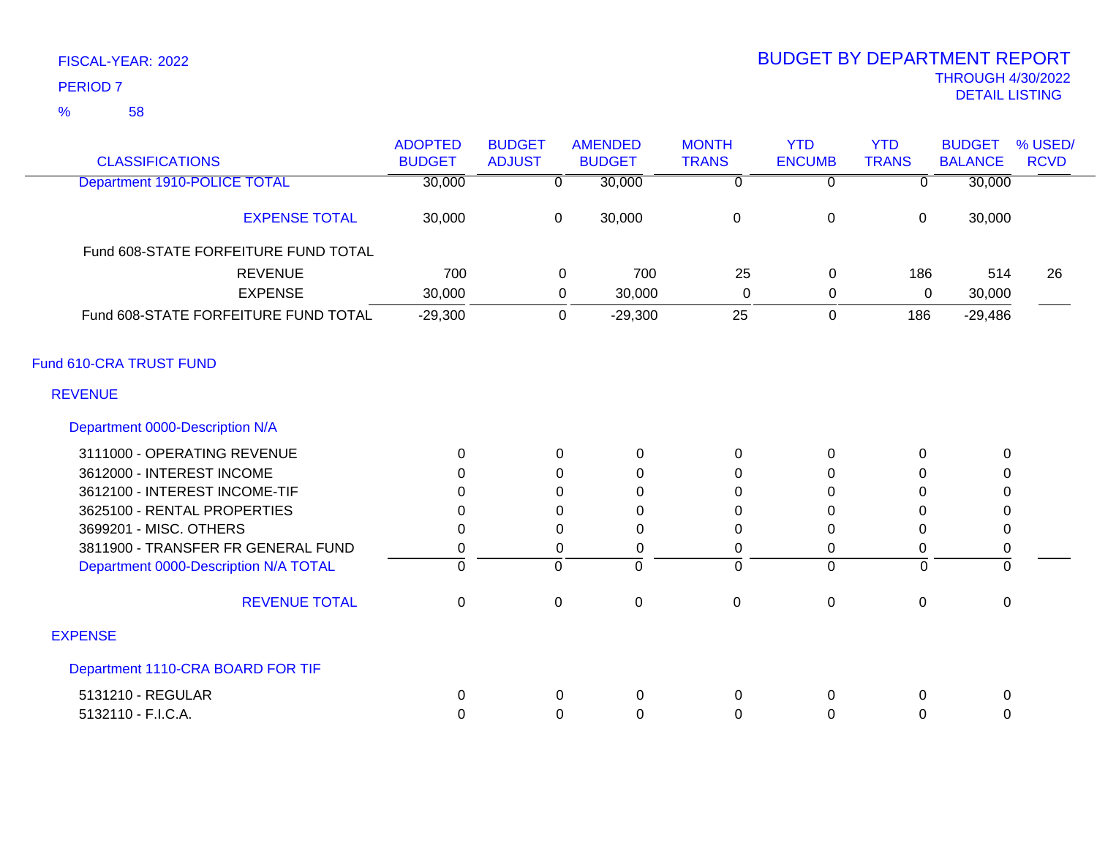| <b>CLASSIFICATIONS</b>                | <b>ADOPTED</b><br><b>BUDGET</b> | <b>BUDGET</b><br><b>ADJUST</b> | <b>AMENDED</b><br><b>BUDGET</b> | <b>MONTH</b><br><b>TRANS</b> | <b>YTD</b><br><b>ENCUMB</b> | <b>YTD</b><br><b>TRANS</b> | <b>BUDGET</b><br><b>BALANCE</b> | % USED/<br><b>RCVD</b> |
|---------------------------------------|---------------------------------|--------------------------------|---------------------------------|------------------------------|-----------------------------|----------------------------|---------------------------------|------------------------|
| <b>Department 1910-POLICE TOTAL</b>   | 30,000                          | $\overline{0}$                 | 30,000                          | $\overline{0}$               | $\overline{0}$              | $\overline{0}$             | 30,000                          |                        |
| <b>EXPENSE TOTAL</b>                  | 30,000                          | $\mathbf 0$                    | 30,000                          | $\mathbf 0$                  | $\mathbf 0$                 | $\pmb{0}$                  | 30,000                          |                        |
| Fund 608-STATE FORFEITURE FUND TOTAL  |                                 |                                |                                 |                              |                             |                            |                                 |                        |
| <b>REVENUE</b>                        | 700                             |                                | 700<br>0                        | 25                           | 0                           | 186                        | 514                             | 26                     |
| <b>EXPENSE</b>                        | 30,000                          |                                | 30,000<br>0                     | $\Omega$                     | 0                           | 0                          | 30,000                          |                        |
| Fund 608-STATE FORFEITURE FUND TOTAL  | $-29,300$                       |                                | $-29,300$<br>0                  | 25                           | $\mathbf 0$                 | 186                        | $-29,486$                       |                        |
| Fund 610-CRA TRUST FUND               |                                 |                                |                                 |                              |                             |                            |                                 |                        |
| <b>REVENUE</b>                        |                                 |                                |                                 |                              |                             |                            |                                 |                        |
| Department 0000-Description N/A       |                                 |                                |                                 |                              |                             |                            |                                 |                        |
| 3111000 - OPERATING REVENUE           | $\mathbf 0$                     | $\Omega$                       | 0                               | $\mathbf 0$                  | 0                           | $\mathbf 0$                | 0                               |                        |
| 3612000 - INTEREST INCOME             | $\Omega$                        | 0                              | 0                               | 0                            | 0                           | $\Omega$                   | 0                               |                        |
| 3612100 - INTEREST INCOME-TIF         | $\Omega$                        | 0                              | $\Omega$                        | $\Omega$                     | 0                           | $\Omega$                   | 0                               |                        |
| 3625100 - RENTAL PROPERTIES           | 0                               | 0                              | 0                               | 0                            | 0                           | 0                          | 0                               |                        |
| 3699201 - MISC. OTHERS                | $\Omega$                        | $\Omega$                       | 0                               | $\Omega$                     | $\Omega$                    | $\Omega$                   | 0                               |                        |
| 3811900 - TRANSFER FR GENERAL FUND    | 0                               | 0                              | $\mathbf 0$                     | $\pmb{0}$                    | 0                           | 0                          | $\boldsymbol{0}$                |                        |
| Department 0000-Description N/A TOTAL | $\mathbf 0$                     | $\mathbf 0$                    | $\Omega$                        | $\Omega$                     | $\Omega$                    | $\overline{0}$             | $\Omega$                        |                        |
| <b>REVENUE TOTAL</b>                  | $\mathbf 0$                     | $\mathbf 0$                    | $\mathbf 0$                     | $\mathsf 0$                  | 0                           | $\mathbf 0$                | $\mathbf 0$                     |                        |
| <b>EXPENSE</b>                        |                                 |                                |                                 |                              |                             |                            |                                 |                        |
| Department 1110-CRA BOARD FOR TIF     |                                 |                                |                                 |                              |                             |                            |                                 |                        |
| 5131210 - REGULAR                     | 0                               | 0                              | 0                               | 0                            | 0                           | 0                          | 0                               |                        |
| 5132110 - F.I.C.A.                    | 0                               | $\Omega$                       | $\Omega$                        | 0                            | 0                           | 0                          | 0                               |                        |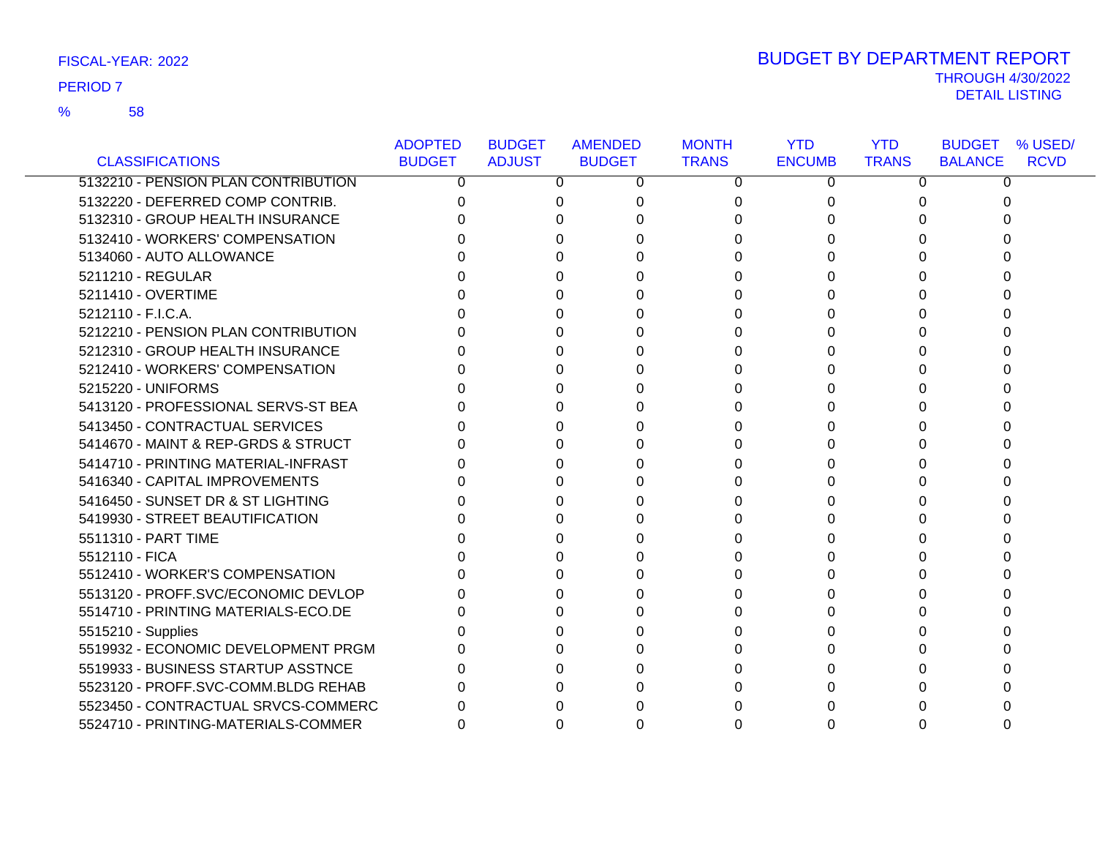58 %

| FISCAL-YEAR: 2022 | <b>BUDGET BY DEPARTMENT REPORT</b> |
|-------------------|------------------------------------|
| <b>PERIOD 7</b>   | <b>THROUGH 4/30/2022</b>           |
|                   | DETAIL LISTING                     |

|                                     | <b>ADOPTED</b> | <b>BUDGET</b> | <b>AMENDED</b> | <b>MONTH</b> | <b>YTD</b>    | <b>YTD</b>   | <b>BUDGET % USED/</b>         |
|-------------------------------------|----------------|---------------|----------------|--------------|---------------|--------------|-------------------------------|
| <b>CLASSIFICATIONS</b>              | <b>BUDGET</b>  | <b>ADJUST</b> | <b>BUDGET</b>  | <b>TRANS</b> | <b>ENCUMB</b> | <b>TRANS</b> | <b>RCVD</b><br><b>BALANCE</b> |
| 5132210 - PENSION PLAN CONTRIBUTION | 0              | 0             | 0              | $\Omega$     | 0             | 0            | 0                             |
| 5132220 - DEFERRED COMP CONTRIB.    |                |               |                | 0            |               |              |                               |
| 5132310 - GROUP HEALTH INSURANCE    |                |               |                | 0            |               |              |                               |
| 5132410 - WORKERS' COMPENSATION     |                |               |                |              |               |              |                               |
| 5134060 - AUTO ALLOWANCE            |                |               |                |              |               |              |                               |
| 5211210 - REGULAR                   |                |               |                |              |               |              |                               |
| 5211410 - OVERTIME                  |                |               |                |              |               |              |                               |
| 5212110 - F.I.C.A.                  |                |               |                | 0            |               | 0            |                               |
| 5212210 - PENSION PLAN CONTRIBUTION |                |               |                | U            |               |              |                               |
| 5212310 - GROUP HEALTH INSURANCE    |                |               |                | 0            |               |              |                               |
| 5212410 - WORKERS' COMPENSATION     |                |               |                | 0            |               | 0            |                               |
| 5215220 - UNIFORMS                  |                |               |                | 0            |               |              |                               |
| 5413120 - PROFESSIONAL SERVS-ST BEA |                |               |                | 0            |               |              |                               |
| 5413450 - CONTRACTUAL SERVICES      |                |               |                | U            |               |              |                               |
| 5414670 - MAINT & REP-GRDS & STRUCT |                |               |                | <sup>0</sup> |               |              |                               |
| 5414710 - PRINTING MATERIAL-INFRAST |                |               |                |              |               |              |                               |
| 5416340 - CAPITAL IMPROVEMENTS      |                |               |                | 0            |               | 0            |                               |
| 5416450 - SUNSET DR & ST LIGHTING   |                |               |                |              |               |              |                               |
| 5419930 - STREET BEAUTIFICATION     |                |               |                |              |               |              |                               |
| 5511310 - PART TIME                 |                |               |                |              |               |              |                               |
| 5512110 - FICA                      |                |               |                |              |               |              |                               |
| 5512410 - WORKER'S COMPENSATION     |                |               |                |              |               |              |                               |
| 5513120 - PROFF.SVC/ECONOMIC DEVLOP |                |               |                |              |               |              |                               |
| 5514710 - PRINTING MATERIALS-ECO.DE |                |               |                |              |               |              |                               |
| 5515210 - Supplies                  |                |               |                | U            |               |              |                               |
| 5519932 - ECONOMIC DEVELOPMENT PRGM |                |               |                |              |               |              |                               |
| 5519933 - BUSINESS STARTUP ASSTNCE  |                |               |                |              |               |              |                               |
| 5523120 - PROFF.SVC-COMM.BLDG REHAB |                |               |                | <sup>0</sup> |               |              |                               |
| 5523450 - CONTRACTUAL SRVCS-COMMERC |                |               |                |              |               |              |                               |
| 5524710 - PRINTING-MATERIALS-COMMER |                |               |                |              |               |              |                               |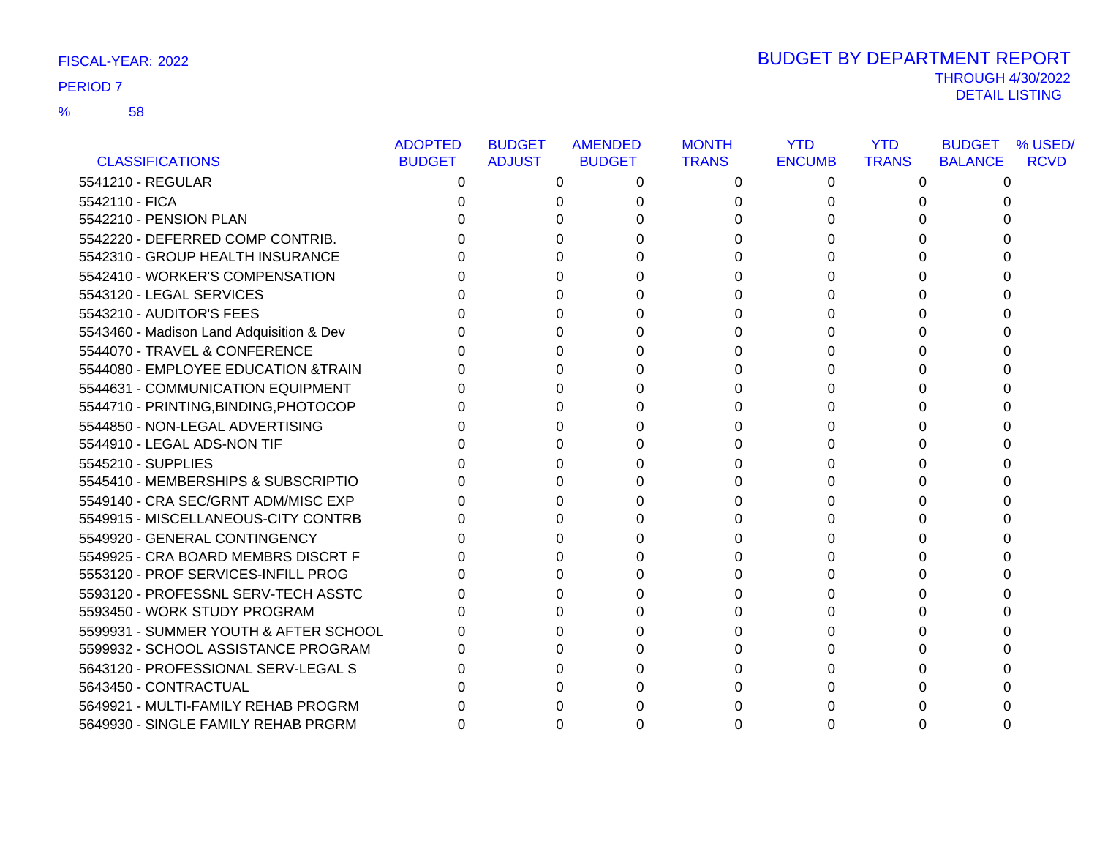### 58 %

|                                          | <b>ADOPTED</b> | <b>BUDGET</b> | <b>AMENDED</b> | <b>MONTH</b> | <b>YTD</b>    | <b>YTD</b>   | % USED/<br><b>BUDGET</b>      |
|------------------------------------------|----------------|---------------|----------------|--------------|---------------|--------------|-------------------------------|
| <b>CLASSIFICATIONS</b>                   | <b>BUDGET</b>  | <b>ADJUST</b> | <b>BUDGET</b>  | <b>TRANS</b> | <b>ENCUMB</b> | <b>TRANS</b> | <b>RCVD</b><br><b>BALANCE</b> |
| 5541210 - REGULAR                        | 0              | 0             | 0              | 0            | 0             | 0            | 0                             |
| 5542110 - FICA                           | 0              | 0             | 0              | 0            |               | 0            | O                             |
| 5542210 - PENSION PLAN                   |                |               |                | 0            |               |              |                               |
| 5542220 - DEFERRED COMP CONTRIB.         |                |               |                | 0            |               |              |                               |
| 5542310 - GROUP HEALTH INSURANCE         |                | <sup>0</sup>  |                | 0            |               | U            |                               |
| 5542410 - WORKER'S COMPENSATION          |                |               |                | U            |               |              |                               |
| 5543120 - LEGAL SERVICES                 |                |               |                | 0            |               |              |                               |
| 5543210 - AUDITOR'S FEES                 |                |               |                | 0            |               |              |                               |
| 5543460 - Madison Land Adquisition & Dev |                |               |                | 0            |               |              |                               |
| 5544070 - TRAVEL & CONFERENCE            |                | 0             |                | 0            |               |              |                               |
| 5544080 - EMPLOYEE EDUCATION & TRAIN     |                | <sup>0</sup>  |                | 0            |               | 0            |                               |
| 5544631 - COMMUNICATION EQUIPMENT        |                | U             |                | 0            |               |              |                               |
| 5544710 - PRINTING, BINDING, PHOTOCOP    |                | O             |                | 0            |               |              |                               |
| 5544850 - NON-LEGAL ADVERTISING          |                |               |                |              |               |              |                               |
| 5544910 - LEGAL ADS-NON TIF              |                |               |                | 0            |               |              |                               |
| 5545210 - SUPPLIES                       |                | O             |                | 0            |               | O            |                               |
| 5545410 - MEMBERSHIPS & SUBSCRIPTIO      |                |               |                | 0            |               |              |                               |
| 5549140 - CRA SEC/GRNT ADM/MISC EXP      |                |               |                | 0            |               |              |                               |
| 5549915 - MISCELLANEOUS-CITY CONTRB      |                |               |                | 0            |               | 0            |                               |
| 5549920 - GENERAL CONTINGENCY            |                |               |                |              |               |              |                               |
| 5549925 - CRA BOARD MEMBRS DISCRT F      |                |               |                | 0            |               |              |                               |
| 5553120 - PROF SERVICES-INFILL PROG      |                | 0             |                | 0            |               | 0            |                               |
| 5593120 - PROFESSNL SERV-TECH ASSTC      |                | 0             |                | 0            |               |              |                               |
| 5593450 - WORK STUDY PROGRAM             |                | <sup>0</sup>  |                |              |               |              |                               |
| 5599931 - SUMMER YOUTH & AFTER SCHOOL    |                | 0             |                | 0            |               |              |                               |
| 5599932 - SCHOOL ASSISTANCE PROGRAM      |                | U             |                |              |               |              |                               |
| 5643120 - PROFESSIONAL SERV-LEGAL S      |                |               |                |              |               |              |                               |
| 5643450 - CONTRACTUAL                    |                |               |                | O            |               |              |                               |
| 5649921 - MULTI-FAMILY REHAB PROGRM      |                |               |                |              |               |              |                               |
| 5649930 - SINGLE FAMILY REHAB PRGRM      |                |               |                |              |               |              |                               |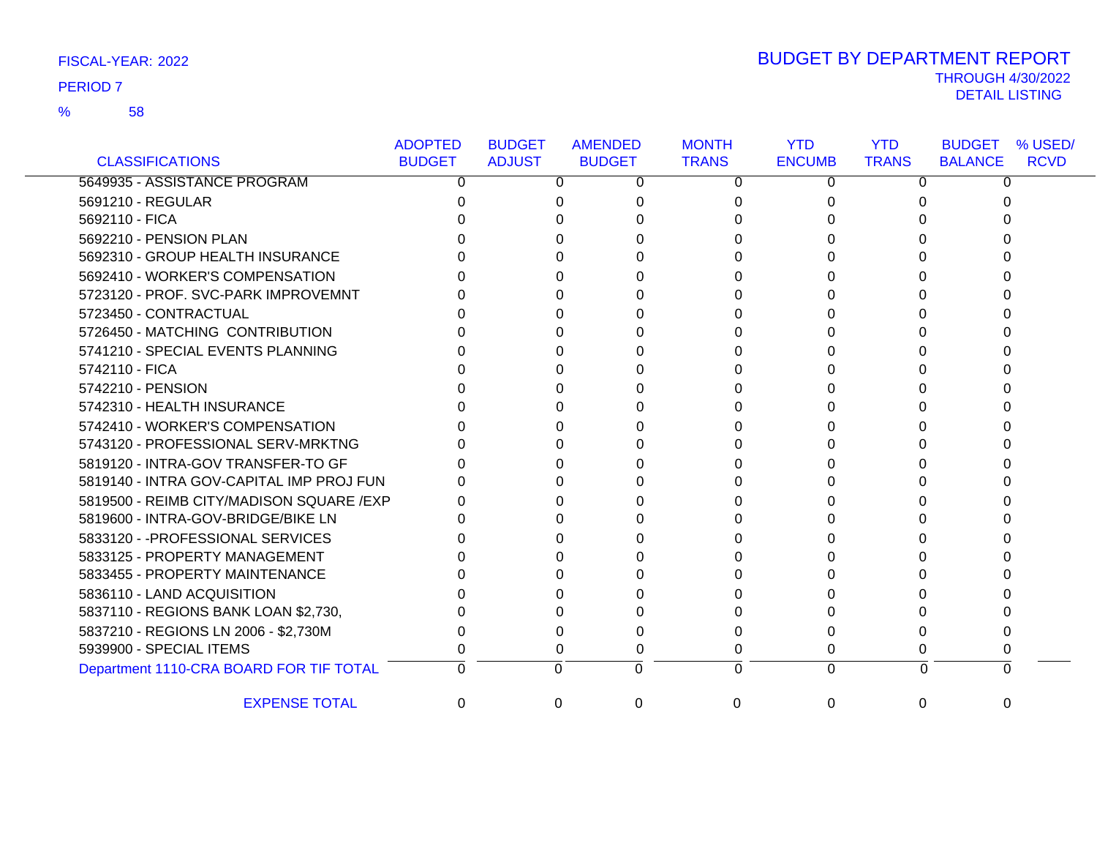58 %

| FISCAL-YEAR: 2022 | <b>BUDGET BY DEPARTMENT REPORT</b> |
|-------------------|------------------------------------|
| <b>PERIOD 7</b>   | <b>THROUGH 4/30/2022</b>           |
|                   | DETAIL LISTING                     |

|                                          | <b>ADOPTED</b> | <b>BUDGET</b> | <b>AMENDED</b> | <b>MONTH</b> | <b>YTD</b>    | <b>YTD</b>   | <b>BUDGET</b><br>% USED/      |
|------------------------------------------|----------------|---------------|----------------|--------------|---------------|--------------|-------------------------------|
| <b>CLASSIFICATIONS</b>                   | <b>BUDGET</b>  | <b>ADJUST</b> | <b>BUDGET</b>  | <b>TRANS</b> | <b>ENCUMB</b> | <b>TRANS</b> | <b>BALANCE</b><br><b>RCVD</b> |
| 5649935 - ASSISTANCE PROGRAM             | 0              | 0             | 0              | 0            | 0             | 0            |                               |
| 5691210 - REGULAR                        |                |               |                |              |               |              |                               |
| 5692110 - FICA                           |                |               |                |              |               |              |                               |
| 5692210 - PENSION PLAN                   |                |               |                |              |               |              |                               |
| 5692310 - GROUP HEALTH INSURANCE         |                |               |                |              |               |              |                               |
| 5692410 - WORKER'S COMPENSATION          |                |               |                |              |               |              |                               |
| 5723120 - PROF. SVC-PARK IMPROVEMNT      |                |               |                |              |               |              |                               |
| 5723450 - CONTRACTUAL                    |                |               |                |              |               |              |                               |
| 5726450 - MATCHING CONTRIBUTION          |                |               |                |              |               |              |                               |
| 5741210 - SPECIAL EVENTS PLANNING        |                |               |                |              |               |              |                               |
| 5742110 - FICA                           |                |               |                |              |               |              |                               |
| 5742210 - PENSION                        |                |               |                |              |               |              |                               |
| 5742310 - HEALTH INSURANCE               |                |               |                |              |               |              |                               |
| 5742410 - WORKER'S COMPENSATION          |                |               |                |              |               |              |                               |
| 5743120 - PROFESSIONAL SERV-MRKTNG       |                |               |                |              |               |              |                               |
| 5819120 - INTRA-GOV TRANSFER-TO GF       |                |               |                |              |               |              |                               |
| 5819140 - INTRA GOV-CAPITAL IMP PROJ FUN |                |               |                |              |               |              |                               |
| 5819500 - REIMB CITY/MADISON SQUARE /EXP |                |               |                |              |               |              |                               |
| 5819600 - INTRA-GOV-BRIDGE/BIKE LN       |                |               |                |              |               |              |                               |
| 5833120 - - PROFESSIONAL SERVICES        |                |               |                |              |               |              |                               |
| 5833125 - PROPERTY MANAGEMENT            |                |               |                |              |               |              |                               |
| 5833455 - PROPERTY MAINTENANCE           |                |               |                |              |               |              |                               |
| 5836110 - LAND ACQUISITION               |                |               |                |              |               |              |                               |
| 5837110 - REGIONS BANK LOAN \$2,730,     |                |               |                |              |               |              |                               |
| 5837210 - REGIONS LN 2006 - \$2,730M     |                |               |                |              |               |              |                               |
| 5939900 - SPECIAL ITEMS                  |                | 0             |                |              | 0             |              |                               |
| Department 1110-CRA BOARD FOR TIF TOTAL  | 0              | $\Omega$      | $\Omega$       | 0            | $\Omega$      | $\Omega$     |                               |
| <b>EXPENSE TOTAL</b>                     | 0              | $\Omega$      | $\Omega$       | 0            | $\Omega$      | 0            |                               |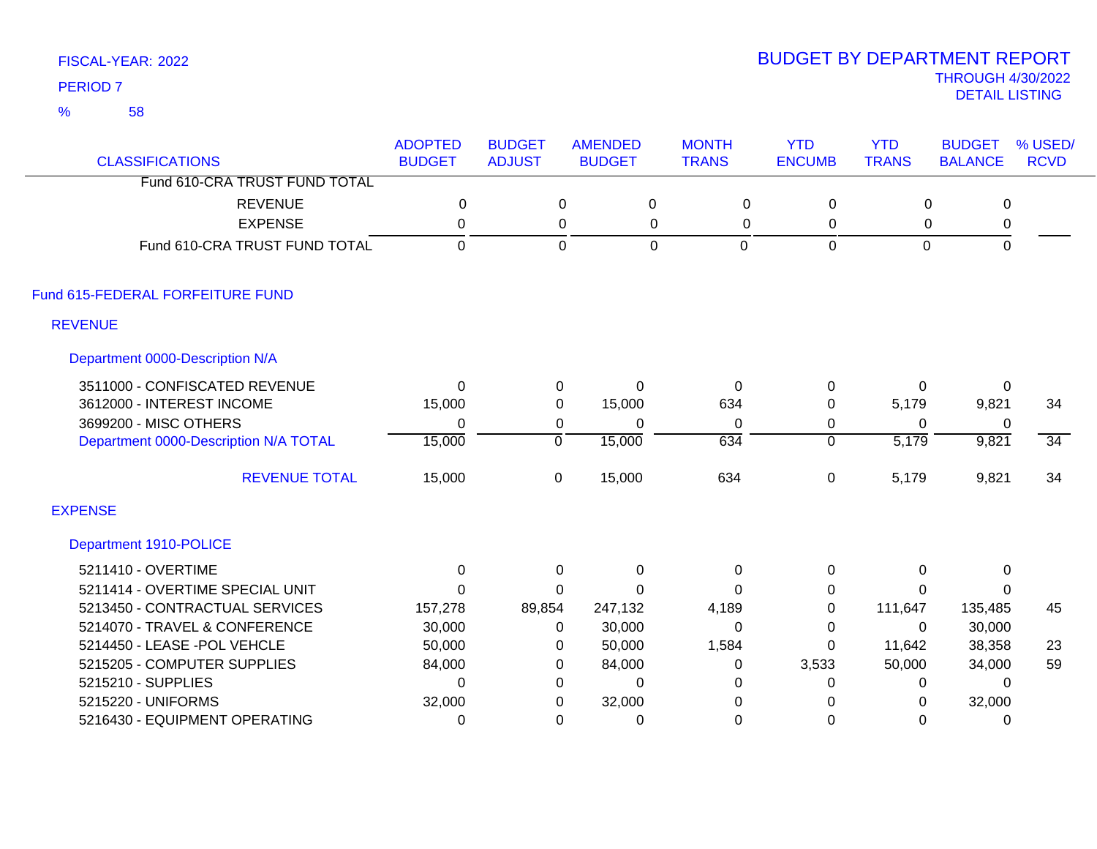58 %

| <b>CLASSIFICATIONS</b>                | <b>ADOPTED</b><br><b>BUDGET</b> | <b>BUDGET</b><br><b>ADJUST</b> | <b>AMENDED</b><br><b>BUDGET</b> | <b>MONTH</b><br><b>TRANS</b> | <b>YTD</b><br><b>ENCUMB</b> | <b>YTD</b><br><b>TRANS</b> | <b>BUDGET</b><br><b>BALANCE</b> | % USED/<br><b>RCVD</b> |
|---------------------------------------|---------------------------------|--------------------------------|---------------------------------|------------------------------|-----------------------------|----------------------------|---------------------------------|------------------------|
| Fund 610-CRA TRUST FUND TOTAL         |                                 |                                |                                 |                              |                             |                            |                                 |                        |
| <b>REVENUE</b>                        | $\mathbf 0$                     |                                | $\mathbf 0$<br>$\pmb{0}$        | $\mathbf 0$                  | $\mathsf 0$                 | $\mathbf 0$                | $\mathsf 0$                     |                        |
| <b>EXPENSE</b>                        | 0                               |                                | 0                               | 0<br>0                       | 0                           | 0                          | 0                               |                        |
| Fund 610-CRA TRUST FUND TOTAL         | $\mathbf 0$                     |                                | 0                               | $\mathbf 0$<br>0             | 0                           | $\pmb{0}$                  | $\mathsf 0$                     |                        |
| Fund 615-FEDERAL FORFEITURE FUND      |                                 |                                |                                 |                              |                             |                            |                                 |                        |
| <b>REVENUE</b>                        |                                 |                                |                                 |                              |                             |                            |                                 |                        |
| Department 0000-Description N/A       |                                 |                                |                                 |                              |                             |                            |                                 |                        |
| 3511000 - CONFISCATED REVENUE         | $\Omega$                        | 0                              | $\Omega$                        | $\Omega$                     | 0                           | 0                          | 0                               |                        |
| 3612000 - INTEREST INCOME             | 15,000                          | 0                              | 15,000                          | 634                          | 0                           | 5,179                      | 9,821                           | 34                     |
| 3699200 - MISC OTHERS                 | $\mathbf{0}$                    | 0                              | 0                               | $\Omega$                     | $\mathbf 0$                 | $\Omega$                   | 0                               |                        |
| Department 0000-Description N/A TOTAL | 15,000                          | $\overline{0}$                 | 15,000                          | 634                          | $\overline{0}$              | $\overline{5,179}$         | 9,821                           | $\overline{34}$        |
| <b>REVENUE TOTAL</b>                  | 15,000                          | $\mathbf 0$                    | 15,000                          | 634                          | $\mathbf 0$                 | 5,179                      | 9,821                           | 34                     |
| <b>EXPENSE</b>                        |                                 |                                |                                 |                              |                             |                            |                                 |                        |
| Department 1910-POLICE                |                                 |                                |                                 |                              |                             |                            |                                 |                        |
| 5211410 - OVERTIME                    | 0                               | $\mathbf 0$                    | $\mathbf 0$                     | 0                            | 0                           | 0                          | 0                               |                        |
| 5211414 - OVERTIME SPECIAL UNIT       | $\Omega$                        | $\Omega$                       | $\Omega$                        | $\Omega$                     | 0                           | $\Omega$                   | $\mathbf{0}$                    |                        |
| 5213450 - CONTRACTUAL SERVICES        | 157,278                         | 89,854                         | 247,132                         | 4,189                        | $\mathbf 0$                 | 111,647                    | 135,485                         | 45                     |
| 5214070 - TRAVEL & CONFERENCE         | 30,000                          | $\Omega$                       | 30,000                          | $\Omega$                     | $\Omega$                    | $\Omega$                   | 30,000                          |                        |
| 5214450 - LEASE - POL VEHCLE          | 50,000                          | 0                              | 50,000                          | 1,584                        | $\Omega$                    | 11,642                     | 38,358                          | 23                     |
| 5215205 - COMPUTER SUPPLIES           | 84,000                          | 0                              | 84,000                          | 0                            | 3,533                       | 50,000                     | 34,000                          | 59                     |
| 5215210 - SUPPLIES                    | $\Omega$                        | 0                              | $\Omega$                        | 0                            | 0                           | 0                          | $\Omega$                        |                        |
| 5215220 - UNIFORMS                    | 32,000                          | 0                              | 32,000                          | 0                            | 0                           | 0                          | 32,000                          |                        |
| 5216430 - EQUIPMENT OPERATING         | 0                               | 0                              | 0                               | $\mathbf 0$                  | 0                           | 0                          | 0                               |                        |